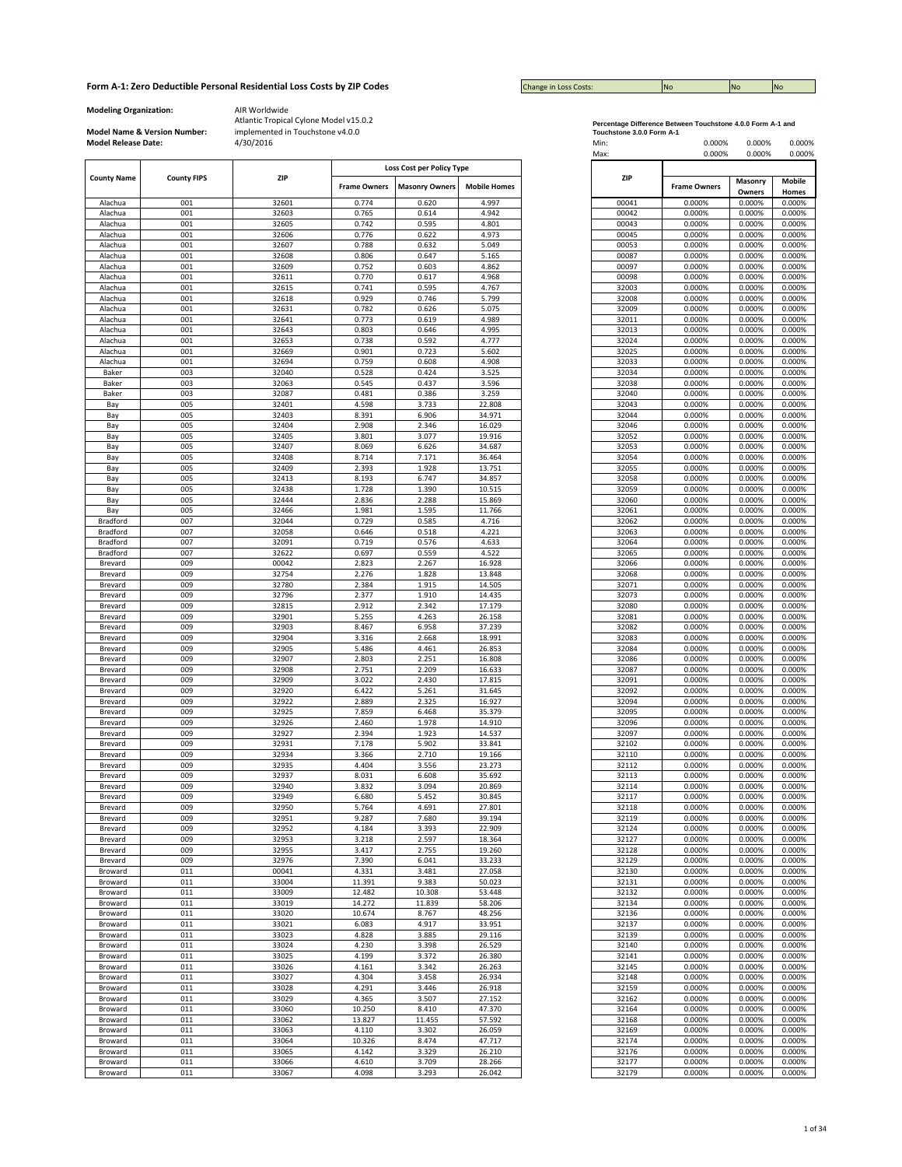| <b>Change in Loss Costs:</b> | No | <b>No</b> | <b>No</b> |
|------------------------------|----|-----------|-----------|

**Modeling Organization:** AIR Worldwide

**Model Name & Version Number:**

| <b>County Name</b> | <b>County FIPS</b> | ZIP   |                     | Loss Cost per Policy Type |                     |
|--------------------|--------------------|-------|---------------------|---------------------------|---------------------|
|                    |                    |       | <b>Frame Owners</b> | <b>Masonry Owners</b>     | <b>Mobile Homes</b> |
|                    |                    |       |                     |                           |                     |
| Alachua            | 001                | 32601 | 0.774               | 0.620                     | 4.997               |
| Alachua            | 001                | 32603 | 0.765               | 0.614                     | 4.942               |
| Alachua            | 001                | 32605 | 0.742               | 0.595                     | 4.801               |
| Alachua            | 001                | 32606 | 0.776               | 0.622                     | 4.973               |
| Alachua            | 001                | 32607 | 0.788               | 0.632                     | 5.049               |
| Alachua            | 001                | 32608 | 0.806               | 0.647                     | 5.165               |
| Alachua            | 001                | 32609 | 0.752               | 0.603                     | 4.862               |
| Alachua            | 001                | 32611 | 0.770               | 0.617                     | 4.968               |
| Alachua            | 001                | 32615 | 0.741               | 0.595                     | 4.767               |
| Alachua            | 001                | 32618 | 0.929               | 0.746                     | 5.799               |
|                    |                    |       |                     |                           |                     |
| Alachua            | 001                | 32631 | 0.782               | 0.626                     | 5.075               |
| Alachua            | 001                | 32641 | 0.773               | 0.619                     | 4.989               |
| Alachua            | 001                | 32643 | 0.803               | 0.646                     | 4.995               |
| Alachua            | 001                | 32653 | 0.738               | 0.592                     | 4.777               |
| Alachua            | 001                | 32669 | 0.901               | 0.723                     | 5.602               |
| Alachua            | 001                | 32694 | 0.759               | 0.608                     | 4.908               |
| Baker              | 003                | 32040 | 0.528               | 0.424                     | 3.525               |
|                    |                    |       |                     |                           |                     |
| Baker              | 003                | 32063 | 0.545               | 0.437                     | 3.596               |
| Baker              | 003                | 32087 | 0.481               | 0.386                     | 3.259               |
| Bay                | 005                | 32401 | 4.598               | 3.733                     | 22.808              |
| Bay                | 005                | 32403 | 8.391               | 6.906                     | 34.971              |
| Bay                | 005                | 32404 | 2.908               | 2.346                     | 16.029              |
| Bay                | 005                | 32405 | 3.801               | 3.077                     | 19.916              |
|                    |                    |       |                     |                           |                     |
| Bay                | 005                | 32407 | 8.069               | 6.626                     | 34.687              |
| Bay                | 005                | 32408 | 8.714               | 7.171                     | 36.464              |
| Bay                | 005                | 32409 | 2.393               | 1.928                     | 13.751              |
| Bay                | 005                | 32413 | 8.193               | 6.747                     | 34.857              |
| Bay                | 005                | 32438 | 1.728               | 1.390                     | 10.515              |
| Bay                | 005                | 32444 | 2.836               | 2.288                     | 15.869              |
|                    | 005                | 32466 | 1.981               | 1.595                     | 11.766              |
| Bay                |                    |       |                     |                           |                     |
| <b>Bradford</b>    | 007                | 32044 | 0.729               | 0.585                     | 4.716               |
| Bradford           | 007                | 32058 | 0.646               | 0.518                     | 4.221               |
| <b>Bradford</b>    | 007                | 32091 | 0.719               | 0.576                     | 4.633               |
| Bradford           | 007                | 32622 | 0.697               | 0.559                     | 4.522               |
| Brevard            | 009                | 00042 | 2.823               | 2.267                     | 16.928              |
| Brevard            | 009                | 32754 | 2.276               | 1.828                     | 13.848              |
|                    | 009                | 32780 | 2.384               | 1.915                     | 14.505              |
| Brevard            |                    |       |                     |                           |                     |
| Brevard            | 009                | 32796 | 2.377               | 1.910                     | 14.435              |
| Brevard            | 009                | 32815 | 2.912               | 2.342                     | 17.179              |
| Brevard            | 009                | 32901 | 5.255               | 4.263                     | 26.158              |
| Brevard            | 009                | 32903 | 8.467               | 6.958                     | 37.239              |
| Brevard            | 009                | 32904 | 3.316               | 2.668                     | 18.991              |
| Brevard            | 009                | 32905 | 5.486               | 4.461                     | 26.853              |
|                    | 009                | 32907 | 2.803               | 2.251                     | 16.808              |
| Brevard            |                    |       |                     |                           |                     |
| Brevard            | 009                | 32908 | 2.751               | 2.209                     | 16.633              |
| Brevard            | 009                | 32909 | 3.022               | 2.430                     | 17.815              |
| Brevard            | 009                | 32920 | 6.422               | 5.261                     | 31.645              |
| Brevard            | 009                | 32922 | 2.889               | 2.325                     | 16.927              |
| Brevard            | 009                | 32925 | 7.859               | 6.468                     | 35.379              |
| Brevard            | 009                | 32926 | 2.460               | 1.978                     | 14.910              |
|                    |                    |       |                     |                           |                     |
| Brevard            | 009                | 32927 | 2.394               | 1.923                     | 14.537              |
| Brevard            | 009                | 32931 | 7.178               | 5.902                     | 33.841              |
| Brevard            | 009                | 32934 | 3.366               | 2.710                     | 19.166              |
| Brevard            | 009                | 32935 | 4.404               | 3.556                     | 23.273              |
| Brevard            | 009                | 32937 | 8.031               | 6.608                     | 35.692              |
| Brevard            | 009                | 32940 | 3.832               | 3.094                     | 20.869              |
| Brevard            | 009                | 32949 | 6.680               | 5.452                     | 30.845              |
| Brevard            | 009                | 32950 | 5.764               | 4.691                     | 27.801              |
|                    |                    |       |                     |                           |                     |
| Brevard            | 009                | 32951 | 9.287               | 7.680                     | 39.194              |
| Brevard            | 009                | 32952 | 4.184               | 3.393                     | 22.909              |
| Brevard            | 009                | 32953 | 3.218               | 2.597                     | 18.364              |
| Brevard            | 009                | 32955 | 3.417               | 2.755                     | 19.260              |
| Brevard            | 009                | 32976 | 7.390               | 6.041                     | 33.233              |
| Broward            | 011                | 00041 | 4.331               | 3.481                     | 27.058              |
|                    |                    |       |                     |                           |                     |
| Broward            | 011                | 33004 | 11.391              | 9.383                     | 50.023              |
| Broward            | 011                | 33009 | 12.482              | 10.308                    | 53.448              |
| Broward            | 011                | 33019 | 14.272              | 11.839                    | 58.206              |
| Broward            | 011                | 33020 | 10.674              | 8.767                     | 48.256              |
| Broward            | 011                | 33021 | 6.083               | 4.917                     | 33.951              |
| Broward            | 011                | 33023 | 4.828               | 3.885                     | 29.116              |
| Broward            | 011                | 33024 | 4.230               | 3.398                     | 26.529              |
|                    |                    |       |                     |                           |                     |
| Broward            | 011                | 33025 | 4.199               | 3.372                     | 26.380              |
| Broward            | 011                | 33026 | 4.161               | 3.342                     | 26.263              |
| Broward            | 011                | 33027 | 4.304               | 3.458                     | 26.934              |
| Broward            | 011                | 33028 | 4.291               | 3.446                     | 26.918              |
| Broward            | 011                | 33029 | 4.365               | 3.507                     | 27.152              |
|                    | 011                |       |                     | 8.410                     |                     |
| Broward            |                    | 33060 | 10.250              |                           | 47.370              |
| Broward            | 011                | 33062 | 13.827              | 11.455                    | 57.592              |
| Broward            | 011                | 33063 | 4.110               | 3.302                     | 26.059              |
| Broward            | 011                | 33064 | 10.326              | 8.474                     | 47.717              |
| Broward            | 011                | 33065 | 4.142               | 3.329                     | 26.210              |
| Broward            | 011                | 33066 | 4.610               | 3.709                     | 28.266              |
| <b>Broward</b>     | 011                | 33067 | 4.098               | 3,793                     | 26.042              |

| Percentage Difference Between Touchstone 4.0.0 Form A-1 and |  |
|-------------------------------------------------------------|--|
| Toughstane 2.0.0 Farm A.4                                   |  |

| <b>Model Release Date:</b> | Model Name & Version Number: | implemented in Touchstone v4.0.0<br>4/30/2016 |                     |                                                    |                     | Touchstone 3.0.0 Form A-1<br>Min:<br>Max: | 0.000%<br>0.000%    | 0.000%<br>0.000% | 0.000%<br>0.000% |
|----------------------------|------------------------------|-----------------------------------------------|---------------------|----------------------------------------------------|---------------------|-------------------------------------------|---------------------|------------------|------------------|
| <b>County Name</b>         | <b>County FIPS</b>           | ZIP                                           | <b>Frame Owners</b> | Loss Cost per Policy Type<br><b>Masonry Owners</b> | <b>Mobile Homes</b> | ZIP                                       | <b>Frame Owners</b> | Masonry          | Mobile           |
|                            |                              |                                               |                     |                                                    |                     |                                           |                     | Owners           | Homes            |
| Alachua<br>Alachua         | 001<br>001                   | 32601<br>32603                                | 0.774<br>0.765      | 0.620<br>0.614                                     | 4.997<br>4.942      | 00041<br>00042                            | 0.000%<br>0.000%    | 0.000%<br>0.000% | 0.000%<br>0.000% |
| Alachua                    | 001                          | 32605                                         | 0.742               | 0.595                                              | 4.801               | 00043                                     | 0.000%              | 0.000%           | 0.000%           |
| Alachua                    | 001                          | 32606                                         | 0.776               | 0.622                                              | 4.973               | 00045                                     | 0.000%              | 0.000%           | 0.000%           |
| Alachua                    | 001                          | 32607                                         | 0.788               | 0.632                                              | 5.049               | 00053                                     | 0.000%              | 0.000%           | 0.000%           |
| Alachua                    | 001                          | 32608                                         | 0.806               | 0.647                                              | 5.165               | 00087                                     | 0.000%              | 0.000%           | 0.000%           |
| Alachua                    | 001                          | 32609                                         | 0.752               | 0.603                                              | 4.862               | 00097                                     | 0.000%              | 0.000%           | 0.000%           |
| Alachua                    | 001                          | 32611                                         | 0.770               | 0.617                                              | 4.968               | 00098                                     | 0.000%              | 0.000%           | 0.000%           |
| Alachua                    | 001                          | 32615                                         | 0.741               | 0.595                                              | 4.767               | 32003                                     | 0.000%              | 0.000%           | 0.000%           |
| Alachua                    | 001                          | 32618                                         | 0.929               | 0.746                                              | 5.799               | 32008                                     | 0.000%              | 0.000%           | 0.000%           |
| Alachua                    | 001                          | 32631                                         | 0.782               | 0.626                                              | 5.075               | 32009                                     | 0.000%              | 0.000%           | 0.000%           |
| Alachua                    | 001                          | 32641                                         | 0.773               | 0.619                                              | 4.989               | 32011                                     | 0.000%              | 0.000%           | 0.000%           |
| Alachua                    | 001                          | 32643                                         | 0.803               | 0.646                                              | 4.995               | 32013                                     | 0.000%              | 0.000%           | 0.000%           |
| Alachua                    | 001                          | 32653                                         | 0.738               | 0.592                                              | 4.777               | 32024                                     | 0.000%              | 0.000%           | 0.000%           |
| Alachua                    | 001                          | 32669                                         | 0.901               | 0.723                                              | 5.602               | 32025                                     | 0.000%              | 0.000%           | 0.000%           |
| Alachua                    | 001                          | 32694                                         | 0.759               | 0.608                                              | 4.908               | 32033                                     | 0.000%              | 0.000%           | 0.000%           |
| Baker                      | 003                          | 32040                                         | 0.528               | 0.424                                              | 3.525               | 32034                                     | 0.000%              | 0.000%           | 0.000%           |
| Baker                      | 003                          | 32063                                         | 0.545               | 0.437                                              | 3.596               | 32038                                     | 0.000%              | 0.000%           | 0.000%           |
| Baker                      | 003                          | 32087                                         | 0.481               | 0.386                                              | 3.259               | 32040                                     | 0.000%              | 0.000%           | 0.000%           |
| Bay                        | 005                          | 32401                                         | 4.598               | 3.733                                              | 22.808              | 32043                                     | 0.000%              | 0.000%           | 0.000%           |
| Bay                        | 005<br>005                   | 32403                                         | 8.391               | 6.906                                              | 34.971<br>16.029    | 32044<br>32046                            | 0.000%              | 0.000%           | 0.000%           |
| Bay                        | 005                          | 32404                                         | 2.908<br>3.801      | 2.346                                              | 19.916              |                                           | 0.000%<br>0.000%    | 0.000%<br>0.000% | 0.000%<br>0.000% |
| Bay                        | 005                          | 32405<br>32407                                | 8.069               | 3.077<br>6.626                                     | 34.687              | 32052<br>32053                            | 0.000%              | 0.000%           | 0.000%           |
| Bay<br>Bay                 | 005                          | 32408                                         | 8.714               | 7.171                                              | 36.464              | 32054                                     | 0.000%              | 0.000%           | 0.000%           |
| Bay                        | 005                          | 32409                                         | 2.393               | 1.928                                              | 13.751              | 32055                                     | 0.000%              | 0.000%           | 0.000%           |
| Bay                        | 005                          | 32413                                         | 8.193               | 6.747                                              | 34.857              | 32058                                     | 0.000%              | 0.000%           | 0.000%           |
| Bay                        | 005                          | 32438                                         | 1.728               | 1.390                                              | 10.515              | 32059                                     | 0.000%              | 0.000%           | 0.000%           |
| Bay                        | 005                          | 32444                                         | 2.836               | 2.288                                              | 15.869              | 32060                                     | 0.000%              | 0.000%           | 0.000%           |
| Bay                        | 005                          | 32466                                         | 1.981               | 1.595                                              | 11.766              | 32061                                     | 0.000%              | 0.000%           | 0.000%           |
| Bradford                   | 007                          | 32044                                         | 0.729               | 0.585                                              | 4.716               | 32062                                     | 0.000%              | 0.000%           | 0.000%           |
| Bradford                   | 007                          | 32058                                         | 0.646               | 0.518                                              | 4.221               | 32063                                     | 0.000%              | 0.000%           | 0.000%           |
| Bradford                   | 007                          | 32091                                         | 0.719               | 0.576                                              | 4.633               | 32064                                     | 0.000%              | 0.000%           | 0.000%           |
| Bradford                   | 007                          | 32622                                         | 0.697               | 0.559                                              | 4.522               | 32065                                     | 0.000%              | 0.000%           | 0.000%           |
| Brevard                    | 009                          | 00042                                         | 2.823               | 2.267                                              | 16.928              | 32066                                     | 0.000%              | 0.000%           | 0.000%           |
| Brevard                    | 009                          | 32754                                         | 2.276               | 1.828                                              | 13.848              | 32068                                     | 0.000%              | 0.000%           | 0.000%           |
| Brevard                    | 009                          | 32780                                         | 2.384               | 1.915                                              | 14.505              | 32071                                     | 0.000%              | 0.000%           | 0.000%           |
| Brevard                    | 009                          | 32796                                         | 2.377               | 1.910                                              | 14.435              | 32073                                     | 0.000%              | 0.000%           | 0.000%           |
| Brevard                    | 009                          | 32815                                         | 2.912               | 2.342                                              | 17.179              | 32080                                     | 0.000%              | 0.000%           | 0.000%           |
| Brevard                    | 009                          | 32901                                         | 5.255               | 4.263                                              | 26.158              | 32081                                     | 0.000%              | 0.000%           | 0.000%           |
| Brevard                    | 009                          | 32903                                         | 8.467               | 6.958                                              | 37.239              | 32082                                     | 0.000%              | 0.000%           | 0.000%           |
| Brevard                    | 009<br>009                   | 32904                                         | 3.316               | 2.668                                              | 18.991              | 32083<br>32084                            | 0.000%<br>0.000%    | 0.000%<br>0.000% | 0.000%<br>0.000% |
| Brevard<br>Brevard         | 009                          | 32905<br>32907                                | 5.486<br>2.803      | 4.461<br>2.251                                     | 26.853<br>16.808    | 32086                                     | 0.000%              | 0.000%           | 0.000%           |
| Brevard                    | 009                          | 32908                                         | 2.751               | 2.209                                              | 16.633              | 32087                                     | 0.000%              | 0.000%           | 0.000%           |
| Brevard                    | 009                          | 32909                                         | 3.022               | 2.430                                              | 17.815              | 32091                                     | 0.000%              | 0.000%           | 0.000%           |
| Brevard                    | 009                          | 32920                                         | 6.422               | 5.261                                              | 31.645              | 32092                                     | 0.000%              | 0.000%           | 0.000%           |
| Brevard                    | 009                          | 32922                                         | 2.889               | 2.325                                              | 16.927              | 32094                                     | 0.000%              | 0.000%           | 0.000%           |
| Brevard                    | 009                          | 32925                                         | 7.859               | 6.468                                              | 35.379              | 32095                                     | 0.000%              | 0.000%           | 0.000%           |
| Brevard                    | 009                          | 32926                                         | 2.460               | 1.978                                              | 14.910              | 32096                                     | 0.000%              | 0.000%           | 0.000%           |
| Brevard                    | 009                          | 32927                                         | 2.394               | 1.923                                              | 14.537              | 32097                                     | 0.000%              | 0.000%           | 0.000%           |
| Brevard                    | 009                          | 32931                                         | 7.178               | 5.902                                              | 33.841              | 32102                                     | 0.000%              | 0.000%           | 0.000%           |
| Brevard                    | 009                          | 32934                                         | 3.366               | 2.710                                              | 19.166              | 32110                                     | 0.000%              | 0.000%           | 0.000%           |
| Brevard                    | 009                          | 32935                                         | 4.404               | 3.556                                              | 23.273              | 32112                                     | 0.000%              | 0.000%           | 0.000%           |
| Brevard                    | 009                          | 32937                                         | 8.031               | 6.608                                              | 35.692              | 32113                                     | 0.000%              | 0.000%           | 0.000%           |
| Brevard                    | 009                          | 32940                                         | 3.832               | 3.094                                              | 20.869              | 32114                                     | 0.000%              | 0.000%           | 0.000%           |
| Brevard                    | 009                          | 32949                                         | 6.680               | 5.452                                              | 30.845              | 32117                                     | 0.000%              | 0.000%           | 0.000%           |
| Brevard                    | 009                          | 32950                                         | 5.764               | 4.691                                              | 27.801              | 32118                                     | 0.000%              | 0.000%           | 0.000%           |
| Brevard                    | 009                          | 32951                                         | 9.287               | 7.680                                              | 39.194              | 32119                                     | 0.000%              | 0.000%           | 0.000%           |
| Brevard                    | 009                          | 32952                                         | 4.184               | 3.393                                              | 22.909              | 32124                                     | 0.000%              | 0.000%           | 0.000%           |
| Brevard<br>Brevard         | 009<br>009                   | 32953<br>32955                                | 3.218<br>3.417      | 2.597<br>2.755                                     | 18.364<br>19.260    | 32127<br>32128                            | 0.000%<br>0.000%    | 0.000%<br>0.000% | 0.000%<br>0.000% |
|                            | 009                          | 32976                                         | 7.390               |                                                    |                     | 32129                                     |                     | 0.000%           | 0.000%           |
| Brevard                    | 011                          | 00041                                         | 4.331               | 6.041<br>3.481                                     | 33.233<br>27.058    | 32130                                     | 0.000%<br>0.000%    | 0.000%           | 0.000%           |
| Broward<br>Broward         | 011                          | 33004                                         | 11.391              | 9.383                                              | 50.023              | 32131                                     | 0.000%              | 0.000%           | 0.000%           |
| Broward                    | 011                          | 33009                                         | 12.482              | 10.308                                             | 53.448              | 32132                                     | 0.000%              | 0.000%           | 0.000%           |
| Broward                    | 011                          | 33019                                         | 14.272              | 11.839                                             | 58.206              | 32134                                     | 0.000%              | 0.000%           | 0.000%           |
| Broward                    | 011                          | 33020                                         | 10.674              | 8.767                                              | 48.256              | 32136                                     | 0.000%              | 0.000%           | 0.000%           |
| Broward                    | 011                          | 33021                                         | 6.083               | 4.917                                              | 33.951              | 32137                                     | 0.000%              | 0.000%           | 0.000%           |
| Broward                    | 011                          | 33023                                         | 4.828               | 3.885                                              | 29.116              | 32139                                     | 0.000%              | 0.000%           | 0.000%           |
| Broward                    | 011                          | 33024                                         | 4.230               | 3.398                                              | 26.529              | 32140                                     | 0.000%              | 0.000%           | 0.000%           |
| Broward                    | 011                          | 33025                                         | 4.199               | 3.372                                              | 26.380              | 32141                                     | 0.000%              | 0.000%           | 0.000%           |
| Broward                    | 011                          | 33026                                         | 4.161               | 3.342                                              | 26.263              | 32145                                     | 0.000%              | 0.000%           | 0.000%           |
| Broward                    | 011                          | 33027                                         | 4.304               | 3.458                                              | 26.934              | 32148                                     | 0.000%              | 0.000%           | 0.000%           |
| Broward                    | 011                          | 33028                                         | 4.291               | 3.446                                              | 26.918              | 32159                                     | 0.000%              | 0.000%           | 0.000%           |
| Broward                    | 011                          | 33029                                         | 4.365               | 3.507                                              | 27.152              | 32162                                     | 0.000%              | 0.000%           | 0.000%           |
| Broward                    | 011                          | 33060                                         | 10.250              | 8.410                                              | 47.370              | 32164                                     | 0.000%              | 0.000%           | 0.000%           |
| Broward                    | 011                          | 33062                                         | 13.827              | 11.455                                             | 57.592              | 32168                                     | 0.000%              | 0.000%           | 0.000%           |
| Broward                    | 011                          | 33063                                         | 4.110               | 3.302                                              | 26.059              | 32169                                     | 0.000%              | 0.000%           | 0.000%           |
| Broward                    | 011                          | 33064                                         | 10.326              | 8.474                                              | 47.717              | 32174                                     | 0.000%              | 0.000%           | 0.000%           |
| Broward                    | 011                          | 33065                                         | 4.142               | 3.329                                              | 26.210              | 32176                                     | 0.000%              | 0.000%           | 0.000%           |
| Broward                    | 011                          | 33066                                         | 4.610               | 3.709                                              | 28.266              | 32177                                     | 0.000%              | 0.000%           | 0.000%           |
| Broward                    | 011                          | 33067                                         | 4.098               | 3.293                                              | 26.042              | 32179                                     | 0.000%              | 0.000%           | 0.000%           |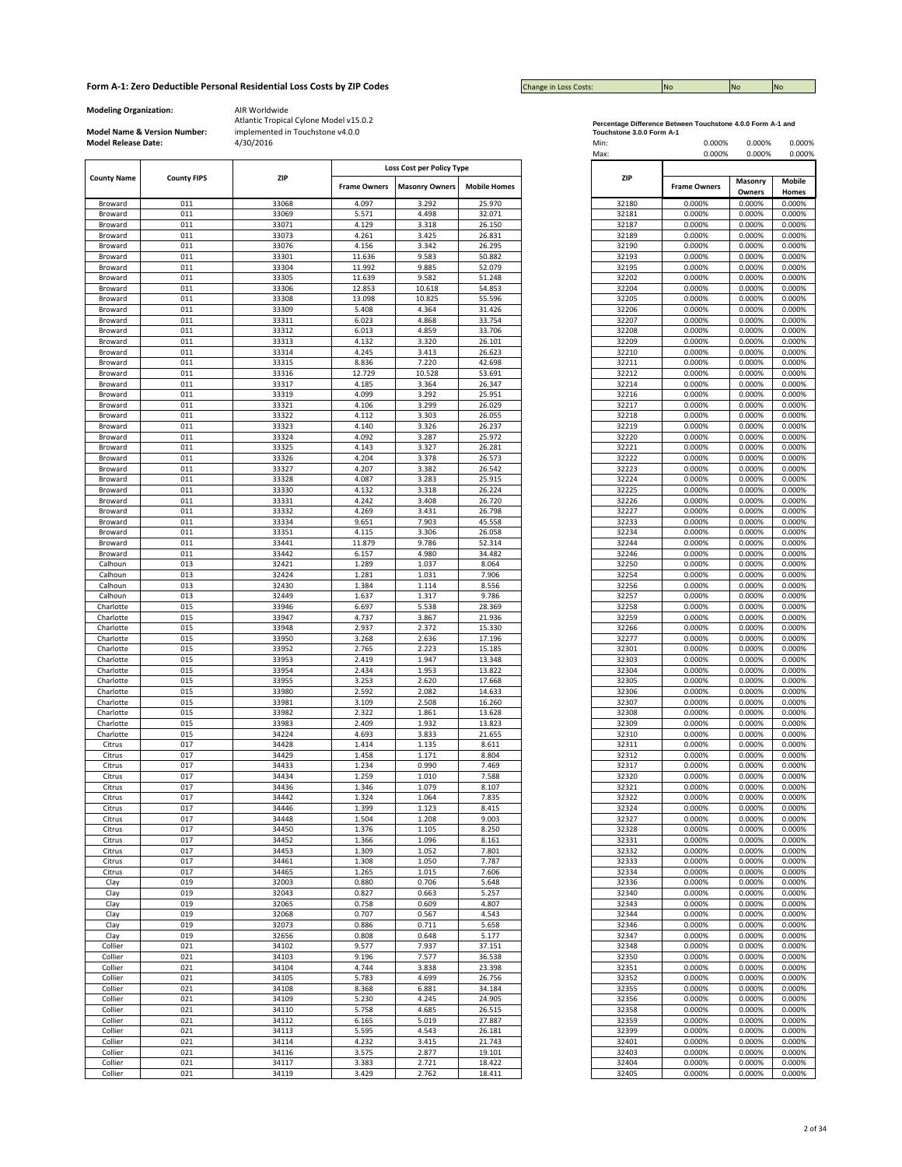| <b>Change in Loss Costs:</b> | <b>No</b> | <b>No</b> | <b>INO</b> |
|------------------------------|-----------|-----------|------------|

**Modeling Organization:** AIR Worldwide

**Model Name & Version Number:**

|                    |                    |       |                     | Loss Cost per Policy Type |                     |       |                     |                   |                 |
|--------------------|--------------------|-------|---------------------|---------------------------|---------------------|-------|---------------------|-------------------|-----------------|
| <b>County Name</b> | <b>County FIPS</b> | ZIP   | <b>Frame Owners</b> | <b>Masonry Owners</b>     | <b>Mobile Homes</b> | ZIP   | <b>Frame Owners</b> | Masonry<br>Owners | Mobile<br>Homes |
| Broward            | 011                | 33068 | 4.097               | 3.292                     | 25.970              | 32180 | 0.000%              | 0.000%            | 0.000%          |
| Broward            | 011                | 33069 | 5.571               | 4.498                     | 32.071              | 32181 | 0.000%              | 0.000%            | 0.000%          |
| Broward            | 011                | 33071 | 4.129               | 3.318                     | 26.150              | 32187 | 0.000%              | 0.000%            | 0.000%          |
| Broward            | 011                | 33073 | 4.261               | 3.425                     | 26.831              | 32189 | 0.000%              | 0.000%            | 0.000%          |
|                    |                    |       |                     |                           |                     |       |                     |                   | 0.000%          |
| Broward            | 011                | 33076 | 4.156               | 3.342                     | 26.295              | 32190 | 0.000%              | 0.000%            |                 |
| Broward            | 011                | 33301 | 11.636              | 9.583                     | 50.882              | 32193 | 0.000%              | 0.000%            | 0.000%          |
| Broward            | 011                | 33304 | 11.992              | 9.885                     | 52.079              | 32195 | 0.000%              | 0.000%            | 0.000%          |
| Broward            | 011                | 33305 | 11.639              | 9.582                     | 51.248              | 32202 | 0.000%              | 0.000%            | 0.000%          |
| Broward            | 011                | 33306 | 12.853              | 10.618                    | 54.853              | 32204 | 0.000%              | 0.000%            | 0.000%          |
| Broward            | 011                | 33308 | 13.098              | 10.825                    | 55.596              | 32205 | 0.000%              | 0.000%            | 0.000%          |
| Broward            | 011                | 33309 | 5.408               | 4.364                     | 31.426              | 32206 | 0.000%              | 0.000%            | 0.000%          |
| Broward            | 011                | 33311 | 6.023               | 4.868                     | 33.754              | 32207 | 0.000%              | 0.000%            | 0.000%          |
| Broward            | 011                | 33312 | 6.013               | 4.859                     | 33.706              | 32208 | 0.000%              | 0.000%            | 0.000%          |
| Broward            | 011                | 33313 | 4.132               | 3.320                     | 26.101              | 32209 | 0.000%              | 0.000%            | 0.000%          |
| Broward            | 011                | 33314 | 4.245               | 3.413                     | 26.623              | 32210 | 0.000%              | 0.000%            | 0.000%          |
| Broward            | 011                | 33315 | 8.836               | 7.220                     | 42.698              | 32211 | 0.000%              | 0.000%            | 0.000%          |
| Broward            | 011                | 33316 | 12.729              | 10.528                    | 53.691              | 32212 | 0.000%              | 0.000%            | 0.000%          |
|                    | 011                | 33317 |                     |                           | 26.347              | 32214 |                     |                   |                 |
| Broward            |                    |       | 4.185               | 3.364                     |                     |       | 0.000%              | 0.000%            | 0.000%          |
| Broward            | 011                | 33319 | 4.099               | 3.292                     | 25.951              | 32216 | 0.000%              | 0.000%            | 0.000%          |
| Broward            | 011                | 33321 | 4.106               | 3.299                     | 26.029              | 32217 | 0.000%              | 0.000%            | 0.000%          |
| Broward            | 011                | 33322 | 4.112               | 3.303                     | 26.055              | 32218 | 0.000%              | 0.000%            | 0.000%          |
| Broward            | 011                | 33323 | 4.140               | 3.326                     | 26.237              | 32219 | 0.000%              | 0.000%            | 0.000%          |
| Broward            | 011                | 33324 | 4.092               | 3.287                     | 25.972              | 32220 | 0.000%              | 0.000%            | 0.000%          |
| Broward            | 011                | 33325 | 4.143               | 3.327                     | 26.281              | 32221 | 0.000%              | 0.000%            | 0.000%          |
| Broward            | 011                | 33326 | 4.204               | 3.378                     | 26.573              | 32222 | 0.000%              | 0.000%            | 0.000%          |
| Broward            | 011                | 33327 | 4.207               | 3.382                     | 26.542              | 32223 | 0.000%              | 0.000%            | 0.000%          |
| Broward            | 011                | 33328 | 4.087               | 3.283                     | 25.915              | 32224 | 0.000%              | 0.000%            | 0.000%          |
| Broward            | 011                | 33330 | 4.132               | 3.318                     | 26.224              | 32225 | 0.000%              | 0.000%            | 0.000%          |
| Broward            | 011                | 33331 | 4.242               | 3.408                     | 26.720              | 32226 | 0.000%              | 0.000%            | 0.000%          |
| Broward            | 011                | 33332 | 4.269               | 3.431                     | 26.798              | 32227 | 0.000%              | 0.000%            | 0.000%          |
| Broward            | 011                | 33334 | 9.651               | 7.903                     | 45.558              | 32233 | 0.000%              | 0.000%            | 0.000%          |
|                    | 011                | 33351 | 4.115               | 3.306                     | 26.058              | 32234 | 0.000%              | 0.000%            | 0.000%          |
| Broward            |                    |       |                     |                           |                     |       |                     |                   |                 |
| Broward            | 011                | 33441 | 11.879              | 9.786                     | 52.314              | 32244 | 0.000%              | 0.000%            | 0.000%          |
| Broward            | 011                | 33442 | 6.157               | 4.980                     | 34.482              | 32246 | 0.000%              | 0.000%            | 0.000%          |
| Calhoun            | 013                | 32421 | 1.289               | 1.037                     | 8.064               | 32250 | 0.000%              | 0.000%            | 0.000%          |
| Calhoun            | 013                | 32424 | 1.281               | 1.031                     | 7.906               | 32254 | 0.000%              | 0.000%            | 0.000%          |
| Calhoun            | 013                | 32430 | 1.384               | 1.114                     | 8.556               | 32256 | 0.000%              | 0.000%            | 0.000%          |
| Calhoun            | 013                | 32449 | 1.637               | 1.317                     | 9.786               | 32257 | 0.000%              | 0.000%            | 0.000%          |
| Charlotte          | 015                | 33946 | 6.697               | 5.538                     | 28.369              | 32258 | 0.000%              | 0.000%            | 0.000%          |
| Charlotte          | 015                | 33947 | 4.737               | 3.867                     | 21.936              | 32259 | 0.000%              | 0.000%            | 0.000%          |
| Charlotte          | 015                | 33948 | 2.937               | 2.372                     | 15.330              | 32266 | 0.000%              | 0.000%            | 0.000%          |
| Charlotte          | 015                | 33950 | 3.268               | 2.636                     | 17.196              | 32277 | 0.000%              | 0.000%            | 0.000%          |
| Charlotte          | 015                | 33952 | 2.765               | 2.223                     | 15.185              | 32301 | 0.000%              | 0.000%            | 0.000%          |
| Charlotte          | 015                | 33953 | 2.419               | 1.947                     | 13.348              | 32303 | 0.000%              | 0.000%            | 0.000%          |
| Charlotte          | 015                | 33954 | 2.434               | 1.953                     | 13.822              | 32304 | 0.000%              | 0.000%            | 0.000%          |
| Charlotte          | 015                | 33955 | 3.253               | 2.620                     | 17.668              | 32305 | 0.000%              | 0.000%            | 0.000%          |
| Charlotte          | 015                | 33980 | 2.592               | 2.082                     | 14.633              | 32306 | 0.000%              | 0.000%            | 0.000%          |
| Charlotte          | 015                | 33981 | 3.109               | 2.508                     | 16.260              | 32307 | 0.000%              | 0.000%            | 0.000%          |
|                    | 015                | 33982 |                     |                           |                     | 32308 |                     |                   |                 |
| Charlotte          |                    |       | 2.322               | 1.861                     | 13.628              |       | 0.000%              | 0.000%            | 0.000%          |
| Charlotte          | 015                | 33983 | 2.409               | 1.932                     | 13.823              | 32309 | 0.000%              | 0.000%            | 0.000%          |
| Charlotte          | 015                | 34224 | 4.693               | 3.833                     | 21.655              | 32310 | 0.000%              | 0.000%            | 0.000%          |
| Citrus             | 017                | 34428 | 1.414               | 1.135                     | 8.611               | 32311 | 0.000%              | 0.000%            | 0.000%          |
| Citrus             | 017                | 34429 | 1.458               | 1.171                     | 8.804               | 32312 | 0.000%              | 0.000%            | 0.000%          |
| Citrus             | 017                | 34433 | 1.234               | 0.990                     | 7.469               | 32317 | 0.000%              | 0.000%            | 0.000%          |
| Citrus             | 017                | 34434 | 1.259               | 1.010                     | 7.588               | 32320 | 0.000%              | 0.000%            | 0.000%          |
| Citrus             | 017                | 34436 | 1.346               | 1.079                     | 8.107               | 32321 | 0.000%              | 0.000%            | 0.000%          |
| Citrus             | 017                | 34442 | 1.324               | 1.064                     | 7.835               | 32322 | 0.000%              | 0.000%            | 0.000%          |
| Citrus             | 017                | 34446 | 1.399               | 1.123                     | 8.415               | 32324 | 0.000%              | 0.000%            | 0.000%          |
| Citrus             | 017                | 34448 | 1.504               | 1.208                     | 9.003               | 32327 | 0.000%              | 0.000%            | 0.000%          |
| Citrus             | 017                | 34450 | 1.376               | 1.105                     | 8.250               | 32328 | 0.000%              | 0.000%            | 0.000%          |
| Citrus             | 017                | 34452 | 1.366               | 1.096                     | 8.161               | 32331 | 0.000%              | 0.000%            | 0.000%          |
| Citrus             | 017                | 34453 | 1.309               | 1.052                     | 7.801               | 32332 | 0.000%              | 0.000%            | 0.000%          |
| Citrus             | 017                | 34461 | 1.308               | 1.050                     | 7.787               | 32333 | 0.000%              | 0.000%            | 0.000%          |
| Citrus             | 017                | 34465 | 1.265               | 1.015                     | 7.606               | 32334 | 0.000%              | 0.000%            | 0.000%          |
| Clay               | 019                | 32003 | 0.880               | 0.706                     | 5.648               | 32336 | 0.000%              | 0.000%            | 0.000%          |
| Clay               | 019                | 32043 | 0.827               | 0.663                     | 5.257               | 32340 | 0.000%              | 0.000%            | 0.000%          |
|                    |                    |       |                     |                           |                     |       |                     |                   |                 |
| Clay               | 019                | 32065 | 0.758               | 0.609                     | 4.807               | 32343 | 0.000%              | 0.000%            | 0.000%          |
| Clay               | 019                | 32068 | 0.707               | 0.567                     | 4.543               | 32344 | 0.000%              | 0.000%            | 0.000%          |
| Clay               | 019                | 32073 | 0.886               | 0.711                     | 5.658               | 32346 | 0.000%              | 0.000%            | 0.000%          |
| Clay               | 019                | 32656 | 0.808               | 0.648                     | 5.177               | 32347 | 0.000%              | 0.000%            | 0.000%          |
| Collier            | 021                | 34102 | 9.577               | 7.937                     | 37.151              | 32348 | 0.000%              | 0.000%            | 0.000%          |
| Collier            | 021                | 34103 | 9.196               | 7.577                     | 36.538              | 32350 | 0.000%              | 0.000%            | 0.000%          |
| Collier            | 021                | 34104 | 4.744               | 3.838                     | 23.398              | 32351 | 0.000%              | 0.000%            | 0.000%          |
| Collier            | 021                | 34105 | 5.783               | 4.699                     | 26.756              | 32352 | 0.000%              | 0.000%            | 0.000%          |
| Collier            | 021                | 34108 | 8.368               | 6.881                     | 34.184              | 32355 | 0.000%              | 0.000%            | 0.000%          |
| Collier            | 021                | 34109 | 5.230               | 4.245                     | 24.905              | 32356 | 0.000%              | 0.000%            | 0.000%          |
| Collier            | 021                | 34110 | 5.758               | 4.685                     | 26.515              | 32358 | 0.000%              | 0.000%            | 0.000%          |
| Collier            |                    | 34112 |                     | 5.019                     |                     | 32359 |                     |                   | 0.000%          |
|                    | 021                |       | 6.165               |                           | 27.887              |       | 0.000%              | 0.000%            |                 |
| Collier            | 021                | 34113 | 5.595               | 4.543                     | 26.181              | 32399 | 0.000%              | 0.000%            | 0.000%          |
| Collier            | 021                | 34114 | 4.232               | 3.415                     | 21.743              | 32401 | 0.000%              | 0.000%            | 0.000%          |
| Collier            | 021                | 34116 | 3.575               | 2.877                     | 19.101              | 32403 | 0.000%              | 0.000%            | 0.000%          |
| Collier            | 021                | 34117 | 3.383               | 2.721                     | 18.422              | 32404 | 0.000%              | 0.000%            | 0.000%          |
| Collier            | 021                | 34119 | 3.429               | 2.762                     | 18.411              | 32405 | 0.000%              | 0.000%            | 0.000%          |
|                    |                    |       |                     |                           |                     |       |                     |                   |                 |

| Percentage Difference Between Touchstone 4.0.0 Form A-1 and |  |
|-------------------------------------------------------------|--|
| Touchstone 3.0.0 Form A-1                                   |  |

| <b>Model Release Date:</b> | Model Name & Version Number: | implemented in Touchstone v4.0.0<br>4/30/2016 |                     |                           |                     | Touchstone 3.0.0 Form A-1<br>Min:<br>Max: | 0.000%<br>0.000%    | 0.000%<br>0.000%  | 0.000%<br>0.000%       |
|----------------------------|------------------------------|-----------------------------------------------|---------------------|---------------------------|---------------------|-------------------------------------------|---------------------|-------------------|------------------------|
| <b>County Name</b>         | <b>County FIPS</b>           | ZIP                                           |                     | Loss Cost per Policy Type |                     | <b>ZIP</b>                                |                     |                   |                        |
|                            |                              |                                               | <b>Frame Owners</b> | <b>Masonry Owners</b>     | <b>Mobile Homes</b> |                                           | <b>Frame Owners</b> | Masonry<br>Owners | <b>Mobile</b><br>Homes |
| Broward                    | 011                          | 33068                                         | 4.097               | 3.292                     | 25.970              | 32180                                     | 0.000%              | 0.000%            | 0.000%                 |
| Broward                    | 011                          | 33069                                         | 5.571               | 4.498                     | 32.071              | 32181                                     | 0.000%              | 0.000%            | 0.000%                 |
| Broward                    | 011                          | 33071                                         | 4.129               | 3.318                     | 26.150              | 32187                                     | 0.000%              | 0.000%            | 0.000%                 |
| Broward                    | 011                          | 33073                                         | 4.261               | 3.425                     | 26.831              | 32189                                     | 0.000%              | 0.000%            | 0.000%                 |
| Broward                    | 011                          | 33076                                         | 4.156               | 3.342                     | 26.295              | 32190                                     | 0.000%              | 0.000%            | 0.000%                 |
| Broward                    | 011<br>011                   | 33301<br>33304                                | 11.636<br>11.992    | 9.583<br>9.885            | 50.882<br>52.079    | 32193<br>32195                            | 0.000%<br>0.000%    | 0.000%<br>0.000%  | 0.000%<br>0.000%       |
| Broward<br>Broward         | 011                          | 33305                                         | 11.639              | 9.582                     | 51.248              | 32202                                     | 0.000%              | 0.000%            | 0.000%                 |
| Broward                    | 011                          | 33306                                         | 12.853              | 10.618                    | 54.853              | 32204                                     | 0.000%              | 0.000%            | 0.000%                 |
| Broward                    | 011                          | 33308                                         | 13.098              | 10.825                    | 55.596              | 32205                                     | 0.000%              | 0.000%            | 0.000%                 |
| Broward                    | 011                          | 33309                                         | 5.408               | 4.364                     | 31.426              | 32206                                     | 0.000%              | 0.000%            | 0.000%                 |
| Broward                    | 011                          | 33311                                         | 6.023               | 4.868                     | 33.754              | 32207                                     | 0.000%              | 0.000%            | 0.000%                 |
| Broward                    | 011                          | 33312                                         | 6.013               | 4.859                     | 33.706              | 32208                                     | 0.000%              | 0.000%            | 0.000%                 |
| Broward                    | 011                          | 33313                                         | 4.132               | 3.320                     | 26.101              | 32209                                     | 0.000%              | 0.000%            | 0.000%                 |
| Broward                    | 011                          | 33314                                         | 4.245               | 3.413                     | 26.623              | 32210                                     | 0.000%              | 0.000%            | 0.000%                 |
| Broward                    | 011                          | 33315                                         | 8.836               | 7.220                     | 42.698              | 32211                                     | 0.000%              | 0.000%            | 0.000%                 |
| Broward                    | 011                          | 33316                                         | 12.729              | 10.528                    | 53.691              | 32212                                     | 0.000%              | 0.000%            | 0.000%                 |
| Broward                    | 011<br>011                   | 33317<br>33319                                | 4.185<br>4.099      | 3.364<br>3.292            | 26.347<br>25.951    | 32214<br>32216                            | 0.000%<br>0.000%    | 0.000%<br>0.000%  | 0.000%<br>0.000%       |
| Broward<br>Broward         | 011                          | 33321                                         | 4.106               | 3.299                     | 26.029              | 32217                                     | 0.000%              | 0.000%            | 0.000%                 |
| Broward                    | 011                          | 33322                                         | 4.112               | 3.303                     | 26.055              | 32218                                     | 0.000%              | 0.000%            | 0.000%                 |
| Broward                    | 011                          | 33323                                         | 4.140               | 3.326                     | 26.237              | 32219                                     | 0.000%              | 0.000%            | 0.000%                 |
| Broward                    | 011                          | 33324                                         | 4.092               | 3.287                     | 25.972              | 32220                                     | 0.000%              | 0.000%            | 0.000%                 |
| Broward                    | 011                          | 33325                                         | 4.143               | 3.327                     | 26.281              | 32221                                     | 0.000%              | 0.000%            | 0.000%                 |
| Broward                    | 011                          | 33326                                         | 4.204               | 3.378                     | 26.573              | 32222                                     | 0.000%              | 0.000%            | 0.000%                 |
| Broward                    | 011                          | 33327                                         | 4.207               | 3.382                     | 26.542              | 32223                                     | 0.000%              | 0.000%            | 0.000%                 |
| Broward                    | 011                          | 33328                                         | 4.087               | 3.283                     | 25.915              | 32224                                     | 0.000%              | 0.000%            | 0.000%                 |
| Broward                    | 011                          | 33330                                         | 4.132               | 3.318                     | 26.224              | 32225                                     | 0.000%              | 0.000%            | 0.000%                 |
| Broward                    | 011                          | 33331                                         | 4.242               | 3.408                     | 26.720              | 32226                                     | 0.000%              | 0.000%            | 0.000%                 |
| Broward                    | 011                          | 33332                                         | 4.269               | 3.431                     | 26.798              | 32227                                     | 0.000%              | 0.000%            | 0.000%                 |
| Broward                    | 011                          | 33334                                         | 9.651               | 7.903                     | 45.558              | 32233                                     | 0.000%              | 0.000%            | 0.000%                 |
| Broward                    | 011                          | 33351                                         | 4.115               | 3.306                     | 26.058              | 32234                                     | 0.000%              | 0.000%            | 0.000%                 |
| Broward<br>Broward         | 011<br>011                   | 33441<br>33442                                | 11.879<br>6.157     | 9.786<br>4.980            | 52.314<br>34.482    | 32244<br>32246                            | 0.000%<br>0.000%    | 0.000%<br>0.000%  | 0.000%<br>0.000%       |
| Calhoun                    | 013                          | 32421                                         | 1.289               | 1.037                     | 8.064               | 32250                                     | 0.000%              | 0.000%            | 0.000%                 |
| Calhoun                    | 013                          | 32424                                         | 1.281               | 1.031                     | 7.906               | 32254                                     | 0.000%              | 0.000%            | 0.000%                 |
| Calhoun                    | 013                          | 32430                                         | 1.384               | 1.114                     | 8.556               | 32256                                     | 0.000%              | 0.000%            | 0.000%                 |
| Calhoun                    | 013                          | 32449                                         | 1.637               | 1.317                     | 9.786               | 32257                                     | 0.000%              | 0.000%            | 0.000%                 |
| Charlotte                  | 015                          | 33946                                         | 6.697               | 5.538                     | 28.369              | 32258                                     | 0.000%              | 0.000%            | 0.000%                 |
| Charlotte                  | 015                          | 33947                                         | 4.737               | 3.867                     | 21.936              | 32259                                     | 0.000%              | 0.000%            | 0.000%                 |
| Charlotte                  | 015                          | 33948                                         | 2.937               | 2.372                     | 15.330              | 32266                                     | 0.000%              | 0.000%            | 0.000%                 |
| Charlotte                  | 015                          | 33950                                         | 3.268               | 2.636                     | 17.196              | 32277                                     | 0.000%              | 0.000%            | 0.000%                 |
| Charlotte                  | 015                          | 33952                                         | 2.765               | 2.223                     | 15.185              | 32301                                     | 0.000%              | 0.000%            | 0.000%                 |
| Charlotte                  | 015                          | 33953                                         | 2.419               | 1.947                     | 13.348              | 32303                                     | 0.000%              | 0.000%            | 0.000%                 |
| Charlotte                  | 015<br>015                   | 33954                                         | 2.434<br>3.253      | 1.953<br>2.620            | 13.822<br>17.668    | 32304<br>32305                            | 0.000%              | 0.000%<br>0.000%  | 0.000%<br>0.000%       |
| Charlotte<br>Charlotte     | 015                          | 33955<br>33980                                | 2.592               | 2.082                     | 14.633              | 32306                                     | 0.000%<br>0.000%    | 0.000%            | 0.000%                 |
| Charlotte                  | 015                          | 33981                                         | 3.109               | 2.508                     | 16.260              | 32307                                     | 0.000%              | 0.000%            | 0.000%                 |
| Charlotte                  | 015                          | 33982                                         | 2.322               | 1.861                     | 13.628              | 32308                                     | 0.000%              | 0.000%            | 0.000%                 |
| Charlotte                  | 015                          | 33983                                         | 2.409               | 1.932                     | 13.823              | 32309                                     | 0.000%              | 0.000%            | 0.000%                 |
| Charlotte                  | 015                          | 34224                                         | 4.693               | 3.833                     | 21.655              | 32310                                     | 0.000%              | 0.000%            | 0.000%                 |
| Citrus                     | 017                          | 34428                                         | 1.414               | 1.135                     | 8.611               | 32311                                     | 0.000%              | 0.000%            | 0.000%                 |
| Citrus                     | 017                          | 34429                                         | 1.458               | 1.171                     | 8.804               | 32312                                     | 0.000%              | 0.000%            | 0.000%                 |
| Citrus                     | 017                          | 34433                                         | 1.234               | 0.990                     | 7.469               | 32317                                     | 0.000%              | 0.000%            | 0.000%                 |
| Citrus                     | 017                          | 34434                                         | 1.259               | 1.010                     | 7.588               | 32320                                     | 0.000%              | 0.000%            | 0.000%                 |
| Citrus                     | 017                          | 34436                                         | 1.346               | 1.079                     | 8.107               | 32321                                     | 0.000%              | 0.000%            | 0.000%                 |
| Citrus<br>Citrus           | 017<br>017                   | 34442<br>34446                                | 1.324<br>1.399      | 1.064<br>1.123            | 7.835<br>8.415      | 32322<br>32324                            | 0.000%<br>0.000%    | 0.000%<br>0.000%  | 0.000%<br>0.000%       |
| Citrus                     | 017                          | 34448                                         | 1.504               | 1.208                     | 9.003               | 32327                                     | 0.000%              | 0.000%            | 0.000%                 |
| Citrus                     | 017                          | 34450                                         | 1.376               | 1.105                     | 8.250               | 32328                                     | 0.000%              | 0.000%            | 0.000%                 |
| Citrus                     | 017                          | 34452                                         | 1.366               | 1.096                     | 8.161               | 32331                                     | 0.000%              | 0.000%            | 0.000%                 |
| Citrus                     | 017                          | 34453                                         | 1.309               | 1.052                     | 7.801               | 32332                                     | 0.000%              | 0.000%            | 0.000%                 |
| Citrus                     | 017                          | 34461                                         | 1.308               | 1.050                     | 7.787               | 32333                                     | 0.000%              | 0.000%            | 0.000%                 |
| Citrus                     | 017                          | 34465                                         | 1.265               | 1.015                     | 7.606               | 32334                                     | 0.000%              | 0.000%            | 0.000%                 |
| Clay                       | 019                          | 32003                                         | 0.880               | 0.706                     | 5.648               | 32336                                     | 0.000%              | 0.000%            | 0.000%                 |
| Clay                       | 019                          | 32043                                         | 0.827               | 0.663                     | 5.257               | 32340                                     | 0.000%              | 0.000%            | 0.000%                 |
| Clay                       | 019                          | 32065                                         | 0.758               | 0.609                     | 4.807               | 32343                                     | 0.000%              | 0.000%            | 0.000%                 |
| Clay                       | 019                          | 32068                                         | 0.707               | 0.567                     | 4.543               | 32344                                     | 0.000%              | 0.000%            | 0.000%                 |
| Clay                       | 019<br>019                   | 32073                                         | 0.886<br>0.808      | 0.711                     | 5.658<br>5.177      | 32346<br>32347                            | 0.000%              | 0.000%<br>0.000%  | 0.000%                 |
| Clay<br>Collier            | 021                          | 32656<br>34102                                | 9.577               | 0.648<br>7.937            | 37.151              | 32348                                     | 0.000%<br>0.000%    | 0.000%            | 0.000%<br>0.000%       |
| Collier                    | 021                          | 34103                                         | 9.196               | 7.577                     | 36.538              | 32350                                     | 0.000%              | 0.000%            | 0.000%                 |
| Collier                    | 021                          | 34104                                         | 4.744               | 3.838                     | 23.398              | 32351                                     | 0.000%              | 0.000%            | 0.000%                 |
| Collier                    | 021                          | 34105                                         | 5.783               | 4.699                     | 26.756              | 32352                                     | 0.000%              | 0.000%            | 0.000%                 |
| Collier                    | 021                          | 34108                                         | 8.368               | 6.881                     | 34.184              | 32355                                     | 0.000%              | 0.000%            | 0.000%                 |
| Collier                    | 021                          | 34109                                         | 5.230               | 4.245                     | 24.905              | 32356                                     | 0.000%              | 0.000%            | 0.000%                 |
| Collier                    | 021                          | 34110                                         | 5.758               | 4.685                     | 26.515              | 32358                                     | 0.000%              | 0.000%            | 0.000%                 |
| Collier                    | 021                          | 34112                                         | 6.165               | 5.019                     | 27.887              | 32359                                     | 0.000%              | 0.000%            | 0.000%                 |
| Collier                    | 021                          | 34113                                         | 5.595               | 4.543                     | 26.181              | 32399                                     | 0.000%              | 0.000%            | 0.000%                 |
| Collier                    | 021                          | 34114                                         | 4.232               | 3.415                     | 21.743              | 32401                                     | 0.000%              | 0.000%            | 0.000%                 |
| Collier                    | 021                          | 34116                                         | 3.575               | 2.877                     | 19.101              | 32403                                     | 0.000%              | 0.000%            | 0.000%                 |
| Collier                    | 021                          | 34117                                         | 3.383               | 2.721                     | 18.422              | 32404                                     | 0.000%              | 0.000%            | 0.000%                 |
| Collier                    | 021                          | 34119                                         | 3.429               | 2.762                     | 18.411              | 32405                                     | 0.000%              | 0.000%            | 0.000%                 |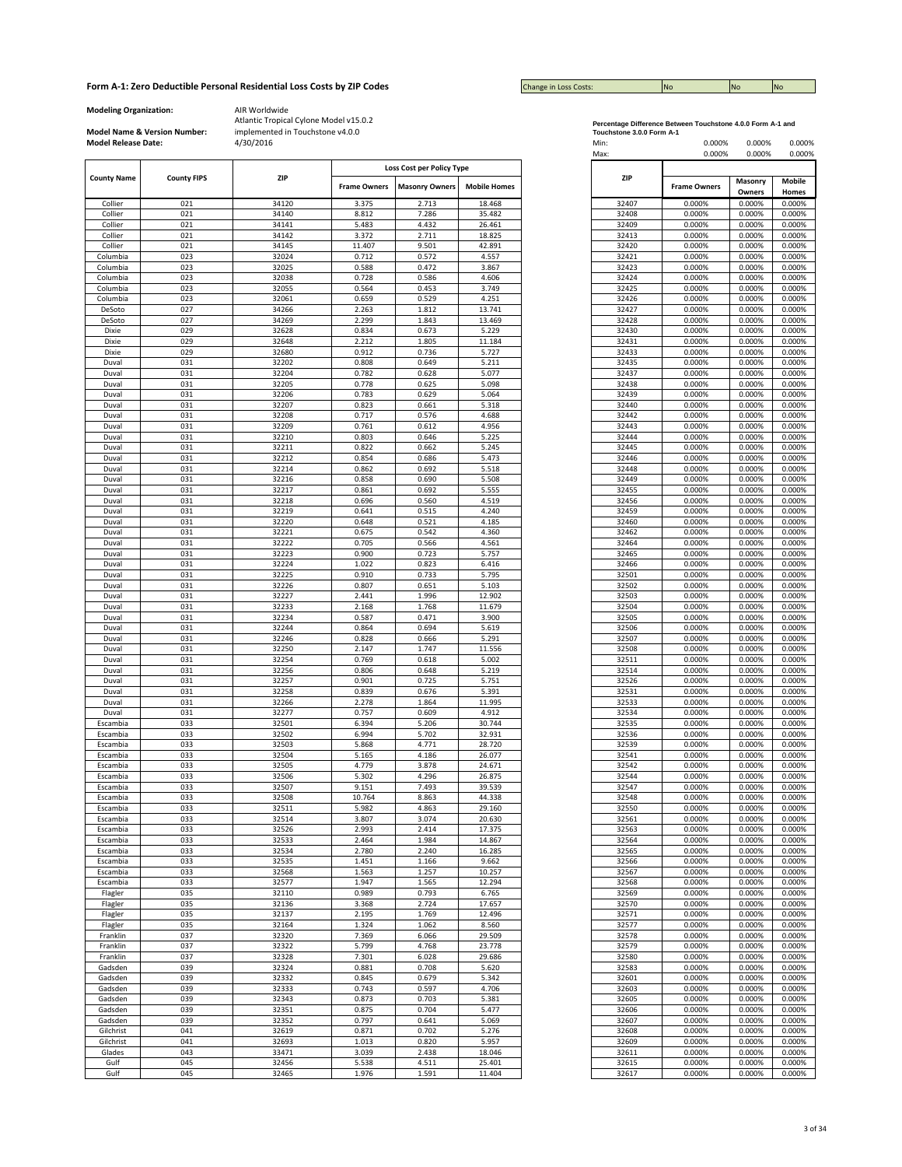| <b>Change in Loss Costs:</b> | <b>No</b> | <b>No</b> | <b>No</b> |
|------------------------------|-----------|-----------|-----------|

**Modeling Organization:** AIR Worldwide

**Model Name & Version Number:**

|                    |                    |            |                     | Loss Cost per Policy Type |                     |            |                     |  |
|--------------------|--------------------|------------|---------------------|---------------------------|---------------------|------------|---------------------|--|
| <b>County Name</b> | <b>County FIPS</b> | <b>ZIP</b> |                     |                           |                     | <b>ZIP</b> |                     |  |
|                    |                    |            | <b>Frame Owners</b> | <b>Masonry Owners</b>     | <b>Mobile Homes</b> |            | <b>Frame Owners</b> |  |
| Collier            | 021                | 34120      | 3.375               | 2.713                     | 18.468              | 32407      | 0.000%              |  |
| Collier            | 021                | 34140      | 8.812               | 7.286                     | 35.482              | 32408      | 0.000%              |  |
| Collier            | 021                | 34141      | 5.483               | 4.432                     | 26.461              | 32409      | 0.000%              |  |
|                    | 021                | 34142      | 3.372               | 2.711                     | 18.825              | 32413      | 0.000%              |  |
| Collier<br>Collier | 021                | 34145      | 11.407              | 9.501                     | 42.891              | 32420      | 0.000%              |  |
|                    | 023                | 32024      | 0.712               | 0.572                     | 4.557               | 32421      | 0.000%              |  |
| Columbia           |                    |            |                     |                           |                     |            |                     |  |
| Columbia           | 023                | 32025      | 0.588               | 0.472                     | 3.867               | 32423      | 0.000%              |  |
| Columbia           | 023                | 32038      | 0.728               | 0.586                     | 4.606               | 32424      | 0.000%              |  |
| Columbia           | 023                | 32055      | 0.564               | 0.453                     | 3.749               | 32425      | 0.000%              |  |
| Columbia           | 023                | 32061      | 0.659               | 0.529                     | 4.251               | 32426      | 0.000%              |  |
| DeSoto             | 027                | 34266      | 2.263               | 1.812                     | 13.741              | 32427      | 0.000%              |  |
| DeSoto             | 027                | 34269      | 2.299               | 1.843                     | 13.469              | 32428      | 0.000%              |  |
| Dixie              | 029                | 32628      | 0.834               | 0.673                     | 5.229               | 32430      | 0.000%              |  |
| Dixie              | 029                | 32648      | 2.212               | 1.805                     | 11.184              | 32431      | 0.000%              |  |
| Dixie              | 029                | 32680      | 0.912               | 0.736                     | 5.727               | 32433      | 0.000%              |  |
| Duval              |                    |            |                     |                           |                     |            |                     |  |
| Duval              | 031                | 32202      | 0.808               | 0.649                     | 5.211               | 32435      | 0.000%              |  |
|                    | 031                | 32204      | 0.782               | 0.628                     | 5.077               | 32437      | 0.000%              |  |
| Duval              | 031                | 32205      | 0.778               | 0.625                     | 5.098               | 32438      | 0.000%              |  |
| Duval              | 031                | 32206      | 0.783               | 0.629                     | 5.064               | 32439      | 0.000%              |  |
| Duval              | 031                | 32207      | 0.823               | 0.661                     | 5.318               | 32440      | 0.000%              |  |
| Duval              | 031                | 32208      | 0.717               | 0.576                     | 4.688               | 32442      | 0.000%              |  |
|                    | 031                | 32209      | 0.761               | 0.612                     | 4.956               | 32443      | 0.000%              |  |
| Duval<br>Duval     | 031                | 32210      | 0.803               | 0.646                     | 5.225               | 32444      | 0.000%              |  |
| Duval              | 031                | 32211      | 0.822               | 0.662                     | 5.245               | 32445      | 0.000%              |  |
| Duval              | 031                | 32212      | 0.854               | 0.686                     | 5.473               | 32446      | 0.000%              |  |
|                    |                    |            |                     |                           |                     |            |                     |  |
|                    | 031                | 32214      | 0.862               | 0.692                     | 5.518               | 32448      | 0.000%              |  |
|                    | 031                | 32216      | 0.858               | 0.690                     | 5.508               | 32449      | 0.000%              |  |
| Duval              | 031                | 32217      | 0.861               | 0.692                     | 5.555               | 32455      | 0.000%              |  |
| Duval              | 031                | 32218      | 0.696               | 0.560                     | 4.519               | 32456      | 0.000%              |  |
| Duval              | 031                | 32219      | 0.641               | 0.515                     | 4.240               | 32459      | 0.000%              |  |
|                    | 031                | 32220      | 0.648               | 0.521                     | 4.185               | 32460      | 0.000%              |  |
| Duval<br>Duval     | 031                | 32221      | 0.675               | 0.542                     | 4.360               | 32462      | 0.000%              |  |
| Duval              | 031                | 32222      | 0.705               | 0.566                     | 4.561               | 32464      | 0.000%              |  |
| Duval              |                    |            |                     |                           |                     |            |                     |  |
|                    | 031                | 32223      | 0.900               | 0.723                     | 5.757               | 32465      | 0.000%              |  |
| Duval<br>Duval     | 031                | 32224      | 1.022               | 0.823                     | 6.416               | 32466      | 0.000%              |  |
|                    | 031                | 32225      | 0.910               | 0.733                     | 5.795               | 32501      | 0.000%              |  |
| Duval              | 031                | 32226      | 0.807               | 0.651                     | 5.103               | 32502      | 0.000%              |  |
| Duval              | 031                | 32227      | 2.441               | 1.996                     | 12.902              | 32503      | 0.000%              |  |
| Duval              | 031                | 32233      | 2.168               | 1.768                     | 11.679              | 32504      | 0.000%              |  |
| Duval              | 031                | 32234      | 0.587               | 0.471                     | 3.900               | 32505      | 0.000%              |  |
| Duval              | 031                | 32244      | 0.864               | 0.694                     | 5.619               | 32506      | 0.000%              |  |
| Duval              | 031                | 32246      | 0.828               | 0.666                     | 5.291               | 32507      | 0.000%              |  |
|                    | 031                | 32250      | 2.147               | 1.747                     | 11.556              | 32508      | 0.000%              |  |
| Duval              |                    |            |                     |                           |                     |            |                     |  |
| Duval              | 031                | 32254      | 0.769               | 0.618                     | 5.002               | 32511      | 0.000%              |  |
| Duval              | 031                | 32256      | 0.806               | 0.648                     | 5.219               | 32514      | 0.000%              |  |
| Duval              | 031                | 32257      | 0.901               | 0.725                     | 5.751               | 32526      | 0.000%              |  |
| Duval              | 031                | 32258      | 0.839               | 0.676                     | 5.391               | 32531      | 0.000%              |  |
| Duval              | 031                | 32266      | 2.278               | 1.864                     | 11.995              | 32533      | 0.000%              |  |
| Duval              | 031                | 32277      | 0.757               | 0.609                     | 4.912               | 32534      | 0.000%              |  |
| Escambia           | 033                | 32501      | 6.394               | 5.206                     | 30.744              | 32535      | 0.000%              |  |
| Escambia           | 033                | 32502      | 6.994               | 5.702                     | 32.931              | 32536      | 0.000%              |  |
| Escambia           | 033                | 32503      | 5.868               | 4.771                     | 28.720              | 32539      | 0.000%              |  |
| Escambia           |                    | 32504      |                     | 4.186                     | 26.077              | 32541      |                     |  |
|                    | 033                |            | 5.165               |                           |                     |            | 0.000%              |  |
| Escambia           | 033                | 32505      | 4.779               | 3.878                     | 24.671              | 32542      | 0.000%              |  |
| Escambia           | 033                | 32506      | 5.302               | 4.296                     | 26.875              | 32544      | 0.000%              |  |
| Escambia           | 033                | 32507      | 9.151               | 7.493                     | 39.539              | 32547      | 0.000%              |  |
| Escambia           | 033                | 32508      | 10.764              | 8.863                     | 44.338              | 32548      | 0.000%              |  |
| Escambia           | 033                | 32511      | 5.982               | 4.863                     | 29.160              | 32550      | 0.000%              |  |
| Escambia           | 033                | 32514      | 3.807               | 3.074                     | 20.630              | 32561      | 0.000%              |  |
| Escambia           | 033                | 32526      | 2.993               | 2.414                     | 17.375              | 32563      | 0.000%              |  |
| Escambia           | 033                | 32533      | 2.464               | 1.984                     | 14.867              | 32564      | 0.000%              |  |
| Escambia           | 033                | 32534      | 2.780               | 2.240                     | 16.285              | 32565      | 0.000%              |  |
| Escambia           | 033                | 32535      | 1.451               | 1.166                     | 9.662               | 32566      | 0.000%              |  |
|                    |                    |            |                     |                           |                     |            |                     |  |
| Escambia           | 033                | 32568      | 1.563               | 1.257                     | 10.257              | 32567      | 0.000%              |  |
| Escambia           | 033                | 32577      | 1.947               | 1.565                     | 12.294              | 32568      | 0.000%              |  |
| Flagler            | 035                | 32110      | 0.989               | 0.793                     | 6.765               | 32569      | 0.000%              |  |
| Flagler            | 035                | 32136      | 3.368               | 2.724                     | 17.657              | 32570      | 0.000%              |  |
| Flagler            | 035                | 32137      | 2.195               | 1.769                     | 12.496              | 32571      | 0.000%              |  |
| Flagler            | 035                | 32164      | 1.324               | 1.062                     | 8.560               | 32577      | 0.000%              |  |
| Franklin           | 037                | 32320      | 7.369               | 6.066                     | 29.509              | 32578      | 0.000%              |  |
| Franklin           | 037                | 32322      | 5.799               | 4.768                     | 23.778              | 32579      | 0.000%              |  |
|                    |                    |            |                     |                           |                     |            |                     |  |
| Franklin           | 037                | 32328      | 7.301               | 6.028                     | 29.686              | 32580      | 0.000%              |  |
| Gadsden            | 039                | 32324      | 0.881               | 0.708                     | 5.620               | 32583      | 0.000%              |  |
| Gadsden            | 039                | 32332      | 0.845               | 0.679                     | 5.342               | 32601      | 0.000%              |  |
| Gadsden            | 039                | 32333      | 0.743               | 0.597                     | 4.706               | 32603      | 0.000%              |  |
| Gadsden            | 039                | 32343      | 0.873               | 0.703                     | 5.381               | 32605      | 0.000%              |  |
| Gadsden            | 039                | 32351      | 0.875               | 0.704                     | 5.477               | 32606      | 0.000%              |  |
| Gadsden            | 039                | 32352      | 0.797               | 0.641                     | 5.069               | 32607      | 0.000%              |  |
|                    |                    |            |                     |                           |                     |            |                     |  |
| Gilchrist          | 041                | 32619      | 0.871               | 0.702                     | 5.276               | 32608      | 0.000%              |  |
| Gilchrist          | 041                | 32693      | 1.013               | 0.820                     | 5.957               | 32609      | 0.000%              |  |
| Glades             | 043                | 33471      | 3.039               | 2.438                     | 18.046              | 32611      | 0.000%              |  |
| Gulf               | 045                | 32456      | 5.538               | 4.511                     | 25.401              | 32615      | 0.000%              |  |
| Gulf               | 045                | 32465      | 1.976               | 1.591                     | 11.404              | 32617      | 0.000%              |  |
|                    |                    |            |                     |                           |                     |            |                     |  |

| Percentage Difference Between Touchstone 4.0.0 Form A-1 and |  |
|-------------------------------------------------------------|--|
| Toughstane 2.0.0 Farm A.4                                   |  |

| <b>Model Release Date:</b> | Model Name & Version Number: | implemented in Touchstone v4.0.0<br>4/30/2016 |                     |                                                    |                     | Touchstone 3.0.0 Form A-1<br>Min:<br>Max: | 0.000%<br>0.000%    | 0.000%<br>0.000% | 0.000%<br>0.000% |
|----------------------------|------------------------------|-----------------------------------------------|---------------------|----------------------------------------------------|---------------------|-------------------------------------------|---------------------|------------------|------------------|
| <b>County Name</b>         | <b>County FIPS</b>           | ZIP                                           | <b>Frame Owners</b> | Loss Cost per Policy Type<br><b>Masonry Owners</b> | <b>Mobile Homes</b> | ZIP                                       | <b>Frame Owners</b> | Masonry          | Mobile           |
|                            |                              |                                               |                     |                                                    |                     |                                           |                     | Owners           | Homes            |
| Collier<br>Collier         | 021<br>021                   | 34120<br>34140                                | 3.375<br>8.812      | 2.713<br>7.286                                     | 18.468<br>35.482    | 32407<br>32408                            | 0.000%<br>0.000%    | 0.000%<br>0.000% | 0.000%<br>0.000% |
| Collier                    | 021                          | 34141                                         | 5.483               | 4.432                                              | 26.461              | 32409                                     | 0.000%              | 0.000%           | 0.000%           |
| Collier                    | 021                          | 34142                                         | 3.372               | 2.711                                              | 18.825              | 32413                                     | 0.000%              | 0.000%           | 0.000%           |
| Collier                    | 021                          | 34145                                         | 11.407              | 9.501                                              | 42.891              | 32420                                     | 0.000%              | 0.000%           | 0.000%           |
| Columbia                   | 023                          | 32024                                         | 0.712               | 0.572                                              | 4.557               | 32421                                     | 0.000%              | 0.000%           | 0.000%           |
| Columbia                   | 023                          | 32025                                         | 0.588               | 0.472                                              | 3.867               | 32423                                     | 0.000%              | 0.000%           | 0.000%           |
| Columbia                   | 023                          | 32038                                         | 0.728               | 0.586                                              | 4.606               | 32424                                     | 0.000%              | 0.000%           | 0.000%           |
| Columbia<br>Columbia       | 023<br>023                   | 32055<br>32061                                | 0.564<br>0.659      | 0.453<br>0.529                                     | 3.749<br>4.251      | 32425<br>32426                            | 0.000%<br>0.000%    | 0.000%<br>0.000% | 0.000%<br>0.000% |
| DeSoto                     | 027                          | 34266                                         | 2.263               | 1.812                                              | 13.741              | 32427                                     | 0.000%              | 0.000%           | 0.000%           |
| DeSoto                     | 027                          | 34269                                         | 2.299               | 1.843                                              | 13.469              | 32428                                     | 0.000%              | 0.000%           | 0.000%           |
| Dixie                      | 029                          | 32628                                         | 0.834               | 0.673                                              | 5.229               | 32430                                     | 0.000%              | 0.000%           | 0.000%           |
| Dixie                      | 029                          | 32648                                         | 2.212               | 1.805                                              | 11.184              | 32431                                     | 0.000%              | 0.000%           | 0.000%           |
| Dixie                      | 029                          | 32680                                         | 0.912               | 0.736                                              | 5.727               | 32433                                     | 0.000%              | 0.000%           | 0.000%           |
| Duval                      | 031                          | 32202                                         | 0.808               | 0.649                                              | 5.211               | 32435                                     | 0.000%              | 0.000%           | 0.000%           |
| Duval<br>Duval             | 031                          | 32204                                         | 0.782               | 0.628                                              | 5.077               | 32437                                     | 0.000%              | 0.000%           | 0.000%           |
| Duval                      | 031<br>031                   | 32205<br>32206                                | 0.778<br>0.783      | 0.625<br>0.629                                     | 5.098<br>5.064      | 32438<br>32439                            | 0.000%<br>0.000%    | 0.000%<br>0.000% | 0.000%<br>0.000% |
| Duval                      | 031                          | 32207                                         | 0.823               | 0.661                                              | 5.318               | 32440                                     | 0.000%              | 0.000%           | 0.000%           |
| Duval                      | 031                          | 32208                                         | 0.717               | 0.576                                              | 4.688               | 32442                                     | 0.000%              | 0.000%           | 0.000%           |
| Duval                      | 031                          | 32209                                         | 0.761               | 0.612                                              | 4.956               | 32443                                     | 0.000%              | 0.000%           | 0.000%           |
| Duval                      | 031                          | 32210                                         | 0.803               | 0.646                                              | 5.225               | 32444                                     | 0.000%              | 0.000%           | 0.000%           |
| Duval                      | 031                          | 32211                                         | 0.822               | 0.662                                              | 5.245               | 32445                                     | 0.000%              | 0.000%           | 0.000%           |
| Duval                      | 031                          | 32212                                         | 0.854               | 0.686                                              | 5.473               | 32446                                     | 0.000%              | 0.000%           | 0.000%           |
| Duval<br>Duval             | 031<br>031                   | 32214<br>32216                                | 0.862<br>0.858      | 0.692<br>0.690                                     | 5.518<br>5.508      | 32448<br>32449                            | 0.000%<br>0.000%    | 0.000%<br>0.000% | 0.000%<br>0.000% |
| Duval                      | 031                          | 32217                                         | 0.861               | 0.692                                              | 5.555               | 32455                                     | 0.000%              | 0.000%           | 0.000%           |
| Duval                      | 031                          | 32218                                         | 0.696               | 0.560                                              | 4.519               | 32456                                     | 0.000%              | 0.000%           | 0.000%           |
| Duval                      | 031                          | 32219                                         | 0.641               | 0.515                                              | 4.240               | 32459                                     | 0.000%              | 0.000%           | 0.000%           |
| Duval                      | 031                          | 32220                                         | 0.648               | 0.521                                              | 4.185               | 32460                                     | 0.000%              | 0.000%           | 0.000%           |
| Duval                      | 031                          | 32221                                         | 0.675               | 0.542                                              | 4.360               | 32462                                     | 0.000%              | 0.000%           | 0.000%           |
| Duval                      | 031                          | 32222                                         | 0.705               | 0.566                                              | 4.561               | 32464                                     | 0.000%              | 0.000%           | 0.000%           |
| Duval<br>Duval             | 031<br>031                   | 32223<br>32224                                | 0.900<br>1.022      | 0.723<br>0.823                                     | 5.757<br>6.416      | 32465<br>32466                            | 0.000%<br>0.000%    | 0.000%<br>0.000% | 0.000%<br>0.000% |
| Duval                      | 031                          | 32225                                         | 0.910               | 0.733                                              | 5.795               | 32501                                     | 0.000%              | 0.000%           | 0.000%           |
| Duval                      | 031                          | 32226                                         | 0.807               | 0.651                                              | 5.103               | 32502                                     | 0.000%              | 0.000%           | 0.000%           |
| Duval                      | 031                          | 32227                                         | 2.441               | 1.996                                              | 12.902              | 32503                                     | 0.000%              | 0.000%           | 0.000%           |
| Duval                      | 031                          | 32233                                         | 2.168               | 1.768                                              | 11.679              | 32504                                     | 0.000%              | 0.000%           | 0.000%           |
| Duval                      | 031                          | 32234                                         | 0.587               | 0.471                                              | 3.900               | 32505                                     | 0.000%              | 0.000%           | 0.000%           |
| Duval                      | 031                          | 32244                                         | 0.864               | 0.694                                              | 5.619               | 32506                                     | 0.000%              | 0.000%           | 0.000%           |
| Duval<br>Duval             | 031<br>031                   | 32246<br>32250                                | 0.828<br>2.147      | 0.666<br>1.747                                     | 5.291<br>11.556     | 32507<br>32508                            | 0.000%<br>0.000%    | 0.000%<br>0.000% | 0.000%<br>0.000% |
| Duval                      | 031                          | 32254                                         | 0.769               | 0.618                                              | 5.002               | 32511                                     | 0.000%              | 0.000%           | 0.000%           |
| Duval                      | 031                          | 32256                                         | 0.806               | 0.648                                              | 5.219               | 32514                                     | 0.000%              | 0.000%           | 0.000%           |
| Duval                      | 031                          | 32257                                         | 0.901               | 0.725                                              | 5.751               | 32526                                     | 0.000%              | 0.000%           | 0.000%           |
| Duval                      | 031                          | 32258                                         | 0.839               | 0.676                                              | 5.391               | 32531                                     | 0.000%              | 0.000%           | 0.000%           |
| Duval                      | 031                          | 32266                                         | 2.278               | 1.864                                              | 11.995              | 32533                                     | 0.000%              | 0.000%           | 0.000%           |
| Duval                      | 031                          | 32277                                         | 0.757               | 0.609                                              | 4.912               | 32534                                     | 0.000%              | 0.000%           | 0.000%           |
| Escambia<br>Escambia       | 033<br>033                   | 32501<br>32502                                | 6.394<br>6.994      | 5.206<br>5.702                                     | 30.744<br>32.931    | 32535<br>32536                            | 0.000%<br>0.000%    | 0.000%<br>0.000% | 0.000%<br>0.000% |
| Escambia                   | 033                          | 32503                                         | 5.868               | 4.771                                              | 28.720              | 32539                                     | 0.000%              | 0.000%           | 0.000%           |
| Escambia                   | 033                          | 32504                                         | 5.165               | 4.186                                              | 26.077              | 32541                                     | 0.000%              | 0.000%           | 0.000%           |
| Escambia                   | 033                          | 32505                                         | 4.779               | 3.878                                              | 24.671              | 32542                                     | 0.000%              | 0.000%           | 0.000%           |
| Escambia                   | 033                          | 32506                                         | 5.302               | 4.296                                              | 26.875              | 32544                                     | 0.000%              | 0.000%           | 0.000%           |
| Escambia                   | 033                          | 32507                                         | 9.151               | 7.493                                              | 39.539              | 32547                                     | 0.000%              | 0.000%           | 0.000%           |
| Escambia                   | 033                          | 32508                                         | 10.764              | 8.863                                              | 44.338              | 32548                                     | 0.000%              | 0.000%           | 0.000%           |
| Escambia<br>Escambia       | 033<br>033                   | 32511<br>32514                                | 5.982<br>3.807      | 4.863<br>3.074                                     | 29.160<br>20.630    | 32550<br>32561                            | 0.000%<br>0.000%    | 0.000%<br>0.000% | 0.000%<br>0.000% |
| Escambia                   | 033                          | 32526                                         | 2.993               | 2.414                                              | 17.375              | 32563                                     | 0.000%              | 0.000%           | 0.000%           |
| Escambia                   | 033                          | 32533                                         | 2.464               | 1.984                                              | 14.867              | 32564                                     | 0.000%              | 0.000%           | 0.000%           |
| Escambia                   | 033                          | 32534                                         | 2.780               | 2.240                                              | 16.285              | 32565                                     | 0.000%              | 0.000%           | 0.000%           |
| Escambia                   | 033                          | 32535                                         | 1.451               | 1.166                                              | 9.662               | 32566                                     | 0.000%              | 0.000%           | 0.000%           |
| Escambia                   | 033                          | 32568                                         | 1.563               | 1.257                                              | 10.257              | 32567                                     | 0.000%              | 0.000%           | 0.000%           |
| Escambia                   | 033                          | 32577                                         | 1.947               | 1.565                                              | 12.294              | 32568                                     | 0.000%              | 0.000%           | 0.000%           |
| Flagler                    | 035                          | 32110                                         | 0.989               | 0.793                                              | 6.765               | 32569                                     | 0.000%              | 0.000%           | 0.000%           |
| Flagler<br>Flagler         | 035<br>035                   | 32136<br>32137                                | 3.368<br>2.195      | 2.724<br>1.769                                     | 17.657<br>12.496    | 32570<br>32571                            | 0.000%<br>0.000%    | 0.000%<br>0.000% | 0.000%<br>0.000% |
| Flagler                    | 035                          | 32164                                         | 1.324               | 1.062                                              | 8.560               | 32577                                     | 0.000%              | 0.000%           | 0.000%           |
| Franklin                   | 037                          | 32320                                         | 7.369               | 6.066                                              | 29.509              | 32578                                     | 0.000%              | 0.000%           | 0.000%           |
| Franklin                   | 037                          | 32322                                         | 5.799               | 4.768                                              | 23.778              | 32579                                     | 0.000%              | 0.000%           | 0.000%           |
| Franklin                   | 037                          | 32328                                         | 7.301               | 6.028                                              | 29.686              | 32580                                     | 0.000%              | 0.000%           | 0.000%           |
| Gadsden                    | 039                          | 32324                                         | 0.881               | 0.708                                              | 5.620               | 32583                                     | 0.000%              | 0.000%           | 0.000%           |
| Gadsden                    | 039                          | 32332                                         | 0.845               | 0.679                                              | 5.342               | 32601                                     | 0.000%              | 0.000%           | 0.000%           |
| Gadsden                    | 039                          | 32333                                         | 0.743               | 0.597                                              | 4.706               | 32603                                     | 0.000%              | 0.000%           | 0.000%           |
| Gadsden                    | 039                          | 32343                                         | 0.873               | 0.703                                              | 5.381               | 32605                                     | 0.000%              | 0.000%           | 0.000%           |
| Gadsden<br>Gadsden         | 039<br>039                   | 32351<br>32352                                | 0.875<br>0.797      | 0.704<br>0.641                                     | 5.477<br>5.069      | 32606<br>32607                            | 0.000%              | 0.000%<br>0.000% | 0.000%<br>0.000% |
| Gilchrist                  | 041                          | 32619                                         | 0.871               | 0.702                                              | 5.276               | 32608                                     | 0.000%<br>0.000%    | 0.000%           | 0.000%           |
| Gilchrist                  | 041                          | 32693                                         | 1.013               | 0.820                                              | 5.957               | 32609                                     | 0.000%              | 0.000%           | 0.000%           |
| Glades                     | 043                          | 33471                                         | 3.039               | 2.438                                              | 18.046              | 32611                                     | 0.000%              | 0.000%           | 0.000%           |
| Gulf                       | 045                          | 32456                                         | 5.538               | 4.511                                              | 25.401              | 32615                                     | 0.000%              | 0.000%           | 0.000%           |
| Gulf                       | 045                          | 32465                                         | 1.976               | 1.591                                              | 11.404              | 32617                                     | 0.000%              | 0.000%           | 0.000%           |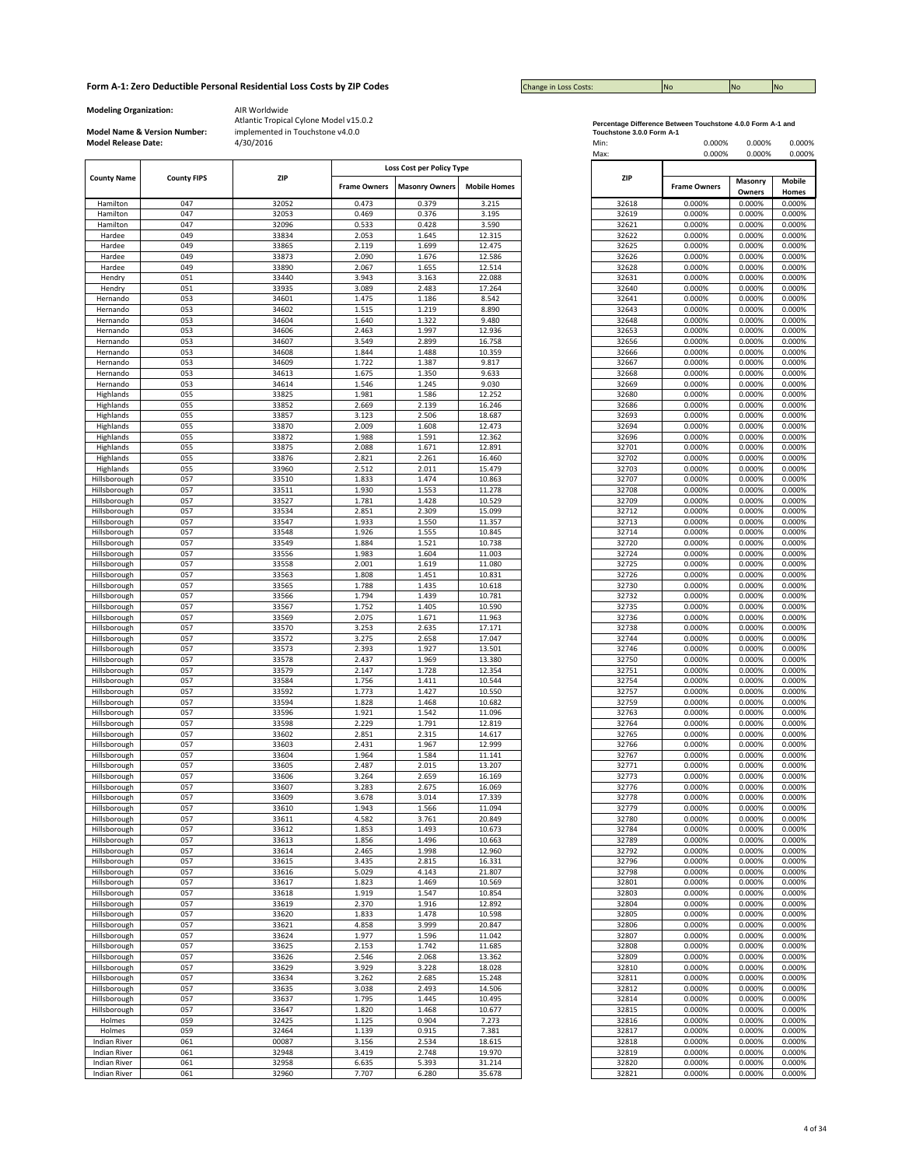| <b>Change in Loss Costs:</b> | <b>No</b> | <b>No</b> | <b>No</b> |
|------------------------------|-----------|-----------|-----------|

**Modeling Organization:** AIR Worldwide

**Model Name & Version Number:**

| Loss Cost per Policy Type<br><b>County FIPS</b><br>ZIP<br><b>ZIP</b><br><b>Frame Owners</b><br><b>Masonry Owners</b><br><b>Mobile Homes</b><br><b>Frame Owners</b><br>0.473<br>0.379<br>3.215<br>0.000%<br>047<br>32052<br>32618<br>047<br>0.376<br>3.195<br>0.000%<br>32053<br>0.469<br>32619<br>047<br>0.533<br>0.428<br>3.590<br>0.000%<br>32096<br>32621<br>049<br>2.053<br>1.645<br>12.315<br>32622<br>0.000%<br>33834<br>049<br>1.699<br>12.475<br>0.000%<br>33865<br>2.119<br>32625<br>049<br>0.000%<br>33873<br>2.090<br>1.676<br>12.586<br>32626<br>1.655<br>049<br>33890<br>2.067<br>12.514<br>32628<br>0.000%<br>051<br>3.943<br>3.163<br>22.088<br>0.000%<br>33440<br>32631<br>051<br>33935<br>3.089<br>2.483<br>17.264<br>32640<br>0.000%<br>1.475<br>1.186<br>8.542<br>053<br>34601<br>32641<br>0.000%<br>053<br>0.000%<br>34602<br>1.515<br>1.219<br>8.890<br>32643<br>1.322<br>9.480<br>053<br>34604<br>1.640<br>32648<br>0.000%<br>053<br>1.997<br>12.936<br>32653<br>0.000%<br>34606<br>2.463<br>053<br>34607<br>3.549<br>2.899<br>32656<br>0.000%<br>16.758<br>1.844<br>1.488<br>053<br>34608<br>10.359<br>32666<br>0.000%<br>34609<br>1.722<br>0.000%<br>053<br>1.387<br>9.817<br>32667<br>053<br>34613<br>1.675<br>1.350<br>9.633<br>32668<br>0.000%<br>053<br>1.546<br>1.245<br>9.030<br>0.000%<br>34614<br>32669<br>055<br>33825<br>1.981<br>1.586<br>12.252<br>32680<br>0.000%<br>055<br>2.139<br>33852<br>2.669<br>16.246<br>32686<br>0.000%<br>055<br>2.506<br>0.000%<br>33857<br>3.123<br>18.687<br>32693<br>055<br>33870<br>2.009<br>1.608<br>12.473<br>32694<br>0.000%<br>055<br>1.988<br>1.591<br>12.362<br>32696<br>0.000%<br>33872<br>055<br>2.088<br>1.671<br>12.891<br>32701<br>0.000%<br>33875<br>055<br>2.821<br>2.261<br>33876<br>16.460<br>32702<br>0.000%<br>055<br>2.011<br>0.000%<br>33960<br>2.512<br>15.479<br>32703<br>057<br>0.000%<br>33510<br>1.833<br>1.474<br>10.863<br>32707<br>057<br>1.930<br>1.553<br>11.278<br>32708<br>0.000%<br>33511<br>057<br>1.781<br>1.428<br>10.529<br>32709<br>0.000%<br>33527<br>057<br>2.851<br>2.309<br>15.099<br>32712<br>0.000%<br>33534<br>057<br>33547<br>1.550<br>0.000%<br>1.933<br>11.357<br>32713<br>057<br>33548<br>1.926<br>1.555<br>10.845<br>32714<br>0.000%<br>057<br>33549<br>1.884<br>1.521<br>10.738<br>32720<br>0.000%<br>057<br>1.983<br>1.604<br>11.003<br>32724<br>0.000%<br>33556<br>057<br>2.001<br>1.619<br>32725<br>0.000%<br>33558<br>11.080<br>057<br>33563<br>1.451<br>32726<br>0.000%<br>1.808<br>10.831<br>057<br>33565<br>1.788<br>1.435<br>10.618<br>32730<br>0.000%<br>057<br>1.794<br>1.439<br>10.781<br>32732<br>0.000%<br>33566<br>057<br>1.752<br>1.405<br>10.590<br>32735<br>0.000%<br>33567<br>057<br>2.075<br>1.671<br>32736<br>0.000%<br>33569<br>11.963<br>057<br>33570<br>3.253<br>2.635<br>17.171<br>32738<br>0.000%<br>057<br>33572<br>3.275<br>2.658<br>17.047<br>32744<br>0.000%<br>057<br>2.393<br>1.927<br>13.501<br>32746<br>0.000%<br>33573<br>057<br>33578<br>2.437<br>1.969<br>13.380<br>32750<br>0.000%<br>057<br>2.147<br>1.728<br>32751<br>0.000%<br>33579<br>12.354<br>057<br>33584<br>1.756<br>1.411<br>10.544<br>32754<br>0.000%<br>057<br>33592<br>1.773<br>1.427<br>10.550<br>32757<br>0.000%<br>057<br>1.828<br>1.468<br>10.682<br>32759<br>0.000%<br>33594<br>057<br>33596<br>1.921<br>1.542<br>11.096<br>32763<br>0.000%<br>057<br>1.791<br>0.000%<br>33598<br>2.229<br>12.819<br>32764<br>057<br>33602<br>2.315<br>32765<br>0.000%<br>2.851<br>14.617<br>057<br>33603<br>2.431<br>1.967<br>12.999<br>32766<br>0.000%<br>057<br>1.964<br>1.584<br>11.141<br>32767<br>0.000%<br>33604<br>057<br>2.487<br>2.015<br>13.207<br>32771<br>0.000%<br>33605<br>2.659<br>32773<br>0.000%<br>057<br>33606<br>3.264<br>16.169<br>057<br>2.675<br>32776<br>0.000%<br>33607<br>3.283<br>16.069<br>057<br>3.014<br>33609<br>3.678<br>17.339<br>32778<br>0.000%<br>057<br>1.943<br>1.566<br>11.094<br>32779<br>0.000%<br>33610<br>057<br>33611<br>4.582<br>3.761<br>20.849<br>32780<br>0.000%<br>057<br>33612<br>1.853<br>1.493<br>10.673<br>32784<br>0.000%<br>057<br>33613<br>1.856<br>1.496<br>10.663<br>32789<br>0.000%<br>057<br>33614<br>2.465<br>1.998<br>12.960<br>32792<br>0.000%<br>0.000%<br>057<br>33615<br>3.435<br>2.815<br>16.331<br>32796<br>057<br>5.029<br>4.143<br>32798<br>0.000%<br>33616<br>21.807<br>1.469<br>057<br>33617<br>1.823<br>10.569<br>32801<br>0.000%<br>1.547<br>057<br>33618<br>1.919<br>10.854<br>32803<br>0.000%<br>057<br>33619<br>2.370<br>1.916<br>12.892<br>32804<br>0.000%<br>0.000%<br>057<br>33620<br>1.833<br>1.478<br>10.598<br>32805<br>057<br>3.999<br>20.847<br>32806<br>0.000%<br>33621<br>4.858<br>1.596<br>057<br>33624<br>1.977<br>11.042<br>32807<br>0.000%<br>057<br>33625<br>2.153<br>1.742<br>11.685<br>32808<br>0.000%<br>057<br>33626<br>2.546<br>2.068<br>13.362<br>32809<br>0.000%<br>3.228<br>32810<br>0.000%<br>057<br>33629<br>3.929<br>18.028<br>057<br>3.262<br>2.685<br>15.248<br>32811<br>0.000%<br>33634<br>057<br>33635<br>3.038<br>2.493<br>14.506<br>32812<br>0.000%<br>057<br>33637<br>1.795<br>1.445<br>10.495<br>32814<br>0.000%<br>057<br>33647<br>1.820<br>1.468<br>10.677<br>32815<br>0.000%<br>0.904<br>32816<br>0.000%<br>059<br>32425<br>1.125<br>7.273<br>059<br>32464<br>1.139<br>0.915<br>7.381<br>32817<br>0.000%<br>061<br>00087<br>3.156<br>2.534<br>18.615<br>32818<br>0.000%<br>061<br>32948<br>3.419<br>2.748<br>19.970<br>32819<br>0.000%<br>061<br>32958<br>6.635<br>5.393<br>31.214<br>32820<br>0.000%<br>7.707<br>32821<br>061<br>32960<br>6.280<br>35.678<br>0.000% |
|------------------------------------------------------------------------------------------------------------------------------------------------------------------------------------------------------------------------------------------------------------------------------------------------------------------------------------------------------------------------------------------------------------------------------------------------------------------------------------------------------------------------------------------------------------------------------------------------------------------------------------------------------------------------------------------------------------------------------------------------------------------------------------------------------------------------------------------------------------------------------------------------------------------------------------------------------------------------------------------------------------------------------------------------------------------------------------------------------------------------------------------------------------------------------------------------------------------------------------------------------------------------------------------------------------------------------------------------------------------------------------------------------------------------------------------------------------------------------------------------------------------------------------------------------------------------------------------------------------------------------------------------------------------------------------------------------------------------------------------------------------------------------------------------------------------------------------------------------------------------------------------------------------------------------------------------------------------------------------------------------------------------------------------------------------------------------------------------------------------------------------------------------------------------------------------------------------------------------------------------------------------------------------------------------------------------------------------------------------------------------------------------------------------------------------------------------------------------------------------------------------------------------------------------------------------------------------------------------------------------------------------------------------------------------------------------------------------------------------------------------------------------------------------------------------------------------------------------------------------------------------------------------------------------------------------------------------------------------------------------------------------------------------------------------------------------------------------------------------------------------------------------------------------------------------------------------------------------------------------------------------------------------------------------------------------------------------------------------------------------------------------------------------------------------------------------------------------------------------------------------------------------------------------------------------------------------------------------------------------------------------------------------------------------------------------------------------------------------------------------------------------------------------------------------------------------------------------------------------------------------------------------------------------------------------------------------------------------------------------------------------------------------------------------------------------------------------------------------------------------------------------------------------------------------------------------------------------------------------------------------------------------------------------------------------------------------------------------------------------------------------------------------------------------------------------------------------------------------------------------------------------------------------------------------------------------------------------------------------------------------------------------------------------------------------------------------------------------------------------------------------------------------------------------------------------------------------------------------------------------------------------------------------------------------------------------------------------------------------------------------------------------------------------------------------------------------------------------------------------------------------------------------------------------------------------------------------------------------------------------------------------------------------------------------------------------------------------------------------------------------------------------------------------------------------------------------------------------------------------------------------------------------------------------------------------------------------------------------|
| Masonry<br>Owners<br>0.000%<br>0.000%                                                                                                                                                                                                                                                                                                                                                                                                                                                                                                                                                                                                                                                                                                                                                                                                                                                                                                                                                                                                                                                                                                                                                                                                                                                                                                                                                                                                                                                                                                                                                                                                                                                                                                                                                                                                                                                                                                                                                                                                                                                                                                                                                                                                                                                                                                                                                                                                                                                                                                                                                                                                                                                                                                                                                                                                                                                                                                                                                                                                                                                                                                                                                                                                                                                                                                                                                                                                                                                                                                                                                                                                                                                                                                                                                                                                                                                                                                                                                                                                                                                                                                                                                                                                                                                                                                                                                                                                                                                                                                                                                                                                                                                                                                                                                                                                                                                                                                                                                                                                                                                                                                                                                                                                                                                                                                                                                                                                                                                                                                                                                                |
|                                                                                                                                                                                                                                                                                                                                                                                                                                                                                                                                                                                                                                                                                                                                                                                                                                                                                                                                                                                                                                                                                                                                                                                                                                                                                                                                                                                                                                                                                                                                                                                                                                                                                                                                                                                                                                                                                                                                                                                                                                                                                                                                                                                                                                                                                                                                                                                                                                                                                                                                                                                                                                                                                                                                                                                                                                                                                                                                                                                                                                                                                                                                                                                                                                                                                                                                                                                                                                                                                                                                                                                                                                                                                                                                                                                                                                                                                                                                                                                                                                                                                                                                                                                                                                                                                                                                                                                                                                                                                                                                                                                                                                                                                                                                                                                                                                                                                                                                                                                                                                                                                                                                                                                                                                                                                                                                                                                                                                                                                                                                                                                                      |
|                                                                                                                                                                                                                                                                                                                                                                                                                                                                                                                                                                                                                                                                                                                                                                                                                                                                                                                                                                                                                                                                                                                                                                                                                                                                                                                                                                                                                                                                                                                                                                                                                                                                                                                                                                                                                                                                                                                                                                                                                                                                                                                                                                                                                                                                                                                                                                                                                                                                                                                                                                                                                                                                                                                                                                                                                                                                                                                                                                                                                                                                                                                                                                                                                                                                                                                                                                                                                                                                                                                                                                                                                                                                                                                                                                                                                                                                                                                                                                                                                                                                                                                                                                                                                                                                                                                                                                                                                                                                                                                                                                                                                                                                                                                                                                                                                                                                                                                                                                                                                                                                                                                                                                                                                                                                                                                                                                                                                                                                                                                                                                                                      |
|                                                                                                                                                                                                                                                                                                                                                                                                                                                                                                                                                                                                                                                                                                                                                                                                                                                                                                                                                                                                                                                                                                                                                                                                                                                                                                                                                                                                                                                                                                                                                                                                                                                                                                                                                                                                                                                                                                                                                                                                                                                                                                                                                                                                                                                                                                                                                                                                                                                                                                                                                                                                                                                                                                                                                                                                                                                                                                                                                                                                                                                                                                                                                                                                                                                                                                                                                                                                                                                                                                                                                                                                                                                                                                                                                                                                                                                                                                                                                                                                                                                                                                                                                                                                                                                                                                                                                                                                                                                                                                                                                                                                                                                                                                                                                                                                                                                                                                                                                                                                                                                                                                                                                                                                                                                                                                                                                                                                                                                                                                                                                                                                      |
| 0.000%<br>0.000%<br>0.000%                                                                                                                                                                                                                                                                                                                                                                                                                                                                                                                                                                                                                                                                                                                                                                                                                                                                                                                                                                                                                                                                                                                                                                                                                                                                                                                                                                                                                                                                                                                                                                                                                                                                                                                                                                                                                                                                                                                                                                                                                                                                                                                                                                                                                                                                                                                                                                                                                                                                                                                                                                                                                                                                                                                                                                                                                                                                                                                                                                                                                                                                                                                                                                                                                                                                                                                                                                                                                                                                                                                                                                                                                                                                                                                                                                                                                                                                                                                                                                                                                                                                                                                                                                                                                                                                                                                                                                                                                                                                                                                                                                                                                                                                                                                                                                                                                                                                                                                                                                                                                                                                                                                                                                                                                                                                                                                                                                                                                                                                                                                                                                           |
|                                                                                                                                                                                                                                                                                                                                                                                                                                                                                                                                                                                                                                                                                                                                                                                                                                                                                                                                                                                                                                                                                                                                                                                                                                                                                                                                                                                                                                                                                                                                                                                                                                                                                                                                                                                                                                                                                                                                                                                                                                                                                                                                                                                                                                                                                                                                                                                                                                                                                                                                                                                                                                                                                                                                                                                                                                                                                                                                                                                                                                                                                                                                                                                                                                                                                                                                                                                                                                                                                                                                                                                                                                                                                                                                                                                                                                                                                                                                                                                                                                                                                                                                                                                                                                                                                                                                                                                                                                                                                                                                                                                                                                                                                                                                                                                                                                                                                                                                                                                                                                                                                                                                                                                                                                                                                                                                                                                                                                                                                                                                                                                                      |
|                                                                                                                                                                                                                                                                                                                                                                                                                                                                                                                                                                                                                                                                                                                                                                                                                                                                                                                                                                                                                                                                                                                                                                                                                                                                                                                                                                                                                                                                                                                                                                                                                                                                                                                                                                                                                                                                                                                                                                                                                                                                                                                                                                                                                                                                                                                                                                                                                                                                                                                                                                                                                                                                                                                                                                                                                                                                                                                                                                                                                                                                                                                                                                                                                                                                                                                                                                                                                                                                                                                                                                                                                                                                                                                                                                                                                                                                                                                                                                                                                                                                                                                                                                                                                                                                                                                                                                                                                                                                                                                                                                                                                                                                                                                                                                                                                                                                                                                                                                                                                                                                                                                                                                                                                                                                                                                                                                                                                                                                                                                                                                                                      |
|                                                                                                                                                                                                                                                                                                                                                                                                                                                                                                                                                                                                                                                                                                                                                                                                                                                                                                                                                                                                                                                                                                                                                                                                                                                                                                                                                                                                                                                                                                                                                                                                                                                                                                                                                                                                                                                                                                                                                                                                                                                                                                                                                                                                                                                                                                                                                                                                                                                                                                                                                                                                                                                                                                                                                                                                                                                                                                                                                                                                                                                                                                                                                                                                                                                                                                                                                                                                                                                                                                                                                                                                                                                                                                                                                                                                                                                                                                                                                                                                                                                                                                                                                                                                                                                                                                                                                                                                                                                                                                                                                                                                                                                                                                                                                                                                                                                                                                                                                                                                                                                                                                                                                                                                                                                                                                                                                                                                                                                                                                                                                                                                      |
|                                                                                                                                                                                                                                                                                                                                                                                                                                                                                                                                                                                                                                                                                                                                                                                                                                                                                                                                                                                                                                                                                                                                                                                                                                                                                                                                                                                                                                                                                                                                                                                                                                                                                                                                                                                                                                                                                                                                                                                                                                                                                                                                                                                                                                                                                                                                                                                                                                                                                                                                                                                                                                                                                                                                                                                                                                                                                                                                                                                                                                                                                                                                                                                                                                                                                                                                                                                                                                                                                                                                                                                                                                                                                                                                                                                                                                                                                                                                                                                                                                                                                                                                                                                                                                                                                                                                                                                                                                                                                                                                                                                                                                                                                                                                                                                                                                                                                                                                                                                                                                                                                                                                                                                                                                                                                                                                                                                                                                                                                                                                                                                                      |
| 0.000%<br>0.000%<br>0.000%<br>0.000%<br>0.000%<br>0.000%<br>0.000%<br>0.000%<br>0.000%<br>0.000%<br>0.000%<br>0.000%<br>0.000%<br>0.000%<br>0.000%<br>0.000%<br>0.000%<br>0.000%<br>0.000%<br>0.000%<br>0.000%<br>0.000%<br>0.000%<br>0.000%<br>0.000%<br>0.000%<br>0.000%<br>0.000%<br>0.000%<br>0.000%<br>0.000%<br>0.000%<br>0.000%<br>0.000%<br>0.000%<br>0.000%<br>0.000%<br>0.000%<br>0.000%<br>0.000%<br>0.000%<br>0.000%<br>0.000%<br>0.000%<br>0.000%<br>0.000%<br>0.000%<br>0.000%<br>0.000%<br>0.000%<br>0.000%<br>0.000%<br>0.000%<br>0.000%<br>0.000%<br>0.000%<br>0.000%<br>0.000%<br>0.000%<br>0.000%<br>0.000%<br>0.000%<br>0.000%<br>0.000%<br>0.000%<br>0.000%<br>0.000%<br>0.000%<br>0.000%<br>0.000%<br>0.000%<br>0.000%<br>0.000%<br>0.000%<br>0.000%<br>0.000%<br>0.000%<br>0.000%                                                                                                                                                                                                                                                                                                                                                                                                                                                                                                                                                                                                                                                                                                                                                                                                                                                                                                                                                                                                                                                                                                                                                                                                                                                                                                                                                                                                                                                                                                                                                                                                                                                                                                                                                                                                                                                                                                                                                                                                                                                                                                                                                                                                                                                                                                                                                                                                                                                                                                                                                                                                                                                                                                                                                                                                                                                                                                                                                                                                                                                                                                                                                                                                                                                                                                                                                                                                                                                                                                                                                                                                                                                                                                                                                                                                                                                                                                                                                                                                                                                                                                                                                                                                                                                                                                                                                                                                                                                                                                                                                                                                                                                                                                                                                                                             |
|                                                                                                                                                                                                                                                                                                                                                                                                                                                                                                                                                                                                                                                                                                                                                                                                                                                                                                                                                                                                                                                                                                                                                                                                                                                                                                                                                                                                                                                                                                                                                                                                                                                                                                                                                                                                                                                                                                                                                                                                                                                                                                                                                                                                                                                                                                                                                                                                                                                                                                                                                                                                                                                                                                                                                                                                                                                                                                                                                                                                                                                                                                                                                                                                                                                                                                                                                                                                                                                                                                                                                                                                                                                                                                                                                                                                                                                                                                                                                                                                                                                                                                                                                                                                                                                                                                                                                                                                                                                                                                                                                                                                                                                                                                                                                                                                                                                                                                                                                                                                                                                                                                                                                                                                                                                                                                                                                                                                                                                                                                                                                                                                      |
|                                                                                                                                                                                                                                                                                                                                                                                                                                                                                                                                                                                                                                                                                                                                                                                                                                                                                                                                                                                                                                                                                                                                                                                                                                                                                                                                                                                                                                                                                                                                                                                                                                                                                                                                                                                                                                                                                                                                                                                                                                                                                                                                                                                                                                                                                                                                                                                                                                                                                                                                                                                                                                                                                                                                                                                                                                                                                                                                                                                                                                                                                                                                                                                                                                                                                                                                                                                                                                                                                                                                                                                                                                                                                                                                                                                                                                                                                                                                                                                                                                                                                                                                                                                                                                                                                                                                                                                                                                                                                                                                                                                                                                                                                                                                                                                                                                                                                                                                                                                                                                                                                                                                                                                                                                                                                                                                                                                                                                                                                                                                                                                                      |
|                                                                                                                                                                                                                                                                                                                                                                                                                                                                                                                                                                                                                                                                                                                                                                                                                                                                                                                                                                                                                                                                                                                                                                                                                                                                                                                                                                                                                                                                                                                                                                                                                                                                                                                                                                                                                                                                                                                                                                                                                                                                                                                                                                                                                                                                                                                                                                                                                                                                                                                                                                                                                                                                                                                                                                                                                                                                                                                                                                                                                                                                                                                                                                                                                                                                                                                                                                                                                                                                                                                                                                                                                                                                                                                                                                                                                                                                                                                                                                                                                                                                                                                                                                                                                                                                                                                                                                                                                                                                                                                                                                                                                                                                                                                                                                                                                                                                                                                                                                                                                                                                                                                                                                                                                                                                                                                                                                                                                                                                                                                                                                                                      |
|                                                                                                                                                                                                                                                                                                                                                                                                                                                                                                                                                                                                                                                                                                                                                                                                                                                                                                                                                                                                                                                                                                                                                                                                                                                                                                                                                                                                                                                                                                                                                                                                                                                                                                                                                                                                                                                                                                                                                                                                                                                                                                                                                                                                                                                                                                                                                                                                                                                                                                                                                                                                                                                                                                                                                                                                                                                                                                                                                                                                                                                                                                                                                                                                                                                                                                                                                                                                                                                                                                                                                                                                                                                                                                                                                                                                                                                                                                                                                                                                                                                                                                                                                                                                                                                                                                                                                                                                                                                                                                                                                                                                                                                                                                                                                                                                                                                                                                                                                                                                                                                                                                                                                                                                                                                                                                                                                                                                                                                                                                                                                                                                      |
|                                                                                                                                                                                                                                                                                                                                                                                                                                                                                                                                                                                                                                                                                                                                                                                                                                                                                                                                                                                                                                                                                                                                                                                                                                                                                                                                                                                                                                                                                                                                                                                                                                                                                                                                                                                                                                                                                                                                                                                                                                                                                                                                                                                                                                                                                                                                                                                                                                                                                                                                                                                                                                                                                                                                                                                                                                                                                                                                                                                                                                                                                                                                                                                                                                                                                                                                                                                                                                                                                                                                                                                                                                                                                                                                                                                                                                                                                                                                                                                                                                                                                                                                                                                                                                                                                                                                                                                                                                                                                                                                                                                                                                                                                                                                                                                                                                                                                                                                                                                                                                                                                                                                                                                                                                                                                                                                                                                                                                                                                                                                                                                                      |
|                                                                                                                                                                                                                                                                                                                                                                                                                                                                                                                                                                                                                                                                                                                                                                                                                                                                                                                                                                                                                                                                                                                                                                                                                                                                                                                                                                                                                                                                                                                                                                                                                                                                                                                                                                                                                                                                                                                                                                                                                                                                                                                                                                                                                                                                                                                                                                                                                                                                                                                                                                                                                                                                                                                                                                                                                                                                                                                                                                                                                                                                                                                                                                                                                                                                                                                                                                                                                                                                                                                                                                                                                                                                                                                                                                                                                                                                                                                                                                                                                                                                                                                                                                                                                                                                                                                                                                                                                                                                                                                                                                                                                                                                                                                                                                                                                                                                                                                                                                                                                                                                                                                                                                                                                                                                                                                                                                                                                                                                                                                                                                                                      |
|                                                                                                                                                                                                                                                                                                                                                                                                                                                                                                                                                                                                                                                                                                                                                                                                                                                                                                                                                                                                                                                                                                                                                                                                                                                                                                                                                                                                                                                                                                                                                                                                                                                                                                                                                                                                                                                                                                                                                                                                                                                                                                                                                                                                                                                                                                                                                                                                                                                                                                                                                                                                                                                                                                                                                                                                                                                                                                                                                                                                                                                                                                                                                                                                                                                                                                                                                                                                                                                                                                                                                                                                                                                                                                                                                                                                                                                                                                                                                                                                                                                                                                                                                                                                                                                                                                                                                                                                                                                                                                                                                                                                                                                                                                                                                                                                                                                                                                                                                                                                                                                                                                                                                                                                                                                                                                                                                                                                                                                                                                                                                                                                      |
|                                                                                                                                                                                                                                                                                                                                                                                                                                                                                                                                                                                                                                                                                                                                                                                                                                                                                                                                                                                                                                                                                                                                                                                                                                                                                                                                                                                                                                                                                                                                                                                                                                                                                                                                                                                                                                                                                                                                                                                                                                                                                                                                                                                                                                                                                                                                                                                                                                                                                                                                                                                                                                                                                                                                                                                                                                                                                                                                                                                                                                                                                                                                                                                                                                                                                                                                                                                                                                                                                                                                                                                                                                                                                                                                                                                                                                                                                                                                                                                                                                                                                                                                                                                                                                                                                                                                                                                                                                                                                                                                                                                                                                                                                                                                                                                                                                                                                                                                                                                                                                                                                                                                                                                                                                                                                                                                                                                                                                                                                                                                                                                                      |
|                                                                                                                                                                                                                                                                                                                                                                                                                                                                                                                                                                                                                                                                                                                                                                                                                                                                                                                                                                                                                                                                                                                                                                                                                                                                                                                                                                                                                                                                                                                                                                                                                                                                                                                                                                                                                                                                                                                                                                                                                                                                                                                                                                                                                                                                                                                                                                                                                                                                                                                                                                                                                                                                                                                                                                                                                                                                                                                                                                                                                                                                                                                                                                                                                                                                                                                                                                                                                                                                                                                                                                                                                                                                                                                                                                                                                                                                                                                                                                                                                                                                                                                                                                                                                                                                                                                                                                                                                                                                                                                                                                                                                                                                                                                                                                                                                                                                                                                                                                                                                                                                                                                                                                                                                                                                                                                                                                                                                                                                                                                                                                                                      |
|                                                                                                                                                                                                                                                                                                                                                                                                                                                                                                                                                                                                                                                                                                                                                                                                                                                                                                                                                                                                                                                                                                                                                                                                                                                                                                                                                                                                                                                                                                                                                                                                                                                                                                                                                                                                                                                                                                                                                                                                                                                                                                                                                                                                                                                                                                                                                                                                                                                                                                                                                                                                                                                                                                                                                                                                                                                                                                                                                                                                                                                                                                                                                                                                                                                                                                                                                                                                                                                                                                                                                                                                                                                                                                                                                                                                                                                                                                                                                                                                                                                                                                                                                                                                                                                                                                                                                                                                                                                                                                                                                                                                                                                                                                                                                                                                                                                                                                                                                                                                                                                                                                                                                                                                                                                                                                                                                                                                                                                                                                                                                                                                      |
|                                                                                                                                                                                                                                                                                                                                                                                                                                                                                                                                                                                                                                                                                                                                                                                                                                                                                                                                                                                                                                                                                                                                                                                                                                                                                                                                                                                                                                                                                                                                                                                                                                                                                                                                                                                                                                                                                                                                                                                                                                                                                                                                                                                                                                                                                                                                                                                                                                                                                                                                                                                                                                                                                                                                                                                                                                                                                                                                                                                                                                                                                                                                                                                                                                                                                                                                                                                                                                                                                                                                                                                                                                                                                                                                                                                                                                                                                                                                                                                                                                                                                                                                                                                                                                                                                                                                                                                                                                                                                                                                                                                                                                                                                                                                                                                                                                                                                                                                                                                                                                                                                                                                                                                                                                                                                                                                                                                                                                                                                                                                                                                                      |
|                                                                                                                                                                                                                                                                                                                                                                                                                                                                                                                                                                                                                                                                                                                                                                                                                                                                                                                                                                                                                                                                                                                                                                                                                                                                                                                                                                                                                                                                                                                                                                                                                                                                                                                                                                                                                                                                                                                                                                                                                                                                                                                                                                                                                                                                                                                                                                                                                                                                                                                                                                                                                                                                                                                                                                                                                                                                                                                                                                                                                                                                                                                                                                                                                                                                                                                                                                                                                                                                                                                                                                                                                                                                                                                                                                                                                                                                                                                                                                                                                                                                                                                                                                                                                                                                                                                                                                                                                                                                                                                                                                                                                                                                                                                                                                                                                                                                                                                                                                                                                                                                                                                                                                                                                                                                                                                                                                                                                                                                                                                                                                                                      |
|                                                                                                                                                                                                                                                                                                                                                                                                                                                                                                                                                                                                                                                                                                                                                                                                                                                                                                                                                                                                                                                                                                                                                                                                                                                                                                                                                                                                                                                                                                                                                                                                                                                                                                                                                                                                                                                                                                                                                                                                                                                                                                                                                                                                                                                                                                                                                                                                                                                                                                                                                                                                                                                                                                                                                                                                                                                                                                                                                                                                                                                                                                                                                                                                                                                                                                                                                                                                                                                                                                                                                                                                                                                                                                                                                                                                                                                                                                                                                                                                                                                                                                                                                                                                                                                                                                                                                                                                                                                                                                                                                                                                                                                                                                                                                                                                                                                                                                                                                                                                                                                                                                                                                                                                                                                                                                                                                                                                                                                                                                                                                                                                      |
|                                                                                                                                                                                                                                                                                                                                                                                                                                                                                                                                                                                                                                                                                                                                                                                                                                                                                                                                                                                                                                                                                                                                                                                                                                                                                                                                                                                                                                                                                                                                                                                                                                                                                                                                                                                                                                                                                                                                                                                                                                                                                                                                                                                                                                                                                                                                                                                                                                                                                                                                                                                                                                                                                                                                                                                                                                                                                                                                                                                                                                                                                                                                                                                                                                                                                                                                                                                                                                                                                                                                                                                                                                                                                                                                                                                                                                                                                                                                                                                                                                                                                                                                                                                                                                                                                                                                                                                                                                                                                                                                                                                                                                                                                                                                                                                                                                                                                                                                                                                                                                                                                                                                                                                                                                                                                                                                                                                                                                                                                                                                                                                                      |
|                                                                                                                                                                                                                                                                                                                                                                                                                                                                                                                                                                                                                                                                                                                                                                                                                                                                                                                                                                                                                                                                                                                                                                                                                                                                                                                                                                                                                                                                                                                                                                                                                                                                                                                                                                                                                                                                                                                                                                                                                                                                                                                                                                                                                                                                                                                                                                                                                                                                                                                                                                                                                                                                                                                                                                                                                                                                                                                                                                                                                                                                                                                                                                                                                                                                                                                                                                                                                                                                                                                                                                                                                                                                                                                                                                                                                                                                                                                                                                                                                                                                                                                                                                                                                                                                                                                                                                                                                                                                                                                                                                                                                                                                                                                                                                                                                                                                                                                                                                                                                                                                                                                                                                                                                                                                                                                                                                                                                                                                                                                                                                                                      |
|                                                                                                                                                                                                                                                                                                                                                                                                                                                                                                                                                                                                                                                                                                                                                                                                                                                                                                                                                                                                                                                                                                                                                                                                                                                                                                                                                                                                                                                                                                                                                                                                                                                                                                                                                                                                                                                                                                                                                                                                                                                                                                                                                                                                                                                                                                                                                                                                                                                                                                                                                                                                                                                                                                                                                                                                                                                                                                                                                                                                                                                                                                                                                                                                                                                                                                                                                                                                                                                                                                                                                                                                                                                                                                                                                                                                                                                                                                                                                                                                                                                                                                                                                                                                                                                                                                                                                                                                                                                                                                                                                                                                                                                                                                                                                                                                                                                                                                                                                                                                                                                                                                                                                                                                                                                                                                                                                                                                                                                                                                                                                                                                      |
|                                                                                                                                                                                                                                                                                                                                                                                                                                                                                                                                                                                                                                                                                                                                                                                                                                                                                                                                                                                                                                                                                                                                                                                                                                                                                                                                                                                                                                                                                                                                                                                                                                                                                                                                                                                                                                                                                                                                                                                                                                                                                                                                                                                                                                                                                                                                                                                                                                                                                                                                                                                                                                                                                                                                                                                                                                                                                                                                                                                                                                                                                                                                                                                                                                                                                                                                                                                                                                                                                                                                                                                                                                                                                                                                                                                                                                                                                                                                                                                                                                                                                                                                                                                                                                                                                                                                                                                                                                                                                                                                                                                                                                                                                                                                                                                                                                                                                                                                                                                                                                                                                                                                                                                                                                                                                                                                                                                                                                                                                                                                                                                                      |
|                                                                                                                                                                                                                                                                                                                                                                                                                                                                                                                                                                                                                                                                                                                                                                                                                                                                                                                                                                                                                                                                                                                                                                                                                                                                                                                                                                                                                                                                                                                                                                                                                                                                                                                                                                                                                                                                                                                                                                                                                                                                                                                                                                                                                                                                                                                                                                                                                                                                                                                                                                                                                                                                                                                                                                                                                                                                                                                                                                                                                                                                                                                                                                                                                                                                                                                                                                                                                                                                                                                                                                                                                                                                                                                                                                                                                                                                                                                                                                                                                                                                                                                                                                                                                                                                                                                                                                                                                                                                                                                                                                                                                                                                                                                                                                                                                                                                                                                                                                                                                                                                                                                                                                                                                                                                                                                                                                                                                                                                                                                                                                                                      |
|                                                                                                                                                                                                                                                                                                                                                                                                                                                                                                                                                                                                                                                                                                                                                                                                                                                                                                                                                                                                                                                                                                                                                                                                                                                                                                                                                                                                                                                                                                                                                                                                                                                                                                                                                                                                                                                                                                                                                                                                                                                                                                                                                                                                                                                                                                                                                                                                                                                                                                                                                                                                                                                                                                                                                                                                                                                                                                                                                                                                                                                                                                                                                                                                                                                                                                                                                                                                                                                                                                                                                                                                                                                                                                                                                                                                                                                                                                                                                                                                                                                                                                                                                                                                                                                                                                                                                                                                                                                                                                                                                                                                                                                                                                                                                                                                                                                                                                                                                                                                                                                                                                                                                                                                                                                                                                                                                                                                                                                                                                                                                                                                      |
|                                                                                                                                                                                                                                                                                                                                                                                                                                                                                                                                                                                                                                                                                                                                                                                                                                                                                                                                                                                                                                                                                                                                                                                                                                                                                                                                                                                                                                                                                                                                                                                                                                                                                                                                                                                                                                                                                                                                                                                                                                                                                                                                                                                                                                                                                                                                                                                                                                                                                                                                                                                                                                                                                                                                                                                                                                                                                                                                                                                                                                                                                                                                                                                                                                                                                                                                                                                                                                                                                                                                                                                                                                                                                                                                                                                                                                                                                                                                                                                                                                                                                                                                                                                                                                                                                                                                                                                                                                                                                                                                                                                                                                                                                                                                                                                                                                                                                                                                                                                                                                                                                                                                                                                                                                                                                                                                                                                                                                                                                                                                                                                                      |
|                                                                                                                                                                                                                                                                                                                                                                                                                                                                                                                                                                                                                                                                                                                                                                                                                                                                                                                                                                                                                                                                                                                                                                                                                                                                                                                                                                                                                                                                                                                                                                                                                                                                                                                                                                                                                                                                                                                                                                                                                                                                                                                                                                                                                                                                                                                                                                                                                                                                                                                                                                                                                                                                                                                                                                                                                                                                                                                                                                                                                                                                                                                                                                                                                                                                                                                                                                                                                                                                                                                                                                                                                                                                                                                                                                                                                                                                                                                                                                                                                                                                                                                                                                                                                                                                                                                                                                                                                                                                                                                                                                                                                                                                                                                                                                                                                                                                                                                                                                                                                                                                                                                                                                                                                                                                                                                                                                                                                                                                                                                                                                                                      |
|                                                                                                                                                                                                                                                                                                                                                                                                                                                                                                                                                                                                                                                                                                                                                                                                                                                                                                                                                                                                                                                                                                                                                                                                                                                                                                                                                                                                                                                                                                                                                                                                                                                                                                                                                                                                                                                                                                                                                                                                                                                                                                                                                                                                                                                                                                                                                                                                                                                                                                                                                                                                                                                                                                                                                                                                                                                                                                                                                                                                                                                                                                                                                                                                                                                                                                                                                                                                                                                                                                                                                                                                                                                                                                                                                                                                                                                                                                                                                                                                                                                                                                                                                                                                                                                                                                                                                                                                                                                                                                                                                                                                                                                                                                                                                                                                                                                                                                                                                                                                                                                                                                                                                                                                                                                                                                                                                                                                                                                                                                                                                                                                      |
|                                                                                                                                                                                                                                                                                                                                                                                                                                                                                                                                                                                                                                                                                                                                                                                                                                                                                                                                                                                                                                                                                                                                                                                                                                                                                                                                                                                                                                                                                                                                                                                                                                                                                                                                                                                                                                                                                                                                                                                                                                                                                                                                                                                                                                                                                                                                                                                                                                                                                                                                                                                                                                                                                                                                                                                                                                                                                                                                                                                                                                                                                                                                                                                                                                                                                                                                                                                                                                                                                                                                                                                                                                                                                                                                                                                                                                                                                                                                                                                                                                                                                                                                                                                                                                                                                                                                                                                                                                                                                                                                                                                                                                                                                                                                                                                                                                                                                                                                                                                                                                                                                                                                                                                                                                                                                                                                                                                                                                                                                                                                                                                                      |
|                                                                                                                                                                                                                                                                                                                                                                                                                                                                                                                                                                                                                                                                                                                                                                                                                                                                                                                                                                                                                                                                                                                                                                                                                                                                                                                                                                                                                                                                                                                                                                                                                                                                                                                                                                                                                                                                                                                                                                                                                                                                                                                                                                                                                                                                                                                                                                                                                                                                                                                                                                                                                                                                                                                                                                                                                                                                                                                                                                                                                                                                                                                                                                                                                                                                                                                                                                                                                                                                                                                                                                                                                                                                                                                                                                                                                                                                                                                                                                                                                                                                                                                                                                                                                                                                                                                                                                                                                                                                                                                                                                                                                                                                                                                                                                                                                                                                                                                                                                                                                                                                                                                                                                                                                                                                                                                                                                                                                                                                                                                                                                                                      |
|                                                                                                                                                                                                                                                                                                                                                                                                                                                                                                                                                                                                                                                                                                                                                                                                                                                                                                                                                                                                                                                                                                                                                                                                                                                                                                                                                                                                                                                                                                                                                                                                                                                                                                                                                                                                                                                                                                                                                                                                                                                                                                                                                                                                                                                                                                                                                                                                                                                                                                                                                                                                                                                                                                                                                                                                                                                                                                                                                                                                                                                                                                                                                                                                                                                                                                                                                                                                                                                                                                                                                                                                                                                                                                                                                                                                                                                                                                                                                                                                                                                                                                                                                                                                                                                                                                                                                                                                                                                                                                                                                                                                                                                                                                                                                                                                                                                                                                                                                                                                                                                                                                                                                                                                                                                                                                                                                                                                                                                                                                                                                                                                      |
|                                                                                                                                                                                                                                                                                                                                                                                                                                                                                                                                                                                                                                                                                                                                                                                                                                                                                                                                                                                                                                                                                                                                                                                                                                                                                                                                                                                                                                                                                                                                                                                                                                                                                                                                                                                                                                                                                                                                                                                                                                                                                                                                                                                                                                                                                                                                                                                                                                                                                                                                                                                                                                                                                                                                                                                                                                                                                                                                                                                                                                                                                                                                                                                                                                                                                                                                                                                                                                                                                                                                                                                                                                                                                                                                                                                                                                                                                                                                                                                                                                                                                                                                                                                                                                                                                                                                                                                                                                                                                                                                                                                                                                                                                                                                                                                                                                                                                                                                                                                                                                                                                                                                                                                                                                                                                                                                                                                                                                                                                                                                                                                                      |
|                                                                                                                                                                                                                                                                                                                                                                                                                                                                                                                                                                                                                                                                                                                                                                                                                                                                                                                                                                                                                                                                                                                                                                                                                                                                                                                                                                                                                                                                                                                                                                                                                                                                                                                                                                                                                                                                                                                                                                                                                                                                                                                                                                                                                                                                                                                                                                                                                                                                                                                                                                                                                                                                                                                                                                                                                                                                                                                                                                                                                                                                                                                                                                                                                                                                                                                                                                                                                                                                                                                                                                                                                                                                                                                                                                                                                                                                                                                                                                                                                                                                                                                                                                                                                                                                                                                                                                                                                                                                                                                                                                                                                                                                                                                                                                                                                                                                                                                                                                                                                                                                                                                                                                                                                                                                                                                                                                                                                                                                                                                                                                                                      |
|                                                                                                                                                                                                                                                                                                                                                                                                                                                                                                                                                                                                                                                                                                                                                                                                                                                                                                                                                                                                                                                                                                                                                                                                                                                                                                                                                                                                                                                                                                                                                                                                                                                                                                                                                                                                                                                                                                                                                                                                                                                                                                                                                                                                                                                                                                                                                                                                                                                                                                                                                                                                                                                                                                                                                                                                                                                                                                                                                                                                                                                                                                                                                                                                                                                                                                                                                                                                                                                                                                                                                                                                                                                                                                                                                                                                                                                                                                                                                                                                                                                                                                                                                                                                                                                                                                                                                                                                                                                                                                                                                                                                                                                                                                                                                                                                                                                                                                                                                                                                                                                                                                                                                                                                                                                                                                                                                                                                                                                                                                                                                                                                      |
|                                                                                                                                                                                                                                                                                                                                                                                                                                                                                                                                                                                                                                                                                                                                                                                                                                                                                                                                                                                                                                                                                                                                                                                                                                                                                                                                                                                                                                                                                                                                                                                                                                                                                                                                                                                                                                                                                                                                                                                                                                                                                                                                                                                                                                                                                                                                                                                                                                                                                                                                                                                                                                                                                                                                                                                                                                                                                                                                                                                                                                                                                                                                                                                                                                                                                                                                                                                                                                                                                                                                                                                                                                                                                                                                                                                                                                                                                                                                                                                                                                                                                                                                                                                                                                                                                                                                                                                                                                                                                                                                                                                                                                                                                                                                                                                                                                                                                                                                                                                                                                                                                                                                                                                                                                                                                                                                                                                                                                                                                                                                                                                                      |
|                                                                                                                                                                                                                                                                                                                                                                                                                                                                                                                                                                                                                                                                                                                                                                                                                                                                                                                                                                                                                                                                                                                                                                                                                                                                                                                                                                                                                                                                                                                                                                                                                                                                                                                                                                                                                                                                                                                                                                                                                                                                                                                                                                                                                                                                                                                                                                                                                                                                                                                                                                                                                                                                                                                                                                                                                                                                                                                                                                                                                                                                                                                                                                                                                                                                                                                                                                                                                                                                                                                                                                                                                                                                                                                                                                                                                                                                                                                                                                                                                                                                                                                                                                                                                                                                                                                                                                                                                                                                                                                                                                                                                                                                                                                                                                                                                                                                                                                                                                                                                                                                                                                                                                                                                                                                                                                                                                                                                                                                                                                                                                                                      |
|                                                                                                                                                                                                                                                                                                                                                                                                                                                                                                                                                                                                                                                                                                                                                                                                                                                                                                                                                                                                                                                                                                                                                                                                                                                                                                                                                                                                                                                                                                                                                                                                                                                                                                                                                                                                                                                                                                                                                                                                                                                                                                                                                                                                                                                                                                                                                                                                                                                                                                                                                                                                                                                                                                                                                                                                                                                                                                                                                                                                                                                                                                                                                                                                                                                                                                                                                                                                                                                                                                                                                                                                                                                                                                                                                                                                                                                                                                                                                                                                                                                                                                                                                                                                                                                                                                                                                                                                                                                                                                                                                                                                                                                                                                                                                                                                                                                                                                                                                                                                                                                                                                                                                                                                                                                                                                                                                                                                                                                                                                                                                                                                      |
|                                                                                                                                                                                                                                                                                                                                                                                                                                                                                                                                                                                                                                                                                                                                                                                                                                                                                                                                                                                                                                                                                                                                                                                                                                                                                                                                                                                                                                                                                                                                                                                                                                                                                                                                                                                                                                                                                                                                                                                                                                                                                                                                                                                                                                                                                                                                                                                                                                                                                                                                                                                                                                                                                                                                                                                                                                                                                                                                                                                                                                                                                                                                                                                                                                                                                                                                                                                                                                                                                                                                                                                                                                                                                                                                                                                                                                                                                                                                                                                                                                                                                                                                                                                                                                                                                                                                                                                                                                                                                                                                                                                                                                                                                                                                                                                                                                                                                                                                                                                                                                                                                                                                                                                                                                                                                                                                                                                                                                                                                                                                                                                                      |
|                                                                                                                                                                                                                                                                                                                                                                                                                                                                                                                                                                                                                                                                                                                                                                                                                                                                                                                                                                                                                                                                                                                                                                                                                                                                                                                                                                                                                                                                                                                                                                                                                                                                                                                                                                                                                                                                                                                                                                                                                                                                                                                                                                                                                                                                                                                                                                                                                                                                                                                                                                                                                                                                                                                                                                                                                                                                                                                                                                                                                                                                                                                                                                                                                                                                                                                                                                                                                                                                                                                                                                                                                                                                                                                                                                                                                                                                                                                                                                                                                                                                                                                                                                                                                                                                                                                                                                                                                                                                                                                                                                                                                                                                                                                                                                                                                                                                                                                                                                                                                                                                                                                                                                                                                                                                                                                                                                                                                                                                                                                                                                                                      |
|                                                                                                                                                                                                                                                                                                                                                                                                                                                                                                                                                                                                                                                                                                                                                                                                                                                                                                                                                                                                                                                                                                                                                                                                                                                                                                                                                                                                                                                                                                                                                                                                                                                                                                                                                                                                                                                                                                                                                                                                                                                                                                                                                                                                                                                                                                                                                                                                                                                                                                                                                                                                                                                                                                                                                                                                                                                                                                                                                                                                                                                                                                                                                                                                                                                                                                                                                                                                                                                                                                                                                                                                                                                                                                                                                                                                                                                                                                                                                                                                                                                                                                                                                                                                                                                                                                                                                                                                                                                                                                                                                                                                                                                                                                                                                                                                                                                                                                                                                                                                                                                                                                                                                                                                                                                                                                                                                                                                                                                                                                                                                                                                      |
|                                                                                                                                                                                                                                                                                                                                                                                                                                                                                                                                                                                                                                                                                                                                                                                                                                                                                                                                                                                                                                                                                                                                                                                                                                                                                                                                                                                                                                                                                                                                                                                                                                                                                                                                                                                                                                                                                                                                                                                                                                                                                                                                                                                                                                                                                                                                                                                                                                                                                                                                                                                                                                                                                                                                                                                                                                                                                                                                                                                                                                                                                                                                                                                                                                                                                                                                                                                                                                                                                                                                                                                                                                                                                                                                                                                                                                                                                                                                                                                                                                                                                                                                                                                                                                                                                                                                                                                                                                                                                                                                                                                                                                                                                                                                                                                                                                                                                                                                                                                                                                                                                                                                                                                                                                                                                                                                                                                                                                                                                                                                                                                                      |
|                                                                                                                                                                                                                                                                                                                                                                                                                                                                                                                                                                                                                                                                                                                                                                                                                                                                                                                                                                                                                                                                                                                                                                                                                                                                                                                                                                                                                                                                                                                                                                                                                                                                                                                                                                                                                                                                                                                                                                                                                                                                                                                                                                                                                                                                                                                                                                                                                                                                                                                                                                                                                                                                                                                                                                                                                                                                                                                                                                                                                                                                                                                                                                                                                                                                                                                                                                                                                                                                                                                                                                                                                                                                                                                                                                                                                                                                                                                                                                                                                                                                                                                                                                                                                                                                                                                                                                                                                                                                                                                                                                                                                                                                                                                                                                                                                                                                                                                                                                                                                                                                                                                                                                                                                                                                                                                                                                                                                                                                                                                                                                                                      |
|                                                                                                                                                                                                                                                                                                                                                                                                                                                                                                                                                                                                                                                                                                                                                                                                                                                                                                                                                                                                                                                                                                                                                                                                                                                                                                                                                                                                                                                                                                                                                                                                                                                                                                                                                                                                                                                                                                                                                                                                                                                                                                                                                                                                                                                                                                                                                                                                                                                                                                                                                                                                                                                                                                                                                                                                                                                                                                                                                                                                                                                                                                                                                                                                                                                                                                                                                                                                                                                                                                                                                                                                                                                                                                                                                                                                                                                                                                                                                                                                                                                                                                                                                                                                                                                                                                                                                                                                                                                                                                                                                                                                                                                                                                                                                                                                                                                                                                                                                                                                                                                                                                                                                                                                                                                                                                                                                                                                                                                                                                                                                                                                      |
|                                                                                                                                                                                                                                                                                                                                                                                                                                                                                                                                                                                                                                                                                                                                                                                                                                                                                                                                                                                                                                                                                                                                                                                                                                                                                                                                                                                                                                                                                                                                                                                                                                                                                                                                                                                                                                                                                                                                                                                                                                                                                                                                                                                                                                                                                                                                                                                                                                                                                                                                                                                                                                                                                                                                                                                                                                                                                                                                                                                                                                                                                                                                                                                                                                                                                                                                                                                                                                                                                                                                                                                                                                                                                                                                                                                                                                                                                                                                                                                                                                                                                                                                                                                                                                                                                                                                                                                                                                                                                                                                                                                                                                                                                                                                                                                                                                                                                                                                                                                                                                                                                                                                                                                                                                                                                                                                                                                                                                                                                                                                                                                                      |
|                                                                                                                                                                                                                                                                                                                                                                                                                                                                                                                                                                                                                                                                                                                                                                                                                                                                                                                                                                                                                                                                                                                                                                                                                                                                                                                                                                                                                                                                                                                                                                                                                                                                                                                                                                                                                                                                                                                                                                                                                                                                                                                                                                                                                                                                                                                                                                                                                                                                                                                                                                                                                                                                                                                                                                                                                                                                                                                                                                                                                                                                                                                                                                                                                                                                                                                                                                                                                                                                                                                                                                                                                                                                                                                                                                                                                                                                                                                                                                                                                                                                                                                                                                                                                                                                                                                                                                                                                                                                                                                                                                                                                                                                                                                                                                                                                                                                                                                                                                                                                                                                                                                                                                                                                                                                                                                                                                                                                                                                                                                                                                                                      |
|                                                                                                                                                                                                                                                                                                                                                                                                                                                                                                                                                                                                                                                                                                                                                                                                                                                                                                                                                                                                                                                                                                                                                                                                                                                                                                                                                                                                                                                                                                                                                                                                                                                                                                                                                                                                                                                                                                                                                                                                                                                                                                                                                                                                                                                                                                                                                                                                                                                                                                                                                                                                                                                                                                                                                                                                                                                                                                                                                                                                                                                                                                                                                                                                                                                                                                                                                                                                                                                                                                                                                                                                                                                                                                                                                                                                                                                                                                                                                                                                                                                                                                                                                                                                                                                                                                                                                                                                                                                                                                                                                                                                                                                                                                                                                                                                                                                                                                                                                                                                                                                                                                                                                                                                                                                                                                                                                                                                                                                                                                                                                                                                      |
|                                                                                                                                                                                                                                                                                                                                                                                                                                                                                                                                                                                                                                                                                                                                                                                                                                                                                                                                                                                                                                                                                                                                                                                                                                                                                                                                                                                                                                                                                                                                                                                                                                                                                                                                                                                                                                                                                                                                                                                                                                                                                                                                                                                                                                                                                                                                                                                                                                                                                                                                                                                                                                                                                                                                                                                                                                                                                                                                                                                                                                                                                                                                                                                                                                                                                                                                                                                                                                                                                                                                                                                                                                                                                                                                                                                                                                                                                                                                                                                                                                                                                                                                                                                                                                                                                                                                                                                                                                                                                                                                                                                                                                                                                                                                                                                                                                                                                                                                                                                                                                                                                                                                                                                                                                                                                                                                                                                                                                                                                                                                                                                                      |
|                                                                                                                                                                                                                                                                                                                                                                                                                                                                                                                                                                                                                                                                                                                                                                                                                                                                                                                                                                                                                                                                                                                                                                                                                                                                                                                                                                                                                                                                                                                                                                                                                                                                                                                                                                                                                                                                                                                                                                                                                                                                                                                                                                                                                                                                                                                                                                                                                                                                                                                                                                                                                                                                                                                                                                                                                                                                                                                                                                                                                                                                                                                                                                                                                                                                                                                                                                                                                                                                                                                                                                                                                                                                                                                                                                                                                                                                                                                                                                                                                                                                                                                                                                                                                                                                                                                                                                                                                                                                                                                                                                                                                                                                                                                                                                                                                                                                                                                                                                                                                                                                                                                                                                                                                                                                                                                                                                                                                                                                                                                                                                                                      |
|                                                                                                                                                                                                                                                                                                                                                                                                                                                                                                                                                                                                                                                                                                                                                                                                                                                                                                                                                                                                                                                                                                                                                                                                                                                                                                                                                                                                                                                                                                                                                                                                                                                                                                                                                                                                                                                                                                                                                                                                                                                                                                                                                                                                                                                                                                                                                                                                                                                                                                                                                                                                                                                                                                                                                                                                                                                                                                                                                                                                                                                                                                                                                                                                                                                                                                                                                                                                                                                                                                                                                                                                                                                                                                                                                                                                                                                                                                                                                                                                                                                                                                                                                                                                                                                                                                                                                                                                                                                                                                                                                                                                                                                                                                                                                                                                                                                                                                                                                                                                                                                                                                                                                                                                                                                                                                                                                                                                                                                                                                                                                                                                      |
|                                                                                                                                                                                                                                                                                                                                                                                                                                                                                                                                                                                                                                                                                                                                                                                                                                                                                                                                                                                                                                                                                                                                                                                                                                                                                                                                                                                                                                                                                                                                                                                                                                                                                                                                                                                                                                                                                                                                                                                                                                                                                                                                                                                                                                                                                                                                                                                                                                                                                                                                                                                                                                                                                                                                                                                                                                                                                                                                                                                                                                                                                                                                                                                                                                                                                                                                                                                                                                                                                                                                                                                                                                                                                                                                                                                                                                                                                                                                                                                                                                                                                                                                                                                                                                                                                                                                                                                                                                                                                                                                                                                                                                                                                                                                                                                                                                                                                                                                                                                                                                                                                                                                                                                                                                                                                                                                                                                                                                                                                                                                                                                                      |
|                                                                                                                                                                                                                                                                                                                                                                                                                                                                                                                                                                                                                                                                                                                                                                                                                                                                                                                                                                                                                                                                                                                                                                                                                                                                                                                                                                                                                                                                                                                                                                                                                                                                                                                                                                                                                                                                                                                                                                                                                                                                                                                                                                                                                                                                                                                                                                                                                                                                                                                                                                                                                                                                                                                                                                                                                                                                                                                                                                                                                                                                                                                                                                                                                                                                                                                                                                                                                                                                                                                                                                                                                                                                                                                                                                                                                                                                                                                                                                                                                                                                                                                                                                                                                                                                                                                                                                                                                                                                                                                                                                                                                                                                                                                                                                                                                                                                                                                                                                                                                                                                                                                                                                                                                                                                                                                                                                                                                                                                                                                                                                                                      |
|                                                                                                                                                                                                                                                                                                                                                                                                                                                                                                                                                                                                                                                                                                                                                                                                                                                                                                                                                                                                                                                                                                                                                                                                                                                                                                                                                                                                                                                                                                                                                                                                                                                                                                                                                                                                                                                                                                                                                                                                                                                                                                                                                                                                                                                                                                                                                                                                                                                                                                                                                                                                                                                                                                                                                                                                                                                                                                                                                                                                                                                                                                                                                                                                                                                                                                                                                                                                                                                                                                                                                                                                                                                                                                                                                                                                                                                                                                                                                                                                                                                                                                                                                                                                                                                                                                                                                                                                                                                                                                                                                                                                                                                                                                                                                                                                                                                                                                                                                                                                                                                                                                                                                                                                                                                                                                                                                                                                                                                                                                                                                                                                      |
|                                                                                                                                                                                                                                                                                                                                                                                                                                                                                                                                                                                                                                                                                                                                                                                                                                                                                                                                                                                                                                                                                                                                                                                                                                                                                                                                                                                                                                                                                                                                                                                                                                                                                                                                                                                                                                                                                                                                                                                                                                                                                                                                                                                                                                                                                                                                                                                                                                                                                                                                                                                                                                                                                                                                                                                                                                                                                                                                                                                                                                                                                                                                                                                                                                                                                                                                                                                                                                                                                                                                                                                                                                                                                                                                                                                                                                                                                                                                                                                                                                                                                                                                                                                                                                                                                                                                                                                                                                                                                                                                                                                                                                                                                                                                                                                                                                                                                                                                                                                                                                                                                                                                                                                                                                                                                                                                                                                                                                                                                                                                                                                                      |
|                                                                                                                                                                                                                                                                                                                                                                                                                                                                                                                                                                                                                                                                                                                                                                                                                                                                                                                                                                                                                                                                                                                                                                                                                                                                                                                                                                                                                                                                                                                                                                                                                                                                                                                                                                                                                                                                                                                                                                                                                                                                                                                                                                                                                                                                                                                                                                                                                                                                                                                                                                                                                                                                                                                                                                                                                                                                                                                                                                                                                                                                                                                                                                                                                                                                                                                                                                                                                                                                                                                                                                                                                                                                                                                                                                                                                                                                                                                                                                                                                                                                                                                                                                                                                                                                                                                                                                                                                                                                                                                                                                                                                                                                                                                                                                                                                                                                                                                                                                                                                                                                                                                                                                                                                                                                                                                                                                                                                                                                                                                                                                                                      |
|                                                                                                                                                                                                                                                                                                                                                                                                                                                                                                                                                                                                                                                                                                                                                                                                                                                                                                                                                                                                                                                                                                                                                                                                                                                                                                                                                                                                                                                                                                                                                                                                                                                                                                                                                                                                                                                                                                                                                                                                                                                                                                                                                                                                                                                                                                                                                                                                                                                                                                                                                                                                                                                                                                                                                                                                                                                                                                                                                                                                                                                                                                                                                                                                                                                                                                                                                                                                                                                                                                                                                                                                                                                                                                                                                                                                                                                                                                                                                                                                                                                                                                                                                                                                                                                                                                                                                                                                                                                                                                                                                                                                                                                                                                                                                                                                                                                                                                                                                                                                                                                                                                                                                                                                                                                                                                                                                                                                                                                                                                                                                                                                      |
|                                                                                                                                                                                                                                                                                                                                                                                                                                                                                                                                                                                                                                                                                                                                                                                                                                                                                                                                                                                                                                                                                                                                                                                                                                                                                                                                                                                                                                                                                                                                                                                                                                                                                                                                                                                                                                                                                                                                                                                                                                                                                                                                                                                                                                                                                                                                                                                                                                                                                                                                                                                                                                                                                                                                                                                                                                                                                                                                                                                                                                                                                                                                                                                                                                                                                                                                                                                                                                                                                                                                                                                                                                                                                                                                                                                                                                                                                                                                                                                                                                                                                                                                                                                                                                                                                                                                                                                                                                                                                                                                                                                                                                                                                                                                                                                                                                                                                                                                                                                                                                                                                                                                                                                                                                                                                                                                                                                                                                                                                                                                                                                                      |
|                                                                                                                                                                                                                                                                                                                                                                                                                                                                                                                                                                                                                                                                                                                                                                                                                                                                                                                                                                                                                                                                                                                                                                                                                                                                                                                                                                                                                                                                                                                                                                                                                                                                                                                                                                                                                                                                                                                                                                                                                                                                                                                                                                                                                                                                                                                                                                                                                                                                                                                                                                                                                                                                                                                                                                                                                                                                                                                                                                                                                                                                                                                                                                                                                                                                                                                                                                                                                                                                                                                                                                                                                                                                                                                                                                                                                                                                                                                                                                                                                                                                                                                                                                                                                                                                                                                                                                                                                                                                                                                                                                                                                                                                                                                                                                                                                                                                                                                                                                                                                                                                                                                                                                                                                                                                                                                                                                                                                                                                                                                                                                                                      |
|                                                                                                                                                                                                                                                                                                                                                                                                                                                                                                                                                                                                                                                                                                                                                                                                                                                                                                                                                                                                                                                                                                                                                                                                                                                                                                                                                                                                                                                                                                                                                                                                                                                                                                                                                                                                                                                                                                                                                                                                                                                                                                                                                                                                                                                                                                                                                                                                                                                                                                                                                                                                                                                                                                                                                                                                                                                                                                                                                                                                                                                                                                                                                                                                                                                                                                                                                                                                                                                                                                                                                                                                                                                                                                                                                                                                                                                                                                                                                                                                                                                                                                                                                                                                                                                                                                                                                                                                                                                                                                                                                                                                                                                                                                                                                                                                                                                                                                                                                                                                                                                                                                                                                                                                                                                                                                                                                                                                                                                                                                                                                                                                      |
|                                                                                                                                                                                                                                                                                                                                                                                                                                                                                                                                                                                                                                                                                                                                                                                                                                                                                                                                                                                                                                                                                                                                                                                                                                                                                                                                                                                                                                                                                                                                                                                                                                                                                                                                                                                                                                                                                                                                                                                                                                                                                                                                                                                                                                                                                                                                                                                                                                                                                                                                                                                                                                                                                                                                                                                                                                                                                                                                                                                                                                                                                                                                                                                                                                                                                                                                                                                                                                                                                                                                                                                                                                                                                                                                                                                                                                                                                                                                                                                                                                                                                                                                                                                                                                                                                                                                                                                                                                                                                                                                                                                                                                                                                                                                                                                                                                                                                                                                                                                                                                                                                                                                                                                                                                                                                                                                                                                                                                                                                                                                                                                                      |
|                                                                                                                                                                                                                                                                                                                                                                                                                                                                                                                                                                                                                                                                                                                                                                                                                                                                                                                                                                                                                                                                                                                                                                                                                                                                                                                                                                                                                                                                                                                                                                                                                                                                                                                                                                                                                                                                                                                                                                                                                                                                                                                                                                                                                                                                                                                                                                                                                                                                                                                                                                                                                                                                                                                                                                                                                                                                                                                                                                                                                                                                                                                                                                                                                                                                                                                                                                                                                                                                                                                                                                                                                                                                                                                                                                                                                                                                                                                                                                                                                                                                                                                                                                                                                                                                                                                                                                                                                                                                                                                                                                                                                                                                                                                                                                                                                                                                                                                                                                                                                                                                                                                                                                                                                                                                                                                                                                                                                                                                                                                                                                                                      |
|                                                                                                                                                                                                                                                                                                                                                                                                                                                                                                                                                                                                                                                                                                                                                                                                                                                                                                                                                                                                                                                                                                                                                                                                                                                                                                                                                                                                                                                                                                                                                                                                                                                                                                                                                                                                                                                                                                                                                                                                                                                                                                                                                                                                                                                                                                                                                                                                                                                                                                                                                                                                                                                                                                                                                                                                                                                                                                                                                                                                                                                                                                                                                                                                                                                                                                                                                                                                                                                                                                                                                                                                                                                                                                                                                                                                                                                                                                                                                                                                                                                                                                                                                                                                                                                                                                                                                                                                                                                                                                                                                                                                                                                                                                                                                                                                                                                                                                                                                                                                                                                                                                                                                                                                                                                                                                                                                                                                                                                                                                                                                                                                      |
|                                                                                                                                                                                                                                                                                                                                                                                                                                                                                                                                                                                                                                                                                                                                                                                                                                                                                                                                                                                                                                                                                                                                                                                                                                                                                                                                                                                                                                                                                                                                                                                                                                                                                                                                                                                                                                                                                                                                                                                                                                                                                                                                                                                                                                                                                                                                                                                                                                                                                                                                                                                                                                                                                                                                                                                                                                                                                                                                                                                                                                                                                                                                                                                                                                                                                                                                                                                                                                                                                                                                                                                                                                                                                                                                                                                                                                                                                                                                                                                                                                                                                                                                                                                                                                                                                                                                                                                                                                                                                                                                                                                                                                                                                                                                                                                                                                                                                                                                                                                                                                                                                                                                                                                                                                                                                                                                                                                                                                                                                                                                                                                                      |
|                                                                                                                                                                                                                                                                                                                                                                                                                                                                                                                                                                                                                                                                                                                                                                                                                                                                                                                                                                                                                                                                                                                                                                                                                                                                                                                                                                                                                                                                                                                                                                                                                                                                                                                                                                                                                                                                                                                                                                                                                                                                                                                                                                                                                                                                                                                                                                                                                                                                                                                                                                                                                                                                                                                                                                                                                                                                                                                                                                                                                                                                                                                                                                                                                                                                                                                                                                                                                                                                                                                                                                                                                                                                                                                                                                                                                                                                                                                                                                                                                                                                                                                                                                                                                                                                                                                                                                                                                                                                                                                                                                                                                                                                                                                                                                                                                                                                                                                                                                                                                                                                                                                                                                                                                                                                                                                                                                                                                                                                                                                                                                                                      |
|                                                                                                                                                                                                                                                                                                                                                                                                                                                                                                                                                                                                                                                                                                                                                                                                                                                                                                                                                                                                                                                                                                                                                                                                                                                                                                                                                                                                                                                                                                                                                                                                                                                                                                                                                                                                                                                                                                                                                                                                                                                                                                                                                                                                                                                                                                                                                                                                                                                                                                                                                                                                                                                                                                                                                                                                                                                                                                                                                                                                                                                                                                                                                                                                                                                                                                                                                                                                                                                                                                                                                                                                                                                                                                                                                                                                                                                                                                                                                                                                                                                                                                                                                                                                                                                                                                                                                                                                                                                                                                                                                                                                                                                                                                                                                                                                                                                                                                                                                                                                                                                                                                                                                                                                                                                                                                                                                                                                                                                                                                                                                                                                      |
|                                                                                                                                                                                                                                                                                                                                                                                                                                                                                                                                                                                                                                                                                                                                                                                                                                                                                                                                                                                                                                                                                                                                                                                                                                                                                                                                                                                                                                                                                                                                                                                                                                                                                                                                                                                                                                                                                                                                                                                                                                                                                                                                                                                                                                                                                                                                                                                                                                                                                                                                                                                                                                                                                                                                                                                                                                                                                                                                                                                                                                                                                                                                                                                                                                                                                                                                                                                                                                                                                                                                                                                                                                                                                                                                                                                                                                                                                                                                                                                                                                                                                                                                                                                                                                                                                                                                                                                                                                                                                                                                                                                                                                                                                                                                                                                                                                                                                                                                                                                                                                                                                                                                                                                                                                                                                                                                                                                                                                                                                                                                                                                                      |
|                                                                                                                                                                                                                                                                                                                                                                                                                                                                                                                                                                                                                                                                                                                                                                                                                                                                                                                                                                                                                                                                                                                                                                                                                                                                                                                                                                                                                                                                                                                                                                                                                                                                                                                                                                                                                                                                                                                                                                                                                                                                                                                                                                                                                                                                                                                                                                                                                                                                                                                                                                                                                                                                                                                                                                                                                                                                                                                                                                                                                                                                                                                                                                                                                                                                                                                                                                                                                                                                                                                                                                                                                                                                                                                                                                                                                                                                                                                                                                                                                                                                                                                                                                                                                                                                                                                                                                                                                                                                                                                                                                                                                                                                                                                                                                                                                                                                                                                                                                                                                                                                                                                                                                                                                                                                                                                                                                                                                                                                                                                                                                                                      |
|                                                                                                                                                                                                                                                                                                                                                                                                                                                                                                                                                                                                                                                                                                                                                                                                                                                                                                                                                                                                                                                                                                                                                                                                                                                                                                                                                                                                                                                                                                                                                                                                                                                                                                                                                                                                                                                                                                                                                                                                                                                                                                                                                                                                                                                                                                                                                                                                                                                                                                                                                                                                                                                                                                                                                                                                                                                                                                                                                                                                                                                                                                                                                                                                                                                                                                                                                                                                                                                                                                                                                                                                                                                                                                                                                                                                                                                                                                                                                                                                                                                                                                                                                                                                                                                                                                                                                                                                                                                                                                                                                                                                                                                                                                                                                                                                                                                                                                                                                                                                                                                                                                                                                                                                                                                                                                                                                                                                                                                                                                                                                                                                      |
|                                                                                                                                                                                                                                                                                                                                                                                                                                                                                                                                                                                                                                                                                                                                                                                                                                                                                                                                                                                                                                                                                                                                                                                                                                                                                                                                                                                                                                                                                                                                                                                                                                                                                                                                                                                                                                                                                                                                                                                                                                                                                                                                                                                                                                                                                                                                                                                                                                                                                                                                                                                                                                                                                                                                                                                                                                                                                                                                                                                                                                                                                                                                                                                                                                                                                                                                                                                                                                                                                                                                                                                                                                                                                                                                                                                                                                                                                                                                                                                                                                                                                                                                                                                                                                                                                                                                                                                                                                                                                                                                                                                                                                                                                                                                                                                                                                                                                                                                                                                                                                                                                                                                                                                                                                                                                                                                                                                                                                                                                                                                                                                                      |
|                                                                                                                                                                                                                                                                                                                                                                                                                                                                                                                                                                                                                                                                                                                                                                                                                                                                                                                                                                                                                                                                                                                                                                                                                                                                                                                                                                                                                                                                                                                                                                                                                                                                                                                                                                                                                                                                                                                                                                                                                                                                                                                                                                                                                                                                                                                                                                                                                                                                                                                                                                                                                                                                                                                                                                                                                                                                                                                                                                                                                                                                                                                                                                                                                                                                                                                                                                                                                                                                                                                                                                                                                                                                                                                                                                                                                                                                                                                                                                                                                                                                                                                                                                                                                                                                                                                                                                                                                                                                                                                                                                                                                                                                                                                                                                                                                                                                                                                                                                                                                                                                                                                                                                                                                                                                                                                                                                                                                                                                                                                                                                                                      |
|                                                                                                                                                                                                                                                                                                                                                                                                                                                                                                                                                                                                                                                                                                                                                                                                                                                                                                                                                                                                                                                                                                                                                                                                                                                                                                                                                                                                                                                                                                                                                                                                                                                                                                                                                                                                                                                                                                                                                                                                                                                                                                                                                                                                                                                                                                                                                                                                                                                                                                                                                                                                                                                                                                                                                                                                                                                                                                                                                                                                                                                                                                                                                                                                                                                                                                                                                                                                                                                                                                                                                                                                                                                                                                                                                                                                                                                                                                                                                                                                                                                                                                                                                                                                                                                                                                                                                                                                                                                                                                                                                                                                                                                                                                                                                                                                                                                                                                                                                                                                                                                                                                                                                                                                                                                                                                                                                                                                                                                                                                                                                                                                      |
|                                                                                                                                                                                                                                                                                                                                                                                                                                                                                                                                                                                                                                                                                                                                                                                                                                                                                                                                                                                                                                                                                                                                                                                                                                                                                                                                                                                                                                                                                                                                                                                                                                                                                                                                                                                                                                                                                                                                                                                                                                                                                                                                                                                                                                                                                                                                                                                                                                                                                                                                                                                                                                                                                                                                                                                                                                                                                                                                                                                                                                                                                                                                                                                                                                                                                                                                                                                                                                                                                                                                                                                                                                                                                                                                                                                                                                                                                                                                                                                                                                                                                                                                                                                                                                                                                                                                                                                                                                                                                                                                                                                                                                                                                                                                                                                                                                                                                                                                                                                                                                                                                                                                                                                                                                                                                                                                                                                                                                                                                                                                                                                                      |
|                                                                                                                                                                                                                                                                                                                                                                                                                                                                                                                                                                                                                                                                                                                                                                                                                                                                                                                                                                                                                                                                                                                                                                                                                                                                                                                                                                                                                                                                                                                                                                                                                                                                                                                                                                                                                                                                                                                                                                                                                                                                                                                                                                                                                                                                                                                                                                                                                                                                                                                                                                                                                                                                                                                                                                                                                                                                                                                                                                                                                                                                                                                                                                                                                                                                                                                                                                                                                                                                                                                                                                                                                                                                                                                                                                                                                                                                                                                                                                                                                                                                                                                                                                                                                                                                                                                                                                                                                                                                                                                                                                                                                                                                                                                                                                                                                                                                                                                                                                                                                                                                                                                                                                                                                                                                                                                                                                                                                                                                                                                                                                                                      |
|                                                                                                                                                                                                                                                                                                                                                                                                                                                                                                                                                                                                                                                                                                                                                                                                                                                                                                                                                                                                                                                                                                                                                                                                                                                                                                                                                                                                                                                                                                                                                                                                                                                                                                                                                                                                                                                                                                                                                                                                                                                                                                                                                                                                                                                                                                                                                                                                                                                                                                                                                                                                                                                                                                                                                                                                                                                                                                                                                                                                                                                                                                                                                                                                                                                                                                                                                                                                                                                                                                                                                                                                                                                                                                                                                                                                                                                                                                                                                                                                                                                                                                                                                                                                                                                                                                                                                                                                                                                                                                                                                                                                                                                                                                                                                                                                                                                                                                                                                                                                                                                                                                                                                                                                                                                                                                                                                                                                                                                                                                                                                                                                      |
|                                                                                                                                                                                                                                                                                                                                                                                                                                                                                                                                                                                                                                                                                                                                                                                                                                                                                                                                                                                                                                                                                                                                                                                                                                                                                                                                                                                                                                                                                                                                                                                                                                                                                                                                                                                                                                                                                                                                                                                                                                                                                                                                                                                                                                                                                                                                                                                                                                                                                                                                                                                                                                                                                                                                                                                                                                                                                                                                                                                                                                                                                                                                                                                                                                                                                                                                                                                                                                                                                                                                                                                                                                                                                                                                                                                                                                                                                                                                                                                                                                                                                                                                                                                                                                                                                                                                                                                                                                                                                                                                                                                                                                                                                                                                                                                                                                                                                                                                                                                                                                                                                                                                                                                                                                                                                                                                                                                                                                                                                                                                                                                                      |
|                                                                                                                                                                                                                                                                                                                                                                                                                                                                                                                                                                                                                                                                                                                                                                                                                                                                                                                                                                                                                                                                                                                                                                                                                                                                                                                                                                                                                                                                                                                                                                                                                                                                                                                                                                                                                                                                                                                                                                                                                                                                                                                                                                                                                                                                                                                                                                                                                                                                                                                                                                                                                                                                                                                                                                                                                                                                                                                                                                                                                                                                                                                                                                                                                                                                                                                                                                                                                                                                                                                                                                                                                                                                                                                                                                                                                                                                                                                                                                                                                                                                                                                                                                                                                                                                                                                                                                                                                                                                                                                                                                                                                                                                                                                                                                                                                                                                                                                                                                                                                                                                                                                                                                                                                                                                                                                                                                                                                                                                                                                                                                                                      |
|                                                                                                                                                                                                                                                                                                                                                                                                                                                                                                                                                                                                                                                                                                                                                                                                                                                                                                                                                                                                                                                                                                                                                                                                                                                                                                                                                                                                                                                                                                                                                                                                                                                                                                                                                                                                                                                                                                                                                                                                                                                                                                                                                                                                                                                                                                                                                                                                                                                                                                                                                                                                                                                                                                                                                                                                                                                                                                                                                                                                                                                                                                                                                                                                                                                                                                                                                                                                                                                                                                                                                                                                                                                                                                                                                                                                                                                                                                                                                                                                                                                                                                                                                                                                                                                                                                                                                                                                                                                                                                                                                                                                                                                                                                                                                                                                                                                                                                                                                                                                                                                                                                                                                                                                                                                                                                                                                                                                                                                                                                                                                                                                      |
|                                                                                                                                                                                                                                                                                                                                                                                                                                                                                                                                                                                                                                                                                                                                                                                                                                                                                                                                                                                                                                                                                                                                                                                                                                                                                                                                                                                                                                                                                                                                                                                                                                                                                                                                                                                                                                                                                                                                                                                                                                                                                                                                                                                                                                                                                                                                                                                                                                                                                                                                                                                                                                                                                                                                                                                                                                                                                                                                                                                                                                                                                                                                                                                                                                                                                                                                                                                                                                                                                                                                                                                                                                                                                                                                                                                                                                                                                                                                                                                                                                                                                                                                                                                                                                                                                                                                                                                                                                                                                                                                                                                                                                                                                                                                                                                                                                                                                                                                                                                                                                                                                                                                                                                                                                                                                                                                                                                                                                                                                                                                                                                                      |
|                                                                                                                                                                                                                                                                                                                                                                                                                                                                                                                                                                                                                                                                                                                                                                                                                                                                                                                                                                                                                                                                                                                                                                                                                                                                                                                                                                                                                                                                                                                                                                                                                                                                                                                                                                                                                                                                                                                                                                                                                                                                                                                                                                                                                                                                                                                                                                                                                                                                                                                                                                                                                                                                                                                                                                                                                                                                                                                                                                                                                                                                                                                                                                                                                                                                                                                                                                                                                                                                                                                                                                                                                                                                                                                                                                                                                                                                                                                                                                                                                                                                                                                                                                                                                                                                                                                                                                                                                                                                                                                                                                                                                                                                                                                                                                                                                                                                                                                                                                                                                                                                                                                                                                                                                                                                                                                                                                                                                                                                                                                                                                                                      |
|                                                                                                                                                                                                                                                                                                                                                                                                                                                                                                                                                                                                                                                                                                                                                                                                                                                                                                                                                                                                                                                                                                                                                                                                                                                                                                                                                                                                                                                                                                                                                                                                                                                                                                                                                                                                                                                                                                                                                                                                                                                                                                                                                                                                                                                                                                                                                                                                                                                                                                                                                                                                                                                                                                                                                                                                                                                                                                                                                                                                                                                                                                                                                                                                                                                                                                                                                                                                                                                                                                                                                                                                                                                                                                                                                                                                                                                                                                                                                                                                                                                                                                                                                                                                                                                                                                                                                                                                                                                                                                                                                                                                                                                                                                                                                                                                                                                                                                                                                                                                                                                                                                                                                                                                                                                                                                                                                                                                                                                                                                                                                                                                      |
|                                                                                                                                                                                                                                                                                                                                                                                                                                                                                                                                                                                                                                                                                                                                                                                                                                                                                                                                                                                                                                                                                                                                                                                                                                                                                                                                                                                                                                                                                                                                                                                                                                                                                                                                                                                                                                                                                                                                                                                                                                                                                                                                                                                                                                                                                                                                                                                                                                                                                                                                                                                                                                                                                                                                                                                                                                                                                                                                                                                                                                                                                                                                                                                                                                                                                                                                                                                                                                                                                                                                                                                                                                                                                                                                                                                                                                                                                                                                                                                                                                                                                                                                                                                                                                                                                                                                                                                                                                                                                                                                                                                                                                                                                                                                                                                                                                                                                                                                                                                                                                                                                                                                                                                                                                                                                                                                                                                                                                                                                                                                                                                                      |
|                                                                                                                                                                                                                                                                                                                                                                                                                                                                                                                                                                                                                                                                                                                                                                                                                                                                                                                                                                                                                                                                                                                                                                                                                                                                                                                                                                                                                                                                                                                                                                                                                                                                                                                                                                                                                                                                                                                                                                                                                                                                                                                                                                                                                                                                                                                                                                                                                                                                                                                                                                                                                                                                                                                                                                                                                                                                                                                                                                                                                                                                                                                                                                                                                                                                                                                                                                                                                                                                                                                                                                                                                                                                                                                                                                                                                                                                                                                                                                                                                                                                                                                                                                                                                                                                                                                                                                                                                                                                                                                                                                                                                                                                                                                                                                                                                                                                                                                                                                                                                                                                                                                                                                                                                                                                                                                                                                                                                                                                                                                                                                                                      |
|                                                                                                                                                                                                                                                                                                                                                                                                                                                                                                                                                                                                                                                                                                                                                                                                                                                                                                                                                                                                                                                                                                                                                                                                                                                                                                                                                                                                                                                                                                                                                                                                                                                                                                                                                                                                                                                                                                                                                                                                                                                                                                                                                                                                                                                                                                                                                                                                                                                                                                                                                                                                                                                                                                                                                                                                                                                                                                                                                                                                                                                                                                                                                                                                                                                                                                                                                                                                                                                                                                                                                                                                                                                                                                                                                                                                                                                                                                                                                                                                                                                                                                                                                                                                                                                                                                                                                                                                                                                                                                                                                                                                                                                                                                                                                                                                                                                                                                                                                                                                                                                                                                                                                                                                                                                                                                                                                                                                                                                                                                                                                                                                      |
|                                                                                                                                                                                                                                                                                                                                                                                                                                                                                                                                                                                                                                                                                                                                                                                                                                                                                                                                                                                                                                                                                                                                                                                                                                                                                                                                                                                                                                                                                                                                                                                                                                                                                                                                                                                                                                                                                                                                                                                                                                                                                                                                                                                                                                                                                                                                                                                                                                                                                                                                                                                                                                                                                                                                                                                                                                                                                                                                                                                                                                                                                                                                                                                                                                                                                                                                                                                                                                                                                                                                                                                                                                                                                                                                                                                                                                                                                                                                                                                                                                                                                                                                                                                                                                                                                                                                                                                                                                                                                                                                                                                                                                                                                                                                                                                                                                                                                                                                                                                                                                                                                                                                                                                                                                                                                                                                                                                                                                                                                                                                                                                                      |
|                                                                                                                                                                                                                                                                                                                                                                                                                                                                                                                                                                                                                                                                                                                                                                                                                                                                                                                                                                                                                                                                                                                                                                                                                                                                                                                                                                                                                                                                                                                                                                                                                                                                                                                                                                                                                                                                                                                                                                                                                                                                                                                                                                                                                                                                                                                                                                                                                                                                                                                                                                                                                                                                                                                                                                                                                                                                                                                                                                                                                                                                                                                                                                                                                                                                                                                                                                                                                                                                                                                                                                                                                                                                                                                                                                                                                                                                                                                                                                                                                                                                                                                                                                                                                                                                                                                                                                                                                                                                                                                                                                                                                                                                                                                                                                                                                                                                                                                                                                                                                                                                                                                                                                                                                                                                                                                                                                                                                                                                                                                                                                                                      |
|                                                                                                                                                                                                                                                                                                                                                                                                                                                                                                                                                                                                                                                                                                                                                                                                                                                                                                                                                                                                                                                                                                                                                                                                                                                                                                                                                                                                                                                                                                                                                                                                                                                                                                                                                                                                                                                                                                                                                                                                                                                                                                                                                                                                                                                                                                                                                                                                                                                                                                                                                                                                                                                                                                                                                                                                                                                                                                                                                                                                                                                                                                                                                                                                                                                                                                                                                                                                                                                                                                                                                                                                                                                                                                                                                                                                                                                                                                                                                                                                                                                                                                                                                                                                                                                                                                                                                                                                                                                                                                                                                                                                                                                                                                                                                                                                                                                                                                                                                                                                                                                                                                                                                                                                                                                                                                                                                                                                                                                                                                                                                                                                      |
|                                                                                                                                                                                                                                                                                                                                                                                                                                                                                                                                                                                                                                                                                                                                                                                                                                                                                                                                                                                                                                                                                                                                                                                                                                                                                                                                                                                                                                                                                                                                                                                                                                                                                                                                                                                                                                                                                                                                                                                                                                                                                                                                                                                                                                                                                                                                                                                                                                                                                                                                                                                                                                                                                                                                                                                                                                                                                                                                                                                                                                                                                                                                                                                                                                                                                                                                                                                                                                                                                                                                                                                                                                                                                                                                                                                                                                                                                                                                                                                                                                                                                                                                                                                                                                                                                                                                                                                                                                                                                                                                                                                                                                                                                                                                                                                                                                                                                                                                                                                                                                                                                                                                                                                                                                                                                                                                                                                                                                                                                                                                                                                                      |
|                                                                                                                                                                                                                                                                                                                                                                                                                                                                                                                                                                                                                                                                                                                                                                                                                                                                                                                                                                                                                                                                                                                                                                                                                                                                                                                                                                                                                                                                                                                                                                                                                                                                                                                                                                                                                                                                                                                                                                                                                                                                                                                                                                                                                                                                                                                                                                                                                                                                                                                                                                                                                                                                                                                                                                                                                                                                                                                                                                                                                                                                                                                                                                                                                                                                                                                                                                                                                                                                                                                                                                                                                                                                                                                                                                                                                                                                                                                                                                                                                                                                                                                                                                                                                                                                                                                                                                                                                                                                                                                                                                                                                                                                                                                                                                                                                                                                                                                                                                                                                                                                                                                                                                                                                                                                                                                                                                                                                                                                                                                                                                                                      |
|                                                                                                                                                                                                                                                                                                                                                                                                                                                                                                                                                                                                                                                                                                                                                                                                                                                                                                                                                                                                                                                                                                                                                                                                                                                                                                                                                                                                                                                                                                                                                                                                                                                                                                                                                                                                                                                                                                                                                                                                                                                                                                                                                                                                                                                                                                                                                                                                                                                                                                                                                                                                                                                                                                                                                                                                                                                                                                                                                                                                                                                                                                                                                                                                                                                                                                                                                                                                                                                                                                                                                                                                                                                                                                                                                                                                                                                                                                                                                                                                                                                                                                                                                                                                                                                                                                                                                                                                                                                                                                                                                                                                                                                                                                                                                                                                                                                                                                                                                                                                                                                                                                                                                                                                                                                                                                                                                                                                                                                                                                                                                                                                      |
|                                                                                                                                                                                                                                                                                                                                                                                                                                                                                                                                                                                                                                                                                                                                                                                                                                                                                                                                                                                                                                                                                                                                                                                                                                                                                                                                                                                                                                                                                                                                                                                                                                                                                                                                                                                                                                                                                                                                                                                                                                                                                                                                                                                                                                                                                                                                                                                                                                                                                                                                                                                                                                                                                                                                                                                                                                                                                                                                                                                                                                                                                                                                                                                                                                                                                                                                                                                                                                                                                                                                                                                                                                                                                                                                                                                                                                                                                                                                                                                                                                                                                                                                                                                                                                                                                                                                                                                                                                                                                                                                                                                                                                                                                                                                                                                                                                                                                                                                                                                                                                                                                                                                                                                                                                                                                                                                                                                                                                                                                                                                                                                                      |
|                                                                                                                                                                                                                                                                                                                                                                                                                                                                                                                                                                                                                                                                                                                                                                                                                                                                                                                                                                                                                                                                                                                                                                                                                                                                                                                                                                                                                                                                                                                                                                                                                                                                                                                                                                                                                                                                                                                                                                                                                                                                                                                                                                                                                                                                                                                                                                                                                                                                                                                                                                                                                                                                                                                                                                                                                                                                                                                                                                                                                                                                                                                                                                                                                                                                                                                                                                                                                                                                                                                                                                                                                                                                                                                                                                                                                                                                                                                                                                                                                                                                                                                                                                                                                                                                                                                                                                                                                                                                                                                                                                                                                                                                                                                                                                                                                                                                                                                                                                                                                                                                                                                                                                                                                                                                                                                                                                                                                                                                                                                                                                                                      |
|                                                                                                                                                                                                                                                                                                                                                                                                                                                                                                                                                                                                                                                                                                                                                                                                                                                                                                                                                                                                                                                                                                                                                                                                                                                                                                                                                                                                                                                                                                                                                                                                                                                                                                                                                                                                                                                                                                                                                                                                                                                                                                                                                                                                                                                                                                                                                                                                                                                                                                                                                                                                                                                                                                                                                                                                                                                                                                                                                                                                                                                                                                                                                                                                                                                                                                                                                                                                                                                                                                                                                                                                                                                                                                                                                                                                                                                                                                                                                                                                                                                                                                                                                                                                                                                                                                                                                                                                                                                                                                                                                                                                                                                                                                                                                                                                                                                                                                                                                                                                                                                                                                                                                                                                                                                                                                                                                                                                                                                                                                                                                                                                      |
|                                                                                                                                                                                                                                                                                                                                                                                                                                                                                                                                                                                                                                                                                                                                                                                                                                                                                                                                                                                                                                                                                                                                                                                                                                                                                                                                                                                                                                                                                                                                                                                                                                                                                                                                                                                                                                                                                                                                                                                                                                                                                                                                                                                                                                                                                                                                                                                                                                                                                                                                                                                                                                                                                                                                                                                                                                                                                                                                                                                                                                                                                                                                                                                                                                                                                                                                                                                                                                                                                                                                                                                                                                                                                                                                                                                                                                                                                                                                                                                                                                                                                                                                                                                                                                                                                                                                                                                                                                                                                                                                                                                                                                                                                                                                                                                                                                                                                                                                                                                                                                                                                                                                                                                                                                                                                                                                                                                                                                                                                                                                                                                                      |
|                                                                                                                                                                                                                                                                                                                                                                                                                                                                                                                                                                                                                                                                                                                                                                                                                                                                                                                                                                                                                                                                                                                                                                                                                                                                                                                                                                                                                                                                                                                                                                                                                                                                                                                                                                                                                                                                                                                                                                                                                                                                                                                                                                                                                                                                                                                                                                                                                                                                                                                                                                                                                                                                                                                                                                                                                                                                                                                                                                                                                                                                                                                                                                                                                                                                                                                                                                                                                                                                                                                                                                                                                                                                                                                                                                                                                                                                                                                                                                                                                                                                                                                                                                                                                                                                                                                                                                                                                                                                                                                                                                                                                                                                                                                                                                                                                                                                                                                                                                                                                                                                                                                                                                                                                                                                                                                                                                                                                                                                                                                                                                                                      |
|                                                                                                                                                                                                                                                                                                                                                                                                                                                                                                                                                                                                                                                                                                                                                                                                                                                                                                                                                                                                                                                                                                                                                                                                                                                                                                                                                                                                                                                                                                                                                                                                                                                                                                                                                                                                                                                                                                                                                                                                                                                                                                                                                                                                                                                                                                                                                                                                                                                                                                                                                                                                                                                                                                                                                                                                                                                                                                                                                                                                                                                                                                                                                                                                                                                                                                                                                                                                                                                                                                                                                                                                                                                                                                                                                                                                                                                                                                                                                                                                                                                                                                                                                                                                                                                                                                                                                                                                                                                                                                                                                                                                                                                                                                                                                                                                                                                                                                                                                                                                                                                                                                                                                                                                                                                                                                                                                                                                                                                                                                                                                                                                      |
|                                                                                                                                                                                                                                                                                                                                                                                                                                                                                                                                                                                                                                                                                                                                                                                                                                                                                                                                                                                                                                                                                                                                                                                                                                                                                                                                                                                                                                                                                                                                                                                                                                                                                                                                                                                                                                                                                                                                                                                                                                                                                                                                                                                                                                                                                                                                                                                                                                                                                                                                                                                                                                                                                                                                                                                                                                                                                                                                                                                                                                                                                                                                                                                                                                                                                                                                                                                                                                                                                                                                                                                                                                                                                                                                                                                                                                                                                                                                                                                                                                                                                                                                                                                                                                                                                                                                                                                                                                                                                                                                                                                                                                                                                                                                                                                                                                                                                                                                                                                                                                                                                                                                                                                                                                                                                                                                                                                                                                                                                                                                                                                                      |
|                                                                                                                                                                                                                                                                                                                                                                                                                                                                                                                                                                                                                                                                                                                                                                                                                                                                                                                                                                                                                                                                                                                                                                                                                                                                                                                                                                                                                                                                                                                                                                                                                                                                                                                                                                                                                                                                                                                                                                                                                                                                                                                                                                                                                                                                                                                                                                                                                                                                                                                                                                                                                                                                                                                                                                                                                                                                                                                                                                                                                                                                                                                                                                                                                                                                                                                                                                                                                                                                                                                                                                                                                                                                                                                                                                                                                                                                                                                                                                                                                                                                                                                                                                                                                                                                                                                                                                                                                                                                                                                                                                                                                                                                                                                                                                                                                                                                                                                                                                                                                                                                                                                                                                                                                                                                                                                                                                                                                                                                                                                                                                                                      |
|                                                                                                                                                                                                                                                                                                                                                                                                                                                                                                                                                                                                                                                                                                                                                                                                                                                                                                                                                                                                                                                                                                                                                                                                                                                                                                                                                                                                                                                                                                                                                                                                                                                                                                                                                                                                                                                                                                                                                                                                                                                                                                                                                                                                                                                                                                                                                                                                                                                                                                                                                                                                                                                                                                                                                                                                                                                                                                                                                                                                                                                                                                                                                                                                                                                                                                                                                                                                                                                                                                                                                                                                                                                                                                                                                                                                                                                                                                                                                                                                                                                                                                                                                                                                                                                                                                                                                                                                                                                                                                                                                                                                                                                                                                                                                                                                                                                                                                                                                                                                                                                                                                                                                                                                                                                                                                                                                                                                                                                                                                                                                                                                      |
|                                                                                                                                                                                                                                                                                                                                                                                                                                                                                                                                                                                                                                                                                                                                                                                                                                                                                                                                                                                                                                                                                                                                                                                                                                                                                                                                                                                                                                                                                                                                                                                                                                                                                                                                                                                                                                                                                                                                                                                                                                                                                                                                                                                                                                                                                                                                                                                                                                                                                                                                                                                                                                                                                                                                                                                                                                                                                                                                                                                                                                                                                                                                                                                                                                                                                                                                                                                                                                                                                                                                                                                                                                                                                                                                                                                                                                                                                                                                                                                                                                                                                                                                                                                                                                                                                                                                                                                                                                                                                                                                                                                                                                                                                                                                                                                                                                                                                                                                                                                                                                                                                                                                                                                                                                                                                                                                                                                                                                                                                                                                                                                                      |
|                                                                                                                                                                                                                                                                                                                                                                                                                                                                                                                                                                                                                                                                                                                                                                                                                                                                                                                                                                                                                                                                                                                                                                                                                                                                                                                                                                                                                                                                                                                                                                                                                                                                                                                                                                                                                                                                                                                                                                                                                                                                                                                                                                                                                                                                                                                                                                                                                                                                                                                                                                                                                                                                                                                                                                                                                                                                                                                                                                                                                                                                                                                                                                                                                                                                                                                                                                                                                                                                                                                                                                                                                                                                                                                                                                                                                                                                                                                                                                                                                                                                                                                                                                                                                                                                                                                                                                                                                                                                                                                                                                                                                                                                                                                                                                                                                                                                                                                                                                                                                                                                                                                                                                                                                                                                                                                                                                                                                                                                                                                                                                                                      |
|                                                                                                                                                                                                                                                                                                                                                                                                                                                                                                                                                                                                                                                                                                                                                                                                                                                                                                                                                                                                                                                                                                                                                                                                                                                                                                                                                                                                                                                                                                                                                                                                                                                                                                                                                                                                                                                                                                                                                                                                                                                                                                                                                                                                                                                                                                                                                                                                                                                                                                                                                                                                                                                                                                                                                                                                                                                                                                                                                                                                                                                                                                                                                                                                                                                                                                                                                                                                                                                                                                                                                                                                                                                                                                                                                                                                                                                                                                                                                                                                                                                                                                                                                                                                                                                                                                                                                                                                                                                                                                                                                                                                                                                                                                                                                                                                                                                                                                                                                                                                                                                                                                                                                                                                                                                                                                                                                                                                                                                                                                                                                                                                      |
|                                                                                                                                                                                                                                                                                                                                                                                                                                                                                                                                                                                                                                                                                                                                                                                                                                                                                                                                                                                                                                                                                                                                                                                                                                                                                                                                                                                                                                                                                                                                                                                                                                                                                                                                                                                                                                                                                                                                                                                                                                                                                                                                                                                                                                                                                                                                                                                                                                                                                                                                                                                                                                                                                                                                                                                                                                                                                                                                                                                                                                                                                                                                                                                                                                                                                                                                                                                                                                                                                                                                                                                                                                                                                                                                                                                                                                                                                                                                                                                                                                                                                                                                                                                                                                                                                                                                                                                                                                                                                                                                                                                                                                                                                                                                                                                                                                                                                                                                                                                                                                                                                                                                                                                                                                                                                                                                                                                                                                                                                                                                                                                                      |
|                                                                                                                                                                                                                                                                                                                                                                                                                                                                                                                                                                                                                                                                                                                                                                                                                                                                                                                                                                                                                                                                                                                                                                                                                                                                                                                                                                                                                                                                                                                                                                                                                                                                                                                                                                                                                                                                                                                                                                                                                                                                                                                                                                                                                                                                                                                                                                                                                                                                                                                                                                                                                                                                                                                                                                                                                                                                                                                                                                                                                                                                                                                                                                                                                                                                                                                                                                                                                                                                                                                                                                                                                                                                                                                                                                                                                                                                                                                                                                                                                                                                                                                                                                                                                                                                                                                                                                                                                                                                                                                                                                                                                                                                                                                                                                                                                                                                                                                                                                                                                                                                                                                                                                                                                                                                                                                                                                                                                                                                                                                                                                                                      |
|                                                                                                                                                                                                                                                                                                                                                                                                                                                                                                                                                                                                                                                                                                                                                                                                                                                                                                                                                                                                                                                                                                                                                                                                                                                                                                                                                                                                                                                                                                                                                                                                                                                                                                                                                                                                                                                                                                                                                                                                                                                                                                                                                                                                                                                                                                                                                                                                                                                                                                                                                                                                                                                                                                                                                                                                                                                                                                                                                                                                                                                                                                                                                                                                                                                                                                                                                                                                                                                                                                                                                                                                                                                                                                                                                                                                                                                                                                                                                                                                                                                                                                                                                                                                                                                                                                                                                                                                                                                                                                                                                                                                                                                                                                                                                                                                                                                                                                                                                                                                                                                                                                                                                                                                                                                                                                                                                                                                                                                                                                                                                                                                      |
|                                                                                                                                                                                                                                                                                                                                                                                                                                                                                                                                                                                                                                                                                                                                                                                                                                                                                                                                                                                                                                                                                                                                                                                                                                                                                                                                                                                                                                                                                                                                                                                                                                                                                                                                                                                                                                                                                                                                                                                                                                                                                                                                                                                                                                                                                                                                                                                                                                                                                                                                                                                                                                                                                                                                                                                                                                                                                                                                                                                                                                                                                                                                                                                                                                                                                                                                                                                                                                                                                                                                                                                                                                                                                                                                                                                                                                                                                                                                                                                                                                                                                                                                                                                                                                                                                                                                                                                                                                                                                                                                                                                                                                                                                                                                                                                                                                                                                                                                                                                                                                                                                                                                                                                                                                                                                                                                                                                                                                                                                                                                                                                                      |
|                                                                                                                                                                                                                                                                                                                                                                                                                                                                                                                                                                                                                                                                                                                                                                                                                                                                                                                                                                                                                                                                                                                                                                                                                                                                                                                                                                                                                                                                                                                                                                                                                                                                                                                                                                                                                                                                                                                                                                                                                                                                                                                                                                                                                                                                                                                                                                                                                                                                                                                                                                                                                                                                                                                                                                                                                                                                                                                                                                                                                                                                                                                                                                                                                                                                                                                                                                                                                                                                                                                                                                                                                                                                                                                                                                                                                                                                                                                                                                                                                                                                                                                                                                                                                                                                                                                                                                                                                                                                                                                                                                                                                                                                                                                                                                                                                                                                                                                                                                                                                                                                                                                                                                                                                                                                                                                                                                                                                                                                                                                                                                                                      |
|                                                                                                                                                                                                                                                                                                                                                                                                                                                                                                                                                                                                                                                                                                                                                                                                                                                                                                                                                                                                                                                                                                                                                                                                                                                                                                                                                                                                                                                                                                                                                                                                                                                                                                                                                                                                                                                                                                                                                                                                                                                                                                                                                                                                                                                                                                                                                                                                                                                                                                                                                                                                                                                                                                                                                                                                                                                                                                                                                                                                                                                                                                                                                                                                                                                                                                                                                                                                                                                                                                                                                                                                                                                                                                                                                                                                                                                                                                                                                                                                                                                                                                                                                                                                                                                                                                                                                                                                                                                                                                                                                                                                                                                                                                                                                                                                                                                                                                                                                                                                                                                                                                                                                                                                                                                                                                                                                                                                                                                                                                                                                                                                      |
|                                                                                                                                                                                                                                                                                                                                                                                                                                                                                                                                                                                                                                                                                                                                                                                                                                                                                                                                                                                                                                                                                                                                                                                                                                                                                                                                                                                                                                                                                                                                                                                                                                                                                                                                                                                                                                                                                                                                                                                                                                                                                                                                                                                                                                                                                                                                                                                                                                                                                                                                                                                                                                                                                                                                                                                                                                                                                                                                                                                                                                                                                                                                                                                                                                                                                                                                                                                                                                                                                                                                                                                                                                                                                                                                                                                                                                                                                                                                                                                                                                                                                                                                                                                                                                                                                                                                                                                                                                                                                                                                                                                                                                                                                                                                                                                                                                                                                                                                                                                                                                                                                                                                                                                                                                                                                                                                                                                                                                                                                                                                                                                                      |
|                                                                                                                                                                                                                                                                                                                                                                                                                                                                                                                                                                                                                                                                                                                                                                                                                                                                                                                                                                                                                                                                                                                                                                                                                                                                                                                                                                                                                                                                                                                                                                                                                                                                                                                                                                                                                                                                                                                                                                                                                                                                                                                                                                                                                                                                                                                                                                                                                                                                                                                                                                                                                                                                                                                                                                                                                                                                                                                                                                                                                                                                                                                                                                                                                                                                                                                                                                                                                                                                                                                                                                                                                                                                                                                                                                                                                                                                                                                                                                                                                                                                                                                                                                                                                                                                                                                                                                                                                                                                                                                                                                                                                                                                                                                                                                                                                                                                                                                                                                                                                                                                                                                                                                                                                                                                                                                                                                                                                                                                                                                                                                                                      |
|                                                                                                                                                                                                                                                                                                                                                                                                                                                                                                                                                                                                                                                                                                                                                                                                                                                                                                                                                                                                                                                                                                                                                                                                                                                                                                                                                                                                                                                                                                                                                                                                                                                                                                                                                                                                                                                                                                                                                                                                                                                                                                                                                                                                                                                                                                                                                                                                                                                                                                                                                                                                                                                                                                                                                                                                                                                                                                                                                                                                                                                                                                                                                                                                                                                                                                                                                                                                                                                                                                                                                                                                                                                                                                                                                                                                                                                                                                                                                                                                                                                                                                                                                                                                                                                                                                                                                                                                                                                                                                                                                                                                                                                                                                                                                                                                                                                                                                                                                                                                                                                                                                                                                                                                                                                                                                                                                                                                                                                                                                                                                                                                      |
|                                                                                                                                                                                                                                                                                                                                                                                                                                                                                                                                                                                                                                                                                                                                                                                                                                                                                                                                                                                                                                                                                                                                                                                                                                                                                                                                                                                                                                                                                                                                                                                                                                                                                                                                                                                                                                                                                                                                                                                                                                                                                                                                                                                                                                                                                                                                                                                                                                                                                                                                                                                                                                                                                                                                                                                                                                                                                                                                                                                                                                                                                                                                                                                                                                                                                                                                                                                                                                                                                                                                                                                                                                                                                                                                                                                                                                                                                                                                                                                                                                                                                                                                                                                                                                                                                                                                                                                                                                                                                                                                                                                                                                                                                                                                                                                                                                                                                                                                                                                                                                                                                                                                                                                                                                                                                                                                                                                                                                                                                                                                                                                                      |
|                                                                                                                                                                                                                                                                                                                                                                                                                                                                                                                                                                                                                                                                                                                                                                                                                                                                                                                                                                                                                                                                                                                                                                                                                                                                                                                                                                                                                                                                                                                                                                                                                                                                                                                                                                                                                                                                                                                                                                                                                                                                                                                                                                                                                                                                                                                                                                                                                                                                                                                                                                                                                                                                                                                                                                                                                                                                                                                                                                                                                                                                                                                                                                                                                                                                                                                                                                                                                                                                                                                                                                                                                                                                                                                                                                                                                                                                                                                                                                                                                                                                                                                                                                                                                                                                                                                                                                                                                                                                                                                                                                                                                                                                                                                                                                                                                                                                                                                                                                                                                                                                                                                                                                                                                                                                                                                                                                                                                                                                                                                                                                                                      |
|                                                                                                                                                                                                                                                                                                                                                                                                                                                                                                                                                                                                                                                                                                                                                                                                                                                                                                                                                                                                                                                                                                                                                                                                                                                                                                                                                                                                                                                                                                                                                                                                                                                                                                                                                                                                                                                                                                                                                                                                                                                                                                                                                                                                                                                                                                                                                                                                                                                                                                                                                                                                                                                                                                                                                                                                                                                                                                                                                                                                                                                                                                                                                                                                                                                                                                                                                                                                                                                                                                                                                                                                                                                                                                                                                                                                                                                                                                                                                                                                                                                                                                                                                                                                                                                                                                                                                                                                                                                                                                                                                                                                                                                                                                                                                                                                                                                                                                                                                                                                                                                                                                                                                                                                                                                                                                                                                                                                                                                                                                                                                                                                      |
|                                                                                                                                                                                                                                                                                                                                                                                                                                                                                                                                                                                                                                                                                                                                                                                                                                                                                                                                                                                                                                                                                                                                                                                                                                                                                                                                                                                                                                                                                                                                                                                                                                                                                                                                                                                                                                                                                                                                                                                                                                                                                                                                                                                                                                                                                                                                                                                                                                                                                                                                                                                                                                                                                                                                                                                                                                                                                                                                                                                                                                                                                                                                                                                                                                                                                                                                                                                                                                                                                                                                                                                                                                                                                                                                                                                                                                                                                                                                                                                                                                                                                                                                                                                                                                                                                                                                                                                                                                                                                                                                                                                                                                                                                                                                                                                                                                                                                                                                                                                                                                                                                                                                                                                                                                                                                                                                                                                                                                                                                                                                                                                                      |
|                                                                                                                                                                                                                                                                                                                                                                                                                                                                                                                                                                                                                                                                                                                                                                                                                                                                                                                                                                                                                                                                                                                                                                                                                                                                                                                                                                                                                                                                                                                                                                                                                                                                                                                                                                                                                                                                                                                                                                                                                                                                                                                                                                                                                                                                                                                                                                                                                                                                                                                                                                                                                                                                                                                                                                                                                                                                                                                                                                                                                                                                                                                                                                                                                                                                                                                                                                                                                                                                                                                                                                                                                                                                                                                                                                                                                                                                                                                                                                                                                                                                                                                                                                                                                                                                                                                                                                                                                                                                                                                                                                                                                                                                                                                                                                                                                                                                                                                                                                                                                                                                                                                                                                                                                                                                                                                                                                                                                                                                                                                                                                                                      |
|                                                                                                                                                                                                                                                                                                                                                                                                                                                                                                                                                                                                                                                                                                                                                                                                                                                                                                                                                                                                                                                                                                                                                                                                                                                                                                                                                                                                                                                                                                                                                                                                                                                                                                                                                                                                                                                                                                                                                                                                                                                                                                                                                                                                                                                                                                                                                                                                                                                                                                                                                                                                                                                                                                                                                                                                                                                                                                                                                                                                                                                                                                                                                                                                                                                                                                                                                                                                                                                                                                                                                                                                                                                                                                                                                                                                                                                                                                                                                                                                                                                                                                                                                                                                                                                                                                                                                                                                                                                                                                                                                                                                                                                                                                                                                                                                                                                                                                                                                                                                                                                                                                                                                                                                                                                                                                                                                                                                                                                                                                                                                                                                      |
|                                                                                                                                                                                                                                                                                                                                                                                                                                                                                                                                                                                                                                                                                                                                                                                                                                                                                                                                                                                                                                                                                                                                                                                                                                                                                                                                                                                                                                                                                                                                                                                                                                                                                                                                                                                                                                                                                                                                                                                                                                                                                                                                                                                                                                                                                                                                                                                                                                                                                                                                                                                                                                                                                                                                                                                                                                                                                                                                                                                                                                                                                                                                                                                                                                                                                                                                                                                                                                                                                                                                                                                                                                                                                                                                                                                                                                                                                                                                                                                                                                                                                                                                                                                                                                                                                                                                                                                                                                                                                                                                                                                                                                                                                                                                                                                                                                                                                                                                                                                                                                                                                                                                                                                                                                                                                                                                                                                                                                                                                                                                                                                                      |
|                                                                                                                                                                                                                                                                                                                                                                                                                                                                                                                                                                                                                                                                                                                                                                                                                                                                                                                                                                                                                                                                                                                                                                                                                                                                                                                                                                                                                                                                                                                                                                                                                                                                                                                                                                                                                                                                                                                                                                                                                                                                                                                                                                                                                                                                                                                                                                                                                                                                                                                                                                                                                                                                                                                                                                                                                                                                                                                                                                                                                                                                                                                                                                                                                                                                                                                                                                                                                                                                                                                                                                                                                                                                                                                                                                                                                                                                                                                                                                                                                                                                                                                                                                                                                                                                                                                                                                                                                                                                                                                                                                                                                                                                                                                                                                                                                                                                                                                                                                                                                                                                                                                                                                                                                                                                                                                                                                                                                                                                                                                                                                                                      |

|                           | Percentage Difference Between Touchstone 4.0.0 Form A-1 and |  |
|---------------------------|-------------------------------------------------------------|--|
| Touchstone 2.0.0 Form A.4 |                                                             |  |

| <b>Model Release Date:</b>   | Model Name & Version Number: | implemented in Touchstone v4.0.0<br>4/30/2016 |                     |                                                    |                     | Touchstone 3.0.0 Form A-1<br>Min:<br>Max: | 0.000%<br>0.000%    | 0.000%<br>0.000% | 0.000%<br>0.000% |
|------------------------------|------------------------------|-----------------------------------------------|---------------------|----------------------------------------------------|---------------------|-------------------------------------------|---------------------|------------------|------------------|
| <b>County Name</b>           | <b>County FIPS</b>           | ZIP                                           | <b>Frame Owners</b> | Loss Cost per Policy Type<br><b>Masonry Owners</b> | <b>Mobile Homes</b> | ZIP                                       | <b>Frame Owners</b> | Masonry          | Mobile           |
| Hamilton                     | 047                          | 32052                                         | 0.473               | 0.379                                              | 3.215               |                                           |                     | Owners<br>0.000% | Homes            |
| Hamilton                     | 047                          | 32053                                         | 0.469               | 0.376                                              | 3.195               | 32618<br>32619                            | 0.000%<br>0.000%    | 0.000%           | 0.000%<br>0.000% |
| Hamilton                     | 047                          | 32096                                         | 0.533               | 0.428                                              | 3.590               | 32621                                     | 0.000%              | 0.000%           | 0.000%           |
| Hardee                       | 049                          | 33834                                         | 2.053               | 1.645                                              | 12.315              | 32622                                     | 0.000%              | 0.000%           | 0.000%           |
| Hardee                       | 049                          | 33865                                         | 2.119               | 1.699                                              | 12.475              | 32625                                     | 0.000%              | 0.000%           | 0.000%           |
| Hardee                       | 049                          | 33873                                         | 2.090               | 1.676                                              | 12.586              | 32626                                     | 0.000%              | 0.000%           | 0.000%           |
| Hardee                       | 049                          | 33890                                         | 2.067               | 1.655                                              | 12.514              | 32628                                     | 0.000%              | 0.000%           | 0.000%           |
| Hendry                       | 051                          | 33440                                         | 3.943               | 3.163                                              | 22.088              | 32631                                     | 0.000%              | 0.000%           | 0.000%           |
| Hendry<br>Hernando           | 051<br>053                   | 33935<br>34601                                | 3.089<br>1.475      | 2.483<br>1.186                                     | 17.264<br>8.542     | 32640<br>32641                            | 0.000%<br>0.000%    | 0.000%<br>0.000% | 0.000%<br>0.000% |
| Hernando                     | 053                          | 34602                                         | 1.515               | 1.219                                              | 8.890               | 32643                                     | 0.000%              | 0.000%           | 0.000%           |
| Hernando                     | 053                          | 34604                                         | 1.640               | 1.322                                              | 9.480               | 32648                                     | 0.000%              | 0.000%           | 0.000%           |
| Hernando                     | 053                          | 34606                                         | 2.463               | 1.997                                              | 12.936              | 32653                                     | 0.000%              | 0.000%           | 0.000%           |
| Hernando                     | 053                          | 34607                                         | 3.549               | 2.899                                              | 16.758              | 32656                                     | 0.000%              | 0.000%           | 0.000%           |
| Hernando                     | 053                          | 34608                                         | 1.844               | 1.488                                              | 10.359              | 32666                                     | 0.000%              | 0.000%           | 0.000%           |
| Hernando                     | 053                          | 34609                                         | 1.722               | 1.387                                              | 9.817               | 32667                                     | 0.000%              | 0.000%           | 0.000%           |
| Hernando                     | 053                          | 34613                                         | 1.675               | 1.350                                              | 9.633               | 32668                                     | 0.000%              | 0.000%           | 0.000%           |
| Hernando<br>Highlands        | 053<br>055                   | 34614<br>33825                                | 1.546<br>1.981      | 1.245<br>1.586                                     | 9.030<br>12.252     | 32669<br>32680                            | 0.000%<br>0.000%    | 0.000%<br>0.000% | 0.000%<br>0.000% |
| Highlands                    | 055                          | 33852                                         | 2.669               | 2.139                                              | 16.246              | 32686                                     | 0.000%              | 0.000%           | 0.000%           |
| Highlands                    | 055                          | 33857                                         | 3.123               | 2.506                                              | 18.687              | 32693                                     | 0.000%              | 0.000%           | 0.000%           |
| Highlands                    | 055                          | 33870                                         | 2.009               | 1.608                                              | 12.473              | 32694                                     | 0.000%              | 0.000%           | 0.000%           |
| Highlands                    | 055                          | 33872                                         | 1.988               | 1.591                                              | 12.362              | 32696                                     | 0.000%              | 0.000%           | 0.000%           |
| Highlands                    | 055                          | 33875                                         | 2.088               | 1.671                                              | 12.891              | 32701                                     | 0.000%              | 0.000%           | 0.000%           |
| Highlands                    | 055                          | 33876                                         | 2.821               | 2.261                                              | 16.460              | 32702                                     | 0.000%              | 0.000%           | 0.000%           |
| Highlands                    | 055                          | 33960                                         | 2.512               | 2.011                                              | 15.479              | 32703                                     | 0.000%              | 0.000%           | 0.000%           |
| Hillsborough                 | 057                          | 33510                                         | 1.833               | 1.474                                              | 10.863              | 32707                                     | 0.000%              | 0.000%           | 0.000%           |
| Hillsborough<br>Hillsborough | 057<br>057                   | 33511<br>33527                                | 1.930<br>1.781      | 1.553<br>1.428                                     | 11.278<br>10.529    | 32708<br>32709                            | 0.000%<br>0.000%    | 0.000%<br>0.000% | 0.000%<br>0.000% |
| Hillsborough                 | 057                          | 33534                                         | 2.851               | 2.309                                              | 15.099              | 32712                                     | 0.000%              | 0.000%           | 0.000%           |
| Hillsborough                 | 057                          | 33547                                         | 1.933               | 1.550                                              | 11.357              | 32713                                     | 0.000%              | 0.000%           | 0.000%           |
| Hillsborough                 | 057                          | 33548                                         | 1.926               | 1.555                                              | 10.845              | 32714                                     | 0.000%              | 0.000%           | 0.000%           |
| Hillsborough                 | 057                          | 33549                                         | 1.884               | 1.521                                              | 10.738              | 32720                                     | 0.000%              | 0.000%           | 0.000%           |
| Hillsborough                 | 057                          | 33556                                         | 1.983               | 1.604                                              | 11.003              | 32724                                     | 0.000%              | 0.000%           | 0.000%           |
| Hillsborough                 | 057                          | 33558                                         | 2.001               | 1.619                                              | 11.080              | 32725                                     | 0.000%              | 0.000%           | 0.000%           |
| Hillsborough                 | 057                          | 33563                                         | 1.808               | 1.451                                              | 10.831              | 32726                                     | 0.000%              | 0.000%           | 0.000%           |
| Hillsborough<br>Hillsborough | 057<br>057                   | 33565<br>33566                                | 1.788<br>1.794      | 1.435<br>1.439                                     | 10.618<br>10.781    | 32730<br>32732                            | 0.000%<br>0.000%    | 0.000%<br>0.000% | 0.000%<br>0.000% |
| Hillsborough                 | 057                          | 33567                                         | 1.752               | 1.405                                              | 10.590              | 32735                                     | 0.000%              | 0.000%           | 0.000%           |
| Hillsborough                 | 057                          | 33569                                         | 2.075               | 1.671                                              | 11.963              | 32736                                     | 0.000%              | 0.000%           | 0.000%           |
| Hillsborough                 | 057                          | 33570                                         | 3.253               | 2.635                                              | 17.171              | 32738                                     | 0.000%              | 0.000%           | 0.000%           |
| Hillsborough                 | 057                          | 33572                                         | 3.275               | 2.658                                              | 17.047              | 32744                                     | 0.000%              | 0.000%           | 0.000%           |
| Hillsborough                 | 057                          | 33573                                         | 2.393               | 1.927                                              | 13.501              | 32746                                     | 0.000%              | 0.000%           | 0.000%           |
| Hillsborough                 | 057                          | 33578                                         | 2.437               | 1.969                                              | 13.380              | 32750                                     | 0.000%              | 0.000%           | 0.000%           |
| Hillsborough                 | 057                          | 33579                                         | 2.147               | 1.728                                              | 12.354              | 32751                                     | 0.000%              | 0.000%           | 0.000%           |
| Hillsborough                 | 057                          | 33584                                         | 1.756               | 1.411                                              | 10.544              | 32754                                     | 0.000%              | 0.000%           | 0.000%           |
| Hillsborough<br>Hillsborough | 057<br>057                   | 33592<br>33594                                | 1.773<br>1.828      | 1.427<br>1.468                                     | 10.550<br>10.682    | 32757<br>32759                            | 0.000%<br>0.000%    | 0.000%<br>0.000% | 0.000%<br>0.000% |
| Hillsborough                 | 057                          | 33596                                         | 1.921               | 1.542                                              | 11.096              | 32763                                     | 0.000%              | 0.000%           | 0.000%           |
| Hillsborough                 | 057                          | 33598                                         | 2.229               | 1.791                                              | 12.819              | 32764                                     | 0.000%              | 0.000%           | 0.000%           |
| Hillsborough                 | 057                          | 33602                                         | 2.851               | 2.315                                              | 14.617              | 32765                                     | 0.000%              | 0.000%           | 0.000%           |
| Hillsborough                 | 057                          | 33603                                         | 2.431               | 1.967                                              | 12.999              | 32766                                     | 0.000%              | 0.000%           | 0.000%           |
| Hillsborough                 | 057                          | 33604                                         | 1.964               | 1.584                                              | 11.141              | 32767                                     | 0.000%              | 0.000%           | 0.000%           |
| Hillsborough                 | 057                          | 33605                                         | 2.487               | 2.015                                              | 13.207              | 32771                                     | 0.000%              | 0.000%           | 0.000%           |
| Hillsborough<br>Hillsborough | 057<br>057                   | 33606<br>33607                                | 3.264<br>3.283      | 2.659<br>2.675                                     | 16.169<br>16.069    | 32773<br>32776                            | 0.000%<br>0.000%    | 0.000%<br>0.000% | 0.000%<br>0.000% |
| Hillsborough                 | 057                          | 33609                                         | 3.678               | 3.014                                              | 17.339              | 32778                                     | 0.000%              | 0.000%           | 0.000%           |
| Hillsborough                 | 057                          | 33610                                         | 1.943               | 1.566                                              | 11.094              | 32779                                     | 0.000%              | 0.000%           | 0.000%           |
| Hillsborough                 | 057                          | 33611                                         | 4.582               | 3.761                                              | 20.849              | 32780                                     | 0.000%              | 0.000%           | 0.000%           |
| Hillsborough                 | 057                          | 33612                                         | 1.853               | 1.493                                              | 10.673              | 32784                                     | 0.000%              | 0.000%           | 0.000%           |
| Hillsborough                 | 057                          | 33613                                         | 1.856               | 1.496                                              | 10.663              | 32789                                     | 0.000%              | 0.000%           | 0.000%           |
| Hillsborough                 | 057                          | 33614                                         | 2.465               | 1.998                                              | 12.960              | 32792                                     | 0.000%              | 0.000%           | 0.000%           |
| Hillsborough<br>Hillsborough | 057<br>057                   | 33615<br>33616                                | 3.435<br>5.029      | 2.815<br>4.143                                     | 16.331<br>21.807    | 32796<br>32798                            | 0.000%<br>0.000%    | 0.000%<br>0.000% | 0.000%<br>0.000% |
| Hillsborough                 | 057                          | 33617                                         | 1.823               | 1.469                                              | 10.569              | 32801                                     | 0.000%              | 0.000%           | 0.000%           |
| Hillsborough                 | 057                          | 33618                                         | 1.919               | 1.547                                              | 10.854              | 32803                                     | 0.000%              | 0.000%           | 0.000%           |
| Hillsborough                 | 057                          | 33619                                         | 2.370               | 1.916                                              | 12.892              | 32804                                     | 0.000%              | 0.000%           | 0.000%           |
| Hillsborough                 | 057                          | 33620                                         | 1.833               | 1.478                                              | 10.598              | 32805                                     | 0.000%              | 0.000%           | 0.000%           |
| Hillsborough                 | 057                          | 33621                                         | 4.858               | 3.999                                              | 20.847              | 32806                                     | 0.000%              | 0.000%           | 0.000%           |
| Hillsborough                 | 057                          | 33624                                         | 1.977               | 1.596                                              | 11.042              | 32807                                     | 0.000%              | 0.000%           | 0.000%           |
| Hillsborough                 | 057                          | 33625                                         | 2.153               | 1.742                                              | 11.685              | 32808                                     | 0.000%              | 0.000%           | 0.000%           |
| Hillsborough                 | 057                          | 33626                                         | 2.546               | 2.068                                              | 13.362              | 32809                                     | 0.000%              | 0.000%           | 0.000%           |
| Hillsborough                 | 057                          | 33629                                         | 3.929               | 3.228                                              | 18.028              | 32810                                     | 0.000%              | 0.000%           | 0.000%           |
| Hillsborough<br>Hillsborough | 057<br>057                   | 33634<br>33635                                | 3.262<br>3.038      | 2.685<br>2.493                                     | 15.248<br>14.506    | 32811<br>32812                            | 0.000%<br>0.000%    | 0.000%<br>0.000% | 0.000%<br>0.000% |
| Hillsborough                 | 057                          | 33637                                         | 1.795               | 1.445                                              | 10.495              | 32814                                     | 0.000%              | 0.000%           | 0.000%           |
| Hillsborough                 | 057                          | 33647                                         | 1.820               | 1.468                                              | 10.677              | 32815                                     | 0.000%              | 0.000%           | 0.000%           |
| Holmes                       | 059                          | 32425                                         | 1.125               | 0.904                                              | 7.273               | 32816                                     | 0.000%              | 0.000%           | 0.000%           |
| Holmes                       | 059                          | 32464                                         | 1.139               | 0.915                                              | 7.381               | 32817                                     | 0.000%              | 0.000%           | 0.000%           |
| <b>Indian River</b>          | 061                          | 00087                                         | 3.156               | 2.534                                              | 18.615              | 32818                                     | 0.000%              | 0.000%           | 0.000%           |
| <b>Indian River</b>          | 061                          | 32948                                         | 3.419               | 2.748                                              | 19.970              | 32819                                     | 0.000%              | 0.000%           | 0.000%           |
| <b>Indian River</b>          | 061                          | 32958                                         | 6.635               | 5.393                                              | 31.214              | 32820                                     | 0.000%              | 0.000%           | 0.000%           |
| <b>Indian River</b>          | 061                          | 32960                                         | 7.707               | 6.280                                              | 35.678              | 32821                                     | 0.000%              | 0.000%           | 0.000%           |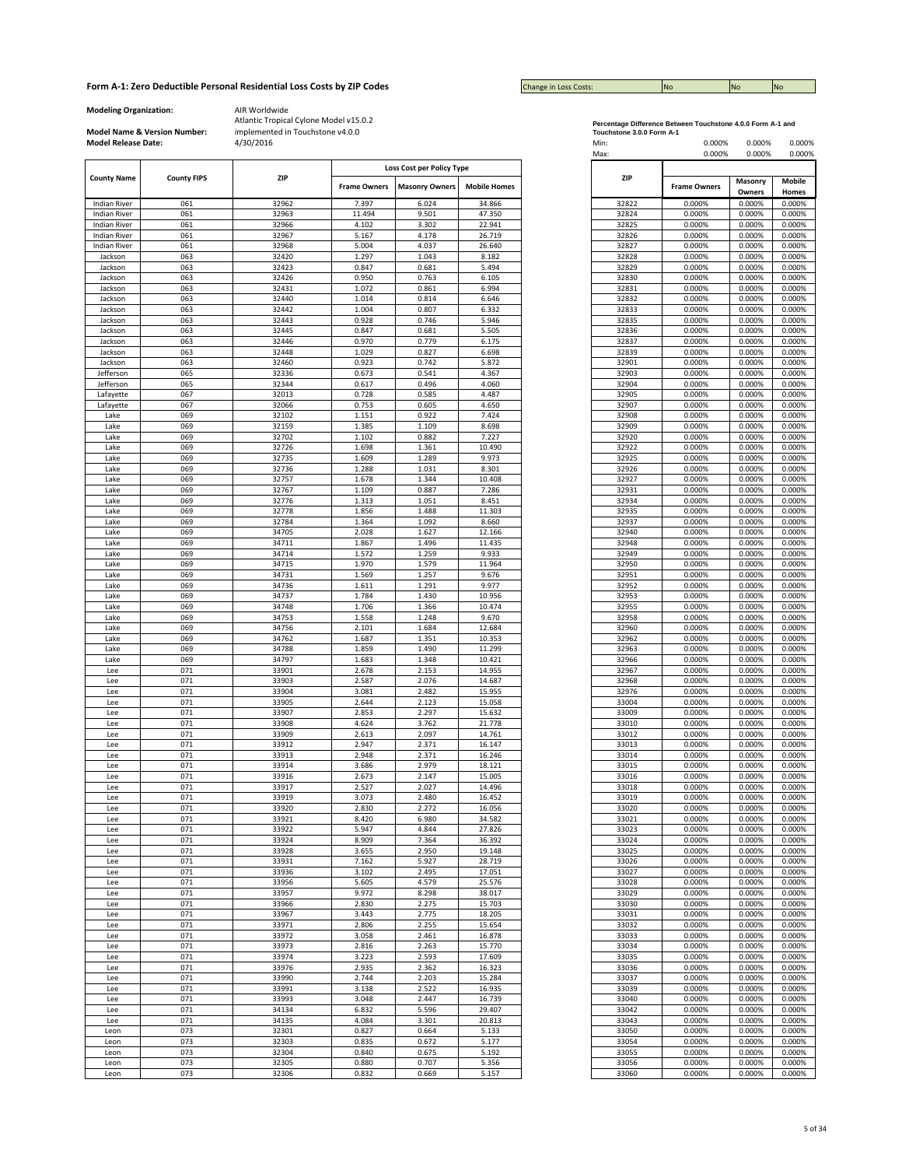| <b>Change in Loss Costs:</b> | <b>No</b> | <b>No</b> | <b>No</b> |
|------------------------------|-----------|-----------|-----------|

**Modeling Organization:** AIR Worldwide

**Model Name & Version Number:**

|                                                        |     |                     |                       | Loss Cost per Policy Type |            |                     |         |  |
|--------------------------------------------------------|-----|---------------------|-----------------------|---------------------------|------------|---------------------|---------|--|
| <b>ZIP</b><br><b>County Name</b><br><b>County FIPS</b> |     | <b>Frame Owners</b> | <b>Masonry Owners</b> | <b>Mobile Homes</b>       | <b>ZIP</b> | <b>Frame Owners</b> | Masonry |  |
|                                                        |     |                     |                       |                           |            |                     |         |  |
| <b>Indian River</b>                                    | 061 | 32962               | 7.397                 | 6.024                     | 34.866     | 32822               | 0.000%  |  |
| <b>Indian River</b>                                    | 061 | 32963               | 11.494                | 9.501                     | 47.350     | 32824               | 0.000%  |  |
| <b>Indian River</b>                                    | 061 | 32966               | 4.102                 | 3.302                     | 22.941     | 32825               | 0.000%  |  |
| <b>Indian River</b>                                    | 061 | 32967               | 5.167                 | 4.178                     | 26.719     | 32826               | 0.000%  |  |
| <b>Indian River</b>                                    | 061 | 32968               | 5.004                 | 4.037                     | 26.640     | 32827               | 0.000%  |  |
| Jackson                                                | 063 | 32420               | 1.297                 | 1.043                     | 8.182      | 32828               | 0.000%  |  |
| Jackson                                                | 063 | 32423               | 0.847                 | 0.681                     | 5.494      | 32829               | 0.000%  |  |
| Jackson                                                | 063 | 32426               | 0.950                 | 0.763                     | 6.105      | 32830               | 0.000%  |  |
| Jackson                                                | 063 | 32431               | 1.072                 | 0.861                     | 6.994      | 32831               | 0.000%  |  |
|                                                        |     |                     |                       |                           |            |                     |         |  |
| Jackson                                                | 063 | 32440               | 1.014                 | 0.814                     | 6.646      | 32832               | 0.000%  |  |
| Jackson                                                | 063 | 32442               | 1.004                 | 0.807                     | 6.332      | 32833               | 0.000%  |  |
| Jackson                                                | 063 | 32443               | 0.928                 | 0.746                     | 5.946      | 32835               | 0.000%  |  |
| Jackson                                                | 063 | 32445               | 0.847                 | 0.681                     | 5.505      | 32836               | 0.000%  |  |
| Jackson                                                | 063 | 32446               | 0.970                 | 0.779                     | 6.175      | 32837               | 0.000%  |  |
| Jackson                                                | 063 | 32448               | 1.029                 | 0.827                     | 6.698      | 32839               | 0.000%  |  |
| Jackson                                                | 063 | 32460               | 0.923                 | 0.742                     | 5.872      | 32901               | 0.000%  |  |
| Jefferson                                              | 065 | 32336               | 0.673                 | 0.541                     | 4.367      | 32903               | 0.000%  |  |
| Jefferson                                              | 065 | 32344               | 0.617                 | 0.496                     | 4.060      | 32904               | 0.000%  |  |
| Lafayette                                              | 067 | 32013               | 0.728                 | 0.585                     | 4.487      | 32905               | 0.000%  |  |
| Lafayette                                              | 067 | 32066               | 0.753                 | 0.605                     | 4.650      | 32907               | 0.000%  |  |
| Lake                                                   | 069 | 32102               | 1.151                 | 0.922                     | 7.424      | 32908               | 0.000%  |  |
|                                                        |     |                     |                       |                           |            |                     |         |  |
| Lake                                                   | 069 | 32159               | 1.385                 | 1.109                     | 8.698      | 32909               | 0.000%  |  |
| Lake                                                   | 069 | 32702               | 1.102                 | 0.882                     | 7.227      | 32920               | 0.000%  |  |
| Lake                                                   | 069 | 32726               | 1.698                 | 1.361                     | 10.490     | 32922               | 0.000%  |  |
| Lake                                                   | 069 | 32735               | 1.609                 | 1.289                     | 9.973      | 32925               | 0.000%  |  |
| Lake                                                   | 069 | 32736               | 1.288                 | 1.031                     | 8.301      | 32926               | 0.000%  |  |
| Lake                                                   | 069 | 32757               | 1.678                 | 1.344                     | 10.408     | 32927               | 0.000%  |  |
| Lake                                                   | 069 | 32767               | 1.109                 | 0.887                     | 7.286      | 32931               | 0.000%  |  |
| Lake                                                   | 069 | 32776               | 1.313                 | 1.051                     | 8.451      | 32934               | 0.000%  |  |
| Lake                                                   | 069 | 32778               | 1.856                 | 1.488                     | 11.303     | 32935               | 0.000%  |  |
| Lake                                                   | 069 | 32784               | 1.364                 | 1.092                     | 8.660      | 32937               | 0.000%  |  |
| Lake                                                   | 069 | 34705               | 2.028                 | 1.627                     | 12.166     | 32940               | 0.000%  |  |
|                                                        |     |                     |                       |                           |            |                     |         |  |
| Lake                                                   | 069 | 34711               | 1.867                 | 1.496                     | 11.435     | 32948               | 0.000%  |  |
| Lake                                                   | 069 | 34714               | 1.572                 | 1.259                     | 9.933      | 32949               | 0.000%  |  |
| Lake                                                   | 069 | 34715               | 1.970                 | 1.579                     | 11.964     | 32950               | 0.000%  |  |
| Lake                                                   | 069 | 34731               | 1.569                 | 1.257                     | 9.676      | 32951               | 0.000%  |  |
| Lake                                                   | 069 | 34736               | 1.611                 | 1.291                     | 9.977      | 32952               | 0.000%  |  |
| Lake                                                   | 069 | 34737               | 1.784                 | 1.430                     | 10.956     | 32953               | 0.000%  |  |
| Lake                                                   | 069 | 34748               | 1.706                 | 1.366                     | 10.474     | 32955               | 0.000%  |  |
| Lake                                                   | 069 | 34753               | 1.558                 | 1.248                     | 9.670      | 32958               | 0.000%  |  |
| Lake                                                   | 069 | 34756               | 2.101                 | 1.684                     | 12.684     | 32960               | 0.000%  |  |
| Lake                                                   | 069 | 34762               | 1.687                 | 1.351                     | 10.353     | 32962               | 0.000%  |  |
| Lake                                                   | 069 | 34788               | 1.859                 | 1.490                     | 11.299     | 32963               | 0.000%  |  |
|                                                        |     |                     |                       |                           |            |                     |         |  |
| Lake                                                   | 069 | 34797               | 1.683                 | 1.348                     | 10.421     | 32966               | 0.000%  |  |
| Lee                                                    | 071 | 33901               | 2.678                 | 2.153                     | 14.955     | 32967               | 0.000%  |  |
| Lee                                                    | 071 | 33903               | 2.587                 | 2.076                     | 14.687     | 32968               | 0.000%  |  |
| Lee                                                    | 071 | 33904               | 3.081                 | 2.482                     | 15.955     | 32976               | 0.000%  |  |
| Lee                                                    | 071 | 33905               | 2.644                 | 2.123                     | 15.058     | 33004               | 0.000%  |  |
| Lee                                                    | 071 | 33907               | 2.853                 | 2.297                     | 15.632     | 33009               | 0.000%  |  |
| Lee                                                    | 071 | 33908               | 4.624                 | 3.762                     | 21.778     | 33010               | 0.000%  |  |
| Lee                                                    | 071 | 33909               | 2.613                 | 2.097                     | 14.761     | 33012               | 0.000%  |  |
| Lee                                                    | 071 | 33912               | 2.947                 | 2.371                     | 16.147     | 33013               | 0.000%  |  |
| Lee                                                    | 071 | 33913               | 2.948                 | 2.371                     | 16.246     | 33014               | 0.000%  |  |
| Lee                                                    | 071 | 33914               | 3.686                 | 2.979                     | 18.121     | 33015               | 0.000%  |  |
|                                                        |     |                     |                       |                           |            |                     |         |  |
| Lee                                                    | 071 | 33916               | 2.673                 | 2.147                     | 15.005     | 33016               | 0.000%  |  |
| Lee                                                    | 071 | 33917               | 2.527                 | 2.027                     | 14.496     | 33018               | 0.000%  |  |
| Lee                                                    | 071 | 33919               | 3.073                 | 2.480                     | 16.452     | 33019               | 0.000%  |  |
| Lee                                                    | 071 | 33920               | 2.830                 | 2.272                     | 16.056     | 33020               | 0.000%  |  |
| Lee                                                    | 071 | 33921               | 8.420                 | 6.980                     | 34.582     | 33021               | 0.000%  |  |
| Lee                                                    | 071 | 33922               | 5.947                 | 4.844                     | 27.826     | 33023               | 0.000%  |  |
| Lee                                                    | 071 | 33924               | 8.909                 | 7.364                     | 36.392     | 33024               | 0.000%  |  |
| Lee                                                    | 071 | 33928               | 3.655                 | 2.950                     | 19.148     | 33025               | 0.000%  |  |
| Lee                                                    | 071 | 33931               | 7.162                 | 5.927                     | 28.719     | 33026               | 0.000%  |  |
| Lee                                                    | 071 | 33936               | 3.102                 | 2.495                     | 17.051     | 33027               | 0.000%  |  |
|                                                        |     |                     |                       |                           |            |                     |         |  |
| Lee                                                    | 071 | 33956               | 5.605                 | 4.579                     | 25.576     | 33028               | 0.000%  |  |
| Lee                                                    | 071 | 33957               | 9.972                 | 8.298                     | 38.017     | 33029               | 0.000%  |  |
| Lee                                                    | 071 | 33966               | 2.830                 | 2.275                     | 15.703     | 33030               | 0.000%  |  |
| Lee                                                    | 071 | 33967               | 3.443                 | 2.775                     | 18.205     | 33031               | 0.000%  |  |
| Lee                                                    | 071 | 33971               | 2.806                 | 2.255                     | 15.654     | 33032               | 0.000%  |  |
| Lee                                                    | 071 | 33972               | 3.058                 | 2.461                     | 16.878     | 33033               | 0.000%  |  |
| Lee                                                    | 071 | 33973               | 2.816                 | 2.263                     | 15.770     | 33034               | 0.000%  |  |
|                                                        | 071 | 33974               | 3.223                 | 2.593                     | 17.609     | 33035               | 0.000%  |  |
| Lee                                                    |     |                     |                       |                           |            |                     |         |  |
| Lee                                                    | 071 | 33976               | 2.935                 | 2.362                     | 16.323     | 33036               | 0.000%  |  |
| Lee                                                    | 071 | 33990               | 2.744                 | 2.203                     | 15.284     | 33037               | 0.000%  |  |
| Lee                                                    | 071 | 33991               | 3.138                 | 2.522                     | 16.935     | 33039               | 0.000%  |  |
| Lee                                                    | 071 | 33993               | 3.048                 | 2.447                     | 16.739     | 33040               | 0.000%  |  |
| Lee                                                    | 071 | 34134               | 6.832                 | 5.596                     | 29.407     | 33042               | 0.000%  |  |
| Lee                                                    | 071 | 34135               | 4.084                 | 3.301                     | 20.813     | 33043               | 0.000%  |  |
| Leon                                                   | 073 | 32301               | 0.827                 | 0.664                     | 5.133      | 33050               | 0.000%  |  |
|                                                        |     |                     |                       |                           |            |                     |         |  |
| Leon                                                   | 073 | 32303               | 0.835                 | 0.672                     | 5.177      | 33054               | 0.000%  |  |
| Leon                                                   | 073 | 32304               | 0.840                 | 0.675                     | 5.192      | 33055               | 0.000%  |  |
| Leon                                                   | 073 | 32305               | 0.880                 | 0.707                     | 5.356      | 33056               | 0.000%  |  |
| Leon                                                   | 073 | 32306               | 0.832                 | 0.669                     | 5.157      | 33060               | 0.000%  |  |

| Percentage Difference Between Touchstone 4.0.0 Form A-1 and |
|-------------------------------------------------------------|
| Touchstone 3.0.0 Form A-1                                   |

| <b>Model Release Date:</b> |                    | 4/30/2016      |                           |                       |                     |  | Min:<br>Max:   | 0.000%<br>0.000%    | 0.000%<br>0.000%  | 0.000%<br>0.000% |
|----------------------------|--------------------|----------------|---------------------------|-----------------------|---------------------|--|----------------|---------------------|-------------------|------------------|
|                            |                    |                | Loss Cost per Policy Type |                       |                     |  |                |                     |                   |                  |
| <b>County Name</b>         | <b>County FIPS</b> | ZIP            | <b>Frame Owners</b>       | <b>Masonry Owners</b> | <b>Mobile Homes</b> |  | <b>ZIP</b>     | <b>Frame Owners</b> | Masonry<br>Owners | Mobile<br>Homes  |
| <b>Indian River</b>        | 061                | 32962          | 7.397                     | 6.024                 | 34.866              |  | 32822          | 0.000%              | 0.000%            | 0.000%           |
| <b>Indian River</b>        | 061                | 32963          | 11.494                    | 9.501                 | 47.350              |  | 32824          | 0.000%              | 0.000%            | 0.000%           |
| <b>Indian River</b>        | 061                | 32966          | 4.102                     | 3.302                 | 22.941              |  | 32825          | 0.000%              | 0.000%            | 0.000%           |
| <b>Indian River</b>        | 061                | 32967          | 5.167                     | 4.178                 | 26.719              |  | 32826          | 0.000%              | 0.000%            | 0.000%           |
| <b>Indian River</b>        | 061                | 32968          | 5.004                     | 4.037                 | 26.640              |  | 32827          | 0.000%              | 0.000%            | 0.000%           |
| Jackson                    | 063                | 32420          | 1.297                     | 1.043                 | 8.182               |  | 32828          | 0.000%              | 0.000%            | 0.000%           |
| Jackson                    | 063                | 32423          | 0.847                     | 0.681                 | 5.494               |  | 32829          | 0.000%              | 0.000%            | 0.000%           |
| Jackson                    | 063                | 32426          | 0.950                     | 0.763                 | 6.105               |  | 32830          | 0.000%              | 0.000%            | 0.000%           |
| Jackson                    | 063                | 32431<br>32440 | 1.072                     | 0.861                 | 6.994               |  | 32831          | 0.000%              | 0.000%<br>0.000%  | 0.000%           |
| Jackson<br>Jackson         | 063<br>063         | 32442          | 1.014<br>1.004            | 0.814<br>0.807        | 6.646<br>6.332      |  | 32832<br>32833 | 0.000%<br>0.000%    | 0.000%            | 0.000%<br>0.000% |
| Jackson                    | 063                | 32443          | 0.928                     | 0.746                 | 5.946               |  | 32835          | 0.000%              | 0.000%            | 0.000%           |
| Jackson                    | 063                | 32445          | 0.847                     | 0.681                 | 5.505               |  | 32836          | 0.000%              | 0.000%            | 0.000%           |
| Jackson                    | 063                | 32446          | 0.970                     | 0.779                 | 6.175               |  | 32837          | 0.000%              | 0.000%            | 0.000%           |
| Jackson                    | 063                | 32448          | 1.029                     | 0.827                 | 6.698               |  | 32839          | 0.000%              | 0.000%            | 0.000%           |
| Jackson                    | 063                | 32460          | 0.923                     | 0.742                 | 5.872               |  | 32901          | 0.000%              | 0.000%            | 0.000%           |
| Jefferson                  | 065                | 32336          | 0.673                     | 0.541                 | 4.367               |  | 32903          | 0.000%              | 0.000%            | 0.000%           |
| Jefferson                  | 065                | 32344          | 0.617                     | 0.496                 | 4.060               |  | 32904          | 0.000%              | 0.000%            | 0.000%           |
| Lafayette                  | 067                | 32013          | 0.728                     | 0.585                 | 4.487               |  | 32905          | 0.000%              | 0.000%            | 0.000%           |
| Lafayette                  | 067                | 32066          | 0.753                     | 0.605                 | 4.650               |  | 32907          | 0.000%              | 0.000%            | 0.000%           |
| Lake                       | 069                | 32102          | 1.151                     | 0.922                 | 7.424               |  | 32908          | 0.000%              | 0.000%            | 0.000%           |
| Lake                       | 069                | 32159          | 1.385                     | 1.109                 | 8.698               |  | 32909          | 0.000%              | 0.000%            | 0.000%           |
| Lake                       | 069                | 32702          | 1.102                     | 0.882                 | 7.227<br>10.490     |  | 32920<br>32922 | 0.000%              | 0.000%<br>0.000%  | 0.000%           |
| Lake<br>Lake               | 069<br>069         | 32726<br>32735 | 1.698<br>1.609            | 1.361<br>1.289        | 9.973               |  | 32925          | 0.000%<br>0.000%    | 0.000%            | 0.000%<br>0.000% |
| Lake                       | 069                | 32736          | 1.288                     | 1.031                 | 8.301               |  | 32926          | 0.000%              | 0.000%            | 0.000%           |
| Lake                       | 069                | 32757          | 1.678                     | 1.344                 | 10.408              |  | 32927          | 0.000%              | 0.000%            | 0.000%           |
| Lake                       | 069                | 32767          | 1.109                     | 0.887                 | 7.286               |  | 32931          | 0.000%              | 0.000%            | 0.000%           |
| Lake                       | 069                | 32776          | 1.313                     | 1.051                 | 8.451               |  | 32934          | 0.000%              | 0.000%            | 0.000%           |
| Lake                       | 069                | 32778          | 1.856                     | 1.488                 | 11.303              |  | 32935          | 0.000%              | 0.000%            | 0.000%           |
| Lake                       | 069                | 32784          | 1.364                     | 1.092                 | 8.660               |  | 32937          | 0.000%              | 0.000%            | 0.000%           |
| Lake                       | 069                | 34705          | 2.028                     | 1.627                 | 12.166              |  | 32940          | 0.000%              | 0.000%            | 0.000%           |
| Lake                       | 069                | 34711          | 1.867                     | 1.496                 | 11.435              |  | 32948          | 0.000%              | 0.000%            | 0.000%           |
| Lake                       | 069                | 34714          | 1.572                     | 1.259                 | 9.933               |  | 32949          | 0.000%              | 0.000%            | 0.000%           |
| Lake                       | 069                | 34715          | 1.970                     | 1.579                 | 11.964              |  | 32950          | 0.000%              | 0.000%            | 0.000%           |
| Lake                       | 069                | 34731          | 1.569                     | 1.257                 | 9.676               |  | 32951          | 0.000%              | 0.000%            | 0.000%           |
| Lake                       | 069                | 34736          | 1.611                     | 1.291                 | 9.977               |  | 32952          | 0.000%              | 0.000%            | 0.000%           |
| Lake<br>Lake               | 069<br>069         | 34737<br>34748 | 1.784<br>1.706            | 1.430<br>1.366        | 10.956<br>10.474    |  | 32953<br>32955 | 0.000%<br>0.000%    | 0.000%<br>0.000%  | 0.000%<br>0.000% |
| Lake                       | 069                | 34753          | 1.558                     | 1.248                 | 9.670               |  | 32958          | 0.000%              | 0.000%            | 0.000%           |
| Lake                       | 069                | 34756          | 2.101                     | 1.684                 | 12.684              |  | 32960          | 0.000%              | 0.000%            | 0.000%           |
| Lake                       | 069                | 34762          | 1.687                     | 1.351                 | 10.353              |  | 32962          | 0.000%              | 0.000%            | 0.000%           |
| Lake                       | 069                | 34788          | 1.859                     | 1.490                 | 11.299              |  | 32963          | 0.000%              | 0.000%            | 0.000%           |
| Lake                       | 069                | 34797          | 1.683                     | 1.348                 | 10.421              |  | 32966          | 0.000%              | 0.000%            | 0.000%           |
| Lee                        | 071                | 33901          | 2.678                     | 2.153                 | 14.955              |  | 32967          | 0.000%              | 0.000%            | 0.000%           |
| Lee                        | 071                | 33903          | 2.587                     | 2.076                 | 14.687              |  | 32968          | 0.000%              | 0.000%            | 0.000%           |
| Lee                        | 071                | 33904          | 3.081                     | 2.482                 | 15.955              |  | 32976          | 0.000%              | 0.000%            | 0.000%           |
| Lee                        | 071                | 33905          | 2.644                     | 2.123                 | 15.058              |  | 33004          | 0.000%              | 0.000%            | 0.000%           |
| Lee                        | 071                | 33907          | 2.853                     | 2.297                 | 15.632              |  | 33009          | 0.000%              | 0.000%            | 0.000%           |
| Lee                        | 071                | 33908          | 4.624                     | 3.762                 | 21.778              |  | 33010          | 0.000%              | 0.000%            | 0.000%           |
| Lee                        | 071<br>071         | 33909<br>33912 | 2.613<br>2.947            | 2.097<br>2.371        | 14.761<br>16.147    |  | 33012<br>33013 | 0.000%<br>0.000%    | 0.000%            | 0.000%<br>0.000% |
| Lee<br>Lee                 | 071                | 33913          | 2.948                     | 2.371                 | 16.246              |  | 33014          | 0.000%              | 0.000%<br>0.000%  | 0.000%           |
| Lee                        | 071                | 33914          | 3.686                     | 2.979                 | 18.121              |  | 33015          | 0.000%              | 0.000%            | 0.000%           |
| Lee                        | 071                | 33916          | 2.673                     | 2.147                 | 15.005              |  | 33016          | 0.000%              | 0.000%            | 0.000%           |
| Lee                        | 071                | 33917          | 2.527                     | 2.027                 | 14.496              |  | 33018          | 0.000%              | 0.000%            | 0.000%           |
| Lee                        | 071                | 33919          | 3.073                     | 2.480                 | 16.452              |  | 33019          | 0.000%              | 0.000%            | 0.000%           |
| Lee                        | 071                | 33920          | 2.830                     | 2.272                 | 16.056              |  | 33020          | 0.000%              | 0.000%            | 0.000%           |
| Lee                        | 071                | 33921          | 8.420                     | 6.980                 | 34.582              |  | 33021          | 0.000%              | 0.000%            | 0.000%           |
| Lee                        | 071                | 33922          | 5.947                     | 4.844                 | 27.826              |  | 33023          | 0.000%              | 0.000%            | 0.000%           |
| Lee                        | 071                | 33924          | 8.909                     | 7.364                 | 36.392              |  | 33024          | 0.000%              | 0.000%            | 0.000%           |
| Lee                        | 071                | 33928          | 3.655                     | 2.950                 | 19.148              |  | 33025          | 0.000%              | 0.000%            | 0.000%           |
| Lee<br>Lee                 | 071<br>071         | 33931<br>33936 | 7.162<br>3.102            | 5.927<br>2.495        | 28.719<br>17.051    |  | 33026<br>33027 | 0.000%<br>0.000%    | 0.000%<br>0.000%  | 0.000%           |
| Lee                        | 071                | 33956          | 5.605                     | 4.579                 | 25.576              |  | 33028          | 0.000%              | 0.000%            | 0.000%<br>0.000% |
| Lee                        | 071                | 33957          | 9.972                     | 8.298                 | 38.017              |  | 33029          | 0.000%              | 0.000%            | 0.000%           |
| Lee                        | 071                | 33966          | 2.830                     | 2.275                 | 15.703              |  | 33030          | 0.000%              | 0.000%            | 0.000%           |
| Lee                        | 071                | 33967          | 3.443                     | 2.775                 | 18.205              |  | 33031          | 0.000%              | 0.000%            | 0.000%           |
| Lee                        | 071                | 33971          | 2.806                     | 2.255                 | 15.654              |  | 33032          | 0.000%              | 0.000%            | 0.000%           |
| Lee                        | 071                | 33972          | 3.058                     | 2.461                 | 16.878              |  | 33033          | 0.000%              | 0.000%            | 0.000%           |
| Lee                        | 071                | 33973          | 2.816                     | 2.263                 | 15.770              |  | 33034          | 0.000%              | 0.000%            | 0.000%           |
| Lee                        | 071                | 33974          | 3.223                     | 2.593                 | 17.609              |  | 33035          | 0.000%              | 0.000%            | 0.000%           |
| Lee                        | 071                | 33976          | 2.935                     | 2.362                 | 16.323              |  | 33036          | 0.000%              | 0.000%            | 0.000%           |
| Lee                        | 071                | 33990          | 2.744                     | 2.203                 | 15.284              |  | 33037          | 0.000%              | 0.000%            | 0.000%           |
| Lee                        | 071                | 33991          | 3.138                     | 2.522                 | 16.935              |  | 33039          | 0.000%              | 0.000%            | 0.000%           |
| Lee                        | 071                | 33993          | 3.048                     | 2.447                 | 16.739              |  | 33040          | 0.000%              | 0.000%            | 0.000%           |
| Lee                        | 071                | 34134          | 6.832                     | 5.596                 | 29.407              |  | 33042          | 0.000%              | 0.000%            | 0.000%           |
| Lee<br>Leon                | 071<br>073         | 34135<br>32301 | 4.084<br>0.827            | 3.301<br>0.664        | 20.813<br>5.133     |  | 33043<br>33050 | 0.000%<br>0.000%    | 0.000%<br>0.000%  | 0.000%<br>0.000% |
| Leon                       | 073                | 32303          | 0.835                     | 0.672                 | 5.177               |  | 33054          | 0.000%              | 0.000%            | 0.000%           |
| Leon                       | 073                | 32304          | 0.840                     | 0.675                 | 5.192               |  | 33055          | 0.000%              | 0.000%            | 0.000%           |
| Leon                       | 073                | 32305          | 0.880                     | 0.707                 | 5.356               |  | 33056          | 0.000%              | 0.000%            | 0.000%           |
| Leon                       | 073                | 32306          | 0.832                     | 0.669                 | 5.157               |  | 33060          | 0.000%              | 0.000%            | 0.000%           |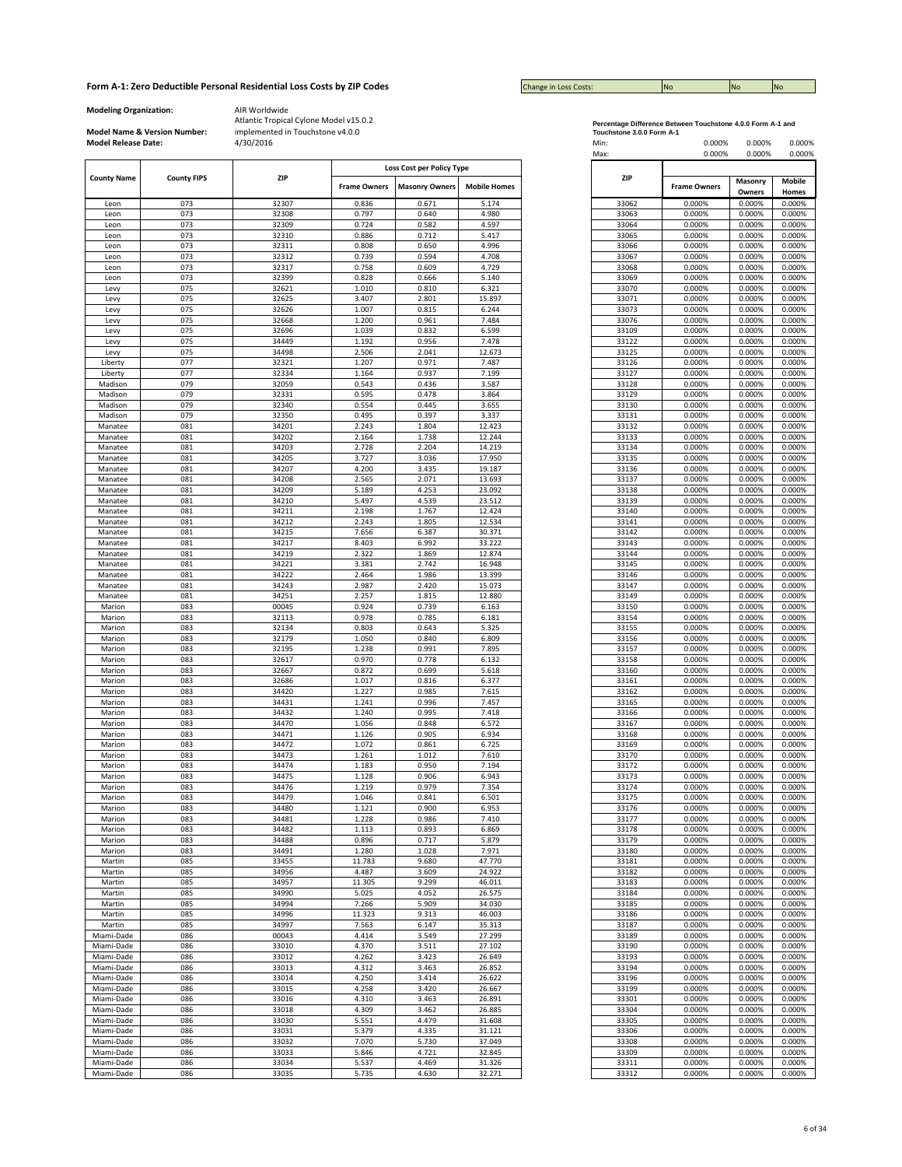| <b>Change in Loss Costs:</b> | <b>No</b> | <b>No</b> | <b>No</b> |
|------------------------------|-----------|-----------|-----------|

**Modeling Organization:** AIR Worldwide

**Model Name & Version Number:**

| ZIP<br><b>County Name</b><br><b>County FIPS</b> |            | Loss Cost per Policy Type |                       |                     |                  |            |                     |                  |                  |                  |
|-------------------------------------------------|------------|---------------------------|-----------------------|---------------------|------------------|------------|---------------------|------------------|------------------|------------------|
|                                                 |            | <b>Frame Owners</b>       | <b>Masonry Owners</b> | <b>Mobile Homes</b> |                  | <b>ZIP</b> | <b>Frame Owners</b> | Masonry          | Mobile           |                  |
|                                                 |            |                           |                       |                     |                  |            |                     |                  | Owners           | Homes            |
| Leon                                            | 073        | 32307                     | 0.836                 | 0.671               | 5.174            |            | 33062               | 0.000%           | 0.000%           | 0.000%           |
| Leon                                            | 073        | 32308                     | 0.797                 | 0.640               | 4.980            |            | 33063               | 0.000%           | 0.000%           | 0.000%           |
| Leon<br>Leon                                    | 073<br>073 | 32309<br>32310            | 0.724<br>0.886        | 0.582<br>0.712      | 4.597<br>5.417   |            | 33064<br>33065      | 0.000%<br>0.000% | 0.000%<br>0.000% | 0.000%<br>0.000% |
| Leon                                            | 073        | 32311                     | 0.808                 | 0.650               | 4.996            |            | 33066               | 0.000%           | 0.000%           | 0.000%           |
| Leon                                            | 073        | 32312                     | 0.739                 | 0.594               | 4.708            |            | 33067               | 0.000%           | 0.000%           | 0.000%           |
| Leon                                            | 073        | 32317                     | 0.758                 | 0.609               | 4.729            |            | 33068               | 0.000%           | 0.000%           | 0.000%           |
| Leon                                            | 073        | 32399                     | 0.828                 | 0.666               | 5.140            |            | 33069               | 0.000%           | 0.000%           | 0.000%           |
| Levy                                            | 075        | 32621                     | 1.010                 | 0.810               | 6.321            |            | 33070               | 0.000%           | 0.000%           | 0.000%           |
| Levy                                            | 075        | 32625                     | 3.407                 | 2.801               | 15.897           |            | 33071               | 0.000%           | 0.000%           | 0.000%           |
| Levy                                            | 075        | 32626                     | 1.007                 | 0.815               | 6.244            |            | 33073               | 0.000%           | 0.000%           | 0.000%           |
| Levy                                            | 075        | 32668                     | 1.200                 | 0.961               | 7.484            |            | 33076               | 0.000%           | 0.000%           | 0.000%           |
| Levy                                            | 075        | 32696                     | 1.039                 | 0.832               | 6.599            |            | 33109               | 0.000%           | 0.000%           | 0.000%           |
| Levy<br>Levy                                    | 075<br>075 | 34449<br>34498            | 1.192<br>2.506        | 0.956<br>2.041      | 7.478<br>12.673  |            | 33122<br>33125      | 0.000%<br>0.000% | 0.000%<br>0.000% | 0.000%<br>0.000% |
| Liberty                                         | 077        | 32321                     | 1.207                 | 0.971               | 7.487            |            | 33126               | 0.000%           | 0.000%           | 0.000%           |
| Liberty                                         | 077        | 32334                     | 1.164                 | 0.937               | 7.199            |            | 33127               | 0.000%           | 0.000%           | 0.000%           |
| Madison                                         | 079        | 32059                     | 0.543                 | 0.436               | 3.587            |            | 33128               | 0.000%           | 0.000%           | 0.000%           |
| Madison                                         | 079        | 32331                     | 0.595                 | 0.478               | 3.864            |            | 33129               | 0.000%           | 0.000%           | 0.000%           |
| Madison                                         | 079        | 32340                     | 0.554                 | 0.445               | 3.655            |            | 33130               | 0.000%           | 0.000%           | 0.000%           |
| Madison                                         | 079        | 32350                     | 0.495                 | 0.397               | 3.337            |            | 33131               | 0.000%           | 0.000%           | 0.000%           |
| Manatee                                         | 081        | 34201                     | 2.243                 | 1.804               | 12.423           |            | 33132               | 0.000%           | 0.000%           | 0.000%           |
| Manatee                                         | 081        | 34202                     | 2.164                 | 1.738               | 12.244           |            | 33133               | 0.000%           | 0.000%           | 0.000%           |
| Manatee                                         | 081        | 34203                     | 2.728                 | 2.204               | 14.219           |            | 33134               | 0.000%           | 0.000%           | 0.000%           |
| Manatee                                         | 081        | 34205                     | 3.727                 | 3.036               | 17.950           |            | 33135               | 0.000%           | 0.000%           | 0.000%<br>0.000% |
| Manatee<br>Manatee                              | 081<br>081 | 34207<br>34208            | 4.200<br>2.565        | 3.435<br>2.071      | 19.187<br>13.693 |            | 33136<br>33137      | 0.000%<br>0.000% | 0.000%<br>0.000% | 0.000%           |
| Manatee                                         | 081        | 34209                     | 5.189                 | 4.253               | 23.092           |            | 33138               | 0.000%           | 0.000%           | 0.000%           |
| Manatee                                         | 081        | 34210                     | 5.497                 | 4.539               | 23.512           |            | 33139               | 0.000%           | 0.000%           | 0.000%           |
| Manatee                                         | 081        | 34211                     | 2.198                 | 1.767               | 12.424           |            | 33140               | 0.000%           | 0.000%           | 0.000%           |
| Manatee                                         | 081        | 34212                     | 2.243                 | 1.805               | 12.534           |            | 33141               | 0.000%           | 0.000%           | 0.000%           |
| Manatee                                         | 081        | 34215                     | 7.656                 | 6.387               | 30.371           |            | 33142               | 0.000%           | 0.000%           | 0.000%           |
| Manatee                                         | 081        | 34217                     | 8.403                 | 6.992               | 33.222           |            | 33143               | 0.000%           | 0.000%           | 0.000%           |
| Manatee                                         | 081        | 34219                     | 2.322                 | 1.869               | 12.874           |            | 33144               | 0.000%           | 0.000%           | 0.000%           |
| Manatee                                         | 081        | 34221                     | 3.381                 | 2.742               | 16.948           |            | 33145               | 0.000%           | 0.000%           | 0.000%           |
| Manatee                                         | 081        | 34222                     | 2.464                 | 1.986               | 13.399           |            | 33146               | 0.000%           | 0.000%           | 0.000%           |
| Manatee<br>Manatee                              | 081<br>081 | 34243<br>34251            | 2.987<br>2.257        | 2.420<br>1.815      | 15.073<br>12.880 |            | 33147<br>33149      | 0.000%<br>0.000% | 0.000%<br>0.000% | 0.000%<br>0.000% |
| Marion                                          | 083        | 00045                     | 0.924                 | 0.739               | 6.163            |            | 33150               | 0.000%           | 0.000%           | 0.000%           |
| Marion                                          | 083        | 32113                     | 0.978                 | 0.785               | 6.181            |            | 33154               | 0.000%           | 0.000%           | 0.000%           |
| Marion                                          | 083        | 32134                     | 0.803                 | 0.643               | 5.325            |            | 33155               | 0.000%           | 0.000%           | 0.000%           |
| Marion                                          | 083        | 32179                     | 1.050                 | 0.840               | 6.809            |            | 33156               | 0.000%           | 0.000%           | 0.000%           |
| Marion                                          | 083        | 32195                     | 1.238                 | 0.991               | 7.895            |            | 33157               | 0.000%           | 0.000%           | 0.000%           |
| Marion                                          | 083        | 32617                     | 0.970                 | 0.778               | 6.132            |            | 33158               | 0.000%           | 0.000%           | 0.000%           |
| Marion                                          | 083        | 32667                     | 0.872                 | 0.699               | 5.618            |            | 33160               | 0.000%           | 0.000%           | 0.000%           |
| Marion                                          | 083        | 32686                     | 1.017                 | 0.816               | 6.377            |            | 33161               | 0.000%           | 0.000%           | 0.000%           |
| Marion<br>Marion                                | 083<br>083 | 34420<br>34431            | 1.227<br>1.241        | 0.985<br>0.996      | 7.615<br>7.457   |            | 33162<br>33165      | 0.000%<br>0.000% | 0.000%<br>0.000% | 0.000%<br>0.000% |
| Marion                                          | 083        | 34432                     | 1.240                 | 0.995               | 7.418            |            | 33166               | 0.000%           | 0.000%           | 0.000%           |
| Marion                                          | 083        | 34470                     | 1.056                 | 0.848               | 6.572            |            | 33167               | 0.000%           | 0.000%           | 0.000%           |
| Marion                                          | 083        | 34471                     | 1.126                 | 0.905               | 6.934            |            | 33168               | 0.000%           | 0.000%           | 0.000%           |
| Marion                                          | 083        | 34472                     | 1.072                 | 0.861               | 6.725            |            | 33169               | 0.000%           | 0.000%           | 0.000%           |
| Marion                                          | 083        | 34473                     | 1.261                 | 1.012               | 7.610            |            | 33170               | 0.000%           | 0.000%           | 0.000%           |
| Marion                                          | 083        | 34474                     | 1.183                 | 0.950               | 7.194            |            | 33172               | 0.000%           | 0.000%           | 0.000%           |
| Marion                                          | 083        | 34475                     | 1.128                 | 0.906               | 6.943            |            | 33173               | 0.000%           | 0.000%           | 0.000%           |
| Marion                                          | 083        | 34476                     | 1.219                 | 0.979               | 7.354            |            | 33174               | 0.000%           | 0.000%           | 0.000%           |
| Marion                                          | 083        | 34479                     | 1.046                 | 0.841               | 6.501            |            | 33175               | 0.000%           | 0.000%           | 0.000%           |
| Marion                                          | 083        | 34480<br>34481            | 1.121                 | 0.900<br>0.986      | 6.953<br>7.410   |            | 33176<br>33177      | 0.000%           | 0.000%           | 0.000%           |
| Marion<br>Marion                                | 083<br>083 | 34482                     | 1.228<br>1.113        | 0.893               | 6.869            |            | 33178               | 0.000%<br>0.000% | 0.000%<br>0.000% | 0.000%<br>0.000% |
| Marion                                          | 083        | 34488                     | 0.896                 | 0.717               | 5.879            |            | 33179               | 0.000%           | 0.000%           | 0.000%           |
| Marion                                          | 083        | 34491                     | 1.280                 | 1.028               | 7.971            |            | 33180               | 0.000%           | 0.000%           | 0.000%           |
| Martin                                          | 085        | 33455                     | 11.783                | 9.680               | 47.770           |            | 33181               | 0.000%           | 0.000%           | 0.000%           |
| Martin                                          | 085        | 34956                     | 4.487                 | 3.609               | 24.922           |            | 33182               | 0.000%           | 0.000%           | 0.000%           |
| Martin                                          | 085        | 34957                     | 11.305                | 9.299               | 46.011           |            | 33183               | 0.000%           | 0.000%           | 0.000%           |
| Martin                                          | 085        | 34990                     | 5.025                 | 4.052               | 26.575           |            | 33184               | 0.000%           | 0.000%           | 0.000%           |
| Martin                                          | 085        | 34994                     | 7.266                 | 5.909               | 34.030           |            | 33185               | 0.000%           | 0.000%           | 0.000%           |
| Martin                                          | 085        | 34996                     | 11.323                | 9.313               | 46.003           |            | 33186               | 0.000%           | 0.000%           | 0.000%           |
| Martin                                          | 085        | 34997                     | 7.563                 | 6.147               | 35.313           |            | 33187               | 0.000%           | 0.000%           | 0.000%           |
| Miami-Dade                                      | 086<br>086 | 00043<br>33010            | 4.414<br>4.370        | 3.549<br>3.511      | 27.299<br>27.102 |            | 33189<br>33190      | 0.000%<br>0.000% | 0.000%<br>0.000% | 0.000%<br>0.000% |
| Miami-Dade<br>Miami-Dade                        | 086        | 33012                     | 4.262                 | 3.423               | 26.649           |            | 33193               | 0.000%           | 0.000%           | 0.000%           |
| Miami-Dade                                      | 086        | 33013                     | 4.312                 | 3.463               | 26.852           |            | 33194               | 0.000%           | 0.000%           | 0.000%           |
| Miami-Dade                                      | 086        | 33014                     | 4.250                 | 3.414               | 26.622           |            | 33196               | 0.000%           | 0.000%           | 0.000%           |
| Miami-Dade                                      | 086        | 33015                     | 4.258                 | 3.420               | 26.667           |            | 33199               | 0.000%           | 0.000%           | 0.000%           |
| Miami-Dade                                      | 086        | 33016                     | 4.310                 | 3.463               | 26.891           |            | 33301               | 0.000%           | 0.000%           | 0.000%           |
| Miami-Dade                                      | 086        | 33018                     | 4.309                 | 3.462               | 26.885           |            | 33304               | 0.000%           | 0.000%           | 0.000%           |
| Miami-Dade                                      | 086        | 33030                     | 5.551                 | 4.479               | 31.608           |            | 33305               | 0.000%           | 0.000%           | 0.000%           |
| Miami-Dade                                      | 086        | 33031                     | 5.379                 | 4.335               | 31.121           |            | 33306               | 0.000%           | 0.000%           | 0.000%           |
| Miami-Dade                                      | 086        | 33032                     | 7.070                 | 5.730               | 37.049           |            | 33308               | 0.000%           | 0.000%           | 0.000%           |
| Miami-Dade                                      | 086        | 33033                     | 5.846                 | 4.721               | 32.845           |            | 33309               | 0.000%           | 0.000%           | 0.000%           |
| Miami-Dade                                      | 086        | 33034                     | 5.537                 | 4.469               | 31.326           |            | 33311               | 0.000%           | 0.000%           | 0.000%           |
| Miami-Dade                                      | 086        | 33035                     | 5.735                 | 4.630               | 32.271           |            | 33312               | 0.000%           | 0.000%           | 0.000%           |

| Percentage Difference Between Touchstone 4.0.0 Form A-1 and |
|-------------------------------------------------------------|
| Touchstone 3.0.0 Form A-1                                   |

| Model Release Date:      |                    | implemented in Touchstone v+.0.0<br>4/30/2016 |                     |                           |                     | <b>BUDING J.V.V I VIIII A</b> -<br>Min:<br>Max: | 0.000%<br>0.000%    | 0.000%<br>0.000%  | 0.000%<br>0.000% |
|--------------------------|--------------------|-----------------------------------------------|---------------------|---------------------------|---------------------|-------------------------------------------------|---------------------|-------------------|------------------|
|                          |                    | ZIP                                           |                     | Loss Cost per Policy Type |                     | ZIP                                             |                     |                   |                  |
| <b>County Name</b>       | <b>County FIPS</b> |                                               | <b>Frame Owners</b> | <b>Masonry Owners</b>     | <b>Mobile Homes</b> |                                                 | <b>Frame Owners</b> | Masonry<br>Owners | Mobile<br>Homes  |
| Leon                     | 073                | 32307                                         | 0.836               | 0.671                     | 5.174               | 33062                                           | 0.000%              | 0.000%            | 0.000%           |
| Leon                     | 073                | 32308                                         | 0.797               | 0.640                     | 4.980               | 33063                                           | 0.000%              | 0.000%            | 0.000%           |
| Leon                     | 073                | 32309                                         | 0.724               | 0.582                     | 4.597               | 33064                                           | 0.000%              | 0.000%            | 0.000%           |
| Leon                     | 073                | 32310                                         | 0.886               | 0.712                     | 5.417               | 33065                                           | 0.000%              | 0.000%            | 0.000%           |
| Leon                     | 073                | 32311                                         | 0.808               | 0.650                     | 4.996               | 33066                                           | 0.000%              | 0.000%            | 0.000%           |
| Leon                     | 073                | 32312                                         | 0.739               | 0.594                     | 4.708               | 33067                                           | 0.000%              | 0.000%            | 0.000%           |
| Leon                     | 073                | 32317                                         | 0.758               | 0.609                     | 4.729               | 33068                                           | 0.000%              | 0.000%            | 0.000%           |
| Leon                     | 073                | 32399                                         | 0.828               | 0.666                     | 5.140               | 33069                                           | 0.000%              | 0.000%            | 0.000%           |
| Levy                     | 075                | 32621                                         | 1.010               | 0.810                     | 6.321               | 33070                                           | 0.000%              | 0.000%            | 0.000%           |
| Levy<br>Levy             | 075<br>075         | 32625<br>32626                                | 3.407<br>1.007      | 2.801<br>0.815            | 15.897<br>6.244     | 33071<br>33073                                  | 0.000%<br>0.000%    | 0.000%<br>0.000%  | 0.000%<br>0.000% |
| Levy                     | 075                | 32668                                         | 1.200               | 0.961                     | 7.484               | 33076                                           | 0.000%              | 0.000%            | 0.000%           |
| Levy                     | 075                | 32696                                         | 1.039               | 0.832                     | 6.599               | 33109                                           | 0.000%              | 0.000%            | 0.000%           |
| Levy                     | 075                | 34449                                         | 1.192               | 0.956                     | 7.478               | 33122                                           | 0.000%              | 0.000%            | 0.000%           |
| Levy                     | 075                | 34498                                         | 2.506               | 2.041                     | 12.673              | 33125                                           | 0.000%              | 0.000%            | 0.000%           |
| Liberty                  | 077                | 32321                                         | 1.207               | 0.971                     | 7.487               | 33126                                           | 0.000%              | 0.000%            | 0.000%           |
| Liberty                  | 077                | 32334                                         | 1.164               | 0.937                     | 7.199               | 33127                                           | 0.000%              | 0.000%            | 0.000%           |
| Madison                  | 079                | 32059                                         | 0.543               | 0.436                     | 3.587               | 33128                                           | 0.000%              | 0.000%            | 0.000%           |
| Madison                  | 079                | 32331                                         | 0.595               | 0.478                     | 3.864               | 33129                                           | 0.000%              | 0.000%            | 0.000%           |
| Madison                  | 079                | 32340                                         | 0.554               | 0.445                     | 3.655               | 33130                                           | 0.000%              | 0.000%            | 0.000%           |
| Madison                  | 079                | 32350                                         | 0.495               | 0.397                     | 3.337               | 33131                                           | 0.000%              | 0.000%            | 0.000%           |
| Manatee                  | 081                | 34201                                         | 2.243               | 1.804                     | 12.423              | 33132                                           | 0.000%              | 0.000%            | 0.000%           |
| Manatee                  | 081                | 34202                                         | 2.164               | 1.738                     | 12.244              | 33133                                           | 0.000%              | 0.000%            | 0.000%           |
| Manatee                  | 081                | 34203                                         | 2.728               | 2.204                     | 14.219              | 33134                                           | 0.000%              | 0.000%            | 0.000%           |
| Manatee                  | 081                | 34205                                         | 3.727               | 3.036                     | 17.950              | 33135                                           | 0.000%              | 0.000%            | 0.000%           |
| Manatee                  | 081                | 34207                                         | 4.200               | 3.435                     | 19.187              | 33136                                           | 0.000%              | 0.000%            | 0.000%           |
| Manatee                  | 081                | 34208                                         | 2.565               | 2.071                     | 13.693              | 33137                                           | 0.000%              | 0.000%            | 0.000%           |
| Manatee                  | 081                | 34209                                         | 5.189               | 4.253                     | 23.092              | 33138                                           | 0.000%              | 0.000%            | 0.000%           |
| Manatee                  | 081                | 34210                                         | 5.497               | 4.539                     | 23.512              | 33139                                           | 0.000%              | 0.000%            | 0.000%           |
| Manatee                  | 081<br>081         | 34211                                         | 2.198               | 1.767                     | 12.424<br>12.534    | 33140                                           | 0.000%              | 0.000%            | 0.000%           |
| Manatee                  |                    | 34212                                         | 2.243               | 1.805                     | 30.371              | 33141                                           | 0.000%              | 0.000%<br>0.000%  | 0.000%           |
| Manatee<br>Manatee       | 081<br>081         | 34215<br>34217                                | 7.656<br>8.403      | 6.387<br>6.992            | 33.222              | 33142<br>33143                                  | 0.000%<br>0.000%    | 0.000%            | 0.000%<br>0.000% |
| Manatee                  | 081                | 34219                                         | 2.322               | 1.869                     | 12.874              | 33144                                           | 0.000%              | 0.000%            | 0.000%           |
| Manatee                  | 081                | 34221                                         | 3.381               | 2.742                     | 16.948              | 33145                                           | 0.000%              | 0.000%            | 0.000%           |
| Manatee                  | 081                | 34222                                         | 2.464               | 1.986                     | 13.399              | 33146                                           | 0.000%              | 0.000%            | 0.000%           |
| Manatee                  | 081                | 34243                                         | 2.987               | 2.420                     | 15.073              | 33147                                           | 0.000%              | 0.000%            | 0.000%           |
| Manatee                  | 081                | 34251                                         | 2.257               | 1.815                     | 12.880              | 33149                                           | 0.000%              | 0.000%            | 0.000%           |
| Marion                   | 083                | 00045                                         | 0.924               | 0.739                     | 6.163               | 33150                                           | 0.000%              | 0.000%            | 0.000%           |
| Marion                   | 083                | 32113                                         | 0.978               | 0.785                     | 6.181               | 33154                                           | 0.000%              | 0.000%            | 0.000%           |
| Marion                   | 083                | 32134                                         | 0.803               | 0.643                     | 5.325               | 33155                                           | 0.000%              | 0.000%            | 0.000%           |
| Marion                   | 083                | 32179                                         | 1.050               | 0.840                     | 6.809               | 33156                                           | 0.000%              | 0.000%            | 0.000%           |
| Marion                   | 083                | 32195                                         | 1.238               | 0.991                     | 7.895               | 33157                                           | 0.000%              | 0.000%            | 0.000%           |
| Marion                   | 083                | 32617                                         | 0.970               | 0.778                     | 6.132               | 33158                                           | 0.000%              | 0.000%            | 0.000%           |
| Marion                   | 083                | 32667                                         | 0.872               | 0.699                     | 5.618               | 33160                                           | 0.000%              | 0.000%            | 0.000%           |
| Marion                   | 083                | 32686                                         | 1.017               | 0.816                     | 6.377               | 33161                                           | 0.000%              | 0.000%            | 0.000%           |
| Marion                   | 083                | 34420                                         | 1.227               | 0.985                     | 7.615               | 33162                                           | 0.000%              | 0.000%            | 0.000%           |
| Marion                   | 083                | 34431                                         | 1.241               | 0.996                     | 7.457               | 33165                                           | 0.000%              | 0.000%            | 0.000%           |
| Marion                   | 083                | 34432                                         | 1.240               | 0.995                     | 7.418               | 33166                                           | 0.000%              | 0.000%            | 0.000%           |
| Marion                   | 083                | 34470                                         | 1.056               | 0.848                     | 6.572               | 33167                                           | 0.000%              | 0.000%            | 0.000%           |
| Marion                   | 083                | 34471                                         | 1.126               | 0.905                     | 6.934               | 33168                                           | 0.000%              | 0.000%            | 0.000%           |
| Marion                   | 083                | 34472                                         | 1.072               | 0.861                     | 6.725               | 33169                                           | 0.000%              | 0.000%            | 0.000%           |
| Marion                   | 083                | 34473                                         | 1.261               | 1.012                     | 7.610<br>7.194      | 33170                                           | 0.000%              | 0.000%            | 0.000%           |
| Marion                   | 083                | 34474                                         | 1.183               | 0.950                     |                     | 33172                                           | 0.000%              | 0.000%            | 0.000%           |
| Marion<br>Marion         | 083<br>083         | 34475<br>34476                                | 1.128<br>1.219      | 0.906<br>0.979            | 6.943<br>7.354      | 33173<br>33174                                  | 0.000%<br>0.000%    | 0.000%<br>0.000%  | 0.000%<br>0.000% |
| Marion                   | 083                | 34479                                         | 1.046               | 0.841                     | 6.501               | 33175                                           | 0.000%              | 0.000%            | 0.000%           |
| Marion                   | 083                | 34480                                         | 1.121               | 0.900                     | 6.953               | 33176                                           | 0.000%              | 0.000%            | 0.000%           |
| Marion                   | 083                | 34481                                         | 1.228               | 0.986                     | 7.410               | 33177                                           | 0.000%              | 0.000%            | 0.000%           |
| Marion                   | 083                | 34482                                         | 1.113               | 0.893                     | 6.869               | 33178                                           | 0.000%              | 0.000%            | 0.000%           |
| Marion                   | 083                | 34488                                         | 0.896               | 0.717                     | 5.879               | 33179                                           | 0.000%              | 0.000%            | 0.000%           |
| Marion                   | 083                | 34491                                         | 1.280               | 1.028                     | 7.971               | 33180                                           | 0.000%              | 0.000%            | 0.000%           |
| Martin                   | 085                | 33455                                         | 11.783              | 9.680                     | 47.770              | 33181                                           | 0.000%              | 0.000%            | 0.000%           |
| Martin                   | 085                | 34956                                         | 4.487               | 3.609                     | 24.922              | 33182                                           | 0.000%              | 0.000%            | 0.000%           |
| Martin                   | 085                | 34957                                         | 11.305              | 9.299                     | 46.011              | 33183                                           | 0.000%              | 0.000%            | 0.000%           |
| Martin                   | 085                | 34990                                         | 5.025               | 4.052                     | 26.575              | 33184                                           | 0.000%              | 0.000%            | 0.000%           |
| Martin                   | 085                | 34994                                         | 7.266               | 5.909                     | 34.030              | 33185                                           | 0.000%              | 0.000%            | 0.000%           |
| Martin                   | 085                | 34996                                         | 11.323              | 9.313                     | 46.003              | 33186                                           | 0.000%              | 0.000%            | 0.000%           |
| Martin                   | 085                | 34997                                         | 7.563               | 6.147                     | 35.313              | 33187                                           | 0.000%              | 0.000%            | 0.000%           |
| Miami-Dade               | 086                | 00043                                         | 4.414               | 3.549                     | 27.299              | 33189                                           | 0.000%              | 0.000%            | 0.000%           |
| Miami-Dade               | 086                | 33010                                         | 4.370               | 3.511                     | 27.102              | 33190                                           | 0.000%              | 0.000%            | 0.000%           |
| Miami-Dade               | 086                | 33012                                         | 4.262               | 3.423                     | 26.649              | 33193                                           | 0.000%              | 0.000%            | 0.000%           |
| Miami-Dade               | 086                | 33013                                         | 4.312               | 3.463                     | 26.852              | 33194                                           | 0.000%              | 0.000%            | 0.000%           |
| Miami-Dade               | 086                | 33014                                         | 4.250               | 3.414                     | 26.622              | 33196                                           | 0.000%              | 0.000%            | 0.000%           |
| Miami-Dade               | 086                | 33015                                         | 4.258               | 3.420                     | 26.667              | 33199                                           | 0.000%              | 0.000%            | 0.000%           |
| Miami-Dade               | 086                | 33016                                         | 4.310               | 3.463                     | 26.891              | 33301                                           | 0.000%              | 0.000%            | 0.000%           |
| Miami-Dade               | 086                | 33018                                         | 4.309               | 3.462                     | 26.885              | 33304                                           | 0.000%              | 0.000%            | 0.000%           |
| Miami-Dade               | 086                | 33030                                         | 5.551               | 4.479                     | 31.608              | 33305                                           | 0.000%              | 0.000%            | 0.000%           |
| Miami-Dade<br>Miami-Dade | 086<br>086         | 33031<br>33032                                | 5.379<br>7.070      | 4.335<br>5.730            | 31.121<br>37.049    | 33306<br>33308                                  | 0.000%<br>0.000%    | 0.000%<br>0.000%  | 0.000%<br>0.000% |
| Miami-Dade               | 086                | 33033                                         | 5.846               | 4.721                     | 32.845              | 33309                                           | 0.000%              | 0.000%            | 0.000%           |
| Miami-Dade               | 086                | 33034                                         | 5.537               | 4.469                     | 31.326              | 33311                                           | 0.000%              | 0.000%            | 0.000%           |
| Miami-Dade               | 086                | 33035                                         | 5.735               | 4.630                     | 32.271              | 33312                                           | 0.000%              | 0.000%            | 0.000%           |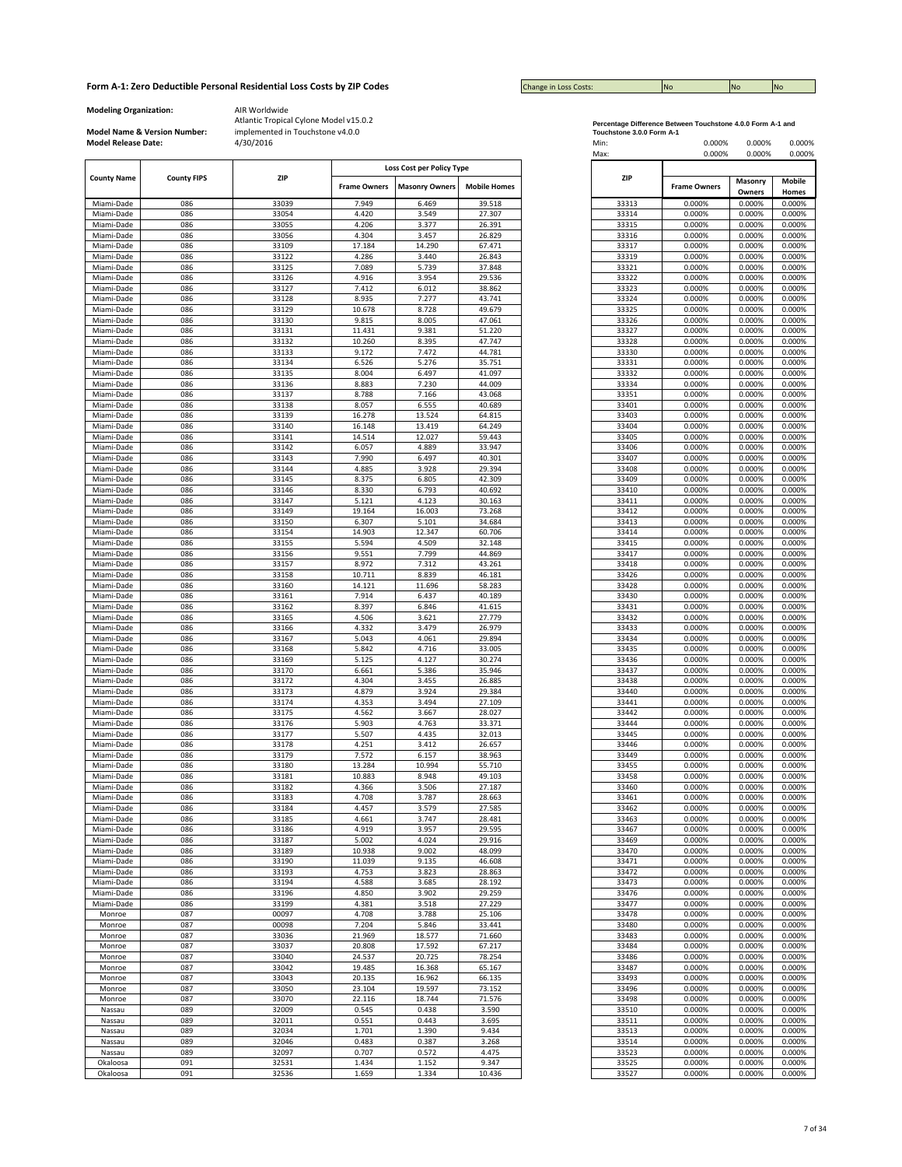| <b>Change in Loss Costs:</b> | <b>No</b> | <b>No</b> | <b>INO</b> |
|------------------------------|-----------|-----------|------------|

**Modeling Organization:** AIR Worldwide

**Model Name & Version Number:**

|                    |                           |       |                     | Loss Cost per Policy Type |                     |       |                     |                   |                 |
|--------------------|---------------------------|-------|---------------------|---------------------------|---------------------|-------|---------------------|-------------------|-----------------|
| <b>County Name</b> | ZIP<br><b>County FIPS</b> |       | <b>Frame Owners</b> | <b>Masonry Owners</b>     | <b>Mobile Homes</b> | ZIP   | <b>Frame Owners</b> | Masonry<br>Owners | Mobile<br>Homes |
| Miami-Dade         | 086                       | 33039 | 7.949               | 6.469                     | 39.518              | 33313 | 0.000%              | 0.000%            | 0.000%          |
| Miami-Dade         | 086                       | 33054 | 4.420               | 3.549                     | 27.307              | 33314 | 0.000%              | 0.000%            | 0.000%          |
|                    | 086                       |       | 4.206               | 3.377                     | 26.391              |       | 0.000%              | 0.000%            |                 |
| Miami-Dade         |                           | 33055 |                     |                           |                     | 33315 |                     |                   | 0.000%          |
| Miami-Dade         | 086                       | 33056 | 4.304               | 3.457                     | 26.829              | 33316 | 0.000%              | 0.000%            | 0.000%          |
| Miami-Dade         | 086                       | 33109 | 17.184              | 14.290                    | 67.471              | 33317 | 0.000%              | 0.000%            | 0.000%          |
| Miami-Dade         | 086                       | 33122 | 4.286               | 3.440                     | 26.843              | 33319 | 0.000%              | 0.000%            | 0.000%          |
| Miami-Dade         | 086                       | 33125 | 7.089               | 5.739                     | 37.848              | 33321 | 0.000%              | 0.000%            | 0.000%          |
| Miami-Dade         | 086                       | 33126 | 4.916               | 3.954                     | 29.536              | 33322 | 0.000%              | 0.000%            | 0.000%          |
| Miami-Dade         | 086                       | 33127 | 7.412               | 6.012                     | 38.862              | 33323 | 0.000%              | 0.000%            | 0.000%          |
| Miami-Dade         | 086                       | 33128 | 8.935               | 7.277                     | 43.741              | 33324 | 0.000%              | 0.000%            | 0.000%          |
| Miami-Dade         | 086                       | 33129 | 10.678              | 8.728                     | 49.679              | 33325 | 0.000%              | 0.000%            | 0.000%          |
| Miami-Dade         | 086                       | 33130 | 9.815               | 8.005                     | 47.061              | 33326 | 0.000%              | 0.000%            | 0.000%          |
| Miami-Dade         | 086                       | 33131 | 11.431              | 9.381                     | 51.220              | 33327 | 0.000%              | 0.000%            | 0.000%          |
| Miami-Dade         | 086                       | 33132 | 10.260              | 8.395                     | 47.747              | 33328 | 0.000%              | 0.000%            | 0.000%          |
| Miami-Dade         | 086                       | 33133 | 9.172               | 7.472                     | 44.781              | 33330 | 0.000%              | 0.000%            | 0.000%          |
|                    | 086                       |       |                     |                           |                     |       | 0.000%              | 0.000%            | 0.000%          |
| Miami-Dade         |                           | 33134 | 6.526               | 5.276                     | 35.751              | 33331 |                     |                   |                 |
| Miami-Dade         | 086                       | 33135 | 8.004               | 6.497                     | 41.097              | 33332 | 0.000%              | 0.000%            | 0.000%          |
| Miami-Dade         | 086                       | 33136 | 8.883               | 7.230                     | 44.009              | 33334 | 0.000%              | 0.000%            | 0.000%          |
| Miami-Dade         | 086                       | 33137 | 8.788               | 7.166                     | 43.068              | 33351 | 0.000%              | 0.000%            | 0.000%          |
| Miami-Dade         | 086                       | 33138 | 8.057               | 6.555                     | 40.689              | 33401 | 0.000%              | 0.000%            | 0.000%          |
| Miami-Dade         | 086                       | 33139 | 16.278              | 13.524                    | 64.815              | 33403 | 0.000%              | 0.000%            | 0.000%          |
| Miami-Dade         | 086                       | 33140 | 16.148              | 13.419                    | 64.249              | 33404 | 0.000%              | 0.000%            | 0.000%          |
| Miami-Dade         | 086                       | 33141 | 14.514              | 12.027                    | 59.443              | 33405 | 0.000%              | 0.000%            | 0.000%          |
| Miami-Dade         | 086                       | 33142 | 6.057               | 4.889                     | 33.947              | 33406 | 0.000%              | 0.000%            | 0.000%          |
| Miami-Dade         | 086                       | 33143 | 7.990               | 6.497                     | 40.301              | 33407 | 0.000%              | 0.000%            | 0.000%          |
| Miami-Dade         | 086                       | 33144 | 4.885               | 3.928                     | 29.394              | 33408 | 0.000%              | 0.000%            | 0.000%          |
| Miami-Dade         | 086                       | 33145 | 8.375               | 6.805                     | 42.309              | 33409 | 0.000%              | 0.000%            | 0.000%          |
| Miami-Dade         | 086                       | 33146 | 8.330               | 6.793                     | 40.692              | 33410 | 0.000%              | 0.000%            | 0.000%          |
|                    |                           |       |                     |                           |                     |       |                     |                   |                 |
| Miami-Dade         | 086                       | 33147 | 5.121               | 4.123                     | 30.163              | 33411 | 0.000%              | 0.000%            | 0.000%          |
| Miami-Dade         | 086                       | 33149 | 19.164              | 16.003                    | 73.268              | 33412 | 0.000%              | 0.000%            | 0.000%          |
| Miami-Dade         | 086                       | 33150 | 6.307               | 5.101                     | 34.684              | 33413 | 0.000%              | 0.000%            | 0.000%          |
| Miami-Dade         | 086                       | 33154 | 14.903              | 12.347                    | 60.706              | 33414 | 0.000%              | 0.000%            | 0.000%          |
| Miami-Dade         | 086                       | 33155 | 5.594               | 4.509                     | 32.148              | 33415 | 0.000%              | 0.000%            | 0.000%          |
| Miami-Dade         | 086                       | 33156 | 9.551               | 7.799                     | 44.869              | 33417 | 0.000%              | 0.000%            | 0.000%          |
| Miami-Dade         | 086                       | 33157 | 8.972               | 7.312                     | 43.261              | 33418 | 0.000%              | 0.000%            | 0.000%          |
| Miami-Dade         | 086                       | 33158 | 10.711              | 8.839                     | 46.181              | 33426 | 0.000%              | 0.000%            | 0.000%          |
| Miami-Dade         | 086                       | 33160 | 14.121              | 11.696                    | 58.283              | 33428 | 0.000%              | 0.000%            | 0.000%          |
| Miami-Dade         | 086                       | 33161 | 7.914               | 6.437                     | 40.189              | 33430 | 0.000%              | 0.000%            | 0.000%          |
| Miami-Dade         | 086                       | 33162 | 8.397               | 6.846                     | 41.615              | 33431 | 0.000%              | 0.000%            | 0.000%          |
| Miami-Dade         | 086                       | 33165 | 4.506               | 3.621                     | 27.779              | 33432 | 0.000%              | 0.000%            | 0.000%          |
| Miami-Dade         | 086                       | 33166 | 4.332               | 3.479                     | 26.979              | 33433 | 0.000%              | 0.000%            | 0.000%          |
| Miami-Dade         | 086                       | 33167 | 5.043               | 4.061                     | 29.894              | 33434 | 0.000%              | 0.000%            | 0.000%          |
|                    | 086                       | 33168 | 5.842               | 4.716                     | 33.005              | 33435 | 0.000%              | 0.000%            | 0.000%          |
| Miami-Dade         |                           |       |                     |                           |                     |       |                     |                   |                 |
| Miami-Dade         | 086                       | 33169 | 5.125               | 4.127                     | 30.274              | 33436 | 0.000%              | 0.000%            | 0.000%          |
| Miami-Dade         | 086                       | 33170 | 6.661               | 5.386                     | 35.946              | 33437 | 0.000%              | 0.000%            | 0.000%          |
| Miami-Dade         | 086                       | 33172 | 4.304               | 3.455                     | 26.885              | 33438 | 0.000%              | 0.000%            | 0.000%          |
| Miami-Dade         | 086                       | 33173 | 4.879               | 3.924                     | 29.384              | 33440 | 0.000%              | 0.000%            | 0.000%          |
| Miami-Dade         | 086                       | 33174 | 4.353               | 3.494                     | 27.109              | 33441 | 0.000%              | 0.000%            | 0.000%          |
| Miami-Dade         | 086                       | 33175 | 4.562               | 3.667                     | 28.027              | 33442 | 0.000%              | 0.000%            | 0.000%          |
| Miami-Dade         | 086                       | 33176 | 5.903               | 4.763                     | 33.371              | 33444 | 0.000%              | 0.000%            | 0.000%          |
| Miami-Dade         | 086                       | 33177 | 5.507               | 4.435                     | 32.013              | 33445 | 0.000%              | 0.000%            | 0.000%          |
| Miami-Dade         | 086                       | 33178 | 4.251               | 3.412                     | 26.657              | 33446 | 0.000%              | 0.000%            | 0.000%          |
| Miami-Dade         | 086                       | 33179 | 7.572               | 6.157                     | 38.963              | 33449 | 0.000%              | 0.000%            | 0.000%          |
| Miami-Dade         | 086                       | 33180 | 13.284              | 10.994                    | 55.710              | 33455 | 0.000%              | 0.000%            | 0.000%          |
| Miami-Dade         | 086                       | 33181 | 10.883              | 8.948                     | 49.103              | 33458 | 0.000%              | 0.000%            | 0.000%          |
| Miami-Dade         | 086                       | 33182 | 4.366               | 3.506                     | 27.187              | 33460 | 0.000%              | 0.000%            | 0.000%          |
|                    |                           |       |                     |                           |                     |       |                     |                   |                 |
| Miami-Dade         | 086                       | 33183 | 4.708               | 3.787                     | 28.663              | 33461 | 0.000%              | 0.000%            | 0.000%          |
| Miami-Dade         | 086                       | 33184 | 4.457               | 3.579                     | 27.585              | 33462 | 0.000%              | 0.000%            | 0.000%          |
| Miami-Dade         | 086                       | 33185 | 4.661               | 3.747                     | 28.481              | 33463 | 0.000%              | 0.000%            | 0.000%          |
| Miami-Dade         | 086                       | 33186 | 4.919               | 3.957                     | 29.595              | 33467 | 0.000%              | 0.000%            | 0.000%          |
| Miami-Dade         | 086                       | 33187 | 5.002               | 4.024                     | 29.916              | 33469 | 0.000%              | 0.000%            | 0.000%          |
| Miami-Dade         | 086                       | 33189 | 10.938              | 9.002                     | 48.099              | 33470 | 0.000%              | 0.000%            | 0.000%          |
| Miami-Dade         | 086                       | 33190 | 11.039              | 9.135                     | 46.608              | 33471 | 0.000%              | 0.000%            | 0.000%          |
| Miami-Dade         | 086                       | 33193 | 4.753               | 3.823                     | 28.863              | 33472 | 0.000%              | 0.000%            | 0.000%          |
| Miami-Dade         | 086                       | 33194 | 4.588               | 3.685                     | 28.192              | 33473 | 0.000%              | 0.000%            | 0.000%          |
| Miami-Dade         | 086                       | 33196 | 4.850               | 3.902                     | 29.259              | 33476 | 0.000%              | 0.000%            | 0.000%          |
| Miami-Dade         | 086                       | 33199 | 4.381               | 3.518                     | 27.229              | 33477 | 0.000%              | 0.000%            | 0.000%          |
| Monroe             | 087                       | 00097 | 4.708               | 3.788                     | 25.106              | 33478 | 0.000%              | 0.000%            | 0.000%          |
| Monroe             | 087                       | 00098 | 7.204               | 5.846                     | 33.441              | 33480 | 0.000%              | 0.000%            | 0.000%          |
| Monroe             | 087                       | 33036 | 21.969              | 18.577                    | 71.660              | 33483 | 0.000%              | 0.000%            | 0.000%          |
|                    |                           |       |                     |                           |                     |       |                     |                   |                 |
| Monroe             | 087                       | 33037 | 20.808              | 17.592                    | 67.217              | 33484 | 0.000%              | 0.000%            | 0.000%          |
| Monroe             | 087                       | 33040 | 24.537              | 20.725                    | 78.254              | 33486 | 0.000%              | 0.000%            | 0.000%          |
| Monroe             | 087                       | 33042 | 19.485              | 16.368                    | 65.167              | 33487 | 0.000%              | 0.000%            | 0.000%          |
| Monroe             | 087                       | 33043 | 20.135              | 16.962                    | 66.135              | 33493 | 0.000%              | 0.000%            | 0.000%          |
| Monroe             | 087                       | 33050 | 23.104              | 19.597                    | 73.152              | 33496 | 0.000%              | 0.000%            | 0.000%          |
| Monroe             | 087                       | 33070 | 22.116              | 18.744                    | 71.576              | 33498 | 0.000%              | 0.000%            | 0.000%          |
| Nassau             | 089                       | 32009 | 0.545               | 0.438                     | 3.590               | 33510 | 0.000%              | 0.000%            | 0.000%          |
| Nassau             | 089                       | 32011 | 0.551               | 0.443                     | 3.695               | 33511 | 0.000%              | 0.000%            | 0.000%          |
| Nassau             | 089                       | 32034 | 1.701               | 1.390                     | 9.434               | 33513 | 0.000%              | 0.000%            | 0.000%          |
| Nassau             | 089                       | 32046 | 0.483               | 0.387                     | 3.268               | 33514 | 0.000%              | 0.000%            | 0.000%          |
| Nassau             | 089                       | 32097 | 0.707               | 0.572                     | 4.475               | 33523 | 0.000%              | 0.000%            | 0.000%          |
|                    |                           |       |                     |                           |                     |       |                     |                   |                 |
| Okaloosa           | 091                       | 32531 | 1.434               | 1.152                     | 9.347               | 33525 | 0.000%              | 0.000%            | 0.000%          |
| Okaloosa           | 091                       | 32536 | 1.659               | 1.334                     | 10.436              | 33527 | 0.000%              | 0.000%            | 0.000%          |

| Percentage Difference Between Touchstone 4.0.0 Form A-1 and |  |
|-------------------------------------------------------------|--|
| Toughoises 200 Farm Ad                                      |  |

| <b>Model Release Date:</b> | Model Name & Version Number: | implemented in Touchstone v4.0.0<br>4/30/2016 |                     |                                                    |                     | Touchstone 3.0.0 Form A-1<br>Min:<br>Max: | 0.000%<br>0.000%    | 0.000%<br>0.000% | 0.000%<br>0.000% |
|----------------------------|------------------------------|-----------------------------------------------|---------------------|----------------------------------------------------|---------------------|-------------------------------------------|---------------------|------------------|------------------|
| <b>County Name</b>         | <b>County FIPS</b>           | ZIP                                           | <b>Frame Owners</b> | Loss Cost per Policy Type<br><b>Masonry Owners</b> | <b>Mobile Homes</b> | ZIP                                       | <b>Frame Owners</b> | Masonry          | Mobile           |
| Miami-Dade                 | 086                          | 33039                                         | 7.949               | 6.469                                              | 39.518              | 33313                                     | 0.000%              | Owners<br>0.000% | Homes<br>0.000%  |
| Miami-Dade                 | 086                          | 33054                                         | 4.420               | 3.549                                              | 27.307              | 33314                                     | 0.000%              | 0.000%           | 0.000%           |
| Miami-Dade                 | 086                          | 33055                                         | 4.206               | 3.377                                              | 26.391              | 33315                                     | 0.000%              | 0.000%           | 0.000%           |
| Miami-Dade                 | 086                          | 33056                                         | 4.304               | 3.457                                              | 26.829              | 33316                                     | 0.000%              | 0.000%           | 0.000%           |
| Miami-Dade                 | 086                          | 33109                                         | 17.184              | 14.290                                             | 67.471              | 33317                                     | 0.000%              | 0.000%           | 0.000%           |
| Miami-Dade                 | 086                          | 33122                                         | 4.286               | 3.440                                              | 26.843              | 33319                                     | 0.000%              | 0.000%           | 0.000%           |
| Miami-Dade                 | 086                          | 33125                                         | 7.089               | 5.739                                              | 37.848              | 33321                                     | 0.000%              | 0.000%           | 0.000%           |
| Miami-Dade<br>Miami-Dade   | 086<br>086                   | 33126<br>33127                                | 4.916<br>7.412      | 3.954<br>6.012                                     | 29.536<br>38.862    | 33322<br>33323                            | 0.000%<br>0.000%    | 0.000%<br>0.000% | 0.000%<br>0.000% |
| Miami-Dade                 | 086                          | 33128                                         | 8.935               | 7.277                                              | 43.741              | 33324                                     | 0.000%              | 0.000%           | 0.000%           |
| Miami-Dade                 | 086                          | 33129                                         | 10.678              | 8.728                                              | 49.679              | 33325                                     | 0.000%              | 0.000%           | 0.000%           |
| Miami-Dade                 | 086                          | 33130                                         | 9.815               | 8.005                                              | 47.061              | 33326                                     | 0.000%              | 0.000%           | 0.000%           |
| Miami-Dade                 | 086                          | 33131                                         | 11.431              | 9.381                                              | 51.220              | 33327                                     | 0.000%              | 0.000%           | 0.000%           |
| Miami-Dade                 | 086                          | 33132                                         | 10.260              | 8.395                                              | 47.747              | 33328                                     | 0.000%              | 0.000%           | 0.000%           |
| Miami-Dade                 | 086                          | 33133                                         | 9.172               | 7.472                                              | 44.781              | 33330                                     | 0.000%              | 0.000%           | 0.000%           |
| Miami-Dade                 | 086                          | 33134                                         | 6.526               | 5.276                                              | 35.751              | 33331                                     | 0.000%              | 0.000%           | 0.000%           |
| Miami-Dade<br>Miami-Dade   | 086<br>086                   | 33135<br>33136                                | 8.004<br>8.883      | 6.497<br>7.230                                     | 41.097<br>44.009    | 33332<br>33334                            | 0.000%<br>0.000%    | 0.000%<br>0.000% | 0.000%<br>0.000% |
| Miami-Dade                 | 086                          | 33137                                         | 8.788               | 7.166                                              | 43.068              | 33351                                     | 0.000%              | 0.000%           | 0.000%           |
| Miami-Dade                 | 086                          | 33138                                         | 8.057               | 6.555                                              | 40.689              | 33401                                     | 0.000%              | 0.000%           | 0.000%           |
| Miami-Dade                 | 086                          | 33139                                         | 16.278              | 13.524                                             | 64.815              | 33403                                     | 0.000%              | 0.000%           | 0.000%           |
| Miami-Dade                 | 086                          | 33140                                         | 16.148              | 13.419                                             | 64.249              | 33404                                     | 0.000%              | 0.000%           | 0.000%           |
| Miami-Dade                 | 086                          | 33141                                         | 14.514              | 12.027                                             | 59.443              | 33405                                     | 0.000%              | 0.000%           | 0.000%           |
| Miami-Dade                 | 086                          | 33142                                         | 6.057               | 4.889                                              | 33.947              | 33406                                     | 0.000%              | 0.000%           | 0.000%           |
| Miami-Dade                 | 086                          | 33143                                         | 7.990               | 6.497                                              | 40.301              | 33407                                     | 0.000%              | 0.000%           | 0.000%           |
| Miami-Dade                 | 086                          | 33144                                         | 4.885               | 3.928                                              | 29.394              | 33408                                     | 0.000%              | 0.000%           | 0.000%           |
| Miami-Dade<br>Miami-Dade   | 086<br>086                   | 33145<br>33146                                | 8.375<br>8.330      | 6.805<br>6.793                                     | 42.309<br>40.692    | 33409<br>33410                            | 0.000%<br>0.000%    | 0.000%<br>0.000% | 0.000%<br>0.000% |
| Miami-Dade                 | 086                          | 33147                                         | 5.121               | 4.123                                              | 30.163              | 33411                                     | 0.000%              | 0.000%           | 0.000%           |
| Miami-Dade                 | 086                          | 33149                                         | 19.164              | 16.003                                             | 73.268              | 33412                                     | 0.000%              | 0.000%           | 0.000%           |
| Miami-Dade                 | 086                          | 33150                                         | 6.307               | 5.101                                              | 34.684              | 33413                                     | 0.000%              | 0.000%           | 0.000%           |
| Miami-Dade                 | 086                          | 33154                                         | 14.903              | 12.347                                             | 60.706              | 33414                                     | 0.000%              | 0.000%           | 0.000%           |
| Miami-Dade                 | 086                          | 33155                                         | 5.594               | 4.509                                              | 32.148              | 33415                                     | 0.000%              | 0.000%           | 0.000%           |
| Miami-Dade                 | 086                          | 33156                                         | 9.551               | 7.799                                              | 44.869              | 33417                                     | 0.000%              | 0.000%           | 0.000%           |
| Miami-Dade                 | 086                          | 33157                                         | 8.972               | 7.312                                              | 43.261              | 33418                                     | 0.000%              | 0.000%           | 0.000%           |
| Miami-Dade                 | 086                          | 33158                                         | 10.711              | 8.839                                              | 46.181              | 33426                                     | 0.000%              | 0.000%           | 0.000%           |
| Miami-Dade<br>Miami-Dade   | 086<br>086                   | 33160<br>33161                                | 14.121<br>7.914     | 11.696<br>6.437                                    | 58.283<br>40.189    | 33428<br>33430                            | 0.000%<br>0.000%    | 0.000%<br>0.000% | 0.000%<br>0.000% |
| Miami-Dade                 | 086                          | 33162                                         | 8.397               | 6.846                                              | 41.615              | 33431                                     | 0.000%              | 0.000%           | 0.000%           |
| Miami-Dade                 | 086                          | 33165                                         | 4.506               | 3.621                                              | 27.779              | 33432                                     | 0.000%              | 0.000%           | 0.000%           |
| Miami-Dade                 | 086                          | 33166                                         | 4.332               | 3.479                                              | 26.979              | 33433                                     | 0.000%              | 0.000%           | 0.000%           |
| Miami-Dade                 | 086                          | 33167                                         | 5.043               | 4.061                                              | 29.894              | 33434                                     | 0.000%              | 0.000%           | 0.000%           |
| Miami-Dade                 | 086                          | 33168                                         | 5.842               | 4.716                                              | 33.005              | 33435                                     | 0.000%              | 0.000%           | 0.000%           |
| Miami-Dade                 | 086                          | 33169                                         | 5.125               | 4.127                                              | 30.274              | 33436                                     | 0.000%              | 0.000%           | 0.000%           |
| Miami-Dade                 | 086                          | 33170                                         | 6.661               | 5.386                                              | 35.946              | 33437                                     | 0.000%              | 0.000%           | 0.000%           |
| Miami-Dade<br>Miami-Dade   | 086<br>086                   | 33172<br>33173                                | 4.304<br>4.879      | 3.455<br>3.924                                     | 26.885<br>29.384    | 33438<br>33440                            | 0.000%<br>0.000%    | 0.000%<br>0.000% | 0.000%<br>0.000% |
| Miami-Dade                 | 086                          | 33174                                         | 4.353               | 3.494                                              | 27.109              | 33441                                     | 0.000%              | 0.000%           | 0.000%           |
| Miami-Dade                 | 086                          | 33175                                         | 4.562               | 3.667                                              | 28.027              | 33442                                     | 0.000%              | 0.000%           | 0.000%           |
| Miami-Dade                 | 086                          | 33176                                         | 5.903               | 4.763                                              | 33.371              | 33444                                     | 0.000%              | 0.000%           | 0.000%           |
| Miami-Dade                 | 086                          | 33177                                         | 5.507               | 4.435                                              | 32.013              | 33445                                     | 0.000%              | 0.000%           | 0.000%           |
| Miami-Dade                 | 086                          | 33178                                         | 4.251               | 3.412                                              | 26.657              | 33446                                     | 0.000%              | 0.000%           | 0.000%           |
| Miami-Dade                 | 086                          | 33179                                         | 7.572               | 6.157                                              | 38.963              | 33449                                     | 0.000%              | 0.000%           | 0.000%           |
| Miami-Dade<br>Miami-Dade   | 086<br>086                   | 33180<br>33181                                | 13.284<br>10.883    | 10.994<br>8.948                                    | 55.710<br>49.103    | 33455<br>33458                            | 0.000%<br>0.000%    | 0.000%<br>0.000% | 0.000%<br>0.000% |
| Miami-Dade                 | 086                          | 33182                                         | 4.366               | 3.506                                              | 27.187              | 33460                                     | 0.000%              | 0.000%           | 0.000%           |
| Miami-Dade                 | 086                          | 33183                                         | 4.708               | 3.787                                              | 28.663              | 33461                                     | 0.000%              | 0.000%           | 0.000%           |
| Miami-Dade                 | 086                          | 33184                                         | 4.457               | 3.579                                              | 27.585              | 33462                                     | 0.000%              | 0.000%           | 0.000%           |
| Miami-Dade                 | 086                          | 33185                                         | 4.661               | 3.747                                              | 28.481              | 33463                                     | 0.000%              | 0.000%           | 0.000%           |
| Miami-Dade                 | 086                          | 33186                                         | 4.919               | 3.957                                              | 29.595              | 33467                                     | 0.000%              | 0.000%           | 0.000%           |
| Miami-Dade                 | 086                          | 33187                                         | 5.002               | 4.024                                              | 29.916              | 33469                                     | 0.000%              | 0.000%           | 0.000%           |
| Miami-Dade                 | 086                          | 33189                                         | 10.938              | 9.002                                              | 48.099              | 33470                                     | 0.000%              | 0.000%           | 0.000%           |
| Miami-Dade                 | 086<br>086                   | 33190<br>33193                                | 11.039              | 9.135<br>3.823                                     | 46.608<br>28.863    | 33471<br>33472                            | 0.000%<br>0.000%    | 0.000%<br>0.000% | 0.000%<br>0.000% |
| Miami-Dade<br>Miami-Dade   | 086                          | 33194                                         | 4.753<br>4.588      | 3.685                                              | 28.192              | 33473                                     | 0.000%              | 0.000%           | 0.000%           |
| Miami-Dade                 | 086                          | 33196                                         | 4.850               | 3.902                                              | 29.259              | 33476                                     | 0.000%              | 0.000%           | 0.000%           |
| Miami-Dade                 | 086                          | 33199                                         | 4.381               | 3.518                                              | 27.229              | 33477                                     | 0.000%              | 0.000%           | 0.000%           |
| Monroe                     | 087                          | 00097                                         | 4.708               | 3.788                                              | 25.106              | 33478                                     | 0.000%              | 0.000%           | 0.000%           |
| Monroe                     | 087                          | 00098                                         | 7.204               | 5.846                                              | 33.441              | 33480                                     | 0.000%              | 0.000%           | 0.000%           |
| Monroe                     | 087                          | 33036                                         | 21.969              | 18.577                                             | 71.660              | 33483                                     | 0.000%              | 0.000%           | 0.000%           |
| Monroe                     | 087                          | 33037                                         | 20.808              | 17.592                                             | 67.217              | 33484                                     | 0.000%              | 0.000%           | 0.000%           |
| Monroe                     | 087                          | 33040                                         | 24.537              | 20.725                                             | 78.254              | 33486                                     | 0.000%              | 0.000%           | 0.000%           |
| Monroe                     | 087                          | 33042                                         | 19.485              | 16.368                                             | 65.167              | 33487                                     | 0.000%              | 0.000%           | 0.000%           |
| Monroe                     | 087<br>087                   | 33043<br>33050                                | 20.135<br>23.104    | 16.962<br>19.597                                   | 66.135<br>73.152    | 33493<br>33496                            | 0.000%<br>0.000%    | 0.000%<br>0.000% | 0.000%<br>0.000% |
| Monroe<br>Monroe           | 087                          | 33070                                         | 22.116              | 18.744                                             | 71.576              | 33498                                     | 0.000%              | 0.000%           | 0.000%           |
| Nassau                     | 089                          | 32009                                         | 0.545               | 0.438                                              | 3.590               | 33510                                     | 0.000%              | 0.000%           | 0.000%           |
| Nassau                     | 089                          | 32011                                         | 0.551               | 0.443                                              | 3.695               | 33511                                     | 0.000%              | 0.000%           | 0.000%           |
| Nassau                     | 089                          | 32034                                         | 1.701               | 1.390                                              | 9.434               | 33513                                     | 0.000%              | 0.000%           | 0.000%           |
| Nassau                     | 089                          | 32046                                         | 0.483               | 0.387                                              | 3.268               | 33514                                     | 0.000%              | 0.000%           | 0.000%           |
| Nassau                     | 089                          | 32097                                         | 0.707               | 0.572                                              | 4.475               | 33523                                     | 0.000%              | 0.000%           | 0.000%           |
| Okaloosa                   | 091                          | 32531                                         | 1.434               | 1.152                                              | 9.347               | 33525                                     | 0.000%              | 0.000%           | 0.000%           |
| Okaloosa                   | 091                          | 32536                                         | 1.659               | 1.334                                              | 10.436              | 33527                                     | 0.000%              | 0.000%           | 0.000%           |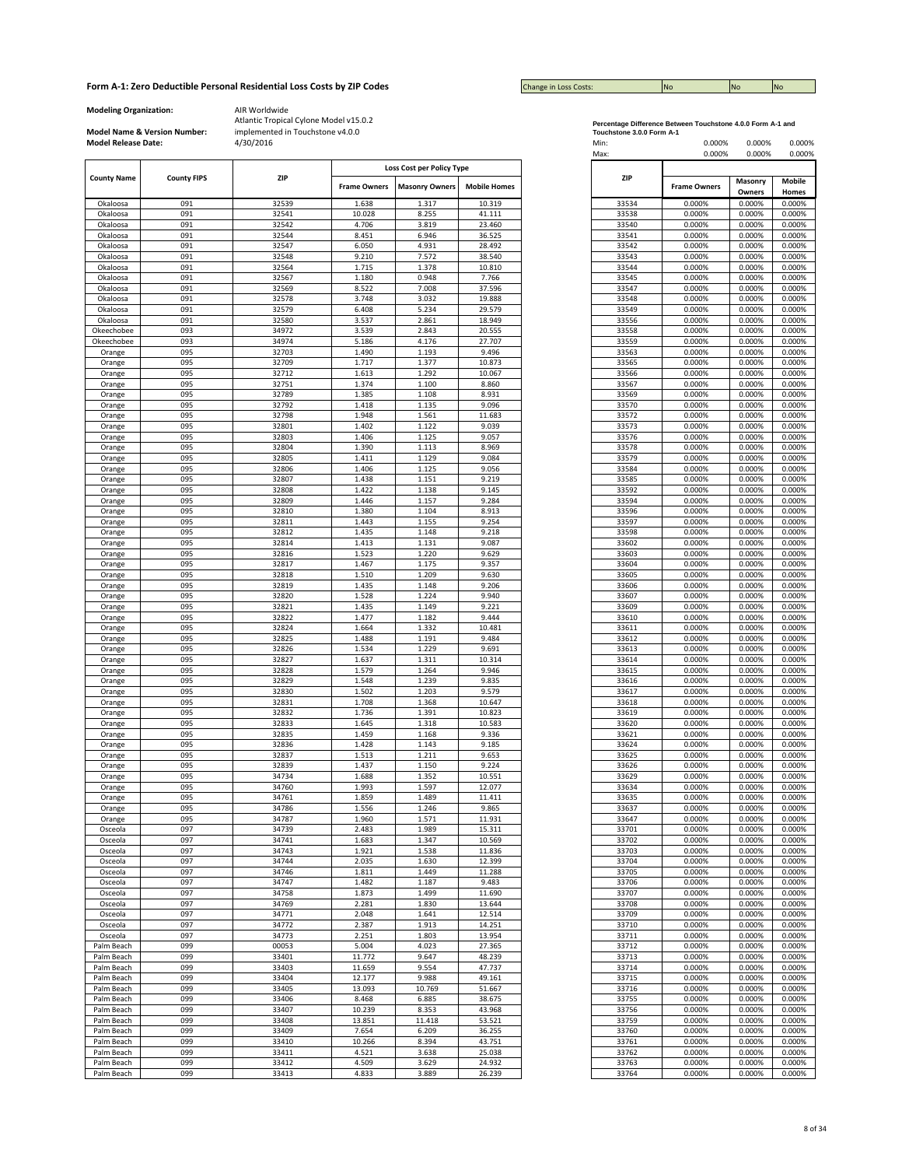| <b>Change in Loss Costs:</b> | <b>No</b> | <b>No</b> | <b>INO</b> |
|------------------------------|-----------|-----------|------------|

**Modeling Organization:** AIR Worldwide

**Model Name & Version Number:**

|                    |                    |       |                     | Loss Cost per Policy Type |                     |            |                     |                   |                        |
|--------------------|--------------------|-------|---------------------|---------------------------|---------------------|------------|---------------------|-------------------|------------------------|
| <b>County Name</b> | <b>County FIPS</b> | ZIP   | <b>Frame Owners</b> | <b>Masonry Owners</b>     | <b>Mobile Homes</b> | <b>ZIP</b> | <b>Frame Owners</b> | Masonry<br>Owners | <b>Mobile</b><br>Homes |
| Okaloosa           | 091                | 32539 | 1.638               | 1.317                     | 10.319              | 33534      | 0.000%              | 0.000%            | 0.000%                 |
| Okaloosa           | 091                | 32541 | 10.028              | 8.255                     | 41.111              | 33538      | 0.000%              | 0.000%            | 0.000%                 |
| Okaloosa           | 091                | 32542 | 4.706               | 3.819                     | 23.460              | 33540      | 0.000%              | 0.000%            | 0.000%                 |
|                    |                    |       |                     |                           |                     |            |                     |                   |                        |
| Okaloosa           | 091                | 32544 | 8.451               | 6.946                     | 36.525              | 33541      | 0.000%              | 0.000%            | 0.000%                 |
| Okaloosa           | 091                | 32547 | 6.050               | 4.931                     | 28.492              | 33542      | 0.000%              | 0.000%            | 0.000%                 |
| Okaloosa           | 091                | 32548 | 9.210               | 7.572                     | 38.540              | 33543      | 0.000%              | 0.000%            | 0.000%                 |
| Okaloosa           | 091                | 32564 | 1.715               | 1.378                     | 10.810              | 33544      | 0.000%              | 0.000%            | 0.000%                 |
| Okaloosa           | 091                | 32567 | 1.180               | 0.948                     | 7.766               | 33545      | 0.000%              | 0.000%            | 0.000%                 |
| Okaloosa           | 091                | 32569 | 8.522               | 7.008                     | 37.596              | 33547      | 0.000%              | 0.000%            | 0.000%                 |
|                    | 091                | 32578 |                     | 3.032                     |                     | 33548      |                     |                   |                        |
| Okaloosa           |                    |       | 3.748               |                           | 19.888              |            | 0.000%              | 0.000%            | 0.000%                 |
| Okaloosa           | 091                | 32579 | 6.408               | 5.234                     | 29.579              | 33549      | 0.000%              | 0.000%            | 0.000%                 |
| Okaloosa           | 091                | 32580 | 3.537               | 2.861                     | 18.949              | 33556      | 0.000%              | 0.000%            | 0.000%                 |
| Okeechobee         | 093                | 34972 | 3.539               | 2.843                     | 20.555              | 33558      | 0.000%              | 0.000%            | 0.000%                 |
| Okeechobee         | 093                | 34974 | 5.186               | 4.176                     | 27.707              | 33559      | 0.000%              | 0.000%            | 0.000%                 |
| Orange             | 095                | 32703 | 1.490               | 1.193                     | 9.496               | 33563      | 0.000%              | 0.000%            | 0.000%                 |
| Orange             | 095                | 32709 | 1.717               | 1.377                     | 10.873              | 33565      | 0.000%              | 0.000%            | 0.000%                 |
|                    |                    |       |                     |                           |                     |            |                     |                   |                        |
| Orange             | 095                | 32712 | 1.613               | 1.292                     | 10.067              | 33566      | 0.000%              | 0.000%            | 0.000%                 |
| Orange             | 095                | 32751 | 1.374               | 1.100                     | 8.860               | 33567      | 0.000%              | 0.000%            | 0.000%                 |
| Orange             | 095                | 32789 | 1.385               | 1.108                     | 8.931               | 33569      | 0.000%              | 0.000%            | 0.000%                 |
| Orange             | 095                | 32792 | 1.418               | 1.135                     | 9.096               | 33570      | 0.000%              | 0.000%            | 0.000%                 |
| Orange             | 095                | 32798 | 1.948               | 1.561                     | 11.683              | 33572      | 0.000%              | 0.000%            | 0.000%                 |
| Orange             | 095                | 32801 | 1.402               | 1.122                     | 9.039               | 33573      | 0.000%              | 0.000%            | 0.000%                 |
|                    | 095                |       |                     | 1.125                     | 9.057               |            |                     | 0.000%            |                        |
| Orange             |                    | 32803 | 1.406               |                           |                     | 33576      | 0.000%              |                   | 0.000%                 |
| Orange             | 095                | 32804 | 1.390               | 1.113                     | 8.969               | 33578      | 0.000%              | 0.000%            | 0.000%                 |
| Orange             | 095                | 32805 | 1.411               | 1.129                     | 9.084               | 33579      | 0.000%              | 0.000%            | 0.000%                 |
| Orange             | 095                | 32806 | 1.406               | 1.125                     | 9.056               | 33584      | 0.000%              | 0.000%            | 0.000%                 |
| Orange             | 095                | 32807 | 1.438               | 1.151                     | 9.219               | 33585      | 0.000%              | 0.000%            | 0.000%                 |
| Orange             | 095                | 32808 | 1.422               | 1.138                     | 9.145               | 33592      | 0.000%              | 0.000%            | 0.000%                 |
| Orange             | 095                | 32809 | 1.446               | 1.157                     | 9.284               | 33594      | 0.000%              | 0.000%            | 0.000%                 |
|                    |                    |       |                     |                           |                     |            |                     |                   |                        |
| Orange             | 095                | 32810 | 1.380               | 1.104                     | 8.913               | 33596      | 0.000%              | 0.000%            | 0.000%                 |
| Orange             | 095                | 32811 | 1.443               | 1.155                     | 9.254               | 33597      | 0.000%              | 0.000%            | 0.000%                 |
| Orange             | 095                | 32812 | 1.435               | 1.148                     | 9.218               | 33598      | 0.000%              | 0.000%            | 0.000%                 |
| Orange             | 095                | 32814 | 1.413               | 1.131                     | 9.087               | 33602      | 0.000%              | 0.000%            | 0.000%                 |
| Orange             | 095                | 32816 | 1.523               | 1.220                     | 9.629               | 33603      | 0.000%              | 0.000%            | 0.000%                 |
| Orange             | 095                | 32817 | 1.467               | 1.175                     | 9.357               | 33604      | 0.000%              | 0.000%            | 0.000%                 |
|                    |                    |       |                     |                           |                     |            |                     |                   |                        |
| Orange             | 095                | 32818 | 1.510               | 1.209                     | 9.630               | 33605      | 0.000%              | 0.000%            | 0.000%                 |
| Orange             | 095                | 32819 | 1.435               | 1.148                     | 9.206               | 33606      | 0.000%              | 0.000%            | 0.000%                 |
| Orange             | 095                | 32820 | 1.528               | 1.224                     | 9.940               | 33607      | 0.000%              | 0.000%            | 0.000%                 |
| Orange             | 095                | 32821 | 1.435               | 1.149                     | 9.221               | 33609      | 0.000%              | 0.000%            | 0.000%                 |
| Orange             | 095                | 32822 | 1.477               | 1.182                     | 9.444               | 33610      | 0.000%              | 0.000%            | 0.000%                 |
| Orange             | 095                | 32824 | 1.664               | 1.332                     | 10.481              | 33611      | 0.000%              | 0.000%            | 0.000%                 |
|                    | 095                | 32825 | 1.488               | 1.191                     | 9.484               | 33612      | 0.000%              | 0.000%            | 0.000%                 |
| Orange             |                    |       |                     |                           |                     |            |                     |                   |                        |
| Orange             | 095                | 32826 | 1.534               | 1.229                     | 9.691               | 33613      | 0.000%              | 0.000%            | 0.000%                 |
| Orange             | 095                | 32827 | 1.637               | 1.311                     | 10.314              | 33614      | 0.000%              | 0.000%            | 0.000%                 |
| Orange             | 095                | 32828 | 1.579               | 1.264                     | 9.946               | 33615      | 0.000%              | 0.000%            | 0.000%                 |
| Orange             | 095                | 32829 | 1.548               | 1.239                     | 9.835               | 33616      | 0.000%              | 0.000%            | 0.000%                 |
| Orange             | 095                | 32830 | 1.502               | 1.203                     | 9.579               | 33617      | 0.000%              | 0.000%            | 0.000%                 |
| Orange             | 095                | 32831 | 1.708               | 1.368                     | 10.647              | 33618      | 0.000%              | 0.000%            | 0.000%                 |
|                    | 095                |       |                     |                           |                     | 33619      |                     |                   |                        |
| Orange             |                    | 32832 | 1.736               | 1.391                     | 10.823              |            | 0.000%              | 0.000%            | 0.000%                 |
| Orange             | 095                | 32833 | 1.645               | 1.318                     | 10.583              | 33620      | 0.000%              | 0.000%            | 0.000%                 |
| Orange             | 095                | 32835 | 1.459               | 1.168                     | 9.336               | 33621      | 0.000%              | 0.000%            | 0.000%                 |
| Orange             | 095                | 32836 | 1.428               | 1.143                     | 9.185               | 33624      | 0.000%              | 0.000%            | 0.000%                 |
| Orange             | 095                | 32837 | 1.513               | 1.211                     | 9.653               | 33625      | 0.000%              | 0.000%            | 0.000%                 |
| Orange             | 095                | 32839 | 1.437               | 1.150                     | 9.224               | 33626      | 0.000%              | 0.000%            | 0.000%                 |
| Orange             | 095                | 34734 | 1.688               | 1.352                     | 10.551              | 33629      | 0.000%              | 0.000%            | 0.000%                 |
|                    |                    |       |                     |                           |                     |            |                     |                   |                        |
| Orange             | 095                | 34760 | 1.993               | 1.597                     | 12.077              | 33634      | 0.000%              | 0.000%            | 0.000%                 |
| Orange             | 095                | 34761 | 1.859               | 1.489                     | 11.411              | 33635      | 0.000%              | 0.000%            | 0.000%                 |
| Orange             | 095                | 34786 | 1.556               | 1.246                     | 9.865               | 33637      | 0.000%              | 0.000%            | 0.000%                 |
| Orange             | 095                | 34787 | 1.960               | 1.571                     | 11.931              | 33647      | 0.000%              | 0.000%            | 0.000%                 |
| Osceola            | 097                | 34739 | 2.483               | 1.989                     | 15.311              | 33701      | 0.000%              | 0.000%            | 0.000%                 |
| Osceola            | 097                | 34741 | 1.683               | 1.347                     | 10.569              | 33702      | 0.000%              | 0.000%            | 0.000%                 |
|                    |                    |       |                     |                           |                     |            |                     |                   |                        |
| Osceola            | 097                | 34743 | 1.921               | 1.538                     | 11.836              | 33703      | 0.000%              | 0.000%            | 0.000%                 |
| Osceola            | 097                | 34744 | 2.035               | 1.630                     | 12.399              | 33704      | 0.000%              | 0.000%            | 0.000%                 |
| Osceola            | 097                | 34746 | 1.811               | 1.449                     | 11.288              | 33705      | 0.000%              | 0.000%            | 0.000%                 |
| Osceola            | 097                | 34747 | 1.482               | 1.187                     | 9.483               | 33706      | 0.000%              | 0.000%            | 0.000%                 |
| Osceola            | 097                | 34758 | 1.873               | 1.499                     | 11.690              | 33707      | 0.000%              | 0.000%            | 0.000%                 |
| Osceola            | 097                | 34769 | 2.281               | 1.830                     | 13.644              | 33708      | 0.000%              | 0.000%            | 0.000%                 |
|                    | 097                | 34771 | 2.048               | 1.641                     | 12.514              | 33709      | 0.000%              | 0.000%            | 0.000%                 |
| Osceola            |                    |       |                     |                           |                     |            |                     |                   |                        |
| Osceola            | 097                | 34772 | 2.387               | 1.913                     | 14.251              | 33710      | 0.000%              | 0.000%            | 0.000%                 |
| Osceola            | 097                | 34773 | 2.251               | 1.803                     | 13.954              | 33711      | 0.000%              | 0.000%            | 0.000%                 |
| Palm Beach         | 099                | 00053 | 5.004               | 4.023                     | 27.365              | 33712      | 0.000%              | 0.000%            | 0.000%                 |
| Palm Beach         | 099                | 33401 | 11.772              | 9.647                     | 48.239              | 33713      | 0.000%              | 0.000%            | 0.000%                 |
| Palm Beach         | 099                | 33403 | 11.659              | 9.554                     | 47.737              | 33714      | 0.000%              | 0.000%            | 0.000%                 |
|                    | 099                | 33404 | 12.177              |                           | 49.161              | 33715      |                     |                   |                        |
| Palm Beach         |                    |       |                     | 9.988                     |                     |            | 0.000%              | 0.000%            | 0.000%                 |
| Palm Beach         | 099                | 33405 | 13.093              | 10.769                    | 51.667              | 33716      | 0.000%              | 0.000%            | 0.000%                 |
| Palm Beach         | 099                | 33406 | 8.468               | 6.885                     | 38.675              | 33755      | 0.000%              | 0.000%            | 0.000%                 |
| Palm Beach         | 099                | 33407 | 10.239              | 8.353                     | 43.968              | 33756      | 0.000%              | 0.000%            | 0.000%                 |
| Palm Beach         | 099                | 33408 | 13.851              | 11.418                    | 53.521              | 33759      | 0.000%              | 0.000%            | 0.000%                 |
| Palm Beach         | 099                | 33409 | 7.654               | 6.209                     | 36.255              | 33760      | 0.000%              | 0.000%            | 0.000%                 |
|                    |                    |       |                     |                           |                     |            |                     |                   |                        |
| Palm Beach         | 099                | 33410 | 10.266              | 8.394                     | 43.751              | 33761      | 0.000%              | 0.000%            | 0.000%                 |
| Palm Beach         | 099                | 33411 | 4.521               | 3.638                     | 25.038              | 33762      | 0.000%              | 0.000%            | 0.000%                 |
| Palm Beach         | 099                | 33412 | 4.509               | 3.629                     | 24.932              | 33763      | 0.000%              | 0.000%            | 0.000%                 |
| Palm Beach         | 099                | 33413 | 4.833               | 3.889                     | 26.239              | 33764      | 0.000%              | 0.000%            | 0.000%                 |
|                    |                    |       |                     |                           |                     |            |                     |                   |                        |

|                           | Percentage Difference Between Touchstone 4.0.0 Form A-1 and |
|---------------------------|-------------------------------------------------------------|
| Touchstone 3 0 0 Form A-1 |                                                             |

| <b>Model Release Date:</b> | Model Name & Version Number: | implemented in Touchstone v4.0.0<br>4/30/2016 |                     |                                                    |                     | Touchstone 3.0.0 Form A-1<br>Min:<br>Max: | 0.000%<br>0.000%    | 0.000%<br>0.000% | 0.000%<br>0.000% |
|----------------------------|------------------------------|-----------------------------------------------|---------------------|----------------------------------------------------|---------------------|-------------------------------------------|---------------------|------------------|------------------|
| <b>County Name</b>         | <b>County FIPS</b>           | ZIP                                           | <b>Frame Owners</b> | Loss Cost per Policy Type<br><b>Masonry Owners</b> | <b>Mobile Homes</b> | ZIP                                       | <b>Frame Owners</b> | Masonry          | Mobile           |
|                            |                              |                                               |                     |                                                    |                     |                                           |                     | Owners           | Homes            |
| Okaloosa                   | 091                          | 32539                                         | 1.638               | 1.317                                              | 10.319              | 33534                                     | 0.000%              | 0.000%           | 0.000%           |
| Okaloosa<br>Okaloosa       | 091<br>091                   | 32541<br>32542                                | 10.028<br>4.706     | 8.255<br>3.819                                     | 41.111<br>23.460    | 33538<br>33540                            | 0.000%<br>0.000%    | 0.000%<br>0.000% | 0.000%<br>0.000% |
| Okaloosa                   | 091                          | 32544                                         | 8.451               | 6.946                                              | 36.525              | 33541                                     | 0.000%              | 0.000%           | 0.000%           |
| Okaloosa                   | 091                          | 32547                                         | 6.050               | 4.931                                              | 28.492              | 33542                                     | 0.000%              | 0.000%           | 0.000%           |
| Okaloosa                   | 091                          | 32548                                         | 9.210               | 7.572                                              | 38.540              | 33543                                     | 0.000%              | 0.000%           | 0.000%           |
| Okaloosa                   | 091                          | 32564                                         | 1.715               | 1.378                                              | 10.810              | 33544                                     | 0.000%              | 0.000%           | 0.000%           |
| Okaloosa                   | 091                          | 32567                                         | 1.180               | 0.948                                              | 7.766               | 33545                                     | 0.000%              | 0.000%           | 0.000%           |
| Okaloosa                   | 091                          | 32569                                         | 8.522               | 7.008                                              | 37.596              | 33547                                     | 0.000%              | 0.000%           | 0.000%           |
| Okaloosa<br>Okaloosa       | 091<br>091                   | 32578<br>32579                                | 3.748<br>6.408      | 3.032<br>5.234                                     | 19.888<br>29.579    | 33548<br>33549                            | 0.000%<br>0.000%    | 0.000%<br>0.000% | 0.000%<br>0.000% |
| Okaloosa                   | 091                          | 32580                                         | 3.537               | 2.861                                              | 18.949              | 33556                                     | 0.000%              | 0.000%           | 0.000%           |
| Okeechobee                 | 093                          | 34972                                         | 3.539               | 2.843                                              | 20.555              | 33558                                     | 0.000%              | 0.000%           | 0.000%           |
| Okeechobee                 | 093                          | 34974                                         | 5.186               | 4.176                                              | 27.707              | 33559                                     | 0.000%              | 0.000%           | 0.000%           |
| Orange                     | 095                          | 32703                                         | 1.490               | 1.193                                              | 9.496               | 33563                                     | 0.000%              | 0.000%           | 0.000%           |
| Orange                     | 095                          | 32709                                         | 1.717               | 1.377                                              | 10.873              | 33565                                     | 0.000%              | 0.000%           | 0.000%           |
| Orange                     | 095                          | 32712                                         | 1.613               | 1.292                                              | 10.067              | 33566                                     | 0.000%              | 0.000%           | 0.000%           |
| Orange                     | 095                          | 32751                                         | 1.374               | 1.100                                              | 8.860               | 33567                                     | 0.000%              | 0.000%           | 0.000%           |
| Orange<br>Orange           | 095<br>095                   | 32789<br>32792                                | 1.385<br>1.418      | 1.108<br>1.135                                     | 8.931<br>9.096      | 33569<br>33570                            | 0.000%<br>0.000%    | 0.000%<br>0.000% | 0.000%<br>0.000% |
| Orange                     | 095                          | 32798                                         | 1.948               | 1.561                                              | 11.683              | 33572                                     | 0.000%              | 0.000%           | 0.000%           |
| Orange                     | 095                          | 32801                                         | 1.402               | 1.122                                              | 9.039               | 33573                                     | 0.000%              | 0.000%           | 0.000%           |
| Orange                     | 095                          | 32803                                         | 1.406               | 1.125                                              | 9.057               | 33576                                     | 0.000%              | 0.000%           | 0.000%           |
| Orange                     | 095                          | 32804                                         | 1.390               | 1.113                                              | 8.969               | 33578                                     | 0.000%              | 0.000%           | 0.000%           |
| Orange                     | 095                          | 32805                                         | 1.411               | 1.129                                              | 9.084               | 33579                                     | 0.000%              | 0.000%           | 0.000%           |
| Orange                     | 095                          | 32806                                         | 1.406               | 1.125                                              | 9.056               | 33584                                     | 0.000%              | 0.000%           | 0.000%           |
| Orange                     | 095<br>095                   | 32807<br>32808                                | 1.438<br>1.422      | 1.151<br>1.138                                     | 9.219<br>9.145      | 33585<br>33592                            | 0.000%<br>0.000%    | 0.000%<br>0.000% | 0.000%<br>0.000% |
| Orange<br>Orange           | 095                          | 32809                                         | 1.446               | 1.157                                              | 9.284               | 33594                                     | 0.000%              | 0.000%           | 0.000%           |
| Orange                     | 095                          | 32810                                         | 1.380               | 1.104                                              | 8.913               | 33596                                     | 0.000%              | 0.000%           | 0.000%           |
| Orange                     | 095                          | 32811                                         | 1.443               | 1.155                                              | 9.254               | 33597                                     | 0.000%              | 0.000%           | 0.000%           |
| Orange                     | 095                          | 32812                                         | 1.435               | 1.148                                              | 9.218               | 33598                                     | 0.000%              | 0.000%           | 0.000%           |
| Orange                     | 095                          | 32814                                         | 1.413               | 1.131                                              | 9.087               | 33602                                     | 0.000%              | 0.000%           | 0.000%           |
| Orange                     | 095                          | 32816                                         | 1.523               | 1.220                                              | 9.629               | 33603                                     | 0.000%              | 0.000%           | 0.000%           |
| Orange                     | 095                          | 32817                                         | 1.467               | 1.175                                              | 9.357<br>9.630      | 33604                                     | 0.000%              | 0.000%           | 0.000%           |
| Orange<br>Orange           | 095<br>095                   | 32818<br>32819                                | 1.510<br>1.435      | 1.209<br>1.148                                     | 9.206               | 33605<br>33606                            | 0.000%<br>0.000%    | 0.000%<br>0.000% | 0.000%<br>0.000% |
| Orange                     | 095                          | 32820                                         | 1.528               | 1.224                                              | 9.940               | 33607                                     | 0.000%              | 0.000%           | 0.000%           |
| Orange                     | 095                          | 32821                                         | 1.435               | 1.149                                              | 9.221               | 33609                                     | 0.000%              | 0.000%           | 0.000%           |
| Orange                     | 095                          | 32822                                         | 1.477               | 1.182                                              | 9.444               | 33610                                     | 0.000%              | 0.000%           | 0.000%           |
| Orange                     | 095                          | 32824                                         | 1.664               | 1.332                                              | 10.481              | 33611                                     | 0.000%              | 0.000%           | 0.000%           |
| Orange                     | 095                          | 32825                                         | 1.488               | 1.191                                              | 9.484               | 33612                                     | 0.000%              | 0.000%           | 0.000%           |
| Orange                     | 095                          | 32826                                         | 1.534               | 1.229                                              | 9.691               | 33613                                     | 0.000%              | 0.000%           | 0.000%           |
| Orange<br>Orange           | 095<br>095                   | 32827<br>32828                                | 1.637<br>1.579      | 1.311<br>1.264                                     | 10.314<br>9.946     | 33614<br>33615                            | 0.000%<br>0.000%    | 0.000%<br>0.000% | 0.000%<br>0.000% |
| Orange                     | 095                          | 32829                                         | 1.548               | 1.239                                              | 9.835               | 33616                                     | 0.000%              | 0.000%           | 0.000%           |
| Orange                     | 095                          | 32830                                         | 1.502               | 1.203                                              | 9.579               | 33617                                     | 0.000%              | 0.000%           | 0.000%           |
| Orange                     | 095                          | 32831                                         | 1.708               | 1.368                                              | 10.647              | 33618                                     | 0.000%              | 0.000%           | 0.000%           |
| Orange                     | 095                          | 32832                                         | 1.736               | 1.391                                              | 10.823              | 33619                                     | 0.000%              | 0.000%           | 0.000%           |
| Orange                     | 095                          | 32833                                         | 1.645               | 1.318                                              | 10.583              | 33620                                     | 0.000%              | 0.000%           | 0.000%           |
| Orange                     | 095                          | 32835                                         | 1.459               | 1.168                                              | 9.336               | 33621                                     | 0.000%              | 0.000%           | 0.000%           |
| Orange<br>Orange           | 095<br>095                   | 32836<br>32837                                | 1.428<br>1.513      | 1.143<br>1.211                                     | 9.185<br>9.653      | 33624<br>33625                            | 0.000%<br>0.000%    | 0.000%<br>0.000% | 0.000%<br>0.000% |
| Orange                     | 095                          | 32839                                         | 1.437               | 1.150                                              | 9.224               | 33626                                     | 0.000%              | 0.000%           | 0.000%           |
| Orange                     | 095                          | 34734                                         | 1.688               | 1.352                                              | 10.551              | 33629                                     | 0.000%              | 0.000%           | 0.000%           |
| Orange                     | 095                          | 34760                                         | 1.993               | 1.597                                              | 12.077              | 33634                                     | 0.000%              | 0.000%           | 0.000%           |
| Orange                     | 095                          | 34761                                         | 1.859               | 1.489                                              | 11.411              | 33635                                     | 0.000%              | 0.000%           | 0.000%           |
| Orange                     | 095                          | 34786                                         | 1.556               | 1.246                                              | 9.865               | 33637                                     | 0.000%              | 0.000%           | 0.000%           |
| Orange                     | 095                          | 34787                                         | 1.960               | 1.571                                              | 11.931              | 33647                                     | 0.000%              | 0.000%           | 0.000%           |
| Osceola                    | 097                          | 34739                                         | 2.483               | 1.989                                              | 15.311              | 33701                                     | 0.000%              | 0.000%           | 0.000%           |
| Osceola<br>Osceola         | 097<br>097                   | 34741<br>34743                                | 1.683<br>1.921      | 1.347<br>1.538                                     | 10.569<br>11.836    | 33702<br>33703                            | 0.000%<br>0.000%    | 0.000%<br>0.000% | 0.000%<br>0.000% |
| Osceola                    | 097                          | 34744                                         | 2.035               | 1.630                                              | 12.399              | 33704                                     | 0.000%              | 0.000%           | 0.000%           |
| Osceola                    | 097                          | 34746                                         | 1.811               | 1.449                                              | 11.288              | 33705                                     | 0.000%              | 0.000%           | 0.000%           |
| Osceola                    | 097                          | 34747                                         | 1.482               | 1.187                                              | 9.483               | 33706                                     | 0.000%              | 0.000%           | 0.000%           |
| Osceola                    | 097                          | 34758                                         | 1.873               | 1.499                                              | 11.690              | 33707                                     | 0.000%              | 0.000%           | 0.000%           |
| Osceola                    | 097                          | 34769                                         | 2.281               | 1.830                                              | 13.644              | 33708                                     | 0.000%              | 0.000%           | 0.000%           |
| Osceola                    | 097                          | 34771                                         | 2.048               | 1.641                                              | 12.514              | 33709                                     | 0.000%              | 0.000%           | 0.000%           |
| Osceola                    | 097                          | 34772                                         | 2.387               | 1.913                                              | 14.251              | 33710                                     | 0.000%              | 0.000%           | 0.000%           |
| Osceola                    | 097<br>099                   | 34773                                         | 2.251               | 1.803<br>4.023                                     | 13.954              | 33711<br>33712                            | 0.000%              | 0.000%<br>0.000% | 0.000%           |
| Palm Beach<br>Palm Beach   | 099                          | 00053<br>33401                                | 5.004<br>11.772     | 9.647                                              | 27.365<br>48.239    | 33713                                     | 0.000%<br>0.000%    | 0.000%           | 0.000%<br>0.000% |
| Palm Beach                 | 099                          | 33403                                         | 11.659              | 9.554                                              | 47.737              | 33714                                     | 0.000%              | 0.000%           | 0.000%           |
| Palm Beach                 | 099                          | 33404                                         | 12.177              | 9.988                                              | 49.161              | 33715                                     | 0.000%              | 0.000%           | 0.000%           |
| Palm Beach                 | 099                          | 33405                                         | 13.093              | 10.769                                             | 51.667              | 33716                                     | 0.000%              | 0.000%           | 0.000%           |
| Palm Beach                 | 099                          | 33406                                         | 8.468               | 6.885                                              | 38.675              | 33755                                     | 0.000%              | 0.000%           | 0.000%           |
| Palm Beach                 | 099                          | 33407                                         | 10.239              | 8.353                                              | 43.968              | 33756                                     | 0.000%              | 0.000%           | 0.000%           |
| Palm Beach                 | 099                          | 33408                                         | 13.851              | 11.418                                             | 53.521              | 33759                                     | 0.000%              | 0.000%           | 0.000%           |
| Palm Beach                 | 099                          | 33409                                         | 7.654               | 6.209                                              | 36.255              | 33760                                     | 0.000%              | 0.000%           | 0.000%           |
| Palm Beach                 | 099<br>099                   | 33410<br>33411                                | 10.266<br>4.521     | 8.394<br>3.638                                     | 43.751<br>25.038    | 33761<br>33762                            | 0.000%<br>0.000%    | 0.000%<br>0.000% | 0.000%<br>0.000% |
| Palm Beach<br>Palm Beach   | 099                          | 33412                                         | 4.509               | 3.629                                              | 24.932              | 33763                                     | 0.000%              | 0.000%           | 0.000%           |
| Palm Beach                 | 099                          | 33413                                         | 4.833               | 3.889                                              | 26.239              | 33764                                     | 0.000%              | 0.000%           | 0.000%           |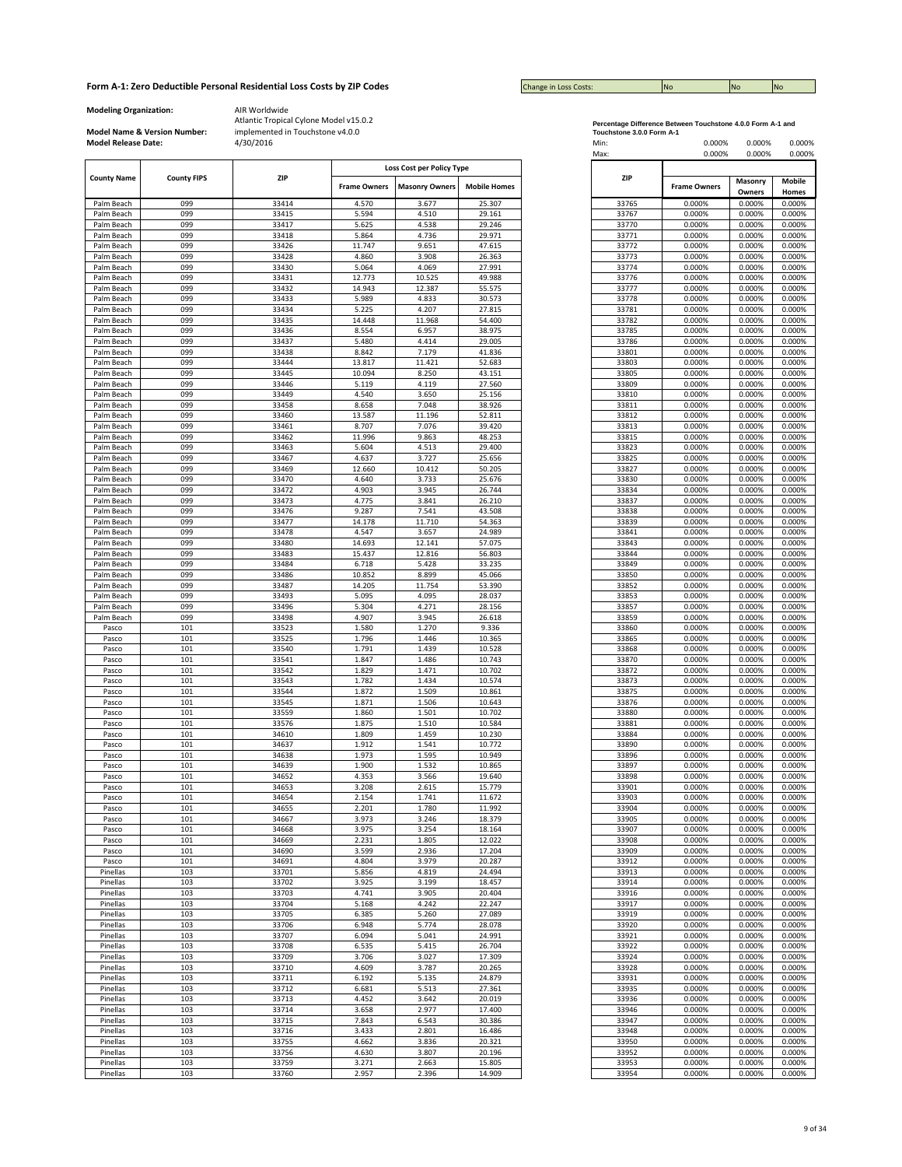| <b>Change in Loss Costs:</b> | <b>No</b> | <b>No</b> | <b>INO</b> |
|------------------------------|-----------|-----------|------------|

**Modeling Organization:** AIR Worldwide

**Model Name & Version Number:**

|                    |                    |       |                     | Loss Cost per Policy Type |                     |            |       |                          |        |  |
|--------------------|--------------------|-------|---------------------|---------------------------|---------------------|------------|-------|--------------------------|--------|--|
| <b>County Name</b> | <b>County FIPS</b> | ZIP   |                     |                           |                     | <b>ZIP</b> |       | <b>Mobile</b><br>Masonry |        |  |
|                    |                    |       | <b>Frame Owners</b> | <b>Masonry Owners</b>     | <b>Mobile Homes</b> |            |       | <b>Frame Owners</b>      | Owners |  |
| Palm Beach         | 099                | 33414 | 4.570               | 3.677                     | 25.307              |            | 33765 | 0.000%                   | 0.000% |  |
| Palm Beach         | 099                | 33415 | 5.594               | 4.510                     | 29.161              |            | 33767 | 0.000%                   | 0.000% |  |
| Palm Beach         | 099                | 33417 | 5.625               | 4.538                     | 29.246              |            | 33770 | 0.000%                   | 0.000% |  |
| Palm Beach         | 099                | 33418 | 5.864               | 4.736                     | 29.971              |            | 33771 | 0.000%                   | 0.000% |  |
| Palm Beach         | 099                | 33426 | 11.747              | 9.651                     | 47.615              |            | 33772 | 0.000%                   | 0.000% |  |
| Palm Beach         | 099                | 33428 | 4.860               | 3.908                     | 26.363              |            | 33773 | 0.000%                   | 0.000% |  |
| Palm Beach         | 099                | 33430 | 5.064               | 4.069                     | 27.991              |            | 33774 | 0.000%                   | 0.000% |  |
|                    | 099                | 33431 | 12.773              | 10.525                    | 49.988              |            |       | 0.000%                   | 0.000% |  |
| Palm Beach         |                    |       |                     |                           |                     |            | 33776 |                          |        |  |
| Palm Beach         | 099                | 33432 | 14.943              | 12.387                    | 55.575              |            | 33777 | 0.000%                   | 0.000% |  |
| Palm Beach         | 099                | 33433 | 5.989               | 4.833                     | 30.573              |            | 33778 | 0.000%                   | 0.000% |  |
| Palm Beach         | 099                | 33434 | 5.225               | 4.207                     | 27.815              |            | 33781 | 0.000%                   | 0.000% |  |
| Palm Beach         | 099                | 33435 | 14.448              | 11.968                    | 54.400              |            | 33782 | 0.000%                   | 0.000% |  |
| Palm Beach         | 099                | 33436 | 8.554               | 6.957                     | 38.975              |            | 33785 | 0.000%                   | 0.000% |  |
| Palm Beach         | 099                | 33437 | 5.480               | 4.414                     | 29.005              |            | 33786 | 0.000%                   | 0.000% |  |
| Palm Beach         | 099                | 33438 | 8.842               | 7.179                     | 41.836              |            | 33801 | 0.000%                   | 0.000% |  |
| Palm Beach         | 099                | 33444 | 13.817              | 11.421                    | 52.683              |            | 33803 | 0.000%                   | 0.000% |  |
| Palm Beach         | 099                | 33445 | 10.094              | 8.250                     | 43.151              |            | 33805 | 0.000%                   | 0.000% |  |
| Palm Beach         | 099                | 33446 | 5.119               | 4.119                     | 27.560              |            | 33809 | 0.000%                   | 0.000% |  |
| Palm Beach         | 099                | 33449 | 4.540               | 3.650                     | 25.156              |            | 33810 | 0.000%                   | 0.000% |  |
| Palm Beach         | 099                | 33458 | 8.658               | 7.048                     | 38.926              |            | 33811 | 0.000%                   | 0.000% |  |
| Palm Beach         | 099                | 33460 | 13.587              | 11.196                    | 52.811              |            | 33812 | 0.000%                   | 0.000% |  |
|                    | 099                | 33461 | 8.707               | 7.076                     | 39.420              |            | 33813 | 0.000%                   | 0.000% |  |
| Palm Beach         |                    |       |                     |                           |                     |            |       |                          |        |  |
| Palm Beach         | 099                | 33462 | 11.996              | 9.863                     | 48.253              |            | 33815 | 0.000%                   | 0.000% |  |
| Palm Beach         | 099                | 33463 | 5.604               | 4.513                     | 29.400              |            | 33823 | 0.000%                   | 0.000% |  |
| Palm Beach         | 099                | 33467 | 4.637               | 3.727                     | 25.656              |            | 33825 | 0.000%                   | 0.000% |  |
| Palm Beach         | 099                | 33469 | 12.660              | 10.412                    | 50.205              |            | 33827 | 0.000%                   | 0.000% |  |
| Palm Beach         | 099                | 33470 | 4.640               | 3.733                     | 25.676              |            | 33830 | 0.000%                   | 0.000% |  |
| Palm Beach         | 099                | 33472 | 4.903               | 3.945                     | 26.744              |            | 33834 | 0.000%                   | 0.000% |  |
| Palm Beach         | 099                | 33473 | 4.775               | 3.841                     | 26.210              |            | 33837 | 0.000%                   | 0.000% |  |
| Palm Beach         | 099                | 33476 | 9.287               | 7.541                     | 43.508              |            | 33838 | 0.000%                   | 0.000% |  |
| Palm Beach         | 099                | 33477 | 14.178              | 11.710                    | 54.363              |            | 33839 | 0.000%                   | 0.000% |  |
| Palm Beach         | 099                | 33478 | 4.547               | 3.657                     | 24.989              |            | 33841 | 0.000%                   | 0.000% |  |
| Palm Beach         | 099                | 33480 | 14.693              | 12.141                    | 57.075              |            | 33843 | 0.000%                   | 0.000% |  |
| Palm Beach         | 099                | 33483 | 15.437              | 12.816                    | 56.803              |            | 33844 | 0.000%                   | 0.000% |  |
|                    | 099                | 33484 | 6.718               | 5.428                     | 33.235              |            | 33849 | 0.000%                   | 0.000% |  |
| Palm Beach         |                    | 33486 |                     |                           |                     |            |       |                          |        |  |
| Palm Beach         | 099                |       | 10.852              | 8.899                     | 45.066              |            | 33850 | 0.000%                   | 0.000% |  |
| Palm Beach         | 099                | 33487 | 14.205              | 11.754                    | 53.390              |            | 33852 | 0.000%                   | 0.000% |  |
| Palm Beach         | 099                | 33493 | 5.095               | 4.095                     | 28.037              |            | 33853 | 0.000%                   | 0.000% |  |
| Palm Beach         | 099                | 33496 | 5.304               | 4.271                     | 28.156              |            | 33857 | 0.000%                   | 0.000% |  |
| Palm Beach         | 099                | 33498 | 4.907               | 3.945                     | 26.618              |            | 33859 | 0.000%                   | 0.000% |  |
| Pasco              | 101                | 33523 | 1.580               | 1.270                     | 9.336               |            | 33860 | 0.000%                   | 0.000% |  |
| Pasco              | 101                | 33525 | 1.796               | 1.446                     | 10.365              |            | 33865 | 0.000%                   | 0.000% |  |
| Pasco              | 101                | 33540 | 1.791               | 1.439                     | 10.528              |            | 33868 | 0.000%                   | 0.000% |  |
| Pasco              | 101                | 33541 | 1.847               | 1.486                     | 10.743              |            | 33870 | 0.000%                   | 0.000% |  |
| Pasco              | 101                | 33542 | 1.829               | 1.471                     | 10.702              |            | 33872 | 0.000%                   | 0.000% |  |
| Pasco              | 101                | 33543 | 1.782               | 1.434                     | 10.574              |            | 33873 | 0.000%                   | 0.000% |  |
| Pasco              | 101                | 33544 | 1.872               | 1.509                     | 10.861              |            | 33875 | 0.000%                   | 0.000% |  |
| Pasco              | 101                | 33545 | 1.871               | 1.506                     | 10.643              |            | 33876 | 0.000%                   | 0.000% |  |
| Pasco              | 101                | 33559 | 1.860               | 1.501                     | 10.702              |            | 33880 | 0.000%                   | 0.000% |  |
|                    |                    |       |                     |                           |                     |            |       |                          |        |  |
| Pasco              | 101                | 33576 | 1.875               | 1.510                     | 10.584              |            | 33881 | 0.000%                   | 0.000% |  |
| Pasco              | 101                | 34610 | 1.809               | 1.459                     | 10.230              |            | 33884 | 0.000%                   | 0.000% |  |
| Pasco              | 101                | 34637 | 1.912               | 1.541                     | 10.772              |            | 33890 | 0.000%                   | 0.000% |  |
| Pasco              | 101                | 34638 | 1.973               | 1.595                     | 10.949              |            | 33896 | 0.000%                   | 0.000% |  |
| Pasco              | 101                | 34639 | 1.900               | 1.532                     | 10.865              |            | 33897 | 0.000%                   | 0.000% |  |
| Pasco              | 101                | 34652 | 4.353               | 3.566                     | 19.640              |            | 33898 | 0.000%                   | 0.000% |  |
| Pasco              | 101                | 34653 | 3.208               | 2.615                     | 15.779              |            | 33901 | 0.000%                   | 0.000% |  |
| Pasco              | 101                | 34654 | 2.154               | 1.741                     | 11.672              |            | 33903 | 0.000%                   | 0.000% |  |
| Pasco              | 101                | 34655 | 2.201               | 1.780                     | 11.992              |            | 33904 | 0.000%                   | 0.000% |  |
| Pasco              | 101                | 34667 | 3.973               | 3.246                     | 18.379              |            | 33905 | 0.000%                   | 0.000% |  |
| Pasco              | 101                | 34668 | 3.975               | 3.254                     | 18.164              |            | 33907 | 0.000%                   | 0.000% |  |
| Pasco              | 101                | 34669 | 2.231               | 1.805                     | 12.022              |            | 33908 | 0.000%                   | 0.000% |  |
| Pasco              | 101                | 34690 | 3.599               | 2.936                     | 17.204              |            | 33909 | 0.000%                   | 0.000% |  |
| Pasco              | 101                | 34691 | 4.804               | 3.979                     | 20.287              |            | 33912 | 0.000%                   | 0.000% |  |
| Pinellas           | 103                | 33701 | 5.856               | 4.819                     | 24.494              |            | 33913 | 0.000%                   | 0.000% |  |
| Pinellas           | 103                | 33702 | 3.925               | 3.199                     | 18.457              |            | 33914 | 0.000%                   | 0.000% |  |
| Pinellas           | 103                | 33703 | 4.741               | 3.905                     | 20.404              |            | 33916 | 0.000%                   | 0.000% |  |
|                    |                    |       |                     |                           |                     |            |       |                          |        |  |
| Pinellas           | 103                | 33704 | 5.168               | 4.242                     | 22.247              |            | 33917 | 0.000%                   | 0.000% |  |
| Pinellas           | 103                | 33705 | 6.385               | 5.260                     | 27.089              |            | 33919 | 0.000%                   | 0.000% |  |
| Pinellas           | 103                | 33706 | 6.948               | 5.774                     | 28.078              |            | 33920 | 0.000%                   | 0.000% |  |
| Pinellas           | 103                | 33707 | 6.094               | 5.041                     | 24.991              |            | 33921 | 0.000%                   | 0.000% |  |
| Pinellas           | 103                | 33708 | 6.535               | 5.415                     | 26.704              |            | 33922 | 0.000%                   | 0.000% |  |
| Pinellas           | 103                | 33709 | 3.706               | 3.027                     | 17.309              |            | 33924 | 0.000%                   | 0.000% |  |
| Pinellas           | 103                | 33710 | 4.609               | 3.787                     | 20.265              |            | 33928 | 0.000%                   | 0.000% |  |
| Pinellas           | 103                | 33711 | 6.192               | 5.135                     | 24.879              |            | 33931 | 0.000%                   | 0.000% |  |
| Pinellas           | 103                | 33712 | 6.681               | 5.513                     | 27.361              |            | 33935 | 0.000%                   | 0.000% |  |
| Pinellas           | 103                | 33713 | 4.452               | 3.642                     | 20.019              |            | 33936 | 0.000%                   | 0.000% |  |
| Pinellas           | 103                | 33714 | 3.658               | 2.977                     | 17.400              |            | 33946 | 0.000%                   | 0.000% |  |
| Pinellas           | 103                | 33715 | 7.843               | 6.543                     | 30.386              |            | 33947 | 0.000%                   | 0.000% |  |
|                    |                    |       |                     |                           |                     |            |       |                          |        |  |
| Pinellas           | 103                | 33716 | 3.433               | 2.801                     | 16.486              |            | 33948 | 0.000%                   | 0.000% |  |
| Pinellas           | 103                | 33755 | 4.662               | 3.836                     | 20.321              |            | 33950 | 0.000%                   | 0.000% |  |
| Pinellas           | 103                | 33756 | 4.630               | 3.807                     | 20.196              |            | 33952 | 0.000%                   | 0.000% |  |
| Pinellas           | 103                | 33759 | 3.271               | 2.663                     | 15.805              |            | 33953 | 0.000%                   | 0.000% |  |
| Pinellas           | 103                | 33760 | 2.957               | 2.396                     | 14.909              |            | 33954 | 0.000%                   | 0.000% |  |

|                           | Percentage Difference Between Touchstone 4.0.0 Form A-1 and |  |
|---------------------------|-------------------------------------------------------------|--|
| Touchstone 2.0.0 Form A.4 |                                                             |  |

| <b>Model Release Date:</b> | Model Name & Version Number: | implemented in Touchstone v4.0.0<br>4/30/2016 |                     |                                                    |                     | Touchstone 3.0.0 Form A-1<br>Min:<br>Max: | 0.000%<br>0.000%    | 0.000%<br>0.000% | 0.000%<br>0.000% |
|----------------------------|------------------------------|-----------------------------------------------|---------------------|----------------------------------------------------|---------------------|-------------------------------------------|---------------------|------------------|------------------|
| <b>County Name</b>         | <b>County FIPS</b>           | ZIP                                           | <b>Frame Owners</b> | Loss Cost per Policy Type<br><b>Masonry Owners</b> | <b>Mobile Homes</b> | ZIP                                       | <b>Frame Owners</b> | Masonry          | Mobile           |
| Palm Beach                 | 099                          | 33414                                         | 4.570               | 3.677                                              | 25.307              | 33765                                     | 0.000%              | Owners<br>0.000% | Homes<br>0.000%  |
| Palm Beach                 | 099                          | 33415                                         | 5.594               | 4.510                                              | 29.161              | 33767                                     | 0.000%              | 0.000%           | 0.000%           |
| Palm Beach                 | 099                          | 33417                                         | 5.625               | 4.538                                              | 29.246              | 33770                                     | 0.000%              | 0.000%           | 0.000%           |
| Palm Beach                 | 099                          | 33418                                         | 5.864               | 4.736                                              | 29.971              | 33771                                     | 0.000%              | 0.000%           | 0.000%           |
| Palm Beach                 | 099                          | 33426                                         | 11.747              | 9.651                                              | 47.615              | 33772                                     | 0.000%              | 0.000%           | 0.000%           |
| Palm Beach                 | 099                          | 33428                                         | 4.860               | 3.908                                              | 26.363              | 33773                                     | 0.000%              | 0.000%           | 0.000%           |
| Palm Beach                 | 099                          | 33430                                         | 5.064               | 4.069                                              | 27.991              | 33774                                     | 0.000%              | 0.000%           | 0.000%           |
| Palm Beach                 | 099                          | 33431                                         | 12.773              | 10.525                                             | 49.988              | 33776                                     | 0.000%              | 0.000%           | 0.000%           |
| Palm Beach                 | 099                          | 33432                                         | 14.943              | 12.387                                             | 55.575              | 33777                                     | 0.000%              | 0.000%           | 0.000%           |
| Palm Beach                 | 099                          | 33433                                         | 5.989               | 4.833                                              | 30.573              | 33778                                     | 0.000%              | 0.000%           | 0.000%           |
| Palm Beach                 | 099                          | 33434                                         | 5.225               | 4.207                                              | 27.815              | 33781                                     | 0.000%              | 0.000%           | 0.000%           |
| Palm Beach                 | 099                          | 33435                                         | 14.448              | 11.968                                             | 54.400              | 33782                                     | 0.000%              | 0.000%           | 0.000%           |
| Palm Beach                 | 099                          | 33436                                         | 8.554               | 6.957                                              | 38.975              | 33785                                     | 0.000%              | 0.000%           | 0.000%           |
| Palm Beach                 | 099                          | 33437                                         | 5.480               | 4.414                                              | 29.005              | 33786                                     | 0.000%              | 0.000%           | 0.000%           |
| Palm Beach                 | 099                          | 33438                                         | 8.842               | 7.179                                              | 41.836              | 33801                                     | 0.000%              | 0.000%           | 0.000%           |
| Palm Beach<br>Palm Beach   | 099<br>099                   | 33444<br>33445                                | 13.817<br>10.094    | 11.421<br>8.250                                    | 52.683<br>43.151    | 33803<br>33805                            | 0.000%<br>0.000%    | 0.000%<br>0.000% | 0.000%<br>0.000% |
| Palm Beach                 | 099                          | 33446                                         | 5.119               | 4.119                                              | 27.560              | 33809                                     | 0.000%              | 0.000%           | 0.000%           |
| Palm Beach                 | 099                          | 33449                                         | 4.540               | 3.650                                              | 25.156              | 33810                                     | 0.000%              | 0.000%           | 0.000%           |
| Palm Beach                 | 099                          | 33458                                         | 8.658               | 7.048                                              | 38.926              | 33811                                     | 0.000%              | 0.000%           | 0.000%           |
| Palm Beach                 | 099                          | 33460                                         | 13.587              | 11.196                                             | 52.811              | 33812                                     | 0.000%              | 0.000%           | 0.000%           |
| Palm Beach                 | 099                          | 33461                                         | 8.707               | 7.076                                              | 39.420              | 33813                                     | 0.000%              | 0.000%           | 0.000%           |
| Palm Beach                 | 099                          | 33462                                         | 11.996              | 9.863                                              | 48.253              | 33815                                     | 0.000%              | 0.000%           | 0.000%           |
| Palm Beach                 | 099                          | 33463                                         | 5.604               | 4.513                                              | 29.400              | 33823                                     | 0.000%              | 0.000%           | 0.000%           |
| Palm Beach                 | 099                          | 33467                                         | 4.637               | 3.727                                              | 25.656              | 33825                                     | 0.000%              | 0.000%           | 0.000%           |
| Palm Beach                 | 099                          | 33469                                         | 12.660              | 10.412                                             | 50.205              | 33827                                     | 0.000%              | 0.000%           | 0.000%           |
| Palm Beach                 | 099                          | 33470                                         | 4.640               | 3.733                                              | 25.676              | 33830                                     | 0.000%              | 0.000%           | 0.000%           |
| Palm Beach                 | 099                          | 33472                                         | 4.903               | 3.945                                              | 26.744              | 33834                                     | 0.000%              | 0.000%           | 0.000%           |
| Palm Beach                 | 099                          | 33473                                         | 4.775               | 3.841                                              | 26.210              | 33837                                     | 0.000%              | 0.000%           | 0.000%           |
| Palm Beach                 | 099                          | 33476                                         | 9.287               | 7.541                                              | 43.508              | 33838                                     | 0.000%              | 0.000%           | 0.000%           |
| Palm Beach                 | 099                          | 33477                                         | 14.178              | 11.710                                             | 54.363              | 33839                                     | 0.000%              | 0.000%           | 0.000%           |
| Palm Beach                 | 099                          | 33478                                         | 4.547               | 3.657                                              | 24.989              | 33841                                     | 0.000%              | 0.000%           | 0.000%           |
| Palm Beach                 | 099                          | 33480                                         | 14.693              | 12.141                                             | 57.075              | 33843                                     | 0.000%              | 0.000%           | 0.000%           |
| Palm Beach                 | 099<br>099                   | 33483                                         | 15.437              | 12.816                                             | 56.803              | 33844<br>33849                            | 0.000%              | 0.000%           | 0.000%           |
| Palm Beach<br>Palm Beach   | 099                          | 33484<br>33486                                | 6.718<br>10.852     | 5.428<br>8.899                                     | 33.235<br>45.066    | 33850                                     | 0.000%<br>0.000%    | 0.000%<br>0.000% | 0.000%<br>0.000% |
| Palm Beach                 | 099                          | 33487                                         | 14.205              | 11.754                                             | 53.390              | 33852                                     | 0.000%              | 0.000%           | 0.000%           |
| Palm Beach                 | 099                          | 33493                                         | 5.095               | 4.095                                              | 28.037              | 33853                                     | 0.000%              | 0.000%           | 0.000%           |
| Palm Beach                 | 099                          | 33496                                         | 5.304               | 4.271                                              | 28.156              | 33857                                     | 0.000%              | 0.000%           | 0.000%           |
| Palm Beach                 | 099                          | 33498                                         | 4.907               | 3.945                                              | 26.618              | 33859                                     | 0.000%              | 0.000%           | 0.000%           |
| Pasco                      | 101                          | 33523                                         | 1.580               | 1.270                                              | 9.336               | 33860                                     | 0.000%              | 0.000%           | 0.000%           |
| Pasco                      | 101                          | 33525                                         | 1.796               | 1.446                                              | 10.365              | 33865                                     | 0.000%              | 0.000%           | 0.000%           |
| Pasco                      | 101                          | 33540                                         | 1.791               | 1.439                                              | 10.528              | 33868                                     | 0.000%              | 0.000%           | 0.000%           |
| Pasco                      | 101                          | 33541                                         | 1.847               | 1.486                                              | 10.743              | 33870                                     | 0.000%              | 0.000%           | 0.000%           |
| Pasco                      | 101                          | 33542                                         | 1.829               | 1.471                                              | 10.702              | 33872                                     | 0.000%              | 0.000%           | 0.000%           |
| Pasco                      | 101                          | 33543                                         | 1.782               | 1.434                                              | 10.574              | 33873                                     | 0.000%              | 0.000%           | 0.000%           |
| Pasco                      | 101                          | 33544                                         | 1.872               | 1.509                                              | 10.861              | 33875                                     | 0.000%              | 0.000%           | 0.000%           |
| Pasco                      | 101                          | 33545                                         | 1.871               | 1.506                                              | 10.643              | 33876                                     | 0.000%              | 0.000%           | 0.000%           |
| Pasco                      | 101                          | 33559                                         | 1.860               | 1.501                                              | 10.702              | 33880                                     | 0.000%              | 0.000%           | 0.000%           |
| Pasco                      | 101                          | 33576                                         | 1.875               | 1.510                                              | 10.584              | 33881                                     | 0.000%              | 0.000%           | 0.000%           |
| Pasco                      | 101                          | 34610                                         | 1.809               | 1.459                                              | 10.230              | 33884                                     | 0.000%              | 0.000%           | 0.000%           |
| Pasco<br>Pasco             | 101<br>101                   | 34637<br>34638                                | 1.912<br>1.973      | 1.541<br>1.595                                     | 10.772<br>10.949    | 33890<br>33896                            | 0.000%<br>0.000%    | 0.000%<br>0.000% | 0.000%<br>0.000% |
| Pasco                      | 101                          | 34639                                         | 1.900               | 1.532                                              | 10.865              | 33897                                     | 0.000%              | 0.000%           | 0.000%           |
| Pasco                      | 101                          | 34652                                         | 4.353               | 3.566                                              | 19.640              | 33898                                     | 0.000%              | 0.000%           | 0.000%           |
| Pasco                      | 101                          | 34653                                         | 3.208               | 2.615                                              | 15.779              | 33901                                     | 0.000%              | 0.000%           | 0.000%           |
| Pasco                      | 101                          | 34654                                         | 2.154               | 1.741                                              | 11.672              | 33903                                     | 0.000%              | 0.000%           | 0.000%           |
| Pasco                      | 101                          | 34655                                         | 2.201               | 1.780                                              | 11.992              | 33904                                     | 0.000%              | 0.000%           | 0.000%           |
| Pasco                      | 101                          | 34667                                         | 3.973               | 3.246                                              | 18.379              | 33905                                     | 0.000%              | 0.000%           | 0.000%           |
| Pasco                      | 101                          | 34668                                         | 3.975               | 3.254                                              | 18.164              | 33907                                     | 0.000%              | 0.000%           | 0.000%           |
| Pasco                      | 101                          | 34669                                         | 2.231               | 1.805                                              | 12.022              | 33908                                     | 0.000%              | 0.000%           | 0.000%           |
| Pasco                      | 101                          | 34690                                         | 3.599               | 2.936                                              | 17.204              | 33909                                     | 0.000%              | 0.000%           | 0.000%           |
| Pasco                      | 101                          | 34691                                         | 4.804               | 3.979                                              | 20.287              | 33912                                     | 0.000%              | 0.000%           | 0.000%           |
| Pinellas                   | 103                          | 33701                                         | 5.856               | 4.819                                              | 24.494              | 33913                                     | 0.000%              | 0.000%           | 0.000%           |
| Pinellas                   | 103                          | 33702                                         | 3.925               | 3.199                                              | 18.457              | 33914                                     | 0.000%              | 0.000%           | 0.000%           |
| Pinellas                   | 103                          | 33703                                         | 4.741               | 3.905                                              | 20.404              | 33916                                     | 0.000%              | 0.000%           | 0.000%           |
| Pinellas                   | 103                          | 33704                                         | 5.168               | 4.242                                              | 22.247              | 33917                                     | 0.000%              | 0.000%           | 0.000%           |
| Pinellas                   | 103                          | 33705                                         | 6.385               | 5.260                                              | 27.089              | 33919                                     | 0.000%              | 0.000%           | 0.000%           |
| Pinellas                   | 103                          | 33706                                         | 6.948<br>6.094      | 5.774                                              | 28.078<br>24.991    | 33920                                     | 0.000%              | 0.000%<br>0.000% | 0.000%           |
| Pinellas<br>Pinellas       | 103<br>103                   | 33707<br>33708                                | 6.535               | 5.041<br>5.415                                     | 26.704              | 33921<br>33922                            | 0.000%<br>0.000%    | 0.000%           | 0.000%<br>0.000% |
| Pinellas                   | 103                          | 33709                                         | 3.706               | 3.027                                              | 17.309              | 33924                                     | 0.000%              | 0.000%           | 0.000%           |
| Pinellas                   | 103                          | 33710                                         | 4.609               | 3.787                                              | 20.265              | 33928                                     | 0.000%              | 0.000%           | 0.000%           |
| Pinellas                   | 103                          | 33711                                         | 6.192               | 5.135                                              | 24.879              | 33931                                     | 0.000%              | 0.000%           | 0.000%           |
| Pinellas                   | 103                          | 33712                                         | 6.681               | 5.513                                              | 27.361              | 33935                                     | 0.000%              | 0.000%           | 0.000%           |
| Pinellas                   | 103                          | 33713                                         | 4.452               | 3.642                                              | 20.019              | 33936                                     | 0.000%              | 0.000%           | 0.000%           |
| Pinellas                   | 103                          | 33714                                         | 3.658               | 2.977                                              | 17.400              | 33946                                     | 0.000%              | 0.000%           | 0.000%           |
| Pinellas                   | 103                          | 33715                                         | 7.843               | 6.543                                              | 30.386              | 33947                                     | 0.000%              | 0.000%           | 0.000%           |
| Pinellas                   | 103                          | 33716                                         | 3.433               | 2.801                                              | 16.486              | 33948                                     | 0.000%              | 0.000%           | 0.000%           |
| Pinellas                   | 103                          | 33755                                         | 4.662               | 3.836                                              | 20.321              | 33950                                     | 0.000%              | 0.000%           | 0.000%           |
| Pinellas                   | 103                          | 33756                                         | 4.630               | 3.807                                              | 20.196              | 33952                                     | 0.000%              | 0.000%           | 0.000%           |
| Pinellas                   | 103                          | 33759                                         | 3.271               | 2.663                                              | 15.805              | 33953                                     | 0.000%              | 0.000%           | 0.000%           |
| Pinellas                   | 103                          | 33760                                         | 2.957               | 2.396                                              | 14.909              | 33954                                     | 0.000%              | 0.000%           | 0.000%           |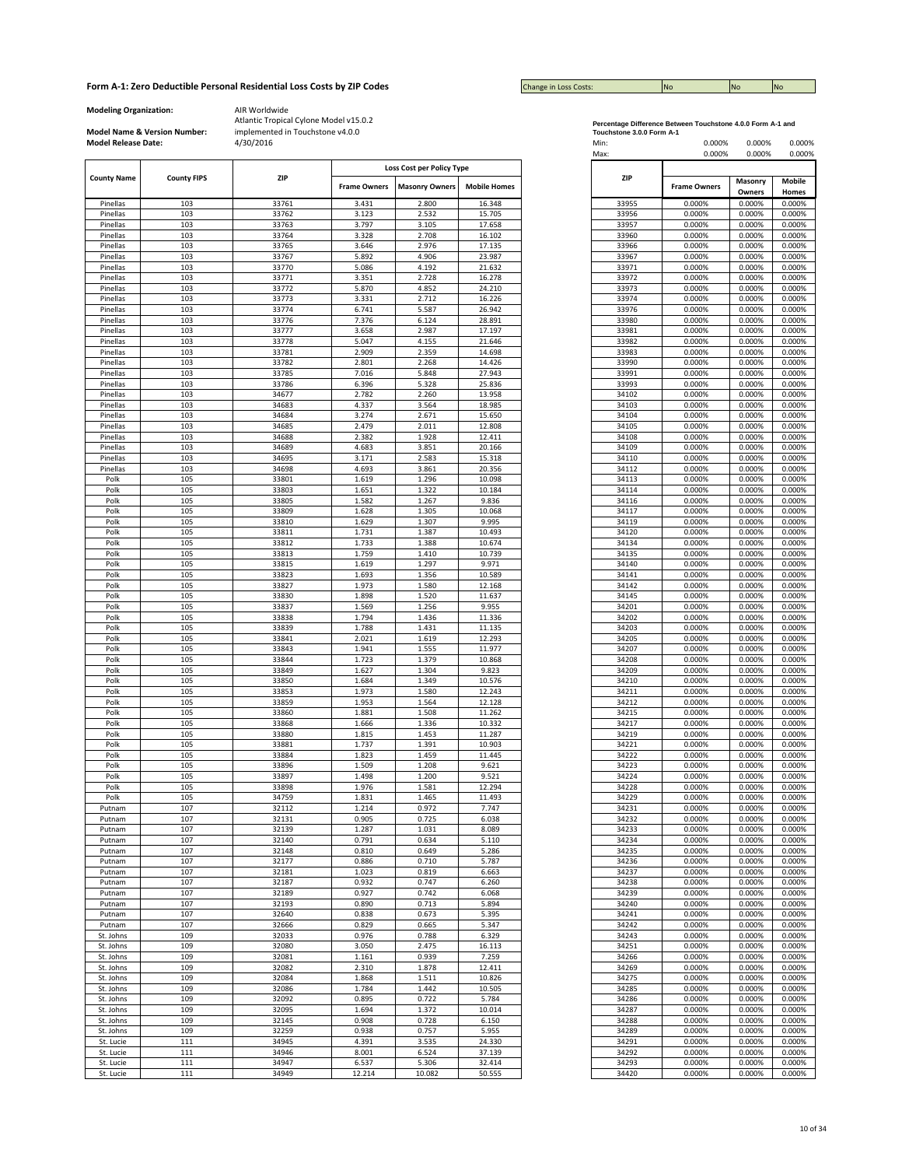| <b>Change in Loss Costs:</b> | <b>No</b> | <b>No</b> | <b>No</b> |
|------------------------------|-----------|-----------|-----------|

**Modeling Organization:** AIR Worldwide

**Model Name & Version Number:**

|                    |                    |                |                     | Loss Cost per Policy Type |                     |
|--------------------|--------------------|----------------|---------------------|---------------------------|---------------------|
| <b>County Name</b> | <b>County FIPS</b> | <b>ZIP</b>     |                     |                           |                     |
|                    |                    |                | <b>Frame Owners</b> | <b>Masonry Owners</b>     | <b>Mobile Homes</b> |
| Pinellas           | 103                | 33761          | 3.431               | 2.800                     | 16.348              |
| Pinellas           | 103                | 33762          | 3.123               | 2.532                     | 15.705              |
|                    | 103                | 33763          | 3.797               | 3.105                     | 17.658              |
| Pinellas           |                    |                |                     |                           |                     |
| Pinellas           | 103<br>103         | 33764<br>33765 | 3.328               | 2.708<br>2.976            | 16.102<br>17.135    |
| Pinellas           |                    |                | 3.646               |                           |                     |
| Pinellas           | 103                | 33767          | 5.892               | 4.906                     | 23.987              |
| Pinellas           | 103                | 33770          | 5.086               | 4.192                     | 21.632              |
| Pinellas           | 103                | 33771          | 3.351               | 2.728                     | 16.278              |
| Pinellas           | 103                | 33772          | 5.870               | 4.852                     | 24.210              |
| Pinellas           | 103                | 33773          | 3.331               | 2.712                     | 16.226              |
| Pinellas           | 103                | 33774          | 6.741               | 5.587                     | 26.942              |
| Pinellas           | 103                | 33776          | 7.376               | 6.124                     | 28.891              |
| Pinellas           | 103                | 33777          | 3.658               | 2.987                     | 17.197              |
| Pinellas           | 103                | 33778          | 5.047               | 4.155                     | 21.646              |
| Pinellas           | 103                | 33781          | 2.909               | 2.359                     | 14.698              |
| Pinellas           | 103                | 33782          | 2.801               | 2.268                     | 14.426              |
| Pinellas           | 103                | 33785          | 7.016               | 5.848                     | 27.943              |
| Pinellas           | 103                | 33786          | 6.396               | 5.328                     | 25.836              |
| Pinellas           | 103                | 34677          | 2.782               | 2.260                     | 13.958              |
| Pinellas           | 103                | 34683          | 4.337               | 3.564                     | 18.985              |
| Pinellas           | 103                | 34684          | 3.274               | 2.671                     | 15.650              |
| Pinellas           | 103                | 34685          | 2.479               | 2.011                     | 12.808              |
| Pinellas           | 103                | 34688          | 2.382               | 1.928                     | 12.411              |
| Pinellas           | 103                | 34689          | 4.683               | 3.851                     | 20.166              |
| Pinellas           | 103                | 34695          | 3.171               | 2.583                     | 15.318              |
| Pinellas           | 103                | 34698          | 4.693               | 3.861                     | 20.356              |
| Polk               | 105                | 33801          | 1.619               | 1.296                     | 10.098              |
| Polk               | 105                | 33803          | 1.651               | 1.322                     | 10.184              |
| Polk               | 105                | 33805          | 1.582               | 1.267                     | 9.836               |
| Polk               | 105                | 33809          | 1.628               | 1.305                     | 10.068              |
| Polk               | 105                | 33810          | 1.629               | 1.307                     | 9.995               |
| Polk               | 105                | 33811          | 1.731               | 1.387                     | 10.493              |
| Polk               | 105                | 33812          | 1.733               | 1.388                     | 10.674              |
| Polk               | 105                | 33813          | 1.759               | 1.410                     | 10.739              |
| Polk               | 105                | 33815          | 1.619               | 1.297                     | 9.971               |
| Polk               | 105                | 33823          | 1.693               | 1.356                     | 10.589              |
|                    | 105                | 33827          | 1.973               | 1.580                     | 12.168              |
| Polk               | 105                | 33830          | 1.898               | 1.520                     | 11.637              |
| Polk<br>Polk       | 105                | 33837          | 1.569               | 1.256                     | 9.955               |
| Polk               | 105                | 33838          | 1.794               | 1.436                     | 11.336              |
| Polk               |                    | 33839          |                     |                           |                     |
|                    | 105                |                | 1.788               | 1.431                     | 11.135              |
| Polk               | 105                | 33841          | 2.021               | 1.619                     | 12.293              |
| Polk               | 105                | 33843          | 1.941               | 1.555                     | 11.977              |
| Polk               | 105                | 33844          | 1.723               | 1.379                     | 10.868              |
| Polk               | 105                | 33849          | 1.627               | 1.304                     | 9.823               |
| Polk               | 105                | 33850          | 1.684               | 1.349                     | 10.576              |
| Polk               | 105                | 33853          | 1.973               | 1.580                     | 12.243              |
| Polk               | 105                | 33859          | 1.953               | 1.564                     | 12.128              |
| Polk               | 105                | 33860          | 1.881               | 1.508                     | 11.262              |
| Polk               | 105                | 33868          | 1.666               | 1.336                     | 10.332              |
| Polk               | 105                | 33880          | 1.815               | 1.453                     | 11.287              |
| Polk               | 105                | 33881          | 1.737               | 1.391                     | 10.903              |
| Polk               | 105                | 33884          | 1.823               | 1.459                     | 11.445              |
| Polk               | 105                | 33896          | 1.509               | 1.208                     | 9.621               |
| Polk               | 105                | 33897          | 1.498               | 1.200                     | 9.521               |
| Polk               | 105                | 33898          | 1.976               | 1.581                     | 12.294              |
| Polk               | 105                | 34759          | 1.831               | 1.465                     | 11.493              |
| Putnam             | 107                | 32112          | 1.214               | 0.972                     | 7.747               |
| Putnam             | 107                | 32131          | 0.905               | 0.725                     | 6.038               |
| Putnam             | 107                | 32139          | 1.287               | 1.031                     | 8.089               |
| Putnam             | 107                | 32140          | 0.791               | 0.634                     | 5.110               |
| Putnam             | 107                | 32148          | 0.810               | 0.649                     | 5.286               |
| Putnam             | 107                | 32177          | 0.886               | 0.710                     | 5.787               |
| Putnam             | 107                | 32181          | 1.023               | 0.819                     | 6.663               |
| Putnam             | 107                | 32187          | 0.932               | 0.747                     | 6.260               |
| Putnam             | 107                | 32189          | 0.927               | 0.742                     | 6.068               |
| Putnam             | 107                | 32193          | 0.890               | 0.713                     | 5.894               |
| Putnam             | 107                | 32640          | 0.838               | 0.673                     | 5.395               |
| Putnam             | 107                | 32666          | 0.829               | 0.665                     | 5.347               |
|                    | 109                |                |                     |                           | 6.329               |
| St. Johns          |                    | 32033          | 0.976               | 0.788                     |                     |
| St. Johns          | 109                | 32080          | 3.050               | 2.475                     | 16.113              |
| St. Johns          | 109                | 32081          | 1.161               | 0.939                     | 7.259               |
| St. Johns          | 109                | 32082          | 2.310               | 1.878                     | 12.411              |
| St. Johns          | 109                | 32084          | 1.868               | 1.511                     | 10.826              |
| St. Johns          | 109                | 32086          | 1.784               | 1.442                     | 10.505              |
| St. Johns          | 109                | 32092          | 0.895               | 0.722                     | 5.784               |
| St. Johns          | 109                | 32095          | 1.694               | 1.372                     | 10.014              |
| St. Johns          | 109                | 32145          | 0.908               | 0.728                     | 6.150               |
| St. Johns          | 109                | 32259          | 0.938               | 0.757                     | 5.955               |
| St. Lucie          | 111                | 34945          | 4.391               | 3.535                     | 24.330              |
| St. Lucie          | 111                | 34946          | 8.001               | 6.524                     | 37.139              |
| St. Lucie          | 111                | 34947          | 6.537               | 5.306                     | 32.414              |
| St. Lucie          | 111                | 34949          | 12.214              | 10.082                    | 50.555              |
|                    |                    |                |                     |                           |                     |

| Percentage Difference Between Touchstone 4.0.0 Form A-1 and |
|-------------------------------------------------------------|
| Touchstone 3.0.0 Form A-1                                   |

| <b>Model Release Date:</b> |                    | 4/30/2016      |                     |                           |                     | Min:<br>Max:   | 0.000%<br>0.000%    | 0.000%<br>0.000%  | 0.000%<br>0.000%       |
|----------------------------|--------------------|----------------|---------------------|---------------------------|---------------------|----------------|---------------------|-------------------|------------------------|
|                            |                    |                |                     | Loss Cost per Policy Type |                     |                |                     |                   |                        |
| <b>County Name</b>         | <b>County FIPS</b> | ZIP            | <b>Frame Owners</b> | <b>Masonry Owners</b>     | <b>Mobile Homes</b> | ZIP            | <b>Frame Owners</b> | Masonry<br>Owners | <b>Mobile</b><br>Homes |
| Pinellas                   | 103                | 33761          | 3.431               | 2.800                     | 16.348              | 33955          | 0.000%              | 0.000%            | 0.000%                 |
| Pinellas                   | 103                | 33762          | 3.123               | 2.532                     | 15.705              | 33956          | 0.000%              | 0.000%            | 0.000%                 |
| Pinellas                   | 103                | 33763          | 3.797               | 3.105                     | 17.658              | 33957          | 0.000%              | 0.000%            | 0.000%                 |
| Pinellas                   | 103                | 33764          | 3.328               | 2.708                     | 16.102              | 33960          | 0.000%              | 0.000%            | 0.000%                 |
| Pinellas                   | 103                | 33765          | 3.646               | 2.976                     | 17.135              | 33966          | 0.000%              | 0.000%            | 0.000%                 |
| Pinellas                   | 103                | 33767          | 5.892               | 4.906                     | 23.987              | 33967          | 0.000%              | 0.000%            | 0.000%                 |
| Pinellas                   | 103                | 33770          | 5.086               | 4.192                     | 21.632              | 33971          | 0.000%              | 0.000%            | 0.000%                 |
| Pinellas                   | 103                | 33771          | 3.351               | 2.728                     | 16.278              | 33972          | 0.000%              | 0.000%            | 0.000%                 |
| Pinellas                   | 103<br>103         | 33772<br>33773 | 5.870<br>3.331      | 4.852<br>2.712            | 24.210<br>16.226    | 33973<br>33974 | 0.000%<br>0.000%    | 0.000%<br>0.000%  | 0.000%<br>0.000%       |
| Pinellas<br>Pinellas       | 103                | 33774          | 6.741               | 5.587                     | 26.942              | 33976          | 0.000%              | 0.000%            | 0.000%                 |
| Pinellas                   | 103                | 33776          | 7.376               | 6.124                     | 28.891              | 33980          | 0.000%              | 0.000%            | 0.000%                 |
| Pinellas                   | 103                | 33777          | 3.658               | 2.987                     | 17.197              | 33981          | 0.000%              | 0.000%            | 0.000%                 |
| Pinellas                   | 103                | 33778          | 5.047               | 4.155                     | 21.646              | 33982          | 0.000%              | 0.000%            | 0.000%                 |
| Pinellas                   | 103                | 33781          | 2.909               | 2.359                     | 14.698              | 33983          | 0.000%              | 0.000%            | 0.000%                 |
| Pinellas                   | 103                | 33782          | 2.801               | 2.268                     | 14.426              | 33990          | 0.000%              | 0.000%            | 0.000%                 |
| Pinellas                   | 103                | 33785          | 7.016               | 5.848                     | 27.943              | 33991          | 0.000%              | 0.000%            | 0.000%                 |
| Pinellas                   | 103                | 33786          | 6.396               | 5.328                     | 25.836              | 33993          | 0.000%              | 0.000%            | 0.000%                 |
| Pinellas                   | 103                | 34677          | 2.782               | 2.260                     | 13.958              | 34102          | 0.000%              | 0.000%            | 0.000%                 |
| Pinellas                   | 103                | 34683          | 4.337               | 3.564                     | 18.985              | 34103          | 0.000%              | 0.000%            | 0.000%                 |
| Pinellas                   | 103                | 34684          | 3.274               | 2.671                     | 15.650              | 34104          | 0.000%              | 0.000%            | 0.000%                 |
| Pinellas                   | 103                | 34685          | 2.479               | 2.011                     | 12.808              | 34105          | 0.000%              | 0.000%            | 0.000%                 |
| Pinellas                   | 103                | 34688          | 2.382               | 1.928                     | 12.411              | 34108          | 0.000%              | 0.000%            | 0.000%                 |
| Pinellas                   | 103                | 34689          | 4.683               | 3.851                     | 20.166              | 34109          | 0.000%              | 0.000%            | 0.000%                 |
| Pinellas                   | 103                | 34695          | 3.171               | 2.583                     | 15.318              | 34110          | 0.000%              | 0.000%            | 0.000%                 |
| Pinellas                   | 103                | 34698          | 4.693               | 3.861                     | 20.356              | 34112          | 0.000%              | 0.000%            | 0.000%                 |
| Polk                       | 105                | 33801          | 1.619               | 1.296                     | 10.098              | 34113          | 0.000%              | 0.000%            | 0.000%                 |
| Polk                       | 105                | 33803          | 1.651               | 1.322                     | 10.184              | 34114          | 0.000%              | 0.000%            | 0.000%                 |
| Polk                       | 105                | 33805          | 1.582               | 1.267                     | 9.836               | 34116          | 0.000%              | 0.000%            | 0.000%                 |
| Polk<br>Polk               | 105<br>105         | 33809<br>33810 | 1.628<br>1.629      | 1.305<br>1.307            | 10.068<br>9.995     | 34117<br>34119 | 0.000%<br>0.000%    | 0.000%<br>0.000%  | 0.000%<br>0.000%       |
| Polk                       | 105                | 33811          | 1.731               | 1.387                     | 10.493              | 34120          | 0.000%              | 0.000%            | 0.000%                 |
| Polk                       | 105                | 33812          | 1.733               | 1.388                     | 10.674              | 34134          | 0.000%              | 0.000%            | 0.000%                 |
| Polk                       | 105                | 33813          | 1.759               | 1.410                     | 10.739              | 34135          | 0.000%              | 0.000%            | 0.000%                 |
| Polk                       | 105                | 33815          | 1.619               | 1.297                     | 9.971               | 34140          | 0.000%              | 0.000%            | 0.000%                 |
| Polk                       | 105                | 33823          | 1.693               | 1.356                     | 10.589              | 34141          | 0.000%              | 0.000%            | 0.000%                 |
| Polk                       | 105                | 33827          | 1.973               | 1.580                     | 12.168              | 34142          | 0.000%              | 0.000%            | 0.000%                 |
| Polk                       | 105                | 33830          | 1.898               | 1.520                     | 11.637              | 34145          | 0.000%              | 0.000%            | 0.000%                 |
| Polk                       | 105                | 33837          | 1.569               | 1.256                     | 9.955               | 34201          | 0.000%              | 0.000%            | 0.000%                 |
| Polk                       | 105                | 33838          | 1.794               | 1.436                     | 11.336              | 34202          | 0.000%              | 0.000%            | 0.000%                 |
| Polk                       | 105                | 33839          | 1.788               | 1.431                     | 11.135              | 34203          | 0.000%              | 0.000%            | 0.000%                 |
| Polk                       | 105                | 33841          | 2.021               | 1.619                     | 12.293              | 34205          | 0.000%              | 0.000%            | 0.000%                 |
| Polk                       | 105                | 33843          | 1.941               | 1.555                     | 11.977              | 34207          | 0.000%              | 0.000%            | 0.000%                 |
| Polk                       | 105                | 33844          | 1.723               | 1.379                     | 10.868              | 34208          | 0.000%              | 0.000%            | 0.000%                 |
| Polk                       | 105                | 33849          | 1.627               | 1.304                     | 9.823               | 34209          | 0.000%              | 0.000%            | 0.000%                 |
| Polk                       | 105                | 33850          | 1.684               | 1.349                     | 10.576              | 34210          | 0.000%              | 0.000%            | 0.000%                 |
| Polk                       | 105                | 33853          | 1.973               | 1.580                     | 12.243              | 34211          | 0.000%              | 0.000%            | 0.000%                 |
| Polk                       | 105                | 33859          | 1.953               | 1.564                     | 12.128              | 34212          | 0.000%              | 0.000%            | 0.000%                 |
| Polk                       | 105                | 33860          | 1.881               | 1.508                     | 11.262              | 34215          | 0.000%              | 0.000%            | 0.000%                 |
| Polk                       | 105                | 33868          | 1.666               | 1.336                     | 10.332              | 34217          | 0.000%              | 0.000%            | 0.000%                 |
| Polk                       | 105                | 33880          | 1.815               | 1.453                     | 11.287              | 34219          | 0.000%              | 0.000%            | 0.000%                 |
| Polk                       | 105                | 33881          | 1.737               | 1.391                     | 10.903              | 34221          | 0.000%              | 0.000%            | 0.000%                 |
| Polk                       | 105                | 33884          | 1.823               | 1.459                     | 11.445              | 34222          | 0.000%              | 0.000%            | 0.000%                 |
| Polk<br>Polk               | 105<br>105         | 33896<br>33897 | 1.509<br>1.498      | 1.208<br>1.200            | 9.621<br>9.521      | 34223<br>34224 | 0.000%<br>0.000%    | 0.000%<br>0.000%  | 0.000%<br>0.000%       |
| Polk                       | 105                | 33898          | 1.976               | 1.581                     | 12.294              | 34228          | 0.000%              | 0.000%            | 0.000%                 |
| Polk                       | 105                | 34759          | 1.831               | 1.465                     | 11.493              | 34229          | 0.000%              | 0.000%            | 0.000%                 |
| Putnam                     | 107                | 32112          | 1.214               | 0.972                     | 7.747               | 34231          | 0.000%              | 0.000%            | 0.000%                 |
| Putnam                     | 107                | 32131          | 0.905               | 0.725                     | 6.038               | 34232          | 0.000%              | 0.000%            | 0.000%                 |
| Putnam                     | 107                | 32139          | 1.287               | 1.031                     | 8.089               | 34233          | 0.000%              | 0.000%            | 0.000%                 |
| Putnam                     | 107                | 32140          | 0.791               | 0.634                     | 5.110               | 34234          | 0.000%              | 0.000%            | 0.000%                 |
| Putnam                     | 107                | 32148          | 0.810               | 0.649                     | 5.286               | 34235          | 0.000%              | 0.000%            | 0.000%                 |
| Putnam                     | 107                | 32177          | 0.886               | 0.710                     | 5.787               | 34236          | 0.000%              | 0.000%            | 0.000%                 |
| Putnam                     | 107                | 32181          | 1.023               | 0.819                     | 6.663               | 34237          | 0.000%              | 0.000%            | 0.000%                 |
| Putnam                     | 107                | 32187          | 0.932               | 0.747                     | 6.260               | 34238          | 0.000%              | 0.000%            | 0.000%                 |
| Putnam                     | 107                | 32189          | 0.927               | 0.742                     | 6.068               | 34239          | 0.000%              | 0.000%            | 0.000%                 |
| Putnam                     | 107                | 32193          | 0.890               | 0.713                     | 5.894               | 34240          | 0.000%              | 0.000%            | 0.000%                 |
| Putnam                     | 107                | 32640          | 0.838               | 0.673                     | 5.395               | 34241          | 0.000%              | 0.000%            | 0.000%                 |
| Putnam                     | 107                | 32666          | 0.829               | 0.665                     | 5.347               | 34242          | 0.000%              | 0.000%            | 0.000%                 |
| St. Johns                  | 109                | 32033          | 0.976               | 0.788                     | 6.329               | 34243          | 0.000%              | 0.000%            | 0.000%                 |
| St. Johns                  | 109                | 32080          | 3.050               | 2.475                     | 16.113              | 34251          | 0.000%              | 0.000%            | 0.000%                 |
| St. Johns                  | 109                | 32081          | 1.161               | 0.939                     | 7.259               | 34266          | 0.000%              | 0.000%            | 0.000%                 |
| St. Johns                  | 109                | 32082          | 2.310               | 1.878                     | 12.411              | 34269          | 0.000%              | 0.000%            | 0.000%                 |
| St. Johns                  | 109                | 32084          | 1.868               | 1.511                     | 10.826              | 34275          | 0.000%              | 0.000%            | 0.000%                 |
| St. Johns                  | 109                | 32086          | 1.784               | 1.442                     | 10.505              | 34285          | 0.000%              | 0.000%            | 0.000%                 |
| St. Johns                  | 109                | 32092          | 0.895               | 0.722                     | 5.784               | 34286          | 0.000%              | 0.000%            | 0.000%                 |
| St. Johns                  | 109                | 32095          | 1.694               | 1.372                     | 10.014              | 34287          | 0.000%              | 0.000%            | 0.000%                 |
| St. Johns                  | 109                | 32145          | 0.908               | 0.728                     | 6.150               | 34288<br>34289 | 0.000%              | 0.000%<br>0.000%  | 0.000%                 |
| St. Johns<br>St. Lucie     | 109<br>111         | 32259<br>34945 | 0.938<br>4.391      | 0.757<br>3.535            | 5.955<br>24.330     | 34291          | 0.000%<br>0.000%    | 0.000%            | 0.000%<br>0.000%       |
| St. Lucie                  | 111                | 34946          | 8.001               | 6.524                     | 37.139              | 34292          | 0.000%              | 0.000%            | 0.000%                 |
| St. Lucie                  | 111                | 34947          | 6.537               | 5.306                     | 32.414              | 34293          | 0.000%              | 0.000%            | 0.000%                 |
| St. Lucie                  | 111                | 34949          | 12.214              | 10.082                    | 50.555              | 34420          | 0.000%              | 0.000%            | 0.000%                 |
|                            |                    |                |                     |                           |                     |                |                     |                   |                        |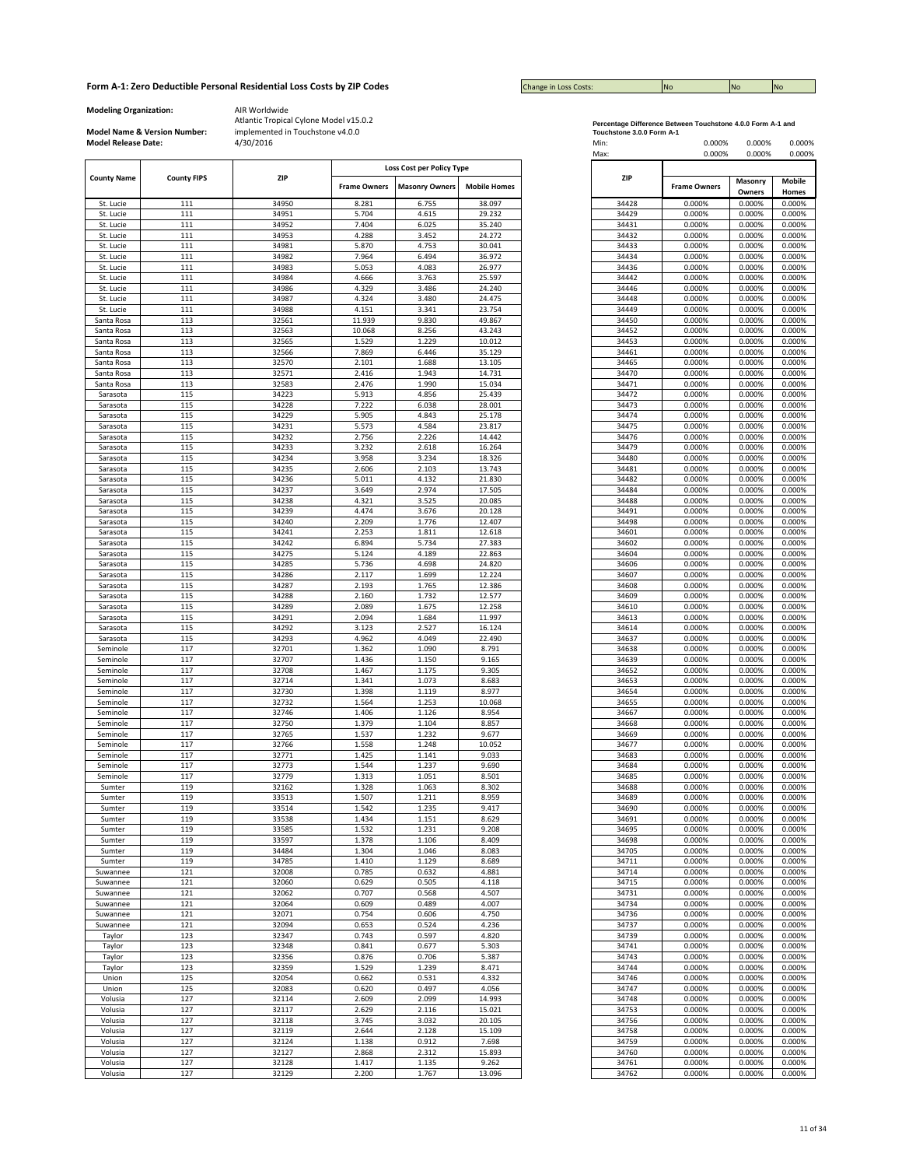| <b>Change in Loss Costs:</b> | <b>No</b> | <b>No</b> | <b>No</b> |
|------------------------------|-----------|-----------|-----------|

**Modeling Organization:** AIR Worldwide

**Model Name & Version Number:**

|                        |                    |       |                     | Loss Cost per Policy Type |                     |
|------------------------|--------------------|-------|---------------------|---------------------------|---------------------|
| <b>County Name</b>     | <b>County FIPS</b> | ZIP   |                     |                           |                     |
|                        |                    |       | <b>Frame Owners</b> | <b>Masonry Owners</b>     | <b>Mobile Homes</b> |
| St. Lucie              | 111                | 34950 | 8.281               | 6.755                     | 38.097              |
| St. Lucie              | 111                | 34951 | 5.704               | 4.615                     | 29.232              |
|                        | 111                | 34952 | 7.404               | 6.025                     | 35.240              |
| St. Lucie<br>St. Lucie | 111                | 34953 | 4.288               | 3.452                     | 24.272              |
| St. Lucie              | 111                | 34981 | 5.870               | 4.753                     | 30.041              |
| St. Lucie              | 111                | 34982 | 7.964               | 6.494                     | 36.972              |
| St. Lucie              | 111                | 34983 | 5.053               | 4.083                     | 26.977              |
|                        |                    | 34984 | 4.666               |                           |                     |
| St. Lucie              | 111                |       |                     | 3.763                     | 25.597              |
| St. Lucie              | 111                | 34986 | 4.329               | 3.486                     | 24.240              |
| St. Lucie              | 111                | 34987 | 4.324               | 3.480                     | 24.475              |
| St. Lucie              | 111                | 34988 | 4.151               | 3.341                     | 23.754              |
| Santa Rosa             | 113                | 32561 | 11.939              | 9.830                     | 49.867              |
| Santa Rosa             | 113                | 32563 | 10.068              | 8.256                     | 43.243              |
| Santa Rosa             | 113                | 32565 | 1.529               | 1.229                     | 10.012              |
| Santa Rosa             | 113                | 32566 | 7.869               | 6.446                     | 35.129              |
| Santa Rosa             | 113                | 32570 | 2.101               | 1.688                     | 13.105              |
| Santa Rosa             | 113                | 32571 | 2.416               | 1.943                     | 14.731              |
| Santa Rosa             | 113                | 32583 | 2.476               | 1.990                     | 15.034              |
| Sarasota               | 115                | 34223 | 5.913               | 4.856                     | 25.439              |
| Sarasota               | 115                | 34228 | 7.222               | 6.038                     | 28.001              |
| Sarasota               | 115                | 34229 | 5.905               | 4.843                     | 25.178              |
| Sarasota               | 115                | 34231 | 5.573               | 4.584                     | 23.817              |
| Sarasota               | 115                | 34232 | 2.756               | 2.226                     | 14.442              |
| Sarasota               | 115                | 34233 | 3.232               | 2.618                     | 16.264              |
| Sarasota               | 115                | 34234 | 3.958               | 3.234                     | 18.326              |
| Sarasota               | 115                | 34235 | 2.606               | 2.103                     | 13.743              |
| Sarasota               | 115                | 34236 | 5.011               | 4.132                     | 21.830              |
| Sarasota               | 115                | 34237 | 3.649               | 2.974                     | 17.505              |
| Sarasota               | 115                | 34238 | 4.321               | 3.525                     | 20.085              |
| Sarasota               | 115                | 34239 | 4.474               | 3.676                     | 20.128              |
|                        | 115                | 34240 | 2.209               | 1.776                     | 12.407              |
| Sarasota               |                    |       |                     |                           |                     |
| Sarasota               | 115                | 34241 | 2.253               | 1.811                     | 12.618              |
| Sarasota               | 115                | 34242 | 6.894               | 5.734                     | 27.383              |
| Sarasota               | 115                | 34275 | 5.124               | 4.189                     | 22.863              |
| Sarasota               | 115                | 34285 | 5.736               | 4.698                     | 24.820              |
| Sarasota               | 115                | 34286 | 2.117               | 1.699                     | 12.224              |
| Sarasota               | 115                | 34287 | 2.193               | 1.765                     | 12.386              |
| Sarasota               | 115                | 34288 | 2.160               | 1.732                     | 12.577              |
| Sarasota               | 115                | 34289 | 2.089               | 1.675                     | 12.258              |
| Sarasota               | 115                | 34291 | 2.094               | 1.684                     | 11.997              |
| Sarasota               | 115                | 34292 | 3.123               | 2.527                     | 16.124              |
| Sarasota               | 115                | 34293 | 4.962               | 4.049                     | 22.490              |
| Seminole               | 117                | 32701 | 1.362               | 1.090                     | 8.791               |
| Seminole               | 117                | 32707 | 1.436               | 1.150                     | 9.165               |
| Seminole               | 117                | 32708 | 1.467               | 1.175                     | 9.305               |
| Seminole               | 117                | 32714 | 1.341               | 1.073                     | 8.683               |
| Seminole               | 117                | 32730 | 1.398               | 1.119                     | 8.977               |
| Seminole               | 117                | 32732 | 1.564               | 1.253                     | 10.068              |
| Seminole               | 117                | 32746 | 1.406               | 1.126                     | 8.954               |
| Seminole               | 117                | 32750 | 1.379               | 1.104                     | 8.857               |
| Seminole               | 117                | 32765 | 1.537               | 1.232                     | 9.677               |
| Seminole               | 117                | 32766 | 1.558               | 1.248                     | 10.052              |
|                        |                    |       |                     |                           |                     |
| Seminole               | 117                | 32771 | 1.425               | 1.141                     | 9.033               |
| Seminole               | 117                | 32773 | 1.544               | 1.237                     | 9.690               |
| Seminole               | 117                | 32779 | 1.313               | 1.051                     | 8.501               |
| Sumter                 | 119                | 32162 | 1.328               | 1.063                     | 8.302               |
| Sumter                 | 119                | 33513 | 1.507               | 1.211                     | 8.959               |
| Sumter                 | 119                | 33514 | 1.542               | 1.235                     | 9.417               |
| Sumter                 | 119                | 33538 | 1.434               | 1.151                     | 8.629               |
| Sumter                 | 119                | 33585 | 1.532               | 1.231                     | 9.208               |
| Sumter                 | 119                | 33597 | 1.378               | 1.106                     | 8.409               |
| Sumter                 | 119                | 34484 | 1.304               | 1.046                     | 8.083               |
| Sumter                 | 119                | 34785 | 1.410               | 1.129                     | 8.689               |
| Suwannee               | 121                | 32008 | 0.785               | 0.632                     | 4.881               |
| Suwannee               | 121                | 32060 | 0.629               | 0.505                     | 4.118               |
| Suwannee               | 121                | 32062 | 0.707               | 0.568                     | 4.507               |
|                        |                    |       |                     |                           |                     |
| Suwannee               | 121                | 32064 | 0.609               | 0.489                     | 4.007               |
| Suwannee               | 121                | 32071 | 0.754               | 0.606                     | 4.750               |
| Suwannee               | 121                | 32094 | 0.653               | 0.524                     | 4.236               |
| Taylor                 | 123                | 32347 | 0.743               | 0.597                     | 4.820               |
| Taylor                 | 123                | 32348 | 0.841               | 0.677                     | 5.303               |
| Taylor                 | 123                | 32356 | 0.876               | 0.706                     | 5.387               |
| Taylor                 | 123                | 32359 | 1.529               | 1.239                     | 8.471               |
| Union                  | 125                | 32054 | 0.662               | 0.531                     | 4.332               |
| Union                  | 125                | 32083 | 0.620               | 0.497                     | 4.056               |
| Volusia                | 127                | 32114 | 2.609               | 2.099                     | 14.993              |
| Volusia                | 127                | 32117 | 2.629               | 2.116                     | 15.021              |
|                        | 127                | 32118 |                     | 3.032                     |                     |
| Volusia                |                    |       | 3.745               |                           | 20.105              |
| Volusia                | 127                | 32119 | 2.644               | 2.128                     | 15.109              |
| Volusia                | 127                | 32124 | 1.138               | 0.912                     | 7.698               |
| Volusia                | 127                | 32127 | 2.868               | 2.312                     | 15.893              |
| Volusia                | 127                | 32128 | 1.417               | 1.135                     | 9.262               |
| Volusia                | 127                | 32129 | 2.200               | 1.767                     | 13.096              |

| Percentage Difference Between Touchstone 4.0.0 Form A-1 and |  |
|-------------------------------------------------------------|--|
| Toughstane 2.0.0 Farm A.4                                   |  |

| <b>Model Release Date:</b> | Model Name & Version Number: | implemented in Touchstone v4.0.0<br>4/30/2016 |                     |                                                    |                     | Touchstone 3.0.0 Form A-1<br>Min:<br>Max: | 0.000%<br>0.000%    | 0.000%<br>0.000% | 0.000%<br>0.000% |
|----------------------------|------------------------------|-----------------------------------------------|---------------------|----------------------------------------------------|---------------------|-------------------------------------------|---------------------|------------------|------------------|
| <b>County Name</b>         | <b>County FIPS</b>           | <b>ZIP</b>                                    | <b>Frame Owners</b> | Loss Cost per Policy Type<br><b>Masonry Owners</b> | <b>Mobile Homes</b> | ZIP                                       | <b>Frame Owners</b> | Masonry          | Mobile           |
|                            | 111                          | 34950                                         | 8.281               |                                                    |                     |                                           |                     | Owners<br>0.000% | Homes            |
| St. Lucie<br>St. Lucie     | 111                          | 34951                                         | 5.704               | 6.755<br>4.615                                     | 38.097<br>29.232    | 34428<br>34429                            | 0.000%<br>0.000%    | 0.000%           | 0.000%<br>0.000% |
| St. Lucie                  | 111                          | 34952                                         | 7.404               | 6.025                                              | 35.240              | 34431                                     | 0.000%              | 0.000%           | 0.000%           |
| St. Lucie                  | 111                          | 34953                                         | 4.288               | 3.452                                              | 24.272              | 34432                                     | 0.000%              | 0.000%           | 0.000%           |
| St. Lucie                  | 111                          | 34981                                         | 5.870               | 4.753                                              | 30.041              | 34433                                     | 0.000%              | 0.000%           | 0.000%           |
| St. Lucie                  | 111                          | 34982                                         | 7.964               | 6.494                                              | 36.972              | 34434                                     | 0.000%              | 0.000%           | 0.000%           |
| St. Lucie                  | 111                          | 34983                                         | 5.053               | 4.083                                              | 26.977              | 34436                                     | 0.000%              | 0.000%           | 0.000%           |
| St. Lucie                  | 111                          | 34984                                         | 4.666               | 3.763                                              | 25.597              | 34442                                     | 0.000%              | 0.000%           | 0.000%           |
| St. Lucie<br>St. Lucie     | 111<br>111                   | 34986<br>34987                                | 4.329<br>4.324      | 3.486<br>3.480                                     | 24.240<br>24.475    | 34446<br>34448                            | 0.000%<br>0.000%    | 0.000%<br>0.000% | 0.000%<br>0.000% |
| St. Lucie                  | 111                          | 34988                                         | 4.151               | 3.341                                              | 23.754              | 34449                                     | 0.000%              | 0.000%           | 0.000%           |
| Santa Rosa                 | 113                          | 32561                                         | 11.939              | 9.830                                              | 49.867              | 34450                                     | 0.000%              | 0.000%           | 0.000%           |
| Santa Rosa                 | 113                          | 32563                                         | 10.068              | 8.256                                              | 43.243              | 34452                                     | 0.000%              | 0.000%           | 0.000%           |
| Santa Rosa                 | 113                          | 32565                                         | 1.529               | 1.229                                              | 10.012              | 34453                                     | 0.000%              | 0.000%           | 0.000%           |
| Santa Rosa                 | 113                          | 32566                                         | 7.869               | 6.446                                              | 35.129              | 34461                                     | 0.000%              | 0.000%           | 0.000%           |
| Santa Rosa                 | 113                          | 32570                                         | 2.101               | 1.688                                              | 13.105              | 34465                                     | 0.000%              | 0.000%           | 0.000%           |
| Santa Rosa                 | 113                          | 32571                                         | 2.416               | 1.943                                              | 14.731              | 34470                                     | 0.000%              | 0.000%           | 0.000%           |
| Santa Rosa<br>Sarasota     | 113<br>115                   | 32583<br>34223                                | 2.476<br>5.913      | 1.990<br>4.856                                     | 15.034<br>25.439    | 34471<br>34472                            | 0.000%<br>0.000%    | 0.000%<br>0.000% | 0.000%<br>0.000% |
| Sarasota                   | 115                          | 34228                                         | 7.222               | 6.038                                              | 28.001              | 34473                                     | 0.000%              | 0.000%           | 0.000%           |
| Sarasota                   | 115                          | 34229                                         | 5.905               | 4.843                                              | 25.178              | 34474                                     | 0.000%              | 0.000%           | 0.000%           |
| Sarasota                   | 115                          | 34231                                         | 5.573               | 4.584                                              | 23.817              | 34475                                     | 0.000%              | 0.000%           | 0.000%           |
| Sarasota                   | 115                          | 34232                                         | 2.756               | 2.226                                              | 14.442              | 34476                                     | 0.000%              | 0.000%           | 0.000%           |
| Sarasota                   | 115                          | 34233                                         | 3.232               | 2.618                                              | 16.264              | 34479                                     | 0.000%              | 0.000%           | 0.000%           |
| Sarasota                   | 115                          | 34234                                         | 3.958               | 3.234                                              | 18.326              | 34480                                     | 0.000%              | 0.000%           | 0.000%           |
| Sarasota                   | 115                          | 34235                                         | 2.606               | 2.103                                              | 13.743              | 34481                                     | 0.000%              | 0.000%           | 0.000%           |
| Sarasota                   | 115                          | 34236                                         | 5.011               | 4.132                                              | 21.830              | 34482                                     | 0.000%              | 0.000%           | 0.000%           |
| Sarasota<br>Sarasota       | 115<br>115                   | 34237<br>34238                                | 3.649<br>4.321      | 2.974<br>3.525                                     | 17.505<br>20.085    | 34484<br>34488                            | 0.000%<br>0.000%    | 0.000%<br>0.000% | 0.000%<br>0.000% |
| Sarasota                   | 115                          | 34239                                         | 4.474               | 3.676                                              | 20.128              | 34491                                     | 0.000%              | 0.000%           | 0.000%           |
| Sarasota                   | 115                          | 34240                                         | 2.209               | 1.776                                              | 12.407              | 34498                                     | 0.000%              | 0.000%           | 0.000%           |
| Sarasota                   | 115                          | 34241                                         | 2.253               | 1.811                                              | 12.618              | 34601                                     | 0.000%              | 0.000%           | 0.000%           |
| Sarasota                   | 115                          | 34242                                         | 6.894               | 5.734                                              | 27.383              | 34602                                     | 0.000%              | 0.000%           | 0.000%           |
| Sarasota                   | 115                          | 34275                                         | 5.124               | 4.189                                              | 22.863              | 34604                                     | 0.000%              | 0.000%           | 0.000%           |
| Sarasota                   | 115                          | 34285                                         | 5.736               | 4.698                                              | 24.820              | 34606                                     | 0.000%              | 0.000%           | 0.000%           |
| Sarasota                   | 115                          | 34286                                         | 2.117               | 1.699                                              | 12.224              | 34607                                     | 0.000%              | 0.000%           | 0.000%           |
| Sarasota                   | 115<br>115                   | 34287<br>34288                                | 2.193<br>2.160      | 1.765<br>1.732                                     | 12.386<br>12.577    | 34608<br>34609                            | 0.000%<br>0.000%    | 0.000%<br>0.000% | 0.000%<br>0.000% |
| Sarasota<br>Sarasota       | 115                          | 34289                                         | 2.089               | 1.675                                              | 12.258              | 34610                                     | 0.000%              | 0.000%           | 0.000%           |
| Sarasota                   | 115                          | 34291                                         | 2.094               | 1.684                                              | 11.997              | 34613                                     | 0.000%              | 0.000%           | 0.000%           |
| Sarasota                   | 115                          | 34292                                         | 3.123               | 2.527                                              | 16.124              | 34614                                     | 0.000%              | 0.000%           | 0.000%           |
| Sarasota                   | 115                          | 34293                                         | 4.962               | 4.049                                              | 22.490              | 34637                                     | 0.000%              | 0.000%           | 0.000%           |
| Seminole                   | 117                          | 32701                                         | 1.362               | 1.090                                              | 8.791               | 34638                                     | 0.000%              | 0.000%           | 0.000%           |
| Seminole                   | 117                          | 32707                                         | 1.436               | 1.150                                              | 9.165               | 34639                                     | 0.000%              | 0.000%           | 0.000%           |
| Seminole                   | 117                          | 32708                                         | 1.467               | 1.175                                              | 9.305               | 34652                                     | 0.000%              | 0.000%           | 0.000%           |
| Seminole                   | 117                          | 32714                                         | 1.341               | 1.073                                              | 8.683               | 34653                                     | 0.000%              | 0.000%           | 0.000%           |
| Seminole<br>Seminole       | 117<br>117                   | 32730<br>32732                                | 1.398<br>1.564      | 1.119<br>1.253                                     | 8.977<br>10.068     | 34654<br>34655                            | 0.000%<br>0.000%    | 0.000%<br>0.000% | 0.000%<br>0.000% |
| Seminole                   | 117                          | 32746                                         | 1.406               | 1.126                                              | 8.954               | 34667                                     | 0.000%              | 0.000%           | 0.000%           |
| Seminole                   | 117                          | 32750                                         | 1.379               | 1.104                                              | 8.857               | 34668                                     | 0.000%              | 0.000%           | 0.000%           |
| Seminole                   | 117                          | 32765                                         | 1.537               | 1.232                                              | 9.677               | 34669                                     | 0.000%              | 0.000%           | 0.000%           |
| Seminole                   | 117                          | 32766                                         | 1.558               | 1.248                                              | 10.052              | 34677                                     | 0.000%              | 0.000%           | 0.000%           |
| Seminole                   | 117                          | 32771                                         | 1.425               | 1.141                                              | 9.033               | 34683                                     | 0.000%              | 0.000%           | 0.000%           |
| Seminole                   | 117                          | 32773                                         | 1.544               | 1.237                                              | 9.690               | 34684                                     | 0.000%              | 0.000%           | 0.000%           |
| Seminole<br>Sumter         | 117<br>119                   | 32779<br>32162                                | 1.313<br>1.328      | 1.051<br>1.063                                     | 8.501<br>8.302      | 34685<br>34688                            | 0.000%<br>0.000%    | 0.000%<br>0.000% | 0.000%<br>0.000% |
| Sumter                     | 119                          | 33513                                         | 1.507               | 1.211                                              | 8.959               | 34689                                     | 0.000%              | 0.000%           | 0.000%           |
| Sumter                     | 119                          | 33514                                         | 1.542               | 1.235                                              | 9.417               | 34690                                     | 0.000%              | 0.000%           | 0.000%           |
| Sumter                     | 119                          | 33538                                         | 1.434               | 1.151                                              | 8.629               | 34691                                     | 0.000%              | 0.000%           | 0.000%           |
| Sumter                     | 119                          | 33585                                         | 1.532               | 1.231                                              | 9.208               | 34695                                     | 0.000%              | 0.000%           | 0.000%           |
| Sumter                     | 119                          | 33597                                         | 1.378               | 1.106                                              | 8.409               | 34698                                     | 0.000%              | 0.000%           | 0.000%           |
| Sumter                     | 119                          | 34484                                         | 1.304               | 1.046                                              | 8.083               | 34705                                     | 0.000%              | 0.000%           | 0.000%           |
| Sumter                     | 119<br>121                   | 34785<br>32008                                | 1.410<br>0.785      | 1.129<br>0.632                                     | 8.689<br>4.881      | 34711<br>34714                            | 0.000%<br>0.000%    | 0.000%<br>0.000% | 0.000%<br>0.000% |
| Suwannee<br>Suwannee       | 121                          | 32060                                         | 0.629               | 0.505                                              | 4.118               | 34715                                     | 0.000%              | 0.000%           | 0.000%           |
| Suwannee                   | 121                          | 32062                                         | 0.707               | 0.568                                              | 4.507               | 34731                                     | 0.000%              | 0.000%           | 0.000%           |
| Suwannee                   | 121                          | 32064                                         | 0.609               | 0.489                                              | 4.007               | 34734                                     | 0.000%              | 0.000%           | 0.000%           |
| Suwannee                   | 121                          | 32071                                         | 0.754               | 0.606                                              | 4.750               | 34736                                     | 0.000%              | 0.000%           | 0.000%           |
| Suwannee                   | 121                          | 32094                                         | 0.653               | 0.524                                              | 4.236               | 34737                                     | 0.000%              | 0.000%           | 0.000%           |
| Taylor                     | 123                          | 32347                                         | 0.743               | 0.597                                              | 4.820               | 34739                                     | 0.000%              | 0.000%           | 0.000%           |
| Taylor                     | 123                          | 32348                                         | 0.841               | 0.677                                              | 5.303               | 34741                                     | 0.000%              | 0.000%           | 0.000%           |
| Taylor                     | 123                          | 32356                                         | 0.876               | 0.706                                              | 5.387               | 34743                                     | 0.000%              | 0.000%           | 0.000%           |
| Taylor                     | 123                          | 32359                                         | 1.529               | 1.239                                              | 8.471               | 34744                                     | 0.000%              | 0.000%           | 0.000%           |
| Union<br>Union             | 125<br>125                   | 32054<br>32083                                | 0.662<br>0.620      | 0.531<br>0.497                                     | 4.332<br>4.056      | 34746<br>34747                            | 0.000%<br>0.000%    | 0.000%<br>0.000% | 0.000%<br>0.000% |
| Volusia                    | 127                          | 32114                                         | 2.609               | 2.099                                              | 14.993              | 34748                                     | 0.000%              | 0.000%           | 0.000%           |
| Volusia                    | 127                          | 32117                                         | 2.629               | 2.116                                              | 15.021              | 34753                                     | 0.000%              | 0.000%           | 0.000%           |
| Volusia                    | 127                          | 32118                                         | 3.745               | 3.032                                              | 20.105              | 34756                                     | 0.000%              | 0.000%           | 0.000%           |
| Volusia                    | 127                          | 32119                                         | 2.644               | 2.128                                              | 15.109              | 34758                                     | 0.000%              | 0.000%           | 0.000%           |
| Volusia                    | 127                          | 32124                                         | 1.138               | 0.912                                              | 7.698               | 34759                                     | 0.000%              | 0.000%           | 0.000%           |
| Volusia                    | 127                          | 32127                                         | 2.868               | 2.312                                              | 15.893              | 34760                                     | 0.000%              | 0.000%           | 0.000%           |
| Volusia                    | 127                          | 32128                                         | 1.417               | 1.135                                              | 9.262               | 34761                                     | 0.000%              | 0.000%           | 0.000%           |
| Volusia                    | 127                          | 32129                                         | 2.200               | 1.767                                              | 13.096              | 34762                                     | 0.000%              | 0.000%           | 0.000%           |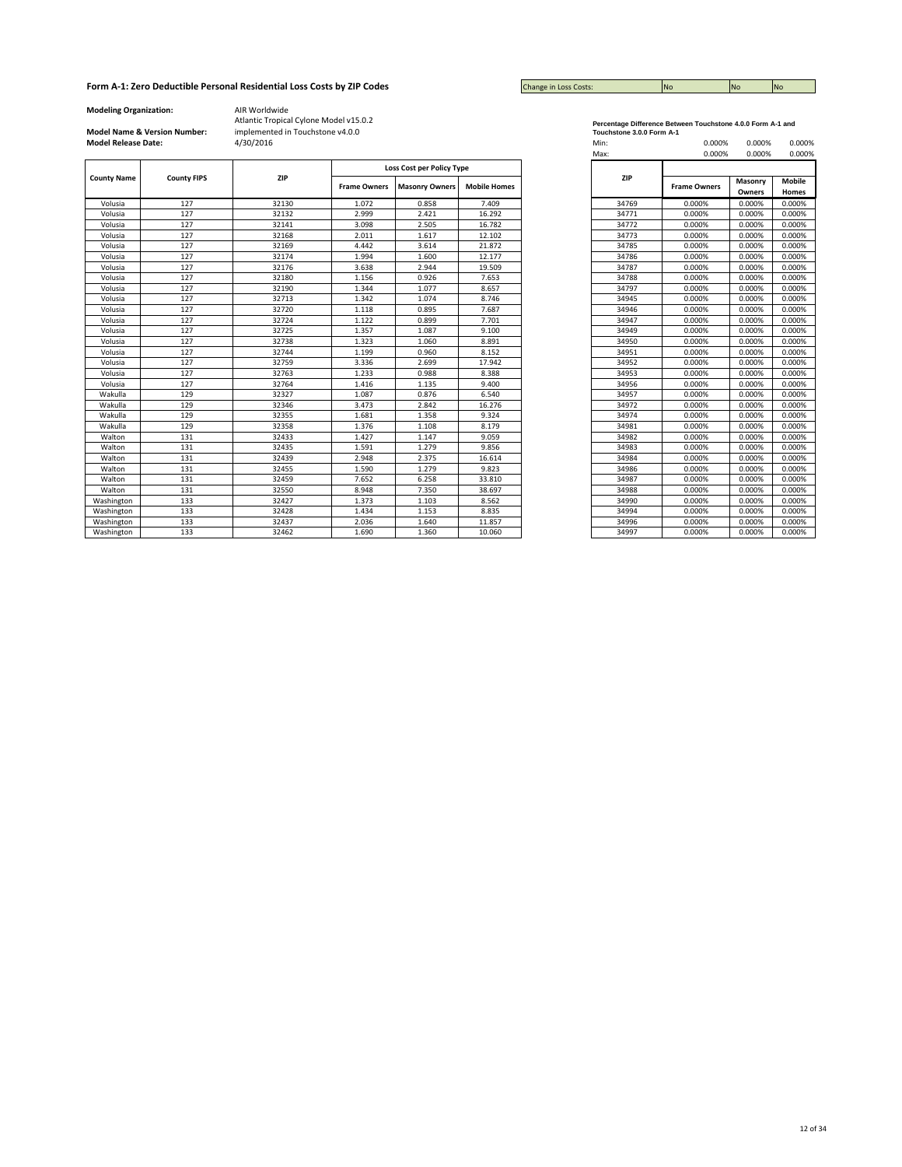| <b>Change in Loss Costs:</b> | <b>INo</b> | No | <b>INC</b> |
|------------------------------|------------|----|------------|

**Modeling Organization:** AIR Worldwide

# **Model Name & Version Number:**

Atlantic Tropical Cylone Model v15.0.2 implemented in Touchstone v4.0.0

|                    |                    |       |                     | Loss Cost per Policy Type |                     |
|--------------------|--------------------|-------|---------------------|---------------------------|---------------------|
| <b>County Name</b> | <b>County FIPS</b> | ZIP   | <b>Frame Owners</b> | <b>Masonry Owners</b>     | <b>Mobile Homes</b> |
| Volusia            | 127                | 32130 | 1.072               | 0.858                     | 7.409               |
| Volusia            | 127                | 32132 | 2.999               | 2.421                     | 16.292              |
| Volusia            | 127                | 32141 | 3.098               | 2.505                     | 16.782              |
| Volusia            | 127                | 32168 | 2.011               | 1.617                     | 12.102              |
| Volusia            | 127                | 32169 | 4.442               | 3.614                     | 21.872              |
| Volusia            | 127                | 32174 | 1.994               | 1.600                     | 12.177              |
| Volusia            | 127                | 32176 | 3.638               | 2.944                     | 19.509              |
| Volusia            | 127                | 32180 | 1.156               | 0.926                     | 7.653               |
| Volusia            | 127                | 32190 | 1.344               | 1.077                     | 8.657               |
| Volusia            | 127                | 32713 | 1.342               | 1.074                     | 8.746               |
| Volusia            | 127                | 32720 | 1.118               | 0.895                     | 7.687               |
| Volusia            | 127                | 32724 | 1.122               | 0.899                     | 7.701               |
| Volusia            | 127                | 32725 | 1.357               | 1.087                     | 9.100               |
| Volusia            | 127                | 32738 | 1.323               | 1.060                     | 8.891               |
| Volusia            | 127                | 32744 | 1.199               | 0.960                     | 8.152               |
| Volusia            | 127                | 32759 | 3.336               | 2.699                     | 17.942              |
| Volusia            | 127                | 32763 | 1.233               | 0.988                     | 8.388               |
| Volusia            | 127                | 32764 | 1.416               | 1.135                     | 9.400               |
| Wakulla            | 129                | 32327 | 1.087               | 0.876                     | 6.540               |
| Wakulla            | 129                | 32346 | 3.473               | 2.842                     | 16.276              |
| Wakulla            | 129                | 32355 | 1.681               | 1.358                     | 9.324               |
| Wakulla            | 129                | 32358 | 1.376               | 1.108                     | 8.179               |
| Walton             | 131                | 32433 | 1.427               | 1.147                     | 9.059               |
| Walton             | 131                | 32435 | 1.591               | 1.279                     | 9.856               |
| Walton             | 131                | 32439 | 2.948               | 2.375                     | 16.614              |
| Walton             | 131                | 32455 | 1.590               | 1.279                     | 9.823               |
| Walton             | 131                | 32459 | 7.652               | 6.258                     | 33.810              |
| Walton             | 131                | 32550 | 8.948               | 7.350                     | 38.697              |
| Washington         | 133                | 32427 | 1.373               | 1.103                     | 8.562               |
| Washington         | 133                | 32428 | 1.434               | 1.153                     | 8.835               |
| Washington         | 133                | 32437 | 2.036               | 1.640                     | 11.857              |
| Washington         | 133                | 32462 | 1.690               | 1.360                     | 10.060              |

**Percentage Difference Between Touchstone 4.0.0 Form A-1 and Touchstone 3.0.0 Form A-1**

| <b>Model Release Date:</b> |                    | 4/30/2016 |                           |                       |                     | Min:  | 0.000%              | 0.000%  | 0.000%        |
|----------------------------|--------------------|-----------|---------------------------|-----------------------|---------------------|-------|---------------------|---------|---------------|
|                            |                    |           |                           |                       |                     | Max:  | 0.000%              | 0.000%  | 0.000%        |
|                            |                    |           | Loss Cost per Policy Type |                       |                     |       |                     |         |               |
| <b>County Name</b>         | <b>County FIPS</b> | ZIP       | <b>Frame Owners</b>       | <b>Masonry Owners</b> | <b>Mobile Homes</b> | ZIP   | <b>Frame Owners</b> | Masonry | <b>Mobile</b> |
|                            |                    |           |                           |                       |                     |       |                     | Owners  | Homes         |
| Volusia                    | 127                | 32130     | 1.072                     | 0.858                 | 7.409               | 34769 | 0.000%              | 0.000%  | 0.000%        |
| Volusia                    | 127                | 32132     | 2.999                     | 2.421                 | 16.292              | 34771 | 0.000%              | 0.000%  | 0.000%        |
| Volusia                    | 127                | 32141     | 3.098                     | 2.505                 | 16.782              | 34772 | 0.000%              | 0.000%  | 0.000%        |
| Volusia                    | 127                | 32168     | 2.011                     | 1.617                 | 12.102              | 34773 | 0.000%              | 0.000%  | 0.000%        |
| Volusia                    | 127                | 32169     | 4.442                     | 3.614                 | 21.872              | 34785 | 0.000%              | 0.000%  | 0.000%        |
| Volusia                    | 127                | 32174     | 1.994                     | 1.600                 | 12.177              | 34786 | 0.000%              | 0.000%  | 0.000%        |
| Volusia                    | 127                | 32176     | 3.638                     | 2.944                 | 19.509              | 34787 | 0.000%              | 0.000%  | 0.000%        |
| Volusia                    | 127                | 32180     | 1.156                     | 0.926                 | 7.653               | 34788 | 0.000%              | 0.000%  | 0.000%        |
| Volusia                    | 127                | 32190     | 1.344                     | 1.077                 | 8.657               | 34797 | 0.000%              | 0.000%  | 0.000%        |
| Volusia                    | 127                | 32713     | 1.342                     | 1.074                 | 8.746               | 34945 | 0.000%              | 0.000%  | 0.000%        |
| Volusia                    | 127                | 32720     | 1.118                     | 0.895                 | 7.687               | 34946 | 0.000%              | 0.000%  | 0.000%        |
| Volusia                    | 127                | 32724     | 1.122                     | 0.899                 | 7.701               | 34947 | 0.000%              | 0.000%  | 0.000%        |
| Volusia                    | 127                | 32725     | 1.357                     | 1.087                 | 9.100               | 34949 | 0.000%              | 0.000%  | 0.000%        |
| Volusia                    | 127                | 32738     | 1.323                     | 1.060                 | 8.891               | 34950 | 0.000%              | 0.000%  | 0.000%        |
| Volusia                    | 127                | 32744     | 1.199                     | 0.960                 | 8.152               | 34951 | 0.000%              | 0.000%  | 0.000%        |
| Volusia                    | 127                | 32759     | 3.336                     | 2.699                 | 17.942              | 34952 | 0.000%              | 0.000%  | 0.000%        |
| Volusia                    | 127                | 32763     | 1.233                     | 0.988                 | 8.388               | 34953 | 0.000%              | 0.000%  | 0.000%        |
| Volusia                    | 127                | 32764     | 1.416                     | 1.135                 | 9.400               | 34956 | 0.000%              | 0.000%  | 0.000%        |
| Wakulla                    | 129                | 32327     | 1.087                     | 0.876                 | 6.540               | 34957 | 0.000%              | 0.000%  | 0.000%        |
| Wakulla                    | 129                | 32346     | 3.473                     | 2.842                 | 16.276              | 34972 | 0.000%              | 0.000%  | 0.000%        |
| Wakulla                    | 129                | 32355     | 1.681                     | 1.358                 | 9.324               | 34974 | 0.000%              | 0.000%  | 0.000%        |
| Wakulla                    | 129                | 32358     | 1.376                     | 1.108                 | 8.179               | 34981 | 0.000%              | 0.000%  | 0.000%        |
| Walton                     | 131                | 32433     | 1.427                     | 1.147                 | 9.059               | 34982 | 0.000%              | 0.000%  | 0.000%        |
| Walton                     | 131                | 32435     | 1.591                     | 1.279                 | 9.856               | 34983 | 0.000%              | 0.000%  | 0.000%        |
| Walton                     | 131                | 32439     | 2.948                     | 2.375                 | 16.614              | 34984 | 0.000%              | 0.000%  | 0.000%        |
| Walton                     | 131                | 32455     | 1.590                     | 1.279                 | 9.823               | 34986 | 0.000%              | 0.000%  | 0.000%        |
| Walton                     | 131                | 32459     | 7.652                     | 6.258                 | 33.810              | 34987 | 0.000%              | 0.000%  | 0.000%        |
| Walton                     | 131                | 32550     | 8.948                     | 7.350                 | 38.697              | 34988 | 0.000%              | 0.000%  | 0.000%        |
| Washington                 | 133                | 32427     | 1.373                     | 1.103                 | 8.562               | 34990 | 0.000%              | 0.000%  | 0.000%        |
| Washington                 | 133                | 32428     | 1.434                     | 1.153                 | 8.835               | 34994 | 0.000%              | 0.000%  | 0.000%        |
| Washington                 | 133                | 32437     | 2.036                     | 1.640                 | 11.857              | 34996 | 0.000%              | 0.000%  | 0.000%        |
| Washington                 | 133                | 32462     | 1.690                     | 1.360                 | 10.060              | 34997 | 0.000%              | 0.000%  | 0.000%        |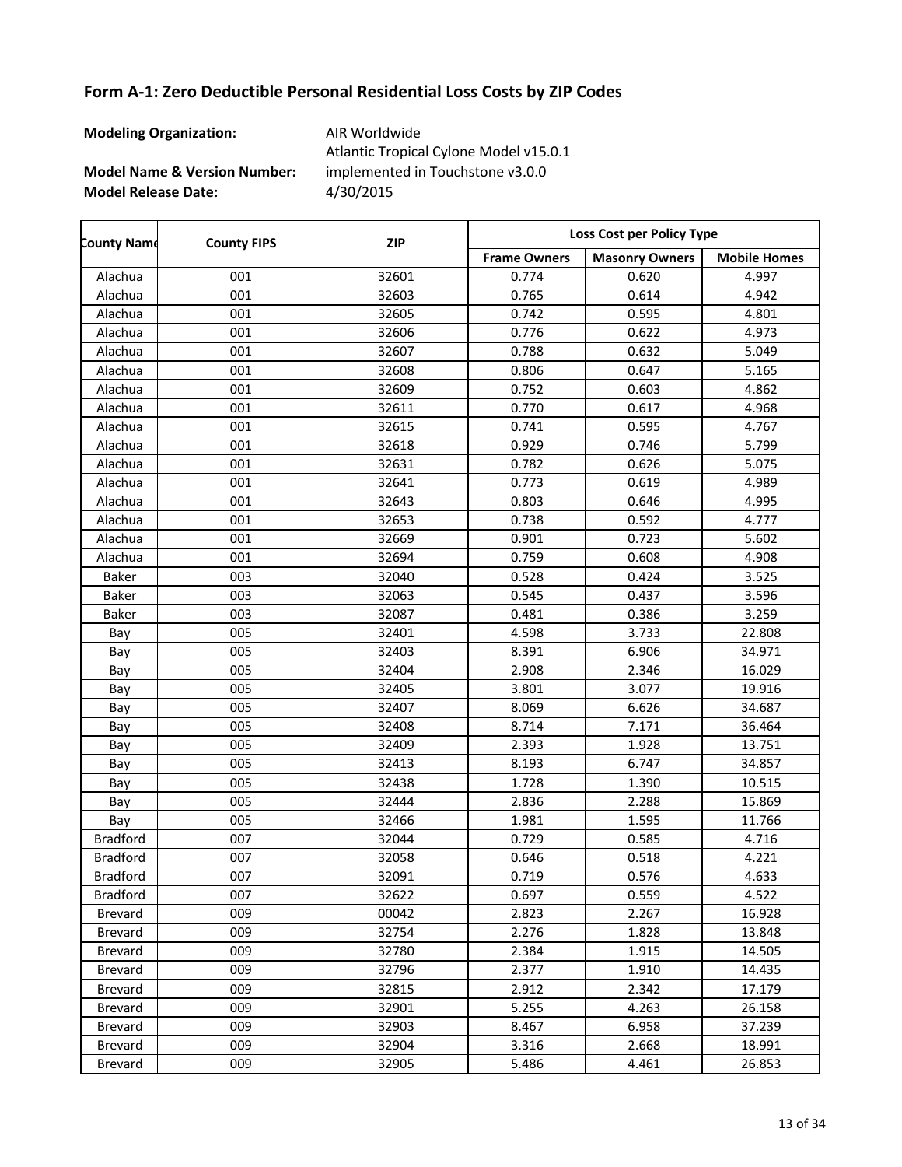| <b>Modeling Organization:</b>           | AIR Worldwide<br>Atlantic Tropical Cylone Model v15.0.1 |
|-----------------------------------------|---------------------------------------------------------|
| <b>Model Name &amp; Version Number:</b> | implemented in Touchstone v3.0.0                        |
| <b>Model Release Date:</b>              | 4/30/2015                                               |

| <b>County Name</b> | <b>County FIPS</b> | <b>ZIP</b> | Loss Cost per Policy Type |                       |                     |
|--------------------|--------------------|------------|---------------------------|-----------------------|---------------------|
|                    |                    |            | <b>Frame Owners</b>       | <b>Masonry Owners</b> | <b>Mobile Homes</b> |
| Alachua            | 001                | 32601      | 0.774                     | 0.620                 | 4.997               |
| Alachua            | 001                | 32603      | 0.765                     | 0.614                 | 4.942               |
| Alachua            | 001                | 32605      | 0.742                     | 0.595                 | 4.801               |
| Alachua            | 001                | 32606      | 0.776                     | 0.622                 | 4.973               |
| Alachua            | 001                | 32607      | 0.788                     | 0.632                 | 5.049               |
| Alachua            | 001                | 32608      | 0.806                     | 0.647                 | 5.165               |
| Alachua            | 001                | 32609      | 0.752                     | 0.603                 | 4.862               |
| Alachua            | 001                | 32611      | 0.770                     | 0.617                 | 4.968               |
| Alachua            | 001                | 32615      | 0.741                     | 0.595                 | 4.767               |
| Alachua            | 001                | 32618      | 0.929                     | 0.746                 | 5.799               |
| Alachua            | 001                | 32631      | 0.782                     | 0.626                 | 5.075               |
| Alachua            | 001                | 32641      | 0.773                     | 0.619                 | 4.989               |
| Alachua            | 001                | 32643      | 0.803                     | 0.646                 | 4.995               |
| Alachua            | 001                | 32653      | 0.738                     | 0.592                 | 4.777               |
| Alachua            | 001                | 32669      | 0.901                     | 0.723                 | 5.602               |
| Alachua            | 001                | 32694      | 0.759                     | 0.608                 | 4.908               |
| <b>Baker</b>       | 003                | 32040      | 0.528                     | 0.424                 | 3.525               |
| <b>Baker</b>       | 003                | 32063      | 0.545                     | 0.437                 | 3.596               |
| <b>Baker</b>       | 003                | 32087      | 0.481                     | 0.386                 | 3.259               |
| Bay                | 005                | 32401      | 4.598                     | 3.733                 | 22.808              |
| Bay                | 005                | 32403      | 8.391                     | 6.906                 | 34.971              |
| Bay                | 005                | 32404      | 2.908                     | 2.346                 | 16.029              |
| Bay                | 005                | 32405      | 3.801                     | 3.077                 | 19.916              |
| Bay                | 005                | 32407      | 8.069                     | 6.626                 | 34.687              |
| Bay                | 005                | 32408      | 8.714                     | 7.171                 | 36.464              |
| Bay                | 005                | 32409      | 2.393                     | 1.928                 | 13.751              |
| Bay                | 005                | 32413      | 8.193                     | 6.747                 | 34.857              |
| Bay                | 005                | 32438      | 1.728                     | 1.390                 | 10.515              |
| Bay                | 005                | 32444      | 2.836                     | 2.288                 | 15.869              |
| Bay                | 005                | 32466      | 1.981                     | 1.595                 | 11.766              |
| <b>Bradford</b>    | 007                | 32044      | 0.729                     | 0.585                 | 4.716               |
| <b>Bradford</b>    | 007                | 32058      | 0.646                     | 0.518                 | 4.221               |
| <b>Bradford</b>    | 007                | 32091      | 0.719                     | 0.576                 | 4.633               |
| <b>Bradford</b>    | 007                | 32622      | 0.697                     | 0.559                 | 4.522               |
| <b>Brevard</b>     | 009                | 00042      | 2.823                     | 2.267                 | 16.928              |
| <b>Brevard</b>     | 009                | 32754      | 2.276                     | 1.828                 | 13.848              |
| Brevard            | 009                | 32780      | 2.384                     | 1.915                 | 14.505              |
| Brevard            | 009                | 32796      | 2.377                     | 1.910                 | 14.435              |
| Brevard            | 009                | 32815      | 2.912                     | 2.342                 | 17.179              |
| Brevard            | 009                | 32901      | 5.255                     | 4.263                 | 26.158              |
| Brevard            | 009                | 32903      | 8.467                     | 6.958                 | 37.239              |
| Brevard            | 009                | 32904      | 3.316                     | 2.668                 | 18.991              |
| Brevard            | 009                | 32905      | 5.486                     | 4.461                 | 26.853              |

 $\overline{\phantom{a}}$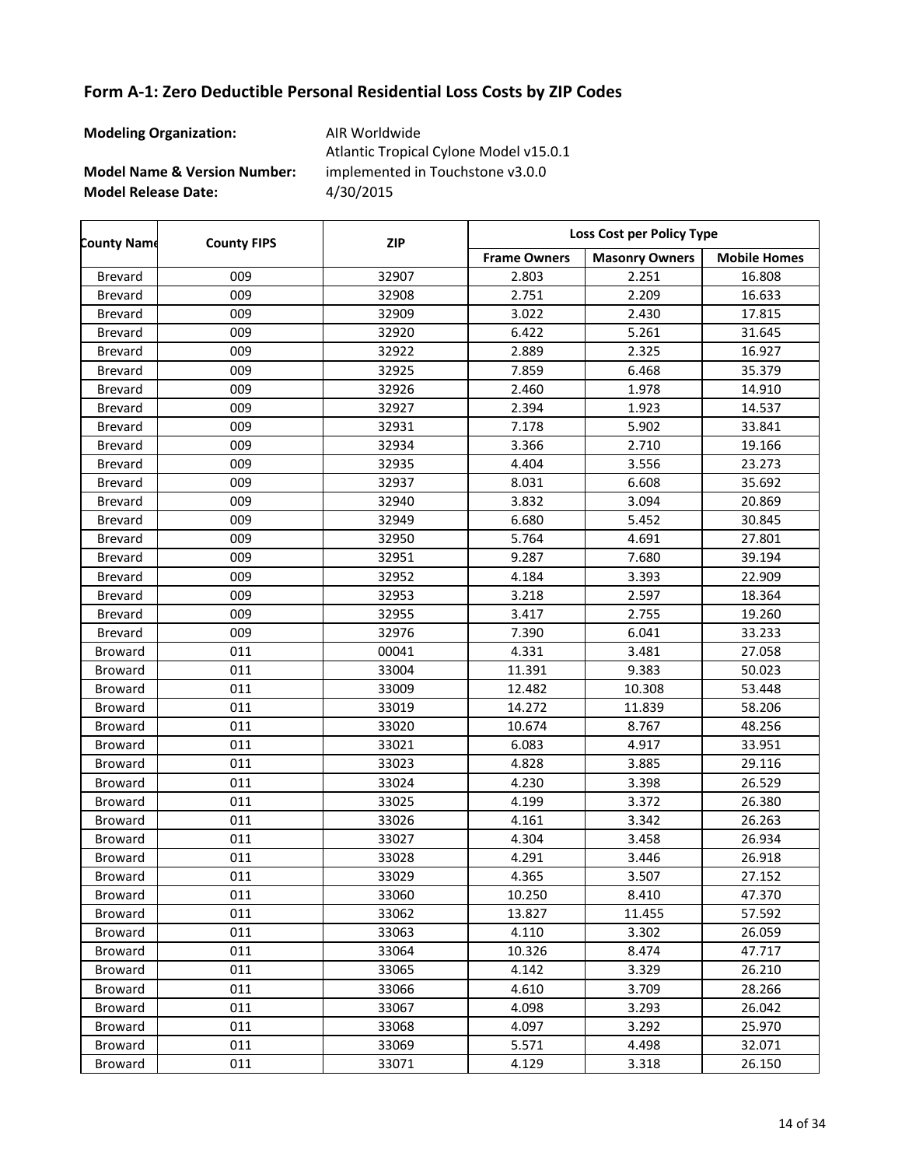| <b>Modeling Organization:</b>           | AIR Worldwide<br>Atlantic Tropical Cylone Model v15.0.1 |
|-----------------------------------------|---------------------------------------------------------|
| <b>Model Name &amp; Version Number:</b> | implemented in Touchstone v3.0.0                        |
| <b>Model Release Date:</b>              | 4/30/2015                                               |

| <b>County Name</b> | <b>County FIPS</b> | <b>ZIP</b> | Loss Cost per Policy Type |                       |                     |
|--------------------|--------------------|------------|---------------------------|-----------------------|---------------------|
|                    |                    |            | <b>Frame Owners</b>       | <b>Masonry Owners</b> | <b>Mobile Homes</b> |
| Brevard            | 009                | 32907      | 2.803                     | 2.251                 | 16.808              |
| <b>Brevard</b>     | 009                | 32908      | 2.751                     | 2.209                 | 16.633              |
| Brevard            | 009                | 32909      | 3.022                     | 2.430                 | 17.815              |
| Brevard            | 009                | 32920      | 6.422                     | 5.261                 | 31.645              |
| Brevard            | 009                | 32922      | 2.889                     | 2.325                 | 16.927              |
| <b>Brevard</b>     | 009                | 32925      | 7.859                     | 6.468                 | 35.379              |
| <b>Brevard</b>     | 009                | 32926      | 2.460                     | 1.978                 | 14.910              |
| <b>Brevard</b>     | 009                | 32927      | 2.394                     | 1.923                 | 14.537              |
| <b>Brevard</b>     | 009                | 32931      | 7.178                     | 5.902                 | 33.841              |
| <b>Brevard</b>     | 009                | 32934      | 3.366                     | 2.710                 | 19.166              |
| <b>Brevard</b>     | 009                | 32935      | 4.404                     | 3.556                 | 23.273              |
| <b>Brevard</b>     | 009                | 32937      | 8.031                     | 6.608                 | 35.692              |
| Brevard            | 009                | 32940      | 3.832                     | 3.094                 | 20.869              |
| Brevard            | 009                | 32949      | 6.680                     | 5.452                 | 30.845              |
| <b>Brevard</b>     | 009                | 32950      | 5.764                     | 4.691                 | 27.801              |
| <b>Brevard</b>     | 009                | 32951      | 9.287                     | 7.680                 | 39.194              |
| <b>Brevard</b>     | 009                | 32952      | 4.184                     | 3.393                 | 22.909              |
| <b>Brevard</b>     | 009                | 32953      | 3.218                     | 2.597                 | 18.364              |
| <b>Brevard</b>     | 009                | 32955      | 3.417                     | 2.755                 | 19.260              |
| Brevard            | 009                | 32976      | 7.390                     | 6.041                 | 33.233              |
| <b>Broward</b>     | 011                | 00041      | 4.331                     | 3.481                 | 27.058              |
| <b>Broward</b>     | 011                | 33004      | 11.391                    | 9.383                 | 50.023              |
| <b>Broward</b>     | 011                | 33009      | 12.482                    | 10.308                | 53.448              |
| <b>Broward</b>     | 011                | 33019      | 14.272                    | 11.839                | 58.206              |
| <b>Broward</b>     | 011                | 33020      | 10.674                    | 8.767                 | 48.256              |
| <b>Broward</b>     | 011                | 33021      | 6.083                     | 4.917                 | 33.951              |
| <b>Broward</b>     | 011                | 33023      | 4.828                     | 3.885                 | 29.116              |
| <b>Broward</b>     | 011                | 33024      | 4.230                     | 3.398                 | 26.529              |
| <b>Broward</b>     | 011                | 33025      | 4.199                     | 3.372                 | 26.380              |
| <b>Broward</b>     | 011                | 33026      | 4.161                     | 3.342                 | 26.263              |
| <b>Broward</b>     | 011                | 33027      | 4.304                     | 3.458                 | 26.934              |
| <b>Broward</b>     | 011                | 33028      | 4.291                     | 3.446                 | 26.918              |
| Broward            | 011                | 33029      | 4.365                     | 3.507                 | 27.152              |
| <b>Broward</b>     | 011                | 33060      | 10.250                    | 8.410                 | 47.370              |
| <b>Broward</b>     | 011                | 33062      | 13.827                    | 11.455                | 57.592              |
| <b>Broward</b>     | 011                | 33063      | 4.110                     | 3.302                 | 26.059              |
| Broward            | 011                | 33064      | 10.326                    | 8.474                 | 47.717              |
| <b>Broward</b>     | 011                | 33065      | 4.142                     | 3.329                 | 26.210              |
| <b>Broward</b>     | 011                | 33066      | 4.610                     | 3.709                 | 28.266              |
| <b>Broward</b>     | 011                | 33067      | 4.098                     | 3.293                 | 26.042              |
| Broward            | 011                | 33068      | 4.097                     | 3.292                 | 25.970              |
| <b>Broward</b>     | 011                | 33069      | 5.571                     | 4.498                 | 32.071              |
| <b>Broward</b>     | 011                | 33071      | 4.129                     | 3.318                 | 26.150              |

 $\overline{\phantom{a}}$ 

 $\overline{\phantom{a}}$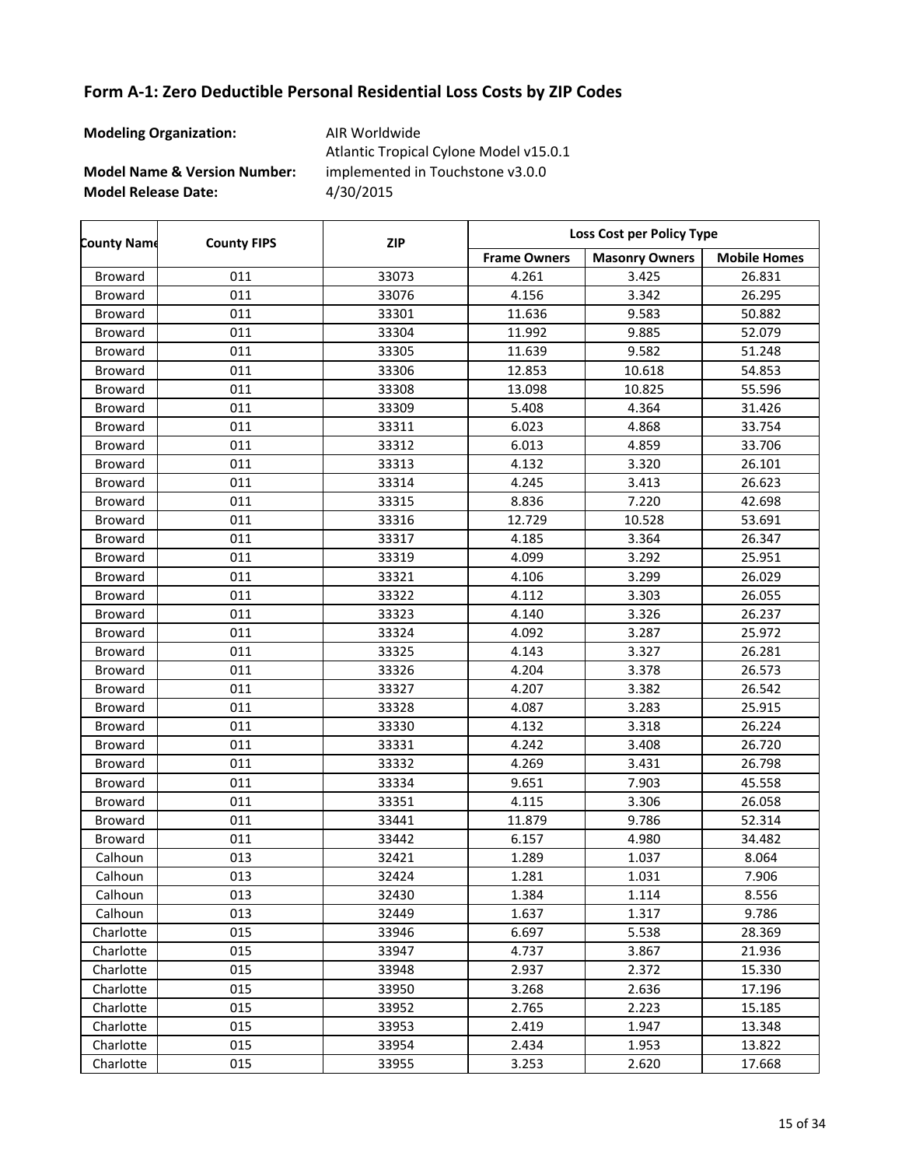| <b>Modeling Organization:</b>           | AIR Worldwide<br>Atlantic Tropical Cylone Model v15.0.1 |
|-----------------------------------------|---------------------------------------------------------|
| <b>Model Name &amp; Version Number:</b> | implemented in Touchstone v3.0.0                        |
| <b>Model Release Date:</b>              | 4/30/2015                                               |

| <b>County Name</b> | <b>County FIPS</b> | <b>ZIP</b> | Loss Cost per Policy Type |                       |                     |
|--------------------|--------------------|------------|---------------------------|-----------------------|---------------------|
|                    |                    |            | <b>Frame Owners</b>       | <b>Masonry Owners</b> | <b>Mobile Homes</b> |
| <b>Broward</b>     | 011                | 33073      | 4.261                     | 3.425                 | 26.831              |
| <b>Broward</b>     | 011                | 33076      | 4.156                     | 3.342                 | 26.295              |
| <b>Broward</b>     | 011                | 33301      | 11.636                    | 9.583                 | 50.882              |
| <b>Broward</b>     | 011                | 33304      | 11.992                    | 9.885                 | 52.079              |
| <b>Broward</b>     | 011                | 33305      | 11.639                    | 9.582                 | 51.248              |
| <b>Broward</b>     | 011                | 33306      | 12.853                    | 10.618                | 54.853              |
| <b>Broward</b>     | 011                | 33308      | 13.098                    | 10.825                | 55.596              |
| <b>Broward</b>     | 011                | 33309      | 5.408                     | 4.364                 | 31.426              |
| <b>Broward</b>     | 011                | 33311      | 6.023                     | 4.868                 | 33.754              |
| <b>Broward</b>     | 011                | 33312      | 6.013                     | 4.859                 | 33.706              |
| <b>Broward</b>     | 011                | 33313      | 4.132                     | 3.320                 | 26.101              |
| <b>Broward</b>     | 011                | 33314      | 4.245                     | 3.413                 | 26.623              |
| <b>Broward</b>     | 011                | 33315      | 8.836                     | 7.220                 | 42.698              |
| <b>Broward</b>     | 011                | 33316      | 12.729                    | 10.528                | 53.691              |
| <b>Broward</b>     | 011                | 33317      | 4.185                     | 3.364                 | 26.347              |
| <b>Broward</b>     | 011                | 33319      | 4.099                     | 3.292                 | 25.951              |
| <b>Broward</b>     | 011                | 33321      | 4.106                     | 3.299                 | 26.029              |
| <b>Broward</b>     | 011                | 33322      | 4.112                     | 3.303                 | 26.055              |
| <b>Broward</b>     | 011                | 33323      | 4.140                     | 3.326                 | 26.237              |
| <b>Broward</b>     | 011                | 33324      | 4.092                     | 3.287                 | 25.972              |
| <b>Broward</b>     | 011                | 33325      | 4.143                     | 3.327                 | 26.281              |
| <b>Broward</b>     | 011                | 33326      | 4.204                     | 3.378                 | 26.573              |
| <b>Broward</b>     | 011                | 33327      | 4.207                     | 3.382                 | 26.542              |
| <b>Broward</b>     | 011                | 33328      | 4.087                     | 3.283                 | 25.915              |
| <b>Broward</b>     | 011                | 33330      | 4.132                     | 3.318                 | 26.224              |
| <b>Broward</b>     | 011                | 33331      | 4.242                     | 3.408                 | 26.720              |
| <b>Broward</b>     | 011                | 33332      | 4.269                     | 3.431                 | 26.798              |
| <b>Broward</b>     | 011                | 33334      | 9.651                     | 7.903                 | 45.558              |
| <b>Broward</b>     | 011                | 33351      | 4.115                     | 3.306                 | 26.058              |
| <b>Broward</b>     | 011                | 33441      | 11.879                    | 9.786                 | 52.314              |
| <b>Broward</b>     | 011                | 33442      | 6.157                     | 4.980                 | 34.482              |
| Calhoun            | 013                | 32421      | 1.289                     | 1.037                 | 8.064               |
| Calhoun            | 013                | 32424      | 1.281                     | 1.031                 | 7.906               |
| Calhoun            | 013                | 32430      | 1.384                     | 1.114                 | 8.556               |
| Calhoun            | 013                | 32449      | 1.637                     | 1.317                 | 9.786               |
| Charlotte          | 015                | 33946      | 6.697                     | 5.538                 | 28.369              |
| Charlotte          | 015                | 33947      | 4.737                     | 3.867                 | 21.936              |
| Charlotte          | 015                | 33948      | 2.937                     | 2.372                 | 15.330              |
| Charlotte          | 015                | 33950      | 3.268                     | 2.636                 | 17.196              |
| Charlotte          | 015                | 33952      | 2.765                     | 2.223                 | 15.185              |
| Charlotte          | 015                | 33953      | 2.419                     | 1.947                 | 13.348              |
| Charlotte          | 015                | 33954      | 2.434                     | 1.953                 | 13.822              |
| Charlotte          | 015                | 33955      | 3.253                     | 2.620                 | 17.668              |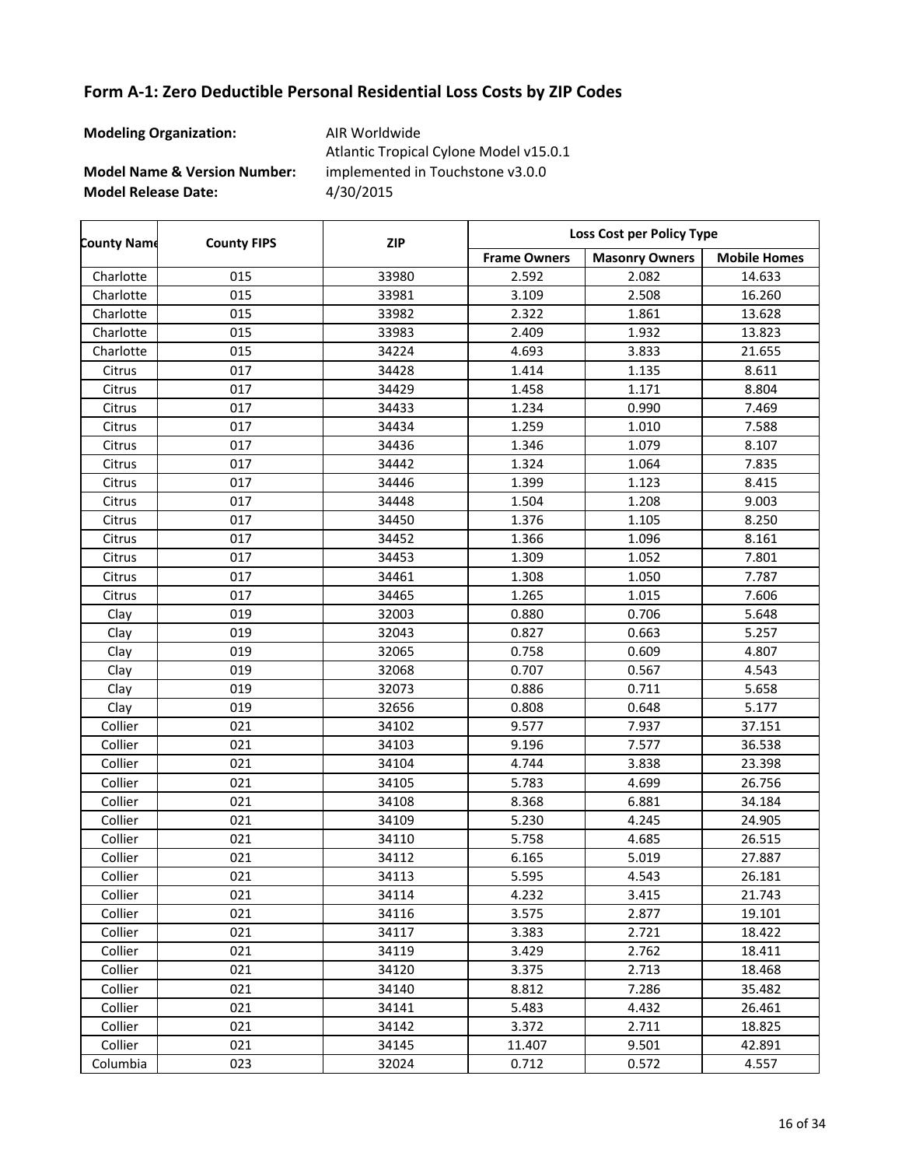| <b>Modeling Organization:</b>           | AIR Worldwide<br>Atlantic Tropical Cylone Model v15.0.1 |
|-----------------------------------------|---------------------------------------------------------|
| <b>Model Name &amp; Version Number:</b> | implemented in Touchstone v3.0.0                        |
| <b>Model Release Date:</b>              | 4/30/2015                                               |

| <b>County Name</b> | <b>County FIPS</b> | <b>ZIP</b> | Loss Cost per Policy Type |                       |                     |
|--------------------|--------------------|------------|---------------------------|-----------------------|---------------------|
|                    |                    |            | <b>Frame Owners</b>       | <b>Masonry Owners</b> | <b>Mobile Homes</b> |
| Charlotte          | 015                | 33980      | 2.592                     | 2.082                 | 14.633              |
| Charlotte          | 015                | 33981      | 3.109                     | 2.508                 | 16.260              |
| Charlotte          | 015                | 33982      | 2.322                     | 1.861                 | 13.628              |
| Charlotte          | 015                | 33983      | 2.409                     | 1.932                 | 13.823              |
| Charlotte          | 015                | 34224      | 4.693                     | 3.833                 | 21.655              |
| Citrus             | 017                | 34428      | 1.414                     | 1.135                 | 8.611               |
| Citrus             | 017                | 34429      | 1.458                     | 1.171                 | 8.804               |
| Citrus             | 017                | 34433      | 1.234                     | 0.990                 | 7.469               |
| Citrus             | 017                | 34434      | 1.259                     | 1.010                 | 7.588               |
| Citrus             | 017                | 34436      | 1.346                     | 1.079                 | 8.107               |
| Citrus             | 017                | 34442      | 1.324                     | 1.064                 | 7.835               |
| Citrus             | 017                | 34446      | 1.399                     | 1.123                 | 8.415               |
| Citrus             | 017                | 34448      | 1.504                     | 1.208                 | 9.003               |
| Citrus             | 017                | 34450      | 1.376                     | 1.105                 | 8.250               |
| Citrus             | 017                | 34452      | 1.366                     | 1.096                 | 8.161               |
| Citrus             | 017                | 34453      | 1.309                     | 1.052                 | 7.801               |
| Citrus             | 017                | 34461      | 1.308                     | 1.050                 | 7.787               |
| Citrus             | 017                | 34465      | 1.265                     | 1.015                 | 7.606               |
| Clay               | 019                | 32003      | 0.880                     | 0.706                 | 5.648               |
| Clay               | 019                | 32043      | 0.827                     | 0.663                 | 5.257               |
| Clay               | 019                | 32065      | 0.758                     | 0.609                 | 4.807               |
| Clay               | 019                | 32068      | 0.707                     | 0.567                 | 4.543               |
| Clay               | 019                | 32073      | 0.886                     | 0.711                 | 5.658               |
| Clay               | 019                | 32656      | 0.808                     | 0.648                 | 5.177               |
| Collier            | 021                | 34102      | 9.577                     | 7.937                 | 37.151              |
| Collier            | 021                | 34103      | 9.196                     | 7.577                 | 36.538              |
| Collier            | 021                | 34104      | 4.744                     | 3.838                 | 23.398              |
| Collier            | 021                | 34105      | 5.783                     | 4.699                 | 26.756              |
| Collier            | 021                | 34108      | 8.368                     | 6.881                 | 34.184              |
| Collier            | 021                | 34109      | 5.230                     | 4.245                 | 24.905              |
| Collier            | 021                | 34110      | 5.758                     | 4.685                 | 26.515              |
| Collier            | 021                | 34112      | 6.165                     | 5.019                 | 27.887              |
| Collier            | 021                | 34113      | 5.595                     | 4.543                 | 26.181              |
| Collier            | 021                | 34114      | 4.232                     | 3.415                 | 21.743              |
| Collier            | 021                | 34116      | 3.575                     | 2.877                 | 19.101              |
| Collier            | 021                | 34117      | 3.383                     | 2.721                 | 18.422              |
| Collier            | 021                | 34119      | 3.429                     | 2.762                 | 18.411              |
| Collier            | 021                | 34120      | 3.375                     | 2.713                 | 18.468              |
| Collier            | 021                | 34140      | 8.812                     | 7.286                 | 35.482              |
| Collier            | 021                | 34141      | 5.483                     | 4.432                 | 26.461              |
| Collier            | 021                | 34142      | 3.372                     | 2.711                 | 18.825              |
| Collier            | 021                | 34145      | 11.407                    | 9.501                 | 42.891              |
| Columbia           | 023                | 32024      | 0.712                     | 0.572                 | 4.557               |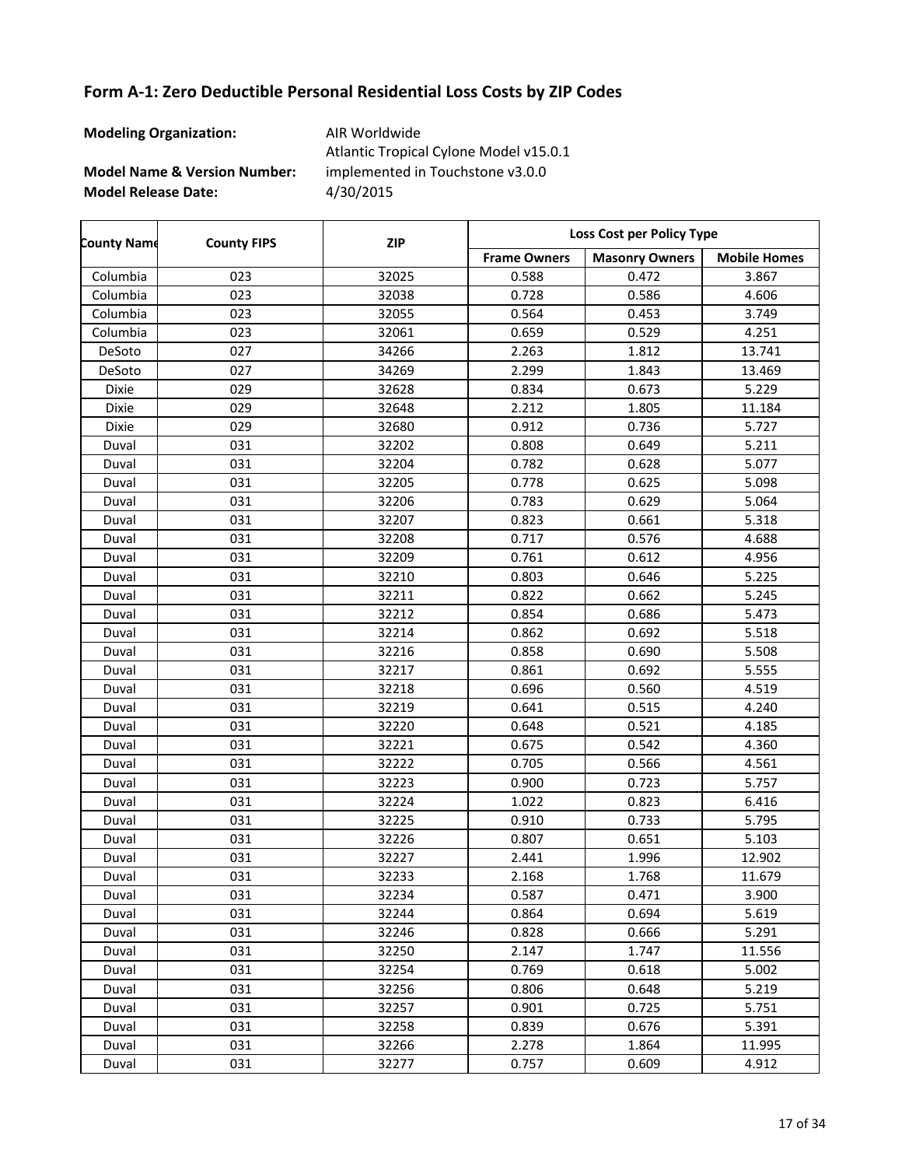| <b>Modeling Organization:</b>           | AIR Worldwide<br>Atlantic Tropical Cylone Model v15.0.1 |
|-----------------------------------------|---------------------------------------------------------|
| <b>Model Name &amp; Version Number:</b> | implemented in Touchstone v3.0.0                        |
| <b>Model Release Date:</b>              | 4/30/2015                                               |

| <b>County Name</b> | <b>County FIPS</b> | <b>ZIP</b> | Loss Cost per Policy Type |                       |                     |
|--------------------|--------------------|------------|---------------------------|-----------------------|---------------------|
|                    |                    |            | <b>Frame Owners</b>       | <b>Masonry Owners</b> | <b>Mobile Homes</b> |
| Columbia           | 023                | 32025      | 0.588                     | 0.472                 | 3.867               |
| Columbia           | 023                | 32038      | 0.728                     | 0.586                 | 4.606               |
| Columbia           | 023                | 32055      | 0.564                     | 0.453                 | 3.749               |
| Columbia           | 023                | 32061      | 0.659                     | 0.529                 | 4.251               |
| DeSoto             | 027                | 34266      | 2.263                     | 1.812                 | 13.741              |
| DeSoto             | 027                | 34269      | 2.299                     | 1.843                 | 13.469              |
| Dixie              | 029                | 32628      | 0.834                     | 0.673                 | 5.229               |
| Dixie              | 029                | 32648      | 2.212                     | 1.805                 | 11.184              |
| Dixie              | 029                | 32680      | 0.912                     | 0.736                 | 5.727               |
| Duval              | 031                | 32202      | 0.808                     | 0.649                 | 5.211               |
| Duval              | 031                | 32204      | 0.782                     | 0.628                 | 5.077               |
| Duval              | 031                | 32205      | 0.778                     | 0.625                 | 5.098               |
| Duval              | 031                | 32206      | 0.783                     | 0.629                 | 5.064               |
| Duval              | 031                | 32207      | 0.823                     | 0.661                 | 5.318               |
| Duval              | 031                | 32208      | 0.717                     | 0.576                 | 4.688               |
| Duval              | 031                | 32209      | 0.761                     | 0.612                 | 4.956               |
| Duval              | 031                | 32210      | 0.803                     | 0.646                 | 5.225               |
| Duval              | 031                | 32211      | 0.822                     | 0.662                 | 5.245               |
| Duval              | 031                | 32212      | 0.854                     | 0.686                 | 5.473               |
| Duval              | 031                | 32214      | 0.862                     | 0.692                 | 5.518               |
| Duval              | 031                | 32216      | 0.858                     | 0.690                 | 5.508               |
| Duval              | 031                | 32217      | 0.861                     | 0.692                 | 5.555               |
| Duval              | 031                | 32218      | 0.696                     | 0.560                 | 4.519               |
| Duval              | 031                | 32219      | 0.641                     | 0.515                 | 4.240               |
| Duval              | 031                | 32220      | 0.648                     | 0.521                 | 4.185               |
| Duval              | 031                | 32221      | 0.675                     | 0.542                 | 4.360               |
| Duval              | 031                | 32222      | 0.705                     | 0.566                 | 4.561               |
| Duval              | 031                | 32223      | 0.900                     | 0.723                 | 5.757               |
| Duval              | 031                | 32224      | 1.022                     | 0.823                 | 6.416               |
| Duval              | 031                | 32225      | 0.910                     | 0.733                 | 5.795               |
| Duval              | 031                | 32226      | 0.807                     | 0.651                 | 5.103               |
| Duval              | 031                | 32227      | 2.441                     | 1.996                 | 12.902              |
| Duval              | 031                | 32233      | 2.168                     | 1.768                 | 11.679              |
| Duval              | 031                | 32234      | 0.587                     | 0.471                 | 3.900               |
| Duval              | 031                | 32244      | 0.864                     | 0.694                 | 5.619               |
| Duval              | 031                | 32246      | 0.828                     | 0.666                 | 5.291               |
| Duval              | 031                | 32250      | 2.147                     | 1.747                 | 11.556              |
| Duval              | 031                | 32254      | 0.769                     | 0.618                 | 5.002               |
| Duval              | 031                | 32256      | 0.806                     | 0.648                 | 5.219               |
| Duval              | 031                | 32257      | 0.901                     | 0.725                 | 5.751               |
| Duval              | 031                | 32258      | 0.839                     | 0.676                 | 5.391               |
| Duval              | 031                | 32266      | 2.278                     | 1.864                 | 11.995              |
| Duval              | 031                | 32277      | 0.757                     | 0.609                 | 4.912               |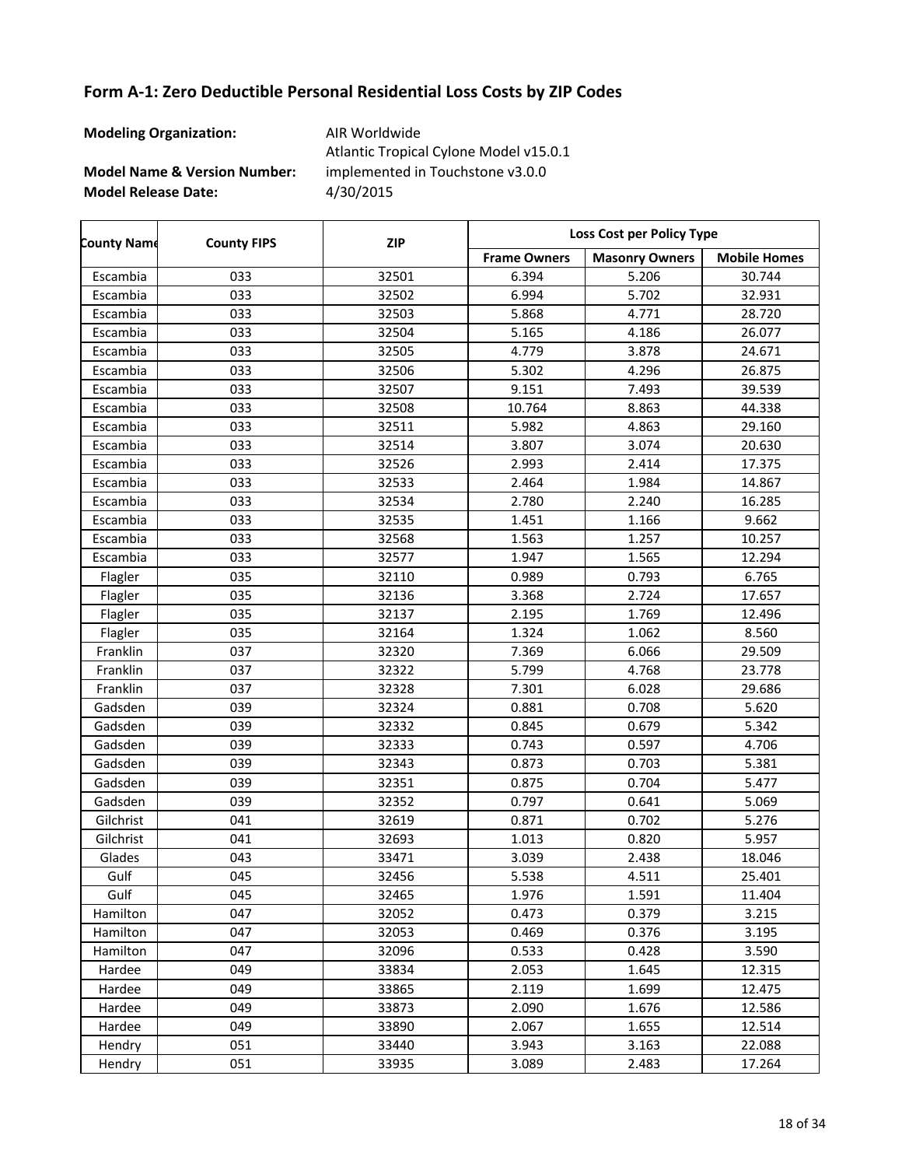| <b>Modeling Organization:</b>           | AIR Worldwide<br>Atlantic Tropical Cylone Model v15.0.1 |
|-----------------------------------------|---------------------------------------------------------|
| <b>Model Name &amp; Version Number:</b> | implemented in Touchstone v3.0.0                        |
| <b>Model Release Date:</b>              | 4/30/2015                                               |

| <b>County Name</b> | <b>County FIPS</b> | <b>ZIP</b> | Loss Cost per Policy Type |                       |                     |
|--------------------|--------------------|------------|---------------------------|-----------------------|---------------------|
|                    |                    |            | <b>Frame Owners</b>       | <b>Masonry Owners</b> | <b>Mobile Homes</b> |
| Escambia           | 033                | 32501      | 6.394                     | 5.206                 | 30.744              |
| Escambia           | 033                | 32502      | 6.994                     | 5.702                 | 32.931              |
| Escambia           | 033                | 32503      | 5.868                     | 4.771                 | 28.720              |
| Escambia           | 033                | 32504      | 5.165                     | 4.186                 | 26.077              |
| Escambia           | 033                | 32505      | 4.779                     | 3.878                 | 24.671              |
| Escambia           | 033                | 32506      | 5.302                     | 4.296                 | 26.875              |
| Escambia           | 033                | 32507      | 9.151                     | 7.493                 | 39.539              |
| Escambia           | 033                | 32508      | 10.764                    | 8.863                 | 44.338              |
| Escambia           | 033                | 32511      | 5.982                     | 4.863                 | 29.160              |
| Escambia           | 033                | 32514      | 3.807                     | 3.074                 | 20.630              |
| Escambia           | 033                | 32526      | 2.993                     | 2.414                 | 17.375              |
| Escambia           | 033                | 32533      | 2.464                     | 1.984                 | 14.867              |
| Escambia           | 033                | 32534      | 2.780                     | 2.240                 | 16.285              |
| Escambia           | 033                | 32535      | 1.451                     | 1.166                 | 9.662               |
| Escambia           | 033                | 32568      | 1.563                     | 1.257                 | 10.257              |
| Escambia           | 033                | 32577      | 1.947                     | 1.565                 | 12.294              |
| Flagler            | 035                | 32110      | 0.989                     | 0.793                 | 6.765               |
| Flagler            | 035                | 32136      | 3.368                     | 2.724                 | 17.657              |
| Flagler            | 035                | 32137      | 2.195                     | 1.769                 | 12.496              |
| Flagler            | 035                | 32164      | 1.324                     | 1.062                 | 8.560               |
| Franklin           | 037                | 32320      | 7.369                     | 6.066                 | 29.509              |
| Franklin           | 037                | 32322      | 5.799                     | 4.768                 | 23.778              |
| Franklin           | 037                | 32328      | 7.301                     | 6.028                 | 29.686              |
| Gadsden            | 039                | 32324      | 0.881                     | 0.708                 | 5.620               |
| Gadsden            | 039                | 32332      | 0.845                     | 0.679                 | 5.342               |
| Gadsden            | 039                | 32333      | 0.743                     | 0.597                 | 4.706               |
| Gadsden            | 039                | 32343      | 0.873                     | 0.703                 | 5.381               |
| Gadsden            | 039                | 32351      | 0.875                     | 0.704                 | 5.477               |
| Gadsden            | 039                | 32352      | 0.797                     | 0.641                 | 5.069               |
| Gilchrist          | 041                | 32619      | 0.871                     | 0.702                 | 5.276               |
| Gilchrist          | 041                | 32693      | 1.013                     | 0.820                 | 5.957               |
| Glades             | 043                | 33471      | 3.039                     | 2.438                 | 18.046              |
| Gulf               | $\overline{045}$   | 32456      | 5.538                     | 4.511                 | 25.401              |
| Gulf               | 045                | 32465      | 1.976                     | 1.591                 | 11.404              |
| Hamilton           | 047                | 32052      | 0.473                     | 0.379                 | 3.215               |
| Hamilton           | 047                | 32053      | 0.469                     | 0.376                 | 3.195               |
| Hamilton           | 047                | 32096      | 0.533                     | 0.428                 | 3.590               |
| Hardee             | 049                | 33834      | 2.053                     | 1.645                 | 12.315              |
| Hardee             | 049                | 33865      | 2.119                     | 1.699                 | 12.475              |
| Hardee             | 049                | 33873      | 2.090                     | 1.676                 | 12.586              |
| Hardee             | 049                | 33890      | 2.067                     | 1.655                 | 12.514              |
| Hendry             | 051                | 33440      | 3.943                     | 3.163                 | 22.088              |
| Hendry             | 051                | 33935      | 3.089                     | 2.483                 | 17.264              |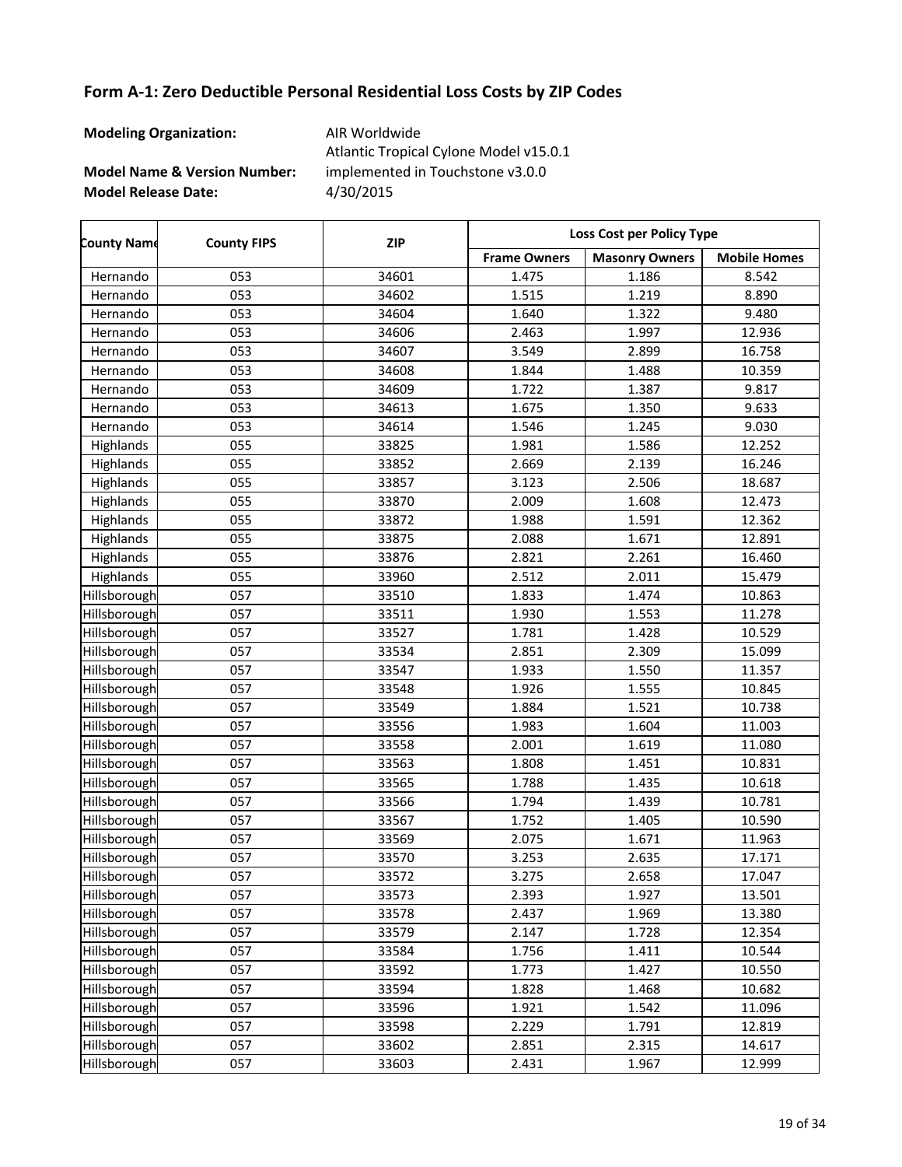| <b>Modeling Organization:</b>           | AIR Worldwide<br>Atlantic Tropical Cylone Model v15.0.1 |
|-----------------------------------------|---------------------------------------------------------|
| <b>Model Name &amp; Version Number:</b> | implemented in Touchstone v3.0.0                        |
| <b>Model Release Date:</b>              | 4/30/2015                                               |

| <b>County Name</b> | <b>County FIPS</b> | <b>ZIP</b> | Loss Cost per Policy Type |                       |                     |
|--------------------|--------------------|------------|---------------------------|-----------------------|---------------------|
|                    |                    |            | <b>Frame Owners</b>       | <b>Masonry Owners</b> | <b>Mobile Homes</b> |
| Hernando           | 053                | 34601      | 1.475                     | 1.186                 | 8.542               |
| Hernando           | 053                | 34602      | 1.515                     | 1.219                 | 8.890               |
| Hernando           | 053                | 34604      | 1.640                     | 1.322                 | 9.480               |
| Hernando           | 053                | 34606      | 2.463                     | 1.997                 | 12.936              |
| Hernando           | 053                | 34607      | 3.549                     | 2.899                 | 16.758              |
| Hernando           | 053                | 34608      | 1.844                     | 1.488                 | 10.359              |
| Hernando           | 053                | 34609      | 1.722                     | 1.387                 | 9.817               |
| Hernando           | 053                | 34613      | 1.675                     | 1.350                 | 9.633               |
| Hernando           | 053                | 34614      | 1.546                     | 1.245                 | 9.030               |
| Highlands          | 055                | 33825      | 1.981                     | 1.586                 | 12.252              |
| Highlands          | 055                | 33852      | 2.669                     | 2.139                 | 16.246              |
| Highlands          | 055                | 33857      | 3.123                     | 2.506                 | 18.687              |
| Highlands          | 055                | 33870      | 2.009                     | 1.608                 | 12.473              |
| Highlands          | 055                | 33872      | 1.988                     | 1.591                 | 12.362              |
| Highlands          | 055                | 33875      | 2.088                     | 1.671                 | 12.891              |
| Highlands          | 055                | 33876      | 2.821                     | 2.261                 | 16.460              |
| Highlands          | 055                | 33960      | 2.512                     | 2.011                 | 15.479              |
| Hillsborough       | 057                | 33510      | 1.833                     | 1.474                 | 10.863              |
| Hillsborough       | 057                | 33511      | 1.930                     | 1.553                 | 11.278              |
| Hillsborough       | 057                | 33527      | 1.781                     | 1.428                 | 10.529              |
| Hillsborough       | 057                | 33534      | 2.851                     | 2.309                 | 15.099              |
| Hillsborough       | 057                | 33547      | 1.933                     | 1.550                 | 11.357              |
| Hillsborough       | 057                | 33548      | 1.926                     | 1.555                 | 10.845              |
| Hillsborough       | 057                | 33549      | 1.884                     | 1.521                 | 10.738              |
| Hillsborough       | 057                | 33556      | 1.983                     | 1.604                 | 11.003              |
| Hillsborough       | 057                | 33558      | 2.001                     | 1.619                 | 11.080              |
| Hillsborough       | 057                | 33563      | 1.808                     | 1.451                 | 10.831              |
| Hillsborough       | 057                | 33565      | 1.788                     | 1.435                 | 10.618              |
| Hillsborough       | 057                | 33566      | 1.794                     | 1.439                 | 10.781              |
| Hillsborough       | 057                | 33567      | 1.752                     | 1.405                 | 10.590              |
| Hillsborough       | 057                | 33569      | 2.075                     | 1.671                 | 11.963              |
| Hillsborough       | 057                | 33570      | 3.253                     | 2.635                 | 17.171              |
| Hillsborough       | 057                | 33572      | 3.275                     | 2.658                 | 17.047              |
| Hillsborough       | 057                | 33573      | 2.393                     | 1.927                 | 13.501              |
| Hillsborough       | 057                | 33578      | 2.437                     | 1.969                 | 13.380              |
| Hillsborough       | 057                | 33579      | 2.147                     | 1.728                 | 12.354              |
| Hillsborough       | 057                | 33584      | 1.756                     | 1.411                 | 10.544              |
| Hillsborough       | 057                | 33592      | 1.773                     | 1.427                 | 10.550              |
| Hillsborough       | 057                | 33594      | 1.828                     | 1.468                 | 10.682              |
| Hillsborough       | 057                | 33596      | 1.921                     | 1.542                 | 11.096              |
| Hillsborough       | 057                | 33598      | 2.229                     | 1.791                 | 12.819              |
| Hillsborough       | 057                | 33602      | 2.851                     | 2.315                 | 14.617              |
| Hillsborough       | 057                | 33603      | 2.431                     | 1.967                 | 12.999              |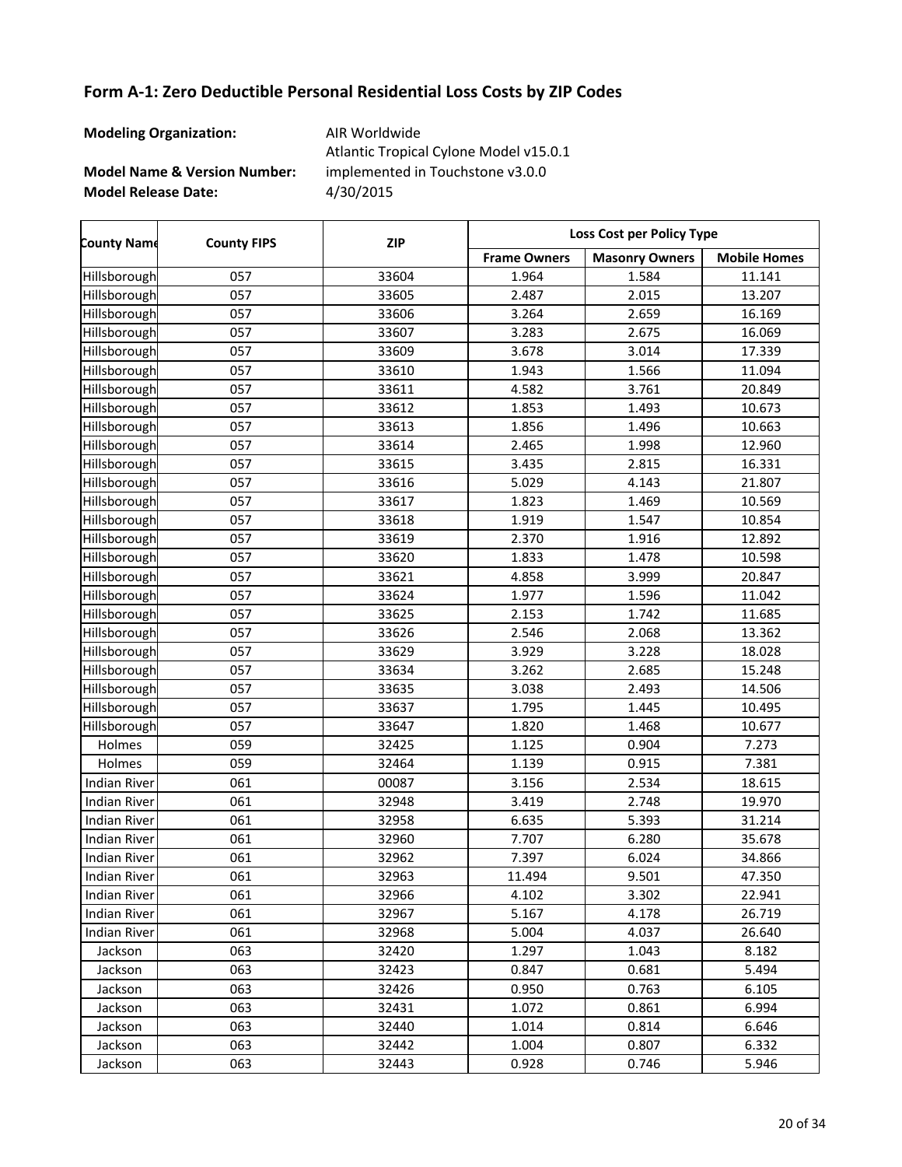| <b>Modeling Organization:</b>           | AIR Worldwide<br>Atlantic Tropical Cylone Model v15.0.1 |
|-----------------------------------------|---------------------------------------------------------|
| <b>Model Name &amp; Version Number:</b> | implemented in Touchstone v3.0.0                        |
| <b>Model Release Date:</b>              | 4/30/2015                                               |

| <b>County Name</b>  | <b>County FIPS</b> | <b>ZIP</b> | <b>Loss Cost per Policy Type</b> |                       |                     |
|---------------------|--------------------|------------|----------------------------------|-----------------------|---------------------|
|                     |                    |            | <b>Frame Owners</b>              | <b>Masonry Owners</b> | <b>Mobile Homes</b> |
| Hillsborough        | 057                | 33604      | 1.964                            | 1.584                 | 11.141              |
| Hillsborough        | 057                | 33605      | 2.487                            | 2.015                 | 13.207              |
| Hillsborough        | 057                | 33606      | 3.264                            | 2.659                 | 16.169              |
| Hillsborough        | 057                | 33607      | 3.283                            | 2.675                 | 16.069              |
| Hillsborough        | 057                | 33609      | 3.678                            | 3.014                 | 17.339              |
| Hillsborough        | 057                | 33610      | 1.943                            | 1.566                 | 11.094              |
| Hillsborough        | 057                | 33611      | 4.582                            | 3.761                 | 20.849              |
| Hillsborough        | 057                | 33612      | 1.853                            | 1.493                 | 10.673              |
| Hillsborough        | 057                | 33613      | 1.856                            | 1.496                 | 10.663              |
| Hillsborough        | 057                | 33614      | 2.465                            | 1.998                 | 12.960              |
| Hillsborough        | 057                | 33615      | 3.435                            | 2.815                 | 16.331              |
| Hillsborough        | 057                | 33616      | 5.029                            | 4.143                 | 21.807              |
| Hillsborough        | 057                | 33617      | 1.823                            | 1.469                 | 10.569              |
| Hillsborough        | 057                | 33618      | 1.919                            | 1.547                 | 10.854              |
| Hillsborough        | 057                | 33619      | 2.370                            | 1.916                 | 12.892              |
| Hillsborough        | 057                | 33620      | 1.833                            | 1.478                 | 10.598              |
| Hillsborough        | 057                | 33621      | 4.858                            | 3.999                 | 20.847              |
| Hillsborough        | 057                | 33624      | 1.977                            | 1.596                 | 11.042              |
| Hillsborough        | 057                | 33625      | 2.153                            | 1.742                 | 11.685              |
| Hillsborough        | 057                | 33626      | 2.546                            | 2.068                 | 13.362              |
| Hillsborough        | 057                | 33629      | 3.929                            | 3.228                 | 18.028              |
| Hillsborough        | 057                | 33634      | 3.262                            | 2.685                 | 15.248              |
| Hillsborough        | 057                | 33635      | 3.038                            | 2.493                 | 14.506              |
| Hillsborough        | 057                | 33637      | 1.795                            | 1.445                 | 10.495              |
| Hillsborough        | 057                | 33647      | 1.820                            | 1.468                 | 10.677              |
| Holmes              | 059                | 32425      | 1.125                            | 0.904                 | 7.273               |
| Holmes              | 059                | 32464      | 1.139                            | 0.915                 | 7.381               |
| <b>Indian River</b> | 061                | 00087      | 3.156                            | 2.534                 | 18.615              |
| <b>Indian River</b> | 061                | 32948      | 3.419                            | 2.748                 | 19.970              |
| <b>Indian River</b> | 061                | 32958      | 6.635                            | 5.393                 | 31.214              |
| <b>Indian River</b> | 061                | 32960      | 7.707                            | 6.280                 | 35.678              |
| <b>Indian River</b> | 061                | 32962      | 7.397                            | 6.024                 | 34.866              |
| <b>Indian River</b> | 061                | 32963      | 11.494                           | 9.501                 | 47.350              |
| Indian River        | 061                | 32966      | 4.102                            | 3.302                 | 22.941              |
| <b>Indian River</b> | 061                | 32967      | 5.167                            | 4.178                 | 26.719              |
| Indian River        | 061                | 32968      | 5.004                            | 4.037                 | 26.640              |
| Jackson             | 063                | 32420      | 1.297                            | 1.043                 | 8.182               |
| Jackson             | 063                | 32423      | 0.847                            | 0.681                 | 5.494               |
| Jackson             | 063                | 32426      | 0.950                            | 0.763                 | 6.105               |
| Jackson             | 063                | 32431      | 1.072                            | 0.861                 | 6.994               |
| Jackson             | 063                | 32440      | 1.014                            | 0.814                 | 6.646               |
| Jackson             | 063                | 32442      | 1.004                            | 0.807                 | 6.332               |
| Jackson             | 063                | 32443      | 0.928                            | 0.746                 | 5.946               |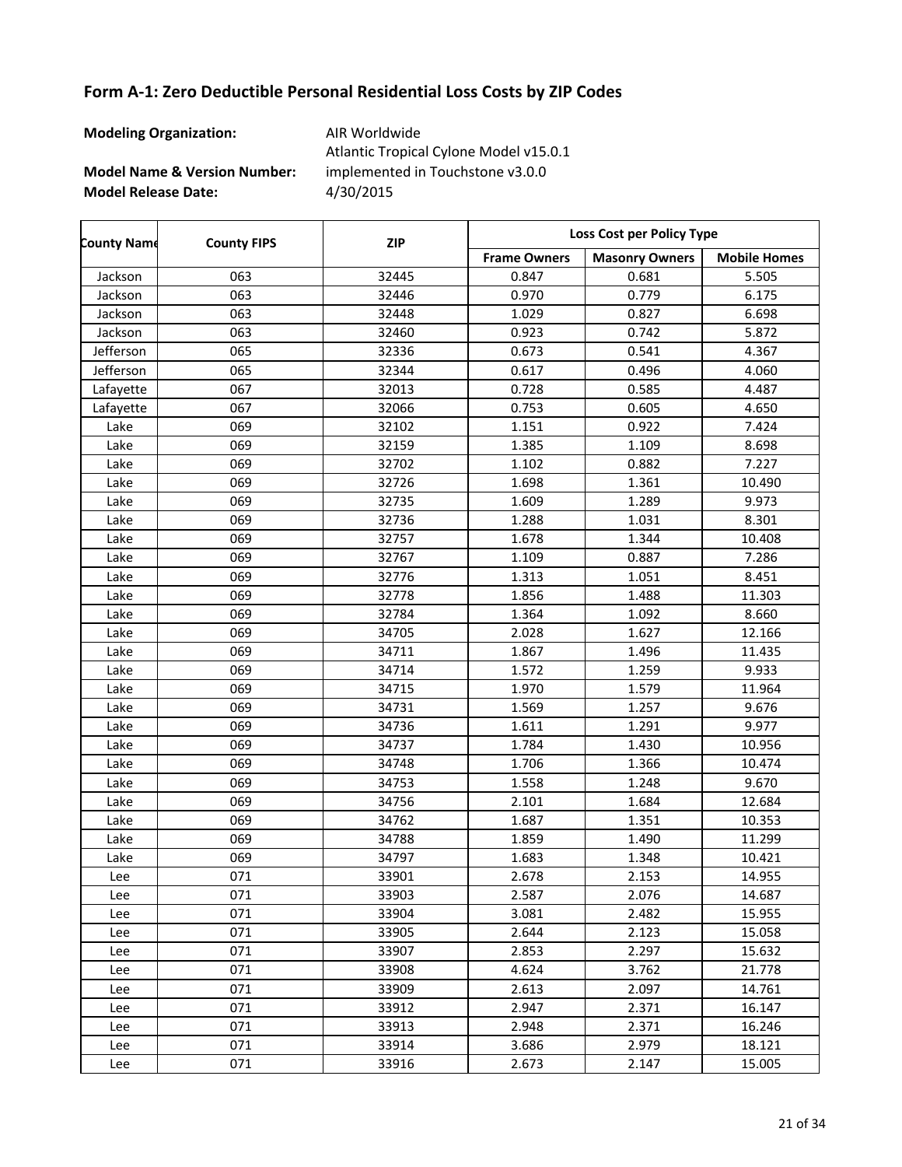| <b>Modeling Organization:</b>           | AIR Worldwide<br>Atlantic Tropical Cylone Model v15.0.1 |
|-----------------------------------------|---------------------------------------------------------|
| <b>Model Name &amp; Version Number:</b> | implemented in Touchstone v3.0.0                        |
| <b>Model Release Date:</b>              | 4/30/2015                                               |

| <b>County Name</b> | <b>County FIPS</b> | <b>ZIP</b> | Loss Cost per Policy Type |                       |                     |
|--------------------|--------------------|------------|---------------------------|-----------------------|---------------------|
|                    |                    |            | <b>Frame Owners</b>       | <b>Masonry Owners</b> | <b>Mobile Homes</b> |
| Jackson            | 063                | 32445      | 0.847                     | 0.681                 | 5.505               |
| Jackson            | 063                | 32446      | 0.970                     | 0.779                 | 6.175               |
| Jackson            | 063                | 32448      | 1.029                     | 0.827                 | 6.698               |
| Jackson            | 063                | 32460      | 0.923                     | 0.742                 | 5.872               |
| Jefferson          | 065                | 32336      | 0.673                     | 0.541                 | 4.367               |
| Jefferson          | 065                | 32344      | 0.617                     | 0.496                 | 4.060               |
| Lafayette          | 067                | 32013      | 0.728                     | 0.585                 | 4.487               |
| Lafayette          | 067                | 32066      | 0.753                     | 0.605                 | 4.650               |
| Lake               | 069                | 32102      | 1.151                     | 0.922                 | 7.424               |
| Lake               | 069                | 32159      | 1.385                     | 1.109                 | 8.698               |
| Lake               | 069                | 32702      | 1.102                     | 0.882                 | 7.227               |
| Lake               | 069                | 32726      | 1.698                     | 1.361                 | 10.490              |
| Lake               | 069                | 32735      | 1.609                     | 1.289                 | 9.973               |
| Lake               | 069                | 32736      | 1.288                     | 1.031                 | 8.301               |
| Lake               | 069                | 32757      | 1.678                     | 1.344                 | 10.408              |
| Lake               | 069                | 32767      | 1.109                     | 0.887                 | 7.286               |
| Lake               | 069                | 32776      | 1.313                     | 1.051                 | 8.451               |
| Lake               | 069                | 32778      | 1.856                     | 1.488                 | 11.303              |
| Lake               | 069                | 32784      | 1.364                     | 1.092                 | 8.660               |
| Lake               | 069                | 34705      | 2.028                     | 1.627                 | 12.166              |
| Lake               | 069                | 34711      | 1.867                     | 1.496                 | 11.435              |
| Lake               | 069                | 34714      | 1.572                     | 1.259                 | 9.933               |
| Lake               | 069                | 34715      | 1.970                     | 1.579                 | 11.964              |
| Lake               | 069                | 34731      | 1.569                     | 1.257                 | 9.676               |
| Lake               | 069                | 34736      | 1.611                     | 1.291                 | 9.977               |
| Lake               | 069                | 34737      | 1.784                     | 1.430                 | 10.956              |
| Lake               | 069                | 34748      | 1.706                     | 1.366                 | 10.474              |
| Lake               | 069                | 34753      | 1.558                     | 1.248                 | 9.670               |
| Lake               | 069                | 34756      | 2.101                     | 1.684                 | 12.684              |
| Lake               | 069                | 34762      | 1.687                     | 1.351                 | 10.353              |
| Lake               | 069                | 34788      | 1.859                     | 1.490                 | 11.299              |
| Lake               | 069                | 34797      | 1.683                     | 1.348                 | 10.421              |
| Lee                | 071                | 33901      | 2.678                     | 2.153                 | 14.955              |
| Lee                | 071                | 33903      | 2.587                     | 2.076                 | 14.687              |
| Lee                | 071                | 33904      | 3.081                     | 2.482                 | 15.955              |
| Lee                | 071                | 33905      | 2.644                     | 2.123                 | 15.058              |
| Lee                | 071                | 33907      | 2.853                     | 2.297                 | 15.632              |
| Lee                | 071                | 33908      | 4.624                     | 3.762                 | 21.778              |
| Lee                | 071                | 33909      | 2.613                     | 2.097                 | 14.761              |
| Lee                | 071                | 33912      | 2.947                     | 2.371                 | 16.147              |
| Lee                | 071                | 33913      | 2.948                     | 2.371                 | 16.246              |
| Lee                | 071                | 33914      | 3.686                     | 2.979                 | 18.121              |
| Lee                | 071                | 33916      | 2.673                     | 2.147                 | 15.005              |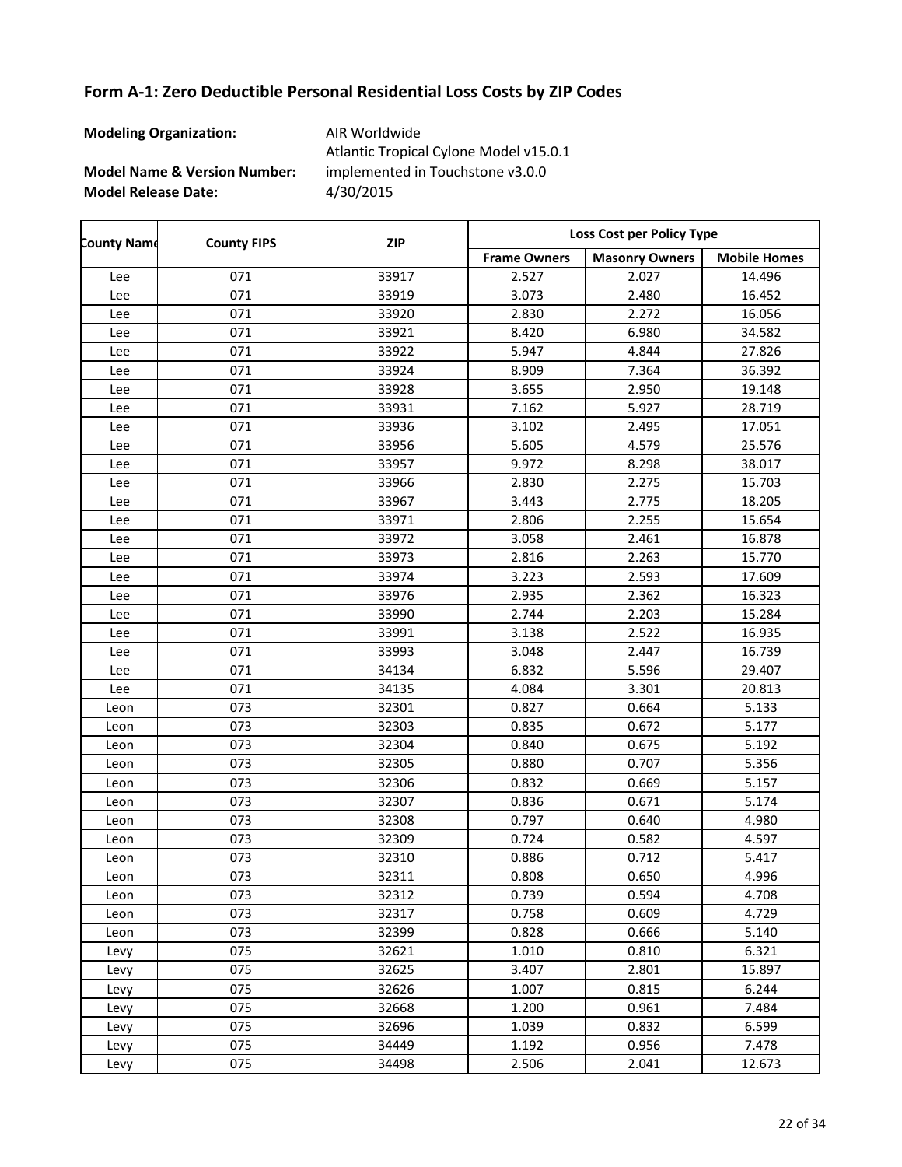| <b>Modeling Organization:</b>           | AIR Worldwide<br>Atlantic Tropical Cylone Model v15.0.1 |
|-----------------------------------------|---------------------------------------------------------|
| <b>Model Name &amp; Version Number:</b> | implemented in Touchstone v3.0.0                        |
| <b>Model Release Date:</b>              | 4/30/2015                                               |

| <b>County Name</b> | <b>County FIPS</b> | <b>ZIP</b> | Loss Cost per Policy Type |                       |                     |
|--------------------|--------------------|------------|---------------------------|-----------------------|---------------------|
|                    |                    |            | <b>Frame Owners</b>       | <b>Masonry Owners</b> | <b>Mobile Homes</b> |
| Lee                | 071                | 33917      | 2.527                     | 2.027                 | 14.496              |
| Lee                | 071                | 33919      | 3.073                     | 2.480                 | 16.452              |
| Lee                | 071                | 33920      | 2.830                     | 2.272                 | 16.056              |
| Lee                | 071                | 33921      | 8.420                     | 6.980                 | 34.582              |
| Lee                | 071                | 33922      | 5.947                     | 4.844                 | 27.826              |
| Lee                | 071                | 33924      | 8.909                     | 7.364                 | 36.392              |
| Lee                | 071                | 33928      | 3.655                     | 2.950                 | 19.148              |
| Lee                | 071                | 33931      | 7.162                     | 5.927                 | 28.719              |
| Lee                | 071                | 33936      | 3.102                     | 2.495                 | 17.051              |
| Lee                | 071                | 33956      | 5.605                     | 4.579                 | 25.576              |
| Lee                | 071                | 33957      | 9.972                     | 8.298                 | 38.017              |
| Lee                | 071                | 33966      | 2.830                     | 2.275                 | 15.703              |
| Lee                | 071                | 33967      | 3.443                     | 2.775                 | 18.205              |
| Lee                | 071                | 33971      | 2.806                     | 2.255                 | 15.654              |
| Lee                | 071                | 33972      | 3.058                     | 2.461                 | 16.878              |
| Lee                | 071                | 33973      | 2.816                     | 2.263                 | 15.770              |
| Lee                | 071                | 33974      | 3.223                     | 2.593                 | 17.609              |
| Lee                | 071                | 33976      | 2.935                     | 2.362                 | 16.323              |
| Lee                | 071                | 33990      | 2.744                     | 2.203                 | 15.284              |
| Lee                | 071                | 33991      | 3.138                     | 2.522                 | 16.935              |
| Lee                | 071                | 33993      | 3.048                     | 2.447                 | 16.739              |
| Lee                | 071                | 34134      | 6.832                     | 5.596                 | 29.407              |
| Lee                | 071                | 34135      | 4.084                     | 3.301                 | 20.813              |
| Leon               | 073                | 32301      | 0.827                     | 0.664                 | 5.133               |
| Leon               | 073                | 32303      | 0.835                     | 0.672                 | 5.177               |
| Leon               | 073                | 32304      | 0.840                     | 0.675                 | 5.192               |
| Leon               | 073                | 32305      | 0.880                     | 0.707                 | 5.356               |
| Leon               | 073                | 32306      | 0.832                     | 0.669                 | 5.157               |
| Leon               | 073                | 32307      | 0.836                     | 0.671                 | 5.174               |
| Leon               | 073                | 32308      | 0.797                     | 0.640                 | 4.980               |
| Leon               | 073                | 32309      | 0.724                     | 0.582                 | 4.597               |
| Leon               | 073                | 32310      | 0.886                     | 0.712                 | 5.417               |
| Leon               | $\overline{073}$   | 32311      | 0.808                     | 0.650                 | 4.996               |
| Leon               | 073                | 32312      | 0.739                     | 0.594                 | 4.708               |
| Leon               | 073                | 32317      | 0.758                     | 0.609                 | 4.729               |
| Leon               | 073                | 32399      | 0.828                     | 0.666                 | 5.140               |
| Levy               | 075                | 32621      | 1.010                     | 0.810                 | 6.321               |
| Levy               | 075                | 32625      | 3.407                     | 2.801                 | 15.897              |
| Levy               | 075                | 32626      | 1.007                     | 0.815                 | 6.244               |
| Levy               | 075                | 32668      | 1.200                     | 0.961                 | 7.484               |
| Levy               | 075                | 32696      | 1.039                     | 0.832                 | 6.599               |
| Levy               | 075                | 34449      | 1.192                     | 0.956                 | 7.478               |
| Levy               | 075                | 34498      | 2.506                     | 2.041                 | 12.673              |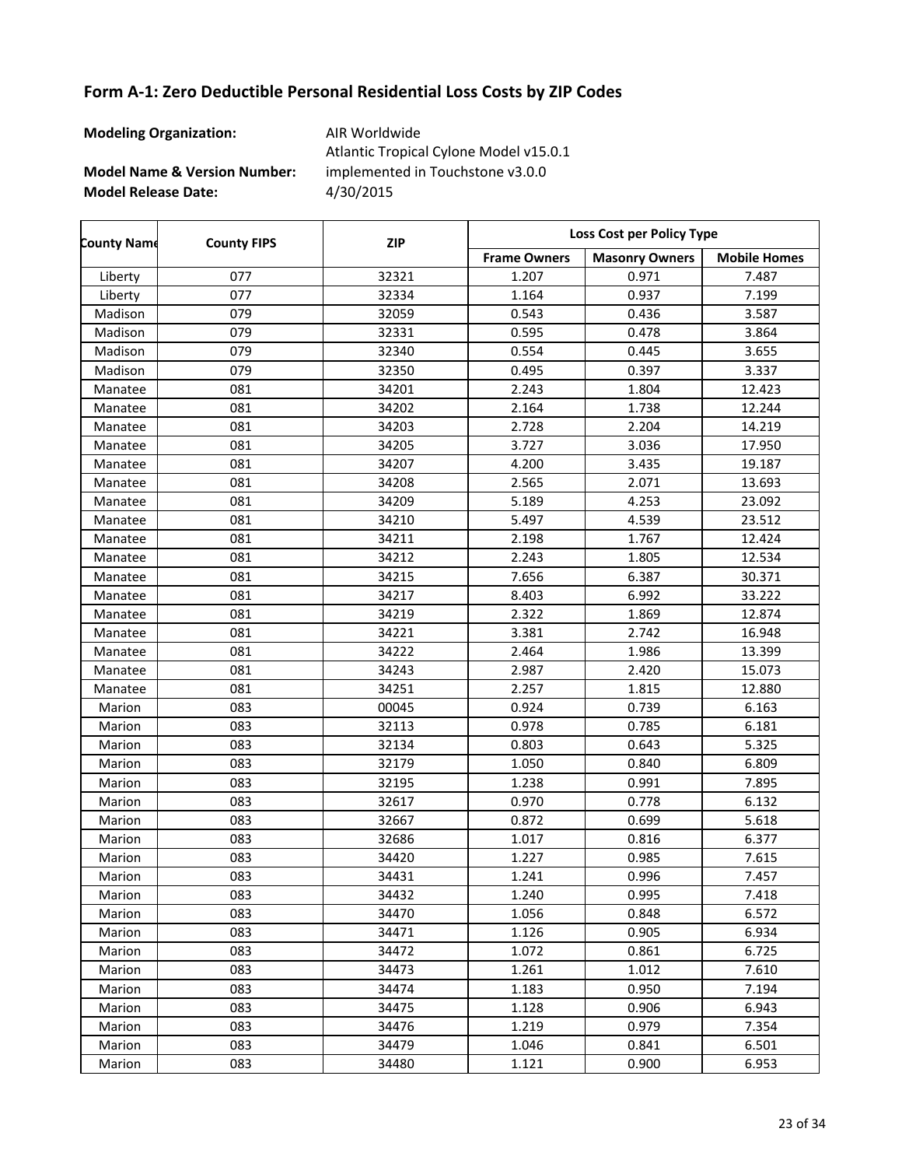| <b>Modeling Organization:</b>           | AIR Worldwide<br>Atlantic Tropical Cylone Model v15.0.1 |
|-----------------------------------------|---------------------------------------------------------|
| <b>Model Name &amp; Version Number:</b> | implemented in Touchstone v3.0.0                        |
| <b>Model Release Date:</b>              | 4/30/2015                                               |

| <b>County Name</b> | <b>County FIPS</b> | <b>ZIP</b> | Loss Cost per Policy Type |                       |                     |
|--------------------|--------------------|------------|---------------------------|-----------------------|---------------------|
|                    |                    |            | <b>Frame Owners</b>       | <b>Masonry Owners</b> | <b>Mobile Homes</b> |
| Liberty            | 077                | 32321      | 1.207                     | 0.971                 | 7.487               |
| Liberty            | 077                | 32334      | 1.164                     | 0.937                 | 7.199               |
| Madison            | 079                | 32059      | 0.543                     | 0.436                 | 3.587               |
| Madison            | 079                | 32331      | 0.595                     | 0.478                 | 3.864               |
| Madison            | 079                | 32340      | 0.554                     | 0.445                 | 3.655               |
| Madison            | 079                | 32350      | 0.495                     | 0.397                 | 3.337               |
| Manatee            | 081                | 34201      | 2.243                     | 1.804                 | 12.423              |
| Manatee            | 081                | 34202      | 2.164                     | 1.738                 | 12.244              |
| Manatee            | 081                | 34203      | 2.728                     | 2.204                 | 14.219              |
| Manatee            | 081                | 34205      | 3.727                     | 3.036                 | 17.950              |
| Manatee            | 081                | 34207      | 4.200                     | 3.435                 | 19.187              |
| Manatee            | 081                | 34208      | 2.565                     | 2.071                 | 13.693              |
| Manatee            | 081                | 34209      | 5.189                     | 4.253                 | 23.092              |
| Manatee            | 081                | 34210      | 5.497                     | 4.539                 | 23.512              |
| Manatee            | 081                | 34211      | 2.198                     | 1.767                 | 12.424              |
| Manatee            | 081                | 34212      | 2.243                     | 1.805                 | 12.534              |
| Manatee            | 081                | 34215      | 7.656                     | 6.387                 | 30.371              |
| Manatee            | 081                | 34217      | 8.403                     | 6.992                 | 33.222              |
| Manatee            | 081                | 34219      | 2.322                     | 1.869                 | 12.874              |
| Manatee            | 081                | 34221      | 3.381                     | 2.742                 | 16.948              |
| Manatee            | 081                | 34222      | 2.464                     | 1.986                 | 13.399              |
| Manatee            | 081                | 34243      | 2.987                     | 2.420                 | 15.073              |
| Manatee            | 081                | 34251      | 2.257                     | 1.815                 | 12.880              |
| Marion             | 083                | 00045      | 0.924                     | 0.739                 | 6.163               |
| Marion             | 083                | 32113      | 0.978                     | 0.785                 | 6.181               |
| Marion             | 083                | 32134      | 0.803                     | 0.643                 | 5.325               |
| Marion             | 083                | 32179      | 1.050                     | 0.840                 | 6.809               |
| Marion             | 083                | 32195      | 1.238                     | 0.991                 | 7.895               |
| Marion             | 083                | 32617      | 0.970                     | 0.778                 | 6.132               |
| Marion             | 083                | 32667      | 0.872                     | 0.699                 | 5.618               |
| Marion             | 083                | 32686      | 1.017                     | 0.816                 | 6.377               |
| Marion             | 083                | 34420      | 1.227                     | 0.985                 | 7.615               |
| Marion             | 083                | 34431      | 1.241                     | 0.996                 | 7.457               |
| Marion             | 083                | 34432      | 1.240                     | 0.995                 | 7.418               |
| Marion             | 083                | 34470      | 1.056                     | 0.848                 | 6.572               |
| Marion             | 083                | 34471      | 1.126                     | 0.905                 | 6.934               |
| Marion             | 083                | 34472      | 1.072                     | 0.861                 | 6.725               |
| Marion             | 083                | 34473      | 1.261                     | 1.012                 | 7.610               |
| Marion             | 083                | 34474      | 1.183                     | 0.950                 | 7.194               |
| Marion             | 083                | 34475      | 1.128                     | 0.906                 | 6.943               |
| Marion             | 083                | 34476      | 1.219                     | 0.979                 | 7.354               |
| Marion             | 083                | 34479      | 1.046                     | 0.841                 | 6.501               |
| Marion             | 083                | 34480      | 1.121                     | 0.900                 | 6.953               |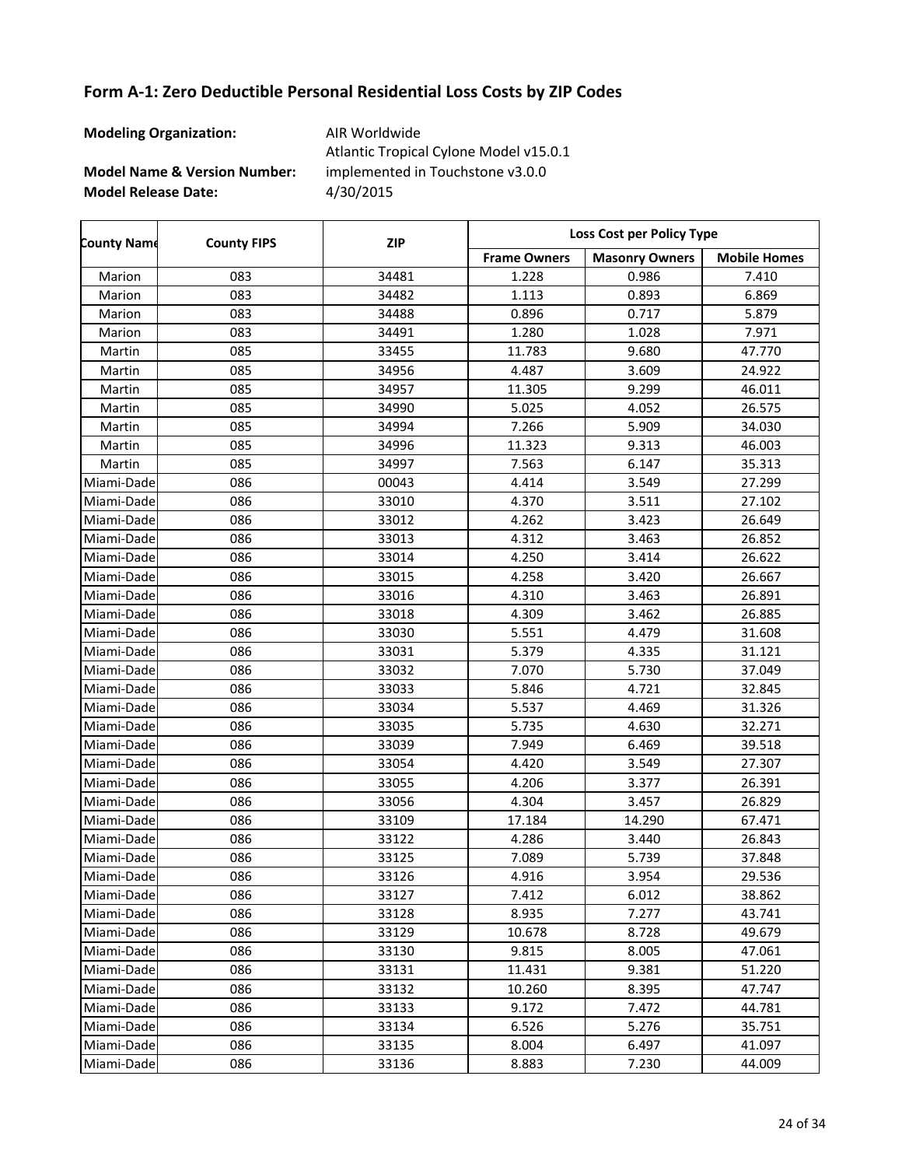| <b>Modeling Organization:</b>           | AIR Worldwide<br>Atlantic Tropical Cylone Model v15.0.1 |
|-----------------------------------------|---------------------------------------------------------|
| <b>Model Name &amp; Version Number:</b> | implemented in Touchstone v3.0.0                        |
| <b>Model Release Date:</b>              | 4/30/2015                                               |

| <b>County Name</b> | <b>County FIPS</b> | <b>ZIP</b> | Loss Cost per Policy Type |                       |                     |
|--------------------|--------------------|------------|---------------------------|-----------------------|---------------------|
|                    |                    |            | <b>Frame Owners</b>       | <b>Masonry Owners</b> | <b>Mobile Homes</b> |
| Marion             | 083                | 34481      | 1.228                     | 0.986                 | 7.410               |
| Marion             | 083                | 34482      | 1.113                     | 0.893                 | 6.869               |
| Marion             | 083                | 34488      | 0.896                     | 0.717                 | 5.879               |
| Marion             | 083                | 34491      | 1.280                     | 1.028                 | 7.971               |
| Martin             | 085                | 33455      | 11.783                    | 9.680                 | 47.770              |
| Martin             | 085                | 34956      | 4.487                     | 3.609                 | 24.922              |
| Martin             | 085                | 34957      | 11.305                    | 9.299                 | 46.011              |
| Martin             | 085                | 34990      | 5.025                     | 4.052                 | 26.575              |
| Martin             | 085                | 34994      | 7.266                     | 5.909                 | 34.030              |
| Martin             | 085                | 34996      | 11.323                    | 9.313                 | 46.003              |
| Martin             | 085                | 34997      | 7.563                     | 6.147                 | 35.313              |
| Miami-Dade         | 086                | 00043      | 4.414                     | 3.549                 | 27.299              |
| Miami-Dade         | 086                | 33010      | 4.370                     | 3.511                 | 27.102              |
| Miami-Dade         | 086                | 33012      | 4.262                     | 3.423                 | 26.649              |
| Miami-Dade         | 086                | 33013      | 4.312                     | 3.463                 | 26.852              |
| Miami-Dade         | 086                | 33014      | 4.250                     | 3.414                 | 26.622              |
| Miami-Dade         | 086                | 33015      | 4.258                     | 3.420                 | 26.667              |
| Miami-Dade         | 086                | 33016      | 4.310                     | 3.463                 | 26.891              |
| Miami-Dade         | 086                | 33018      | 4.309                     | 3.462                 | 26.885              |
| Miami-Dade         | 086                | 33030      | 5.551                     | 4.479                 | 31.608              |
| Miami-Dade         | 086                | 33031      | 5.379                     | 4.335                 | 31.121              |
| Miami-Dade         | 086                | 33032      | 7.070                     | 5.730                 | 37.049              |
| Miami-Dade         | 086                | 33033      | 5.846                     | 4.721                 | 32.845              |
| Miami-Dade         | 086                | 33034      | 5.537                     | 4.469                 | 31.326              |
| Miami-Dade         | 086                | 33035      | 5.735                     | 4.630                 | 32.271              |
| Miami-Dade         | 086                | 33039      | 7.949                     | 6.469                 | 39.518              |
| Miami-Dade         | 086                | 33054      | 4.420                     | 3.549                 | 27.307              |
| Miami-Dade         | 086                | 33055      | 4.206                     | 3.377                 | 26.391              |
| Miami-Dade         | 086                | 33056      | 4.304                     | 3.457                 | 26.829              |
| Miami-Dade         | 086                | 33109      | 17.184                    | 14.290                | 67.471              |
| Miami-Dade         | 086                | 33122      | 4.286                     | 3.440                 | 26.843              |
| Miami-Dade         | 086                | 33125      | 7.089                     | 5.739                 | 37.848              |
| Miami-Dade         | 086                | 33126      | 4.916                     | 3.954                 | 29.536              |
| Miami-Dade         | 086                | 33127      | 7.412                     | 6.012                 | 38.862              |
| Miami-Dadel        | 086                | 33128      | 8.935                     | 7.277                 | 43.741              |
| Miami-Dade         | 086                | 33129      | 10.678                    | 8.728                 | 49.679              |
| Miami-Dade         | 086                | 33130      | 9.815                     | 8.005                 | 47.061              |
| Miami-Dade         | 086                | 33131      | 11.431                    | 9.381                 | 51.220              |
| Miami-Dade         | 086                | 33132      | 10.260                    | 8.395                 | 47.747              |
| Miami-Dade         | 086                | 33133      | 9.172                     | 7.472                 | 44.781              |
| Miami-Dade         | 086                | 33134      | 6.526                     | 5.276                 | 35.751              |
| Miami-Dade         | 086                | 33135      | 8.004                     | 6.497                 | 41.097              |
| Miami-Dade         | 086                | 33136      | 8.883                     | 7.230                 | 44.009              |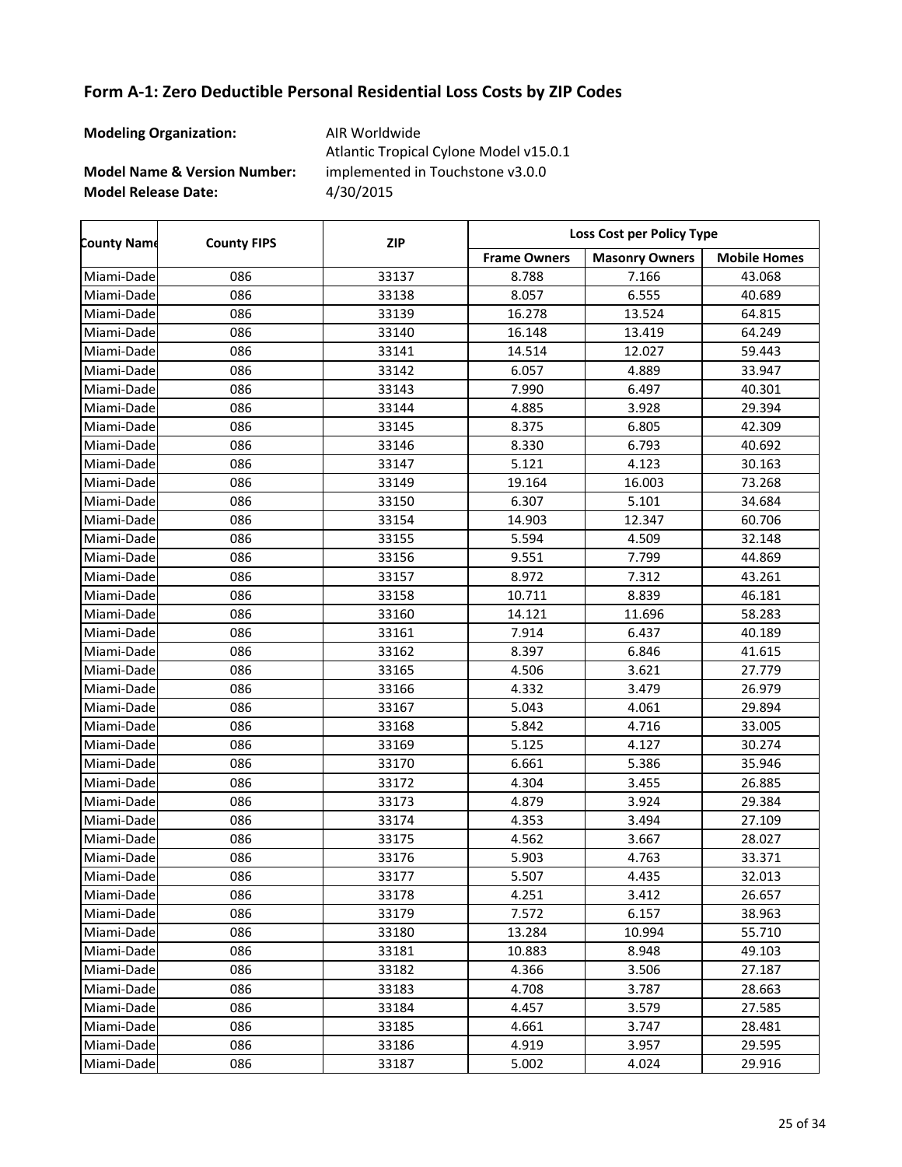| <b>Modeling Organization:</b>           | AIR Worldwide<br>Atlantic Tropical Cylone Model v15.0.1 |
|-----------------------------------------|---------------------------------------------------------|
| <b>Model Name &amp; Version Number:</b> | implemented in Touchstone v3.0.0                        |
| <b>Model Release Date:</b>              | 4/30/2015                                               |

| <b>County Name</b> | <b>County FIPS</b> | <b>ZIP</b> | Loss Cost per Policy Type |                       |                     |
|--------------------|--------------------|------------|---------------------------|-----------------------|---------------------|
|                    |                    |            | <b>Frame Owners</b>       | <b>Masonry Owners</b> | <b>Mobile Homes</b> |
| Miami-Dade         | 086                | 33137      | 8.788                     | 7.166                 | 43.068              |
| Miami-Dade         | 086                | 33138      | 8.057                     | 6.555                 | 40.689              |
| Miami-Dade         | 086                | 33139      | 16.278                    | 13.524                | 64.815              |
| Miami-Dade         | 086                | 33140      | 16.148                    | 13.419                | 64.249              |
| Miami-Dade         | 086                | 33141      | 14.514                    | 12.027                | 59.443              |
| Miami-Dade         | 086                | 33142      | 6.057                     | 4.889                 | 33.947              |
| Miami-Dade         | 086                | 33143      | 7.990                     | 6.497                 | 40.301              |
| Miami-Dade         | 086                | 33144      | 4.885                     | 3.928                 | 29.394              |
| Miami-Dade         | 086                | 33145      | 8.375                     | 6.805                 | 42.309              |
| Miami-Dade         | 086                | 33146      | 8.330                     | 6.793                 | 40.692              |
| Miami-Dade         | 086                | 33147      | 5.121                     | 4.123                 | 30.163              |
| Miami-Dade         | 086                | 33149      | 19.164                    | 16.003                | 73.268              |
| Miami-Dade         | 086                | 33150      | 6.307                     | 5.101                 | 34.684              |
| Miami-Dade         | 086                | 33154      | 14.903                    | 12.347                | 60.706              |
| Miami-Dade         | 086                | 33155      | 5.594                     | 4.509                 | 32.148              |
| Miami-Dade         | 086                | 33156      | 9.551                     | 7.799                 | 44.869              |
| Miami-Dade         | 086                | 33157      | 8.972                     | 7.312                 | 43.261              |
| Miami-Dade         | 086                | 33158      | 10.711                    | 8.839                 | 46.181              |
| Miami-Dade         | 086                | 33160      | 14.121                    | 11.696                | 58.283              |
| Miami-Dade         | 086                | 33161      | 7.914                     | 6.437                 | 40.189              |
| Miami-Dade         | 086                | 33162      | 8.397                     | 6.846                 | 41.615              |
| Miami-Dade         | 086                | 33165      | 4.506                     | 3.621                 | 27.779              |
| Miami-Dade         | 086                | 33166      | 4.332                     | 3.479                 | 26.979              |
| Miami-Dade         | 086                | 33167      | 5.043                     | 4.061                 | 29.894              |
| Miami-Dade         | 086                | 33168      | 5.842                     | 4.716                 | 33.005              |
| Miami-Dade         | 086                | 33169      | 5.125                     | 4.127                 | 30.274              |
| Miami-Dade         | 086                | 33170      | 6.661                     | 5.386                 | 35.946              |
| Miami-Dade         | 086                | 33172      | 4.304                     | 3.455                 | 26.885              |
| Miami-Dade         | 086                | 33173      | 4.879                     | 3.924                 | 29.384              |
| Miami-Dade         | 086                | 33174      | 4.353                     | 3.494                 | 27.109              |
| Miami-Dade         | 086                | 33175      | 4.562                     | 3.667                 | 28.027              |
| Miami-Dade         | 086                | 33176      | 5.903                     | 4.763                 | 33.371              |
| Miami-Dade         | 086                | 33177      | 5.507                     | 4.435                 | 32.013              |
| Miami-Dade         | 086                | 33178      | 4.251                     | 3.412                 | 26.657              |
| Miami-Dade         | 086                | 33179      | 7.572                     | 6.157                 | 38.963              |
| Miami-Dade         | 086                | 33180      | 13.284                    | 10.994                | 55.710              |
| Miami-Dade         | 086                | 33181      | 10.883                    | 8.948                 | 49.103              |
| Miami-Dade         | 086                | 33182      | 4.366                     | 3.506                 | 27.187              |
| Miami-Dade         | 086                | 33183      | 4.708                     | 3.787                 | 28.663              |
| Miami-Dade         | 086                | 33184      | 4.457                     | 3.579                 | 27.585              |
| Miami-Dade         | 086                | 33185      | 4.661                     | 3.747                 | 28.481              |
| Miami-Dade         | 086                | 33186      | 4.919                     | 3.957                 | 29.595              |
| Miami-Dade         | 086                | 33187      | 5.002                     | 4.024                 | 29.916              |

 $\overline{\phantom{a}}$ 

 $\overline{\phantom{a}}$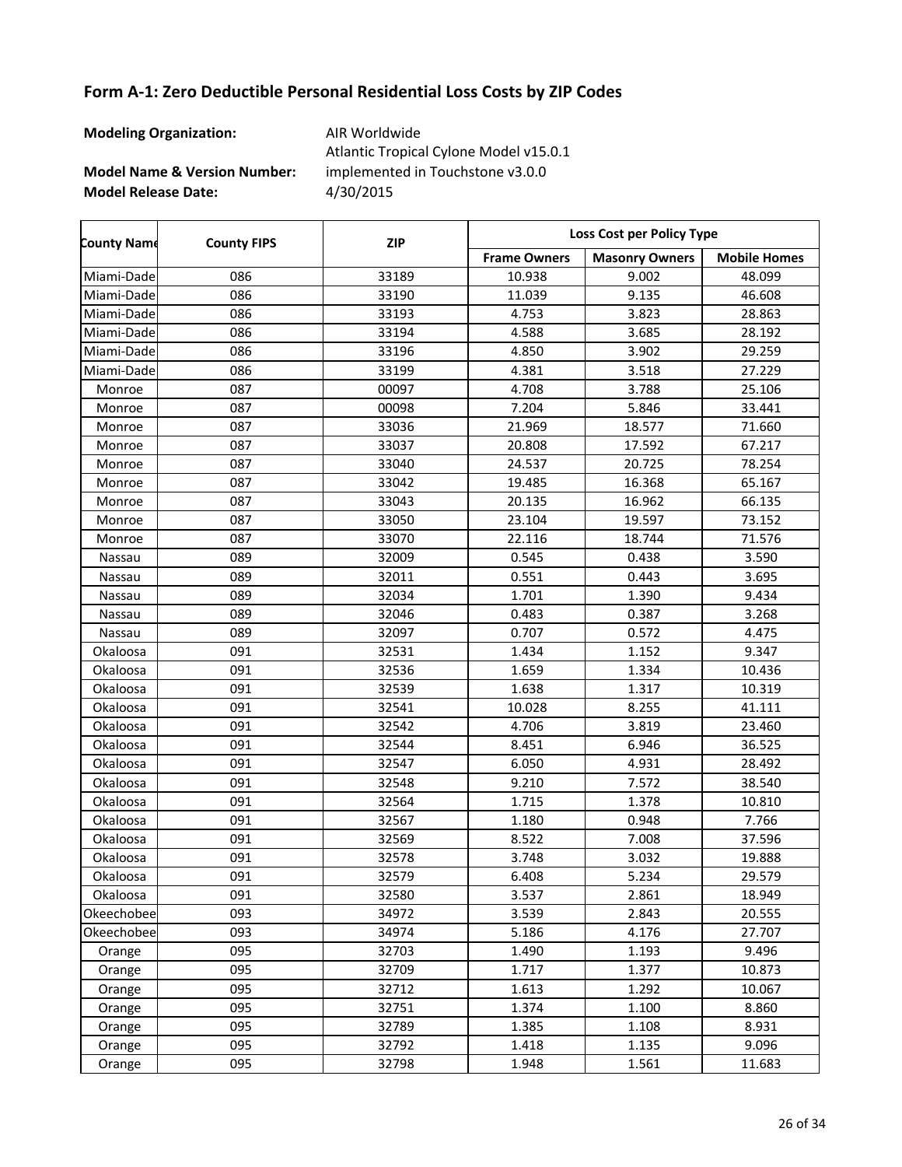| <b>Modeling Organization:</b>           | AIR Worldwide<br>Atlantic Tropical Cylone Model v15.0.1 |
|-----------------------------------------|---------------------------------------------------------|
| <b>Model Name &amp; Version Number:</b> | implemented in Touchstone v3.0.0                        |
| <b>Model Release Date:</b>              | 4/30/2015                                               |

| <b>County Name</b> | <b>County FIPS</b> | <b>ZIP</b> | Loss Cost per Policy Type |                       |                     |
|--------------------|--------------------|------------|---------------------------|-----------------------|---------------------|
|                    |                    |            | <b>Frame Owners</b>       | <b>Masonry Owners</b> | <b>Mobile Homes</b> |
| Miami-Dade         | 086                | 33189      | 10.938                    | 9.002                 | 48.099              |
| Miami-Dade         | 086                | 33190      | 11.039                    | 9.135                 | 46.608              |
| Miami-Dade         | 086                | 33193      | 4.753                     | 3.823                 | 28.863              |
| Miami-Dade         | 086                | 33194      | 4.588                     | 3.685                 | 28.192              |
| Miami-Dade         | 086                | 33196      | 4.850                     | 3.902                 | 29.259              |
| Miami-Dade         | 086                | 33199      | 4.381                     | 3.518                 | 27.229              |
| Monroe             | 087                | 00097      | 4.708                     | 3.788                 | 25.106              |
| Monroe             | 087                | 00098      | 7.204                     | 5.846                 | 33.441              |
| Monroe             | 087                | 33036      | 21.969                    | 18.577                | 71.660              |
| Monroe             | 087                | 33037      | 20.808                    | 17.592                | 67.217              |
| Monroe             | 087                | 33040      | 24.537                    | 20.725                | 78.254              |
| Monroe             | 087                | 33042      | 19.485                    | 16.368                | 65.167              |
| Monroe             | 087                | 33043      | 20.135                    | 16.962                | 66.135              |
| Monroe             | 087                | 33050      | 23.104                    | 19.597                | 73.152              |
| Monroe             | 087                | 33070      | 22.116                    | 18.744                | 71.576              |
| Nassau             | 089                | 32009      | 0.545                     | 0.438                 | 3.590               |
| Nassau             | 089                | 32011      | 0.551                     | 0.443                 | 3.695               |
| Nassau             | 089                | 32034      | 1.701                     | 1.390                 | 9.434               |
| Nassau             | 089                | 32046      | 0.483                     | 0.387                 | 3.268               |
| Nassau             | 089                | 32097      | 0.707                     | 0.572                 | 4.475               |
| Okaloosa           | 091                | 32531      | 1.434                     | 1.152                 | 9.347               |
| Okaloosa           | 091                | 32536      | 1.659                     | 1.334                 | 10.436              |
| Okaloosa           | 091                | 32539      | 1.638                     | 1.317                 | 10.319              |
| Okaloosa           | 091                | 32541      | 10.028                    | 8.255                 | 41.111              |
| Okaloosa           | 091                | 32542      | 4.706                     | 3.819                 | 23.460              |
| Okaloosa           | 091                | 32544      | 8.451                     | 6.946                 | 36.525              |
| Okaloosa           | 091                | 32547      | 6.050                     | 4.931                 | 28.492              |
| Okaloosa           | 091                | 32548      | 9.210                     | 7.572                 | 38.540              |
| Okaloosa           | 091                | 32564      | 1.715                     | 1.378                 | 10.810              |
| Okaloosa           | 091                | 32567      | 1.180                     | 0.948                 | 7.766               |
| Okaloosa           | 091                | 32569      | 8.522                     | 7.008                 | 37.596              |
| Okaloosa           | 091                | 32578      | 3.748                     | 3.032                 | 19.888              |
| Okaloosa           | 091                | 32579      | 6.408                     | 5.234                 | 29.579              |
| Okaloosa           | 091                | 32580      | 3.537                     | 2.861                 | 18.949              |
| Okeechobee         | 093                | 34972      | 3.539                     | 2.843                 | 20.555              |
| Okeechobee         | 093                | 34974      | 5.186                     | 4.176                 | 27.707              |
| Orange             | 095                | 32703      | 1.490                     | 1.193                 | 9.496               |
| Orange             | 095                | 32709      | 1.717                     | 1.377                 | 10.873              |
| Orange             | 095                | 32712      | 1.613                     | 1.292                 | 10.067              |
| Orange             | 095                | 32751      | 1.374                     | 1.100                 | 8.860               |
| Orange             | 095                | 32789      | 1.385                     | 1.108                 | 8.931               |
| Orange             | 095                | 32792      | 1.418                     | 1.135                 | 9.096               |
| Orange             | 095                | 32798      | 1.948                     | 1.561                 | 11.683              |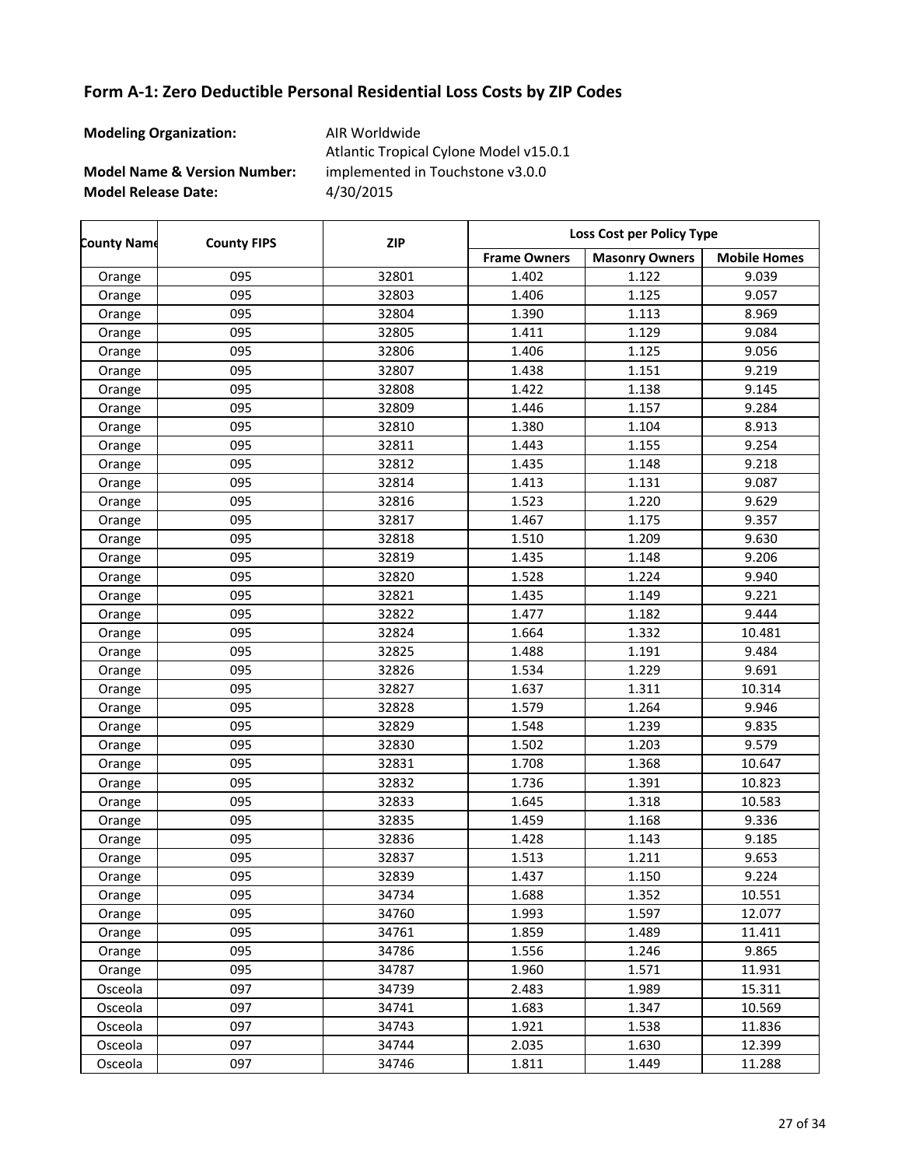| <b>Modeling Organization:</b>           | AIR Worldwide<br>Atlantic Tropical Cylone Model v15.0.1 |
|-----------------------------------------|---------------------------------------------------------|
| <b>Model Name &amp; Version Number:</b> | implemented in Touchstone v3.0.0                        |
| <b>Model Release Date:</b>              | 4/30/2015                                               |

| <b>County Name</b> | <b>County FIPS</b> | <b>ZIP</b> | <b>Loss Cost per Policy Type</b> |                       |                     |
|--------------------|--------------------|------------|----------------------------------|-----------------------|---------------------|
|                    |                    |            | <b>Frame Owners</b>              | <b>Masonry Owners</b> | <b>Mobile Homes</b> |
| Orange             | 095                | 32801      | 1.402                            | 1.122                 | 9.039               |
| Orange             | 095                | 32803      | 1.406                            | 1.125                 | 9.057               |
| Orange             | 095                | 32804      | 1.390                            | 1.113                 | 8.969               |
| Orange             | 095                | 32805      | 1.411                            | 1.129                 | 9.084               |
| Orange             | 095                | 32806      | 1.406                            | 1.125                 | 9.056               |
| Orange             | 095                | 32807      | 1.438                            | 1.151                 | 9.219               |
| Orange             | 095                | 32808      | 1.422                            | 1.138                 | 9.145               |
| Orange             | 095                | 32809      | 1.446                            | 1.157                 | 9.284               |
| Orange             | 095                | 32810      | 1.380                            | 1.104                 | 8.913               |
| Orange             | 095                | 32811      | 1.443                            | 1.155                 | 9.254               |
| Orange             | 095                | 32812      | 1.435                            | 1.148                 | 9.218               |
| Orange             | 095                | 32814      | 1.413                            | 1.131                 | 9.087               |
| Orange             | 095                | 32816      | 1.523                            | 1.220                 | 9.629               |
| Orange             | 095                | 32817      | 1.467                            | 1.175                 | 9.357               |
| Orange             | 095                | 32818      | 1.510                            | 1.209                 | 9.630               |
| Orange             | 095                | 32819      | 1.435                            | 1.148                 | 9.206               |
| Orange             | 095                | 32820      | 1.528                            | 1.224                 | 9.940               |
| Orange             | 095                | 32821      | 1.435                            | 1.149                 | 9.221               |
| Orange             | 095                | 32822      | 1.477                            | 1.182                 | 9.444               |
| Orange             | 095                | 32824      | 1.664                            | 1.332                 | 10.481              |
| Orange             | 095                | 32825      | 1.488                            | 1.191                 | 9.484               |
| Orange             | 095                | 32826      | 1.534                            | 1.229                 | 9.691               |
| Orange             | 095                | 32827      | 1.637                            | 1.311                 | 10.314              |
| Orange             | 095                | 32828      | 1.579                            | 1.264                 | 9.946               |
| Orange             | 095                | 32829      | 1.548                            | 1.239                 | 9.835               |
| Orange             | 095                | 32830      | 1.502                            | 1.203                 | 9.579               |
| Orange             | 095                | 32831      | 1.708                            | 1.368                 | 10.647              |
| Orange             | 095                | 32832      | 1.736                            | 1.391                 | 10.823              |
| Orange             | 095                | 32833      | 1.645                            | 1.318                 | 10.583              |
| Orange             | 095                | 32835      | 1.459                            | 1.168                 | 9.336               |
| Orange             | 095                | 32836      | 1.428                            | 1.143                 | 9.185               |
| Orange             | 095                | 32837      | 1.513                            | 1.211                 | 9.653               |
| Orange             | 095                | 32839      | 1.437                            | 1.150                 | 9.224               |
| Orange             | 095                | 34734      | 1.688                            | 1.352                 | 10.551              |
| Orange             | 095                | 34760      | 1.993                            | 1.597                 | 12.077              |
| Orange             | 095                | 34761      | 1.859                            | 1.489                 | 11.411              |
| Orange             | 095                | 34786      | 1.556                            | 1.246                 | 9.865               |
| Orange             | 095                | 34787      | 1.960                            | 1.571                 | 11.931              |
| Osceola            | 097                | 34739      | 2.483                            | 1.989                 | 15.311              |
| Osceola            | 097                | 34741      | 1.683                            | 1.347                 | 10.569              |
| Osceola            | 097                | 34743      | 1.921                            | 1.538                 | 11.836              |
| Osceola            | 097                | 34744      | 2.035                            | 1.630                 | 12.399              |
| Osceola            | 097                | 34746      | 1.811                            | 1.449                 | 11.288              |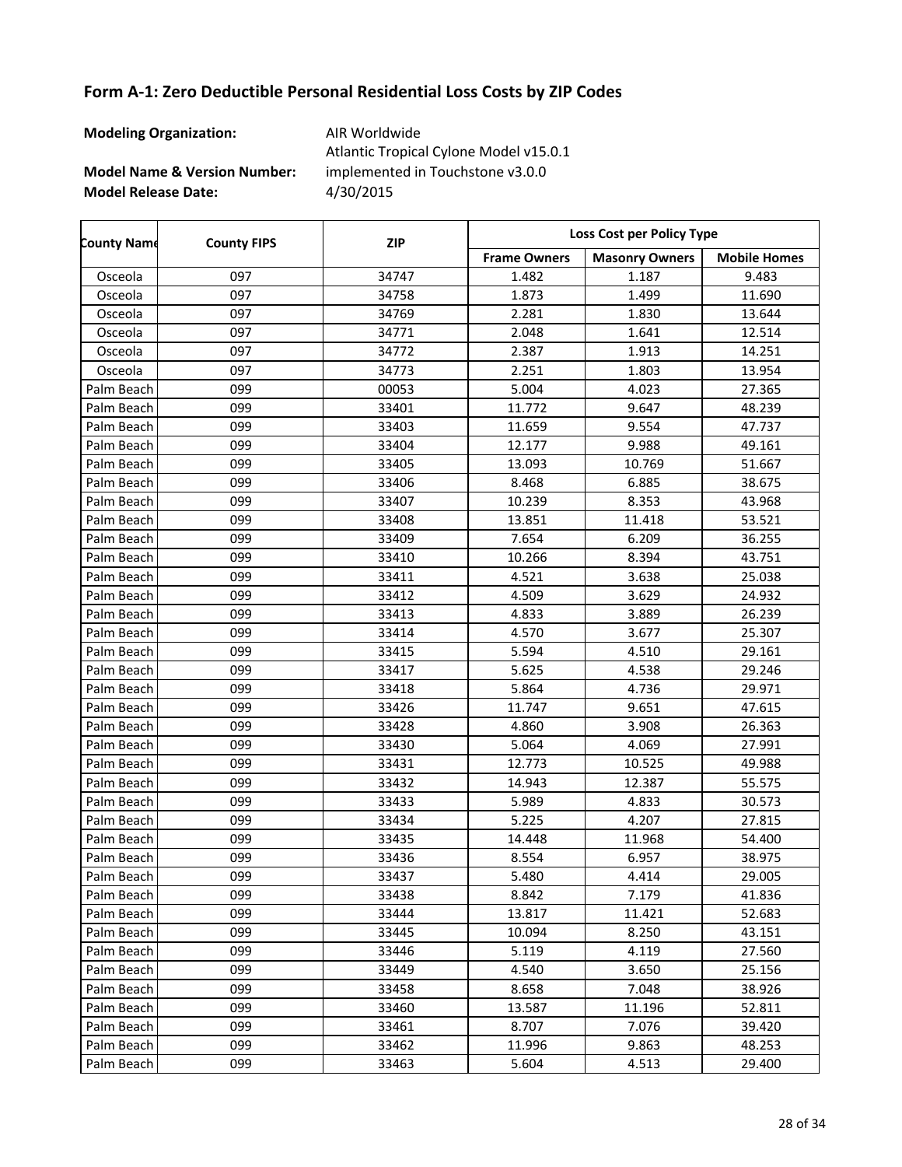| <b>Modeling Organization:</b>           | AIR Worldwide<br>Atlantic Tropical Cylone Model v15.0.1 |
|-----------------------------------------|---------------------------------------------------------|
| <b>Model Name &amp; Version Number:</b> | implemented in Touchstone v3.0.0                        |
| <b>Model Release Date:</b>              | 4/30/2015                                               |

| <b>County Name</b> | <b>County FIPS</b> | <b>ZIP</b> | Loss Cost per Policy Type |                       |                     |
|--------------------|--------------------|------------|---------------------------|-----------------------|---------------------|
|                    |                    |            | <b>Frame Owners</b>       | <b>Masonry Owners</b> | <b>Mobile Homes</b> |
| Osceola            | 097                | 34747      | 1.482                     | 1.187                 | 9.483               |
| Osceola            | 097                | 34758      | 1.873                     | 1.499                 | 11.690              |
| Osceola            | 097                | 34769      | 2.281                     | 1.830                 | 13.644              |
| Osceola            | 097                | 34771      | 2.048                     | 1.641                 | 12.514              |
| Osceola            | 097                | 34772      | 2.387                     | 1.913                 | 14.251              |
| Osceola            | 097                | 34773      | 2.251                     | 1.803                 | 13.954              |
| Palm Beach         | 099                | 00053      | 5.004                     | 4.023                 | 27.365              |
| Palm Beach         | 099                | 33401      | 11.772                    | 9.647                 | 48.239              |
| Palm Beach         | 099                | 33403      | 11.659                    | 9.554                 | 47.737              |
| Palm Beach         | 099                | 33404      | 12.177                    | 9.988                 | 49.161              |
| Palm Beach         | 099                | 33405      | 13.093                    | 10.769                | 51.667              |
| Palm Beach         | 099                | 33406      | 8.468                     | 6.885                 | 38.675              |
| Palm Beach         | 099                | 33407      | 10.239                    | 8.353                 | 43.968              |
| Palm Beach         | 099                | 33408      | 13.851                    | 11.418                | 53.521              |
| Palm Beach         | 099                | 33409      | 7.654                     | 6.209                 | 36.255              |
| Palm Beach         | 099                | 33410      | 10.266                    | 8.394                 | 43.751              |
| Palm Beach         | 099                | 33411      | 4.521                     | 3.638                 | 25.038              |
| Palm Beach         | 099                | 33412      | 4.509                     | 3.629                 | 24.932              |
| Palm Beach         | 099                | 33413      | 4.833                     | 3.889                 | 26.239              |
| Palm Beach         | 099                | 33414      | 4.570                     | 3.677                 | 25.307              |
| Palm Beach         | 099                | 33415      | 5.594                     | 4.510                 | 29.161              |
| Palm Beach         | 099                | 33417      | 5.625                     | 4.538                 | 29.246              |
| Palm Beach         | 099                | 33418      | 5.864                     | 4.736                 | 29.971              |
| Palm Beach         | 099                | 33426      | 11.747                    | 9.651                 | 47.615              |
| Palm Beach         | 099                | 33428      | 4.860                     | 3.908                 | 26.363              |
| Palm Beach         | 099                | 33430      | 5.064                     | 4.069                 | 27.991              |
| Palm Beach         | 099                | 33431      | 12.773                    | 10.525                | 49.988              |
| Palm Beach         | 099                | 33432      | 14.943                    | 12.387                | 55.575              |
| Palm Beach         | 099                | 33433      | 5.989                     | 4.833                 | 30.573              |
| Palm Beach         | 099                | 33434      | 5.225                     | 4.207                 | 27.815              |
| Palm Beach         | 099                | 33435      | 14.448                    | 11.968                | 54.400              |
| Palm Beach         | 099                | 33436      | 8.554                     | 6.957                 | 38.975              |
| Palm Beach         | 099                | 33437      | 5.480                     | 4.414                 | 29.005              |
| Palm Beach         | 099                | 33438      | 8.842                     | 7.179                 | 41.836              |
| Palm Beach         | 099                | 33444      | 13.817                    | 11.421                | 52.683              |
| Palm Beach         | 099                | 33445      | 10.094                    | 8.250                 | 43.151              |
| Palm Beach         | 099                | 33446      | 5.119                     | 4.119                 | 27.560              |
| Palm Beach         | 099                | 33449      | 4.540                     | 3.650                 | 25.156              |
| Palm Beach         | 099                | 33458      | 8.658                     | 7.048                 | 38.926              |
| Palm Beach         | 099                | 33460      | 13.587                    | 11.196                | 52.811              |
| Palm Beach         | 099                | 33461      | 8.707                     | 7.076                 | 39.420              |
| Palm Beach         | 099                | 33462      | 11.996                    | 9.863                 | 48.253              |
| Palm Beach         | 099                | 33463      | 5.604                     | 4.513                 | 29.400              |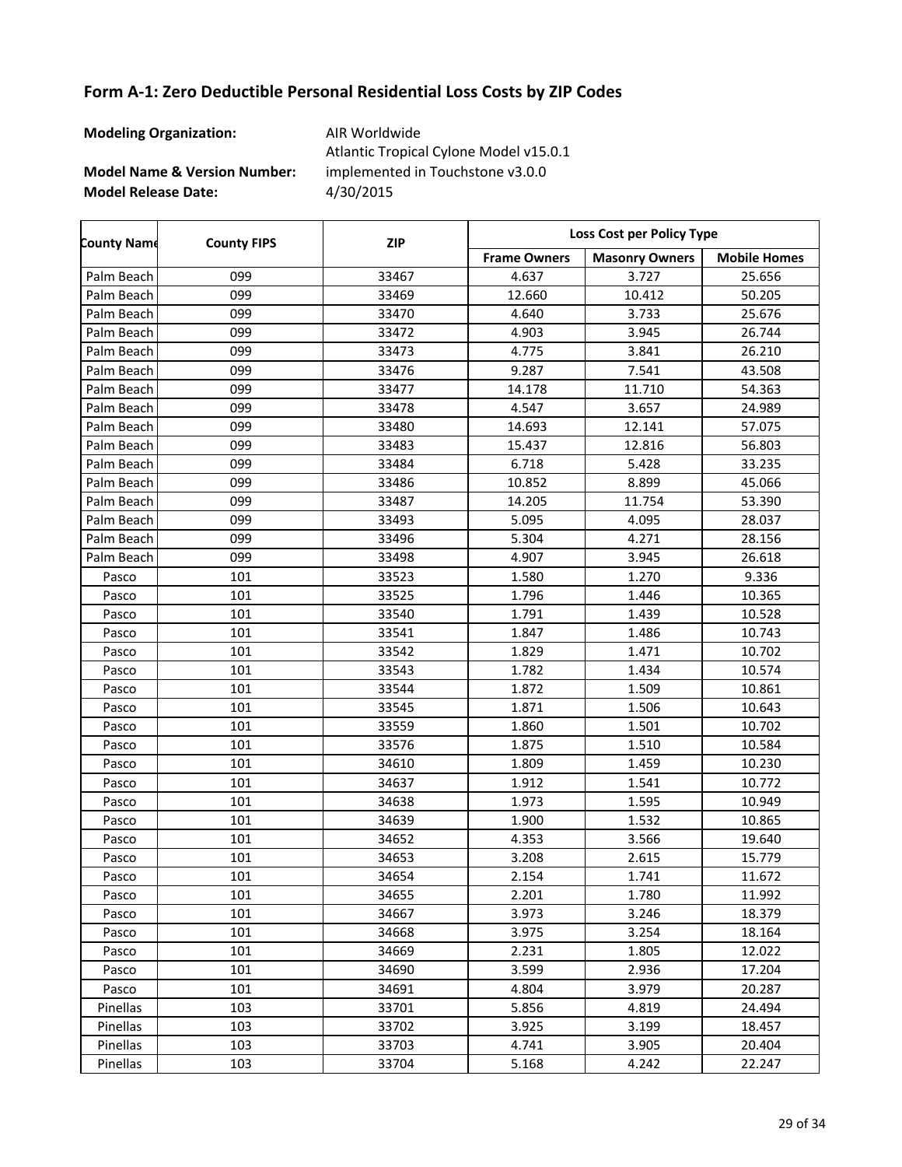| <b>Modeling Organization:</b>           | AIR Worldwide<br>Atlantic Tropical Cylone Model v15.0.1 |
|-----------------------------------------|---------------------------------------------------------|
| <b>Model Name &amp; Version Number:</b> | implemented in Touchstone v3.0.0                        |
| <b>Model Release Date:</b>              | 4/30/2015                                               |

| <b>County Name</b> | <b>County FIPS</b> | <b>ZIP</b> | Loss Cost per Policy Type |                       |                     |
|--------------------|--------------------|------------|---------------------------|-----------------------|---------------------|
|                    |                    |            | <b>Frame Owners</b>       | <b>Masonry Owners</b> | <b>Mobile Homes</b> |
| Palm Beach         | 099                | 33467      | 4.637                     | 3.727                 | 25.656              |
| Palm Beach         | 099                | 33469      | 12.660                    | 10.412                | 50.205              |
| Palm Beach         | 099                | 33470      | 4.640                     | 3.733                 | 25.676              |
| Palm Beach         | 099                | 33472      | 4.903                     | 3.945                 | 26.744              |
| Palm Beach         | 099                | 33473      | 4.775                     | 3.841                 | 26.210              |
| Palm Beach         | 099                | 33476      | 9.287                     | 7.541                 | 43.508              |
| Palm Beach         | 099                | 33477      | 14.178                    | 11.710                | 54.363              |
| Palm Beach         | 099                | 33478      | 4.547                     | 3.657                 | 24.989              |
| Palm Beach         | 099                | 33480      | 14.693                    | 12.141                | 57.075              |
| Palm Beach         | 099                | 33483      | 15.437                    | 12.816                | 56.803              |
| Palm Beach         | 099                | 33484      | 6.718                     | 5.428                 | 33.235              |
| Palm Beach         | 099                | 33486      | 10.852                    | 8.899                 | 45.066              |
| Palm Beach         | 099                | 33487      | 14.205                    | 11.754                | 53.390              |
| Palm Beach         | 099                | 33493      | 5.095                     | 4.095                 | 28.037              |
| Palm Beach         | 099                | 33496      | 5.304                     | 4.271                 | 28.156              |
| Palm Beach         | 099                | 33498      | 4.907                     | 3.945                 | 26.618              |
| Pasco              | 101                | 33523      | 1.580                     | 1.270                 | 9.336               |
| Pasco              | 101                | 33525      | 1.796                     | 1.446                 | 10.365              |
| Pasco              | 101                | 33540      | 1.791                     | 1.439                 | 10.528              |
| Pasco              | 101                | 33541      | 1.847                     | 1.486                 | 10.743              |
| Pasco              | 101                | 33542      | 1.829                     | 1.471                 | 10.702              |
| Pasco              | 101                | 33543      | 1.782                     | 1.434                 | 10.574              |
| Pasco              | 101                | 33544      | 1.872                     | 1.509                 | 10.861              |
| Pasco              | 101                | 33545      | 1.871                     | 1.506                 | 10.643              |
| Pasco              | 101                | 33559      | 1.860                     | 1.501                 | 10.702              |
| Pasco              | 101                | 33576      | 1.875                     | 1.510                 | 10.584              |
| Pasco              | 101                | 34610      | 1.809                     | 1.459                 | 10.230              |
| Pasco              | 101                | 34637      | 1.912                     | 1.541                 | 10.772              |
| Pasco              | 101                | 34638      | 1.973                     | 1.595                 | 10.949              |
| Pasco              | 101                | 34639      | 1.900                     | 1.532                 | 10.865              |
| Pasco              | 101                | 34652      | 4.353                     | 3.566                 | 19.640              |
| Pasco              | 101                | 34653      | 3.208                     | 2.615                 | 15.779              |
| Pasco              | 101                | 34654      | 2.154                     | 1.741                 | 11.672              |
| Pasco              | 101                | 34655      | 2.201                     | 1.780                 | 11.992              |
| Pasco              | 101                | 34667      | 3.973                     | 3.246                 | 18.379              |
| Pasco              | 101                | 34668      | 3.975                     | 3.254                 | 18.164              |
| Pasco              | 101                | 34669      | 2.231                     | 1.805                 | 12.022              |
| Pasco              | 101                | 34690      | 3.599                     | 2.936                 | 17.204              |
| Pasco              | 101                | 34691      | 4.804                     | 3.979                 | 20.287              |
| Pinellas           | 103                | 33701      | 5.856                     | 4.819                 | 24.494              |
| Pinellas           | 103                | 33702      | 3.925                     | 3.199                 | 18.457              |
| Pinellas           | 103                | 33703      | 4.741                     | 3.905                 | 20.404              |
| Pinellas           | 103                | 33704      | 5.168                     | 4.242                 | 22.247              |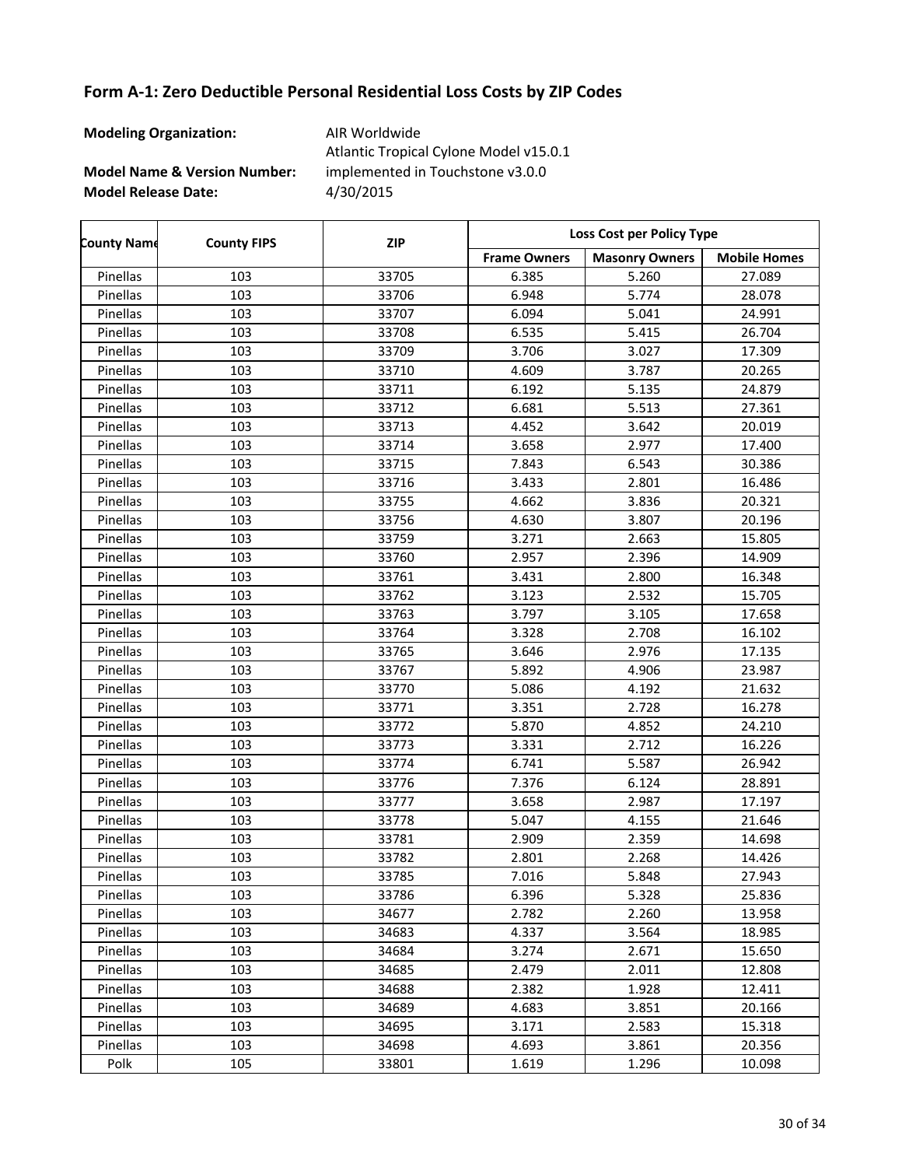| <b>Modeling Organization:</b>           | AIR Worldwide<br>Atlantic Tropical Cylone Model v15.0.1 |
|-----------------------------------------|---------------------------------------------------------|
| <b>Model Name &amp; Version Number:</b> | implemented in Touchstone v3.0.0                        |
| <b>Model Release Date:</b>              | 4/30/2015                                               |

| <b>County Name</b> | <b>County FIPS</b> | <b>ZIP</b> | <b>Loss Cost per Policy Type</b> |                       |                     |
|--------------------|--------------------|------------|----------------------------------|-----------------------|---------------------|
|                    |                    |            | <b>Frame Owners</b>              | <b>Masonry Owners</b> | <b>Mobile Homes</b> |
| Pinellas           | 103                | 33705      | 6.385                            | 5.260                 | 27.089              |
| Pinellas           | 103                | 33706      | 6.948                            | 5.774                 | 28.078              |
| Pinellas           | 103                | 33707      | 6.094                            | 5.041                 | 24.991              |
| Pinellas           | 103                | 33708      | 6.535                            | 5.415                 | 26.704              |
| Pinellas           | 103                | 33709      | 3.706                            | 3.027                 | 17.309              |
| Pinellas           | 103                | 33710      | 4.609                            | 3.787                 | 20.265              |
| Pinellas           | 103                | 33711      | 6.192                            | 5.135                 | 24.879              |
| Pinellas           | 103                | 33712      | 6.681                            | 5.513                 | 27.361              |
| Pinellas           | 103                | 33713      | 4.452                            | 3.642                 | 20.019              |
| Pinellas           | 103                | 33714      | 3.658                            | 2.977                 | 17.400              |
| Pinellas           | 103                | 33715      | 7.843                            | 6.543                 | 30.386              |
| Pinellas           | 103                | 33716      | 3.433                            | 2.801                 | 16.486              |
| Pinellas           | 103                | 33755      | 4.662                            | 3.836                 | 20.321              |
| Pinellas           | 103                | 33756      | 4.630                            | 3.807                 | 20.196              |
| Pinellas           | 103                | 33759      | 3.271                            | 2.663                 | 15.805              |
| Pinellas           | 103                | 33760      | 2.957                            | 2.396                 | 14.909              |
| Pinellas           | 103                | 33761      | 3.431                            | 2.800                 | 16.348              |
| Pinellas           | 103                | 33762      | 3.123                            | 2.532                 | 15.705              |
| Pinellas           | 103                | 33763      | 3.797                            | 3.105                 | 17.658              |
| Pinellas           | 103                | 33764      | 3.328                            | 2.708                 | 16.102              |
| Pinellas           | 103                | 33765      | 3.646                            | 2.976                 | 17.135              |
| Pinellas           | 103                | 33767      | 5.892                            | 4.906                 | 23.987              |
| Pinellas           | 103                | 33770      | 5.086                            | 4.192                 | 21.632              |
| Pinellas           | 103                | 33771      | 3.351                            | 2.728                 | 16.278              |
| Pinellas           | 103                | 33772      | 5.870                            | 4.852                 | 24.210              |
| Pinellas           | 103                | 33773      | 3.331                            | 2.712                 | 16.226              |
| Pinellas           | 103                | 33774      | 6.741                            | 5.587                 | 26.942              |
| Pinellas           | 103                | 33776      | 7.376                            | 6.124                 | 28.891              |
| Pinellas           | 103                | 33777      | 3.658                            | 2.987                 | 17.197              |
| Pinellas           | 103                | 33778      | 5.047                            | 4.155                 | 21.646              |
| Pinellas           | 103                | 33781      | 2.909                            | 2.359                 | 14.698              |
| Pinellas           | 103                | 33782      | 2.801                            | 2.268                 | 14.426              |
| Pinellas           | 103                | 33785      | 7.016                            | 5.848                 | 27.943              |
| Pinellas           | 103                | 33786      | 6.396                            | 5.328                 | 25.836              |
| Pinellas           | 103                | 34677      | 2.782                            | 2.260                 | 13.958              |
| Pinellas           | 103                | 34683      | 4.337                            | 3.564                 | 18.985              |
| Pinellas           | 103                | 34684      | 3.274                            | 2.671                 | 15.650              |
| Pinellas           | 103                | 34685      | 2.479                            | 2.011                 | 12.808              |
| Pinellas           | 103                | 34688      | 2.382                            | 1.928                 | 12.411              |
| Pinellas           | 103                | 34689      | 4.683                            | 3.851                 | 20.166              |
| Pinellas           | 103                | 34695      | 3.171                            | 2.583                 | 15.318              |
| Pinellas           | 103                | 34698      | 4.693                            | 3.861                 | 20.356              |
| Polk               | 105                | 33801      | 1.619                            | 1.296                 | 10.098              |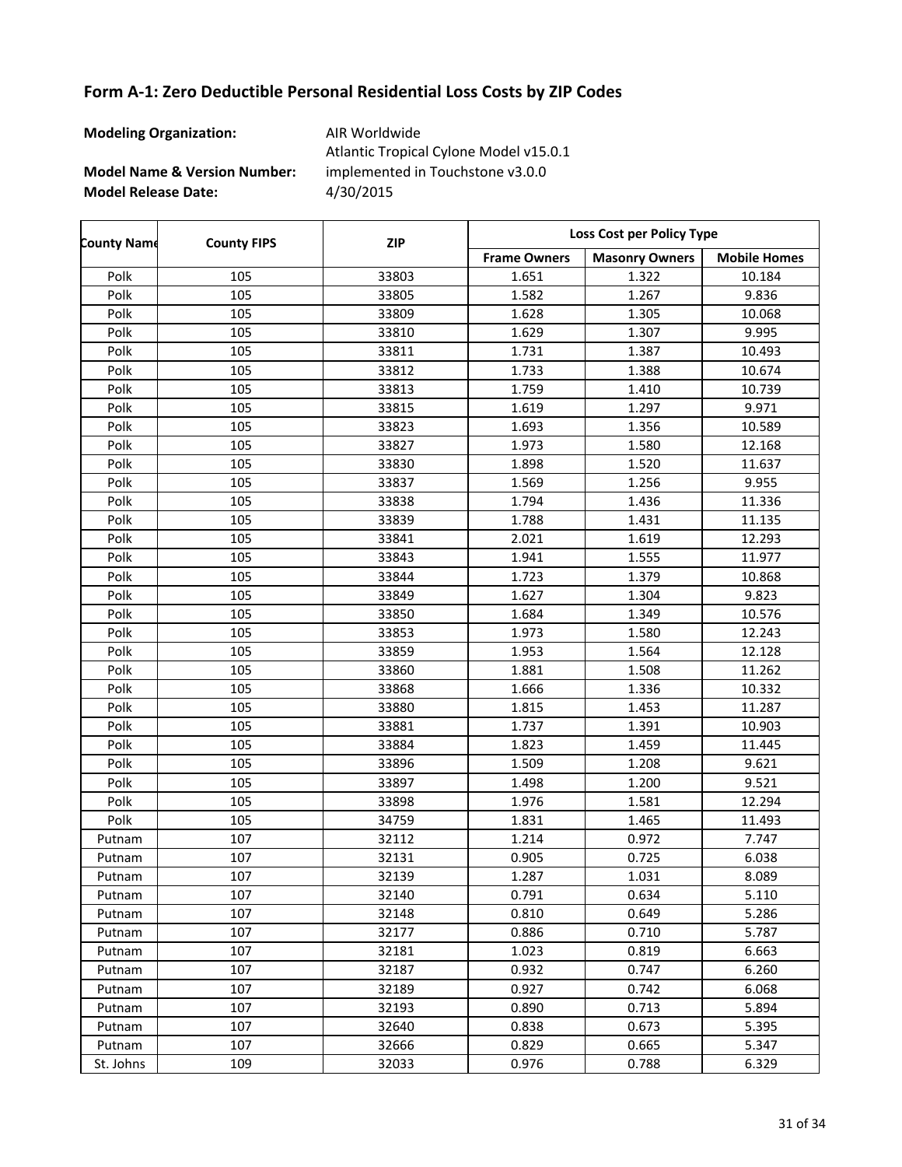| <b>Modeling Organization:</b>           | AIR Worldwide<br>Atlantic Tropical Cylone Model v15.0.1 |
|-----------------------------------------|---------------------------------------------------------|
| <b>Model Name &amp; Version Number:</b> | implemented in Touchstone v3.0.0                        |
| <b>Model Release Date:</b>              | 4/30/2015                                               |

| <b>County Name</b> | <b>County FIPS</b> | <b>ZIP</b> | Loss Cost per Policy Type |                       |                     |
|--------------------|--------------------|------------|---------------------------|-----------------------|---------------------|
|                    |                    |            | <b>Frame Owners</b>       | <b>Masonry Owners</b> | <b>Mobile Homes</b> |
| Polk               | 105                | 33803      | 1.651                     | 1.322                 | 10.184              |
| Polk               | 105                | 33805      | 1.582                     | 1.267                 | 9.836               |
| Polk               | 105                | 33809      | 1.628                     | 1.305                 | 10.068              |
| Polk               | 105                | 33810      | 1.629                     | 1.307                 | 9.995               |
| Polk               | 105                | 33811      | 1.731                     | 1.387                 | 10.493              |
| Polk               | 105                | 33812      | 1.733                     | 1.388                 | 10.674              |
| Polk               | 105                | 33813      | 1.759                     | 1.410                 | 10.739              |
| Polk               | 105                | 33815      | 1.619                     | 1.297                 | 9.971               |
| Polk               | 105                | 33823      | 1.693                     | 1.356                 | 10.589              |
| Polk               | 105                | 33827      | 1.973                     | 1.580                 | 12.168              |
| Polk               | 105                | 33830      | 1.898                     | 1.520                 | 11.637              |
| Polk               | 105                | 33837      | 1.569                     | 1.256                 | 9.955               |
| Polk               | 105                | 33838      | 1.794                     | 1.436                 | 11.336              |
| Polk               | 105                | 33839      | 1.788                     | 1.431                 | 11.135              |
| Polk               | 105                | 33841      | 2.021                     | 1.619                 | 12.293              |
| Polk               | 105                | 33843      | 1.941                     | 1.555                 | 11.977              |
| Polk               | 105                | 33844      | 1.723                     | 1.379                 | 10.868              |
| Polk               | 105                | 33849      | 1.627                     | 1.304                 | 9.823               |
| Polk               | 105                | 33850      | 1.684                     | 1.349                 | 10.576              |
| Polk               | 105                | 33853      | 1.973                     | 1.580                 | 12.243              |
| Polk               | 105                | 33859      | 1.953                     | 1.564                 | 12.128              |
| Polk               | 105                | 33860      | 1.881                     | 1.508                 | 11.262              |
| Polk               | 105                | 33868      | 1.666                     | 1.336                 | 10.332              |
| Polk               | 105                | 33880      | 1.815                     | 1.453                 | 11.287              |
| Polk               | 105                | 33881      | 1.737                     | 1.391                 | 10.903              |
| Polk               | 105                | 33884      | 1.823                     | 1.459                 | 11.445              |
| Polk               | 105                | 33896      | 1.509                     | 1.208                 | 9.621               |
| Polk               | 105                | 33897      | 1.498                     | 1.200                 | 9.521               |
| Polk               | 105                | 33898      | 1.976                     | 1.581                 | 12.294              |
| Polk               | 105                | 34759      | 1.831                     | 1.465                 | 11.493              |
| Putnam             | 107                | 32112      | 1.214                     | 0.972                 | 7.747               |
| Putnam             | 107                | 32131      | 0.905                     | 0.725                 | 6.038               |
| Putnam             | 107                | 32139      | 1.287                     | 1.031                 | 8.089               |
| Putnam             | 107                | 32140      | 0.791                     | 0.634                 | 5.110               |
| Putnam             | 107                | 32148      | 0.810                     | 0.649                 | 5.286               |
| Putnam             | 107                | 32177      | 0.886                     | 0.710                 | 5.787               |
| Putnam             | 107                | 32181      | 1.023                     | 0.819                 | 6.663               |
| Putnam             | 107                | 32187      | 0.932                     | 0.747                 | 6.260               |
| Putnam             | 107                | 32189      | 0.927                     | 0.742                 | 6.068               |
| Putnam             | 107                | 32193      | 0.890                     | 0.713                 | 5.894               |
| Putnam             | 107                | 32640      | 0.838                     | 0.673                 | 5.395               |
| Putnam             | 107                | 32666      | 0.829                     | 0.665                 | 5.347               |
| St. Johns          | 109                | 32033      | 0.976                     | 0.788                 | 6.329               |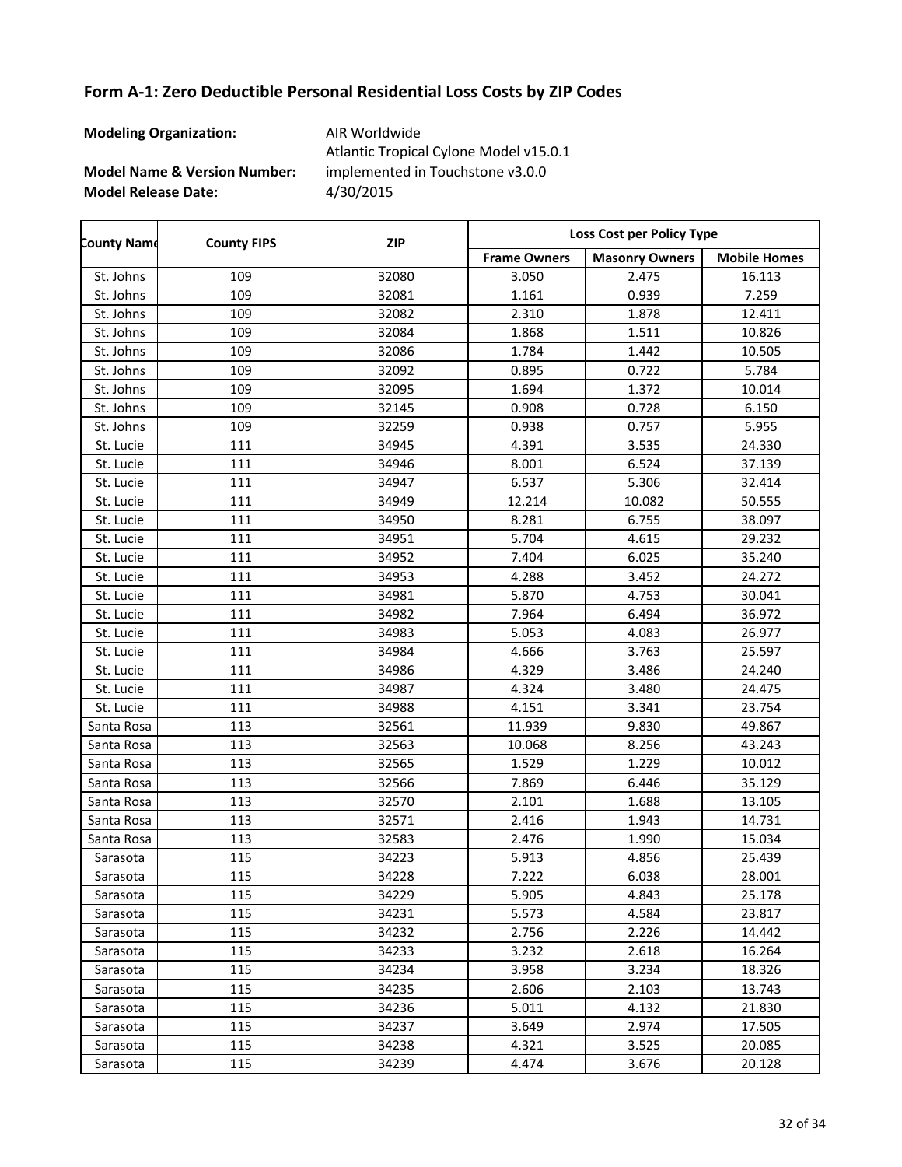| <b>Modeling Organization:</b>           | AIR Worldwide<br>Atlantic Tropical Cylone Model v15.0.1 |
|-----------------------------------------|---------------------------------------------------------|
| <b>Model Name &amp; Version Number:</b> | implemented in Touchstone v3.0.0                        |
| <b>Model Release Date:</b>              | 4/30/2015                                               |

| <b>County Name</b> | <b>County FIPS</b> | <b>ZIP</b> | Loss Cost per Policy Type |                       |                     |
|--------------------|--------------------|------------|---------------------------|-----------------------|---------------------|
|                    |                    |            | <b>Frame Owners</b>       | <b>Masonry Owners</b> | <b>Mobile Homes</b> |
| St. Johns          | 109                | 32080      | 3.050                     | 2.475                 | 16.113              |
| St. Johns          | 109                | 32081      | 1.161                     | 0.939                 | 7.259               |
| St. Johns          | 109                | 32082      | 2.310                     | 1.878                 | 12.411              |
| St. Johns          | 109                | 32084      | 1.868                     | 1.511                 | 10.826              |
| St. Johns          | 109                | 32086      | 1.784                     | 1.442                 | 10.505              |
| St. Johns          | 109                | 32092      | 0.895                     | 0.722                 | 5.784               |
| St. Johns          | 109                | 32095      | 1.694                     | 1.372                 | 10.014              |
| St. Johns          | 109                | 32145      | 0.908                     | 0.728                 | 6.150               |
| St. Johns          | 109                | 32259      | 0.938                     | 0.757                 | 5.955               |
| St. Lucie          | 111                | 34945      | 4.391                     | 3.535                 | 24.330              |
| St. Lucie          | 111                | 34946      | 8.001                     | 6.524                 | 37.139              |
| St. Lucie          | 111                | 34947      | 6.537                     | 5.306                 | 32.414              |
| St. Lucie          | 111                | 34949      | 12.214                    | 10.082                | 50.555              |
| St. Lucie          | 111                | 34950      | 8.281                     | 6.755                 | 38.097              |
| St. Lucie          | 111                | 34951      | 5.704                     | 4.615                 | 29.232              |
| St. Lucie          | 111                | 34952      | 7.404                     | 6.025                 | 35.240              |
| St. Lucie          | 111                | 34953      | 4.288                     | 3.452                 | 24.272              |
| St. Lucie          | 111                | 34981      | 5.870                     | 4.753                 | 30.041              |
| St. Lucie          | 111                | 34982      | 7.964                     | 6.494                 | 36.972              |
| St. Lucie          | 111                | 34983      | 5.053                     | 4.083                 | 26.977              |
| St. Lucie          | 111                | 34984      | 4.666                     | 3.763                 | 25.597              |
| St. Lucie          | 111                | 34986      | 4.329                     | 3.486                 | 24.240              |
| St. Lucie          | 111                | 34987      | 4.324                     | 3.480                 | 24.475              |
| St. Lucie          | 111                | 34988      | 4.151                     | 3.341                 | 23.754              |
| Santa Rosa         | 113                | 32561      | 11.939                    | 9.830                 | 49.867              |
| Santa Rosa         | 113                | 32563      | 10.068                    | 8.256                 | 43.243              |
| Santa Rosa         | 113                | 32565      | 1.529                     | 1.229                 | 10.012              |
| Santa Rosa         | 113                | 32566      | 7.869                     | 6.446                 | 35.129              |
| Santa Rosa         | 113                | 32570      | 2.101                     | 1.688                 | 13.105              |
| Santa Rosa         | 113                | 32571      | 2.416                     | 1.943                 | 14.731              |
| Santa Rosa         | 113                | 32583      | 2.476                     | 1.990                 | 15.034              |
| Sarasota           | 115                | 34223      | 5.913                     | 4.856                 | 25.439              |
| Sarasota           | 115                | 34228      | 7.222                     | 6.038                 | 28.001              |
| Sarasota           | 115                | 34229      | 5.905                     | 4.843                 | 25.178              |
| Sarasota           | 115                | 34231      | 5.573                     | 4.584                 | 23.817              |
| Sarasota           | 115                | 34232      | 2.756                     | 2.226                 | 14.442              |
| Sarasota           | 115                | 34233      | 3.232                     | 2.618                 | 16.264              |
| Sarasota           | 115                | 34234      | 3.958                     | 3.234                 | 18.326              |
| Sarasota           | 115                | 34235      | 2.606                     | 2.103                 | 13.743              |
| Sarasota           | 115                | 34236      | 5.011                     | 4.132                 | 21.830              |
| Sarasota           | 115                | 34237      | 3.649                     | 2.974                 | 17.505              |
| Sarasota           | 115                | 34238      | 4.321                     | 3.525                 | 20.085              |
| Sarasota           | 115                | 34239      | 4.474                     | 3.676                 | 20.128              |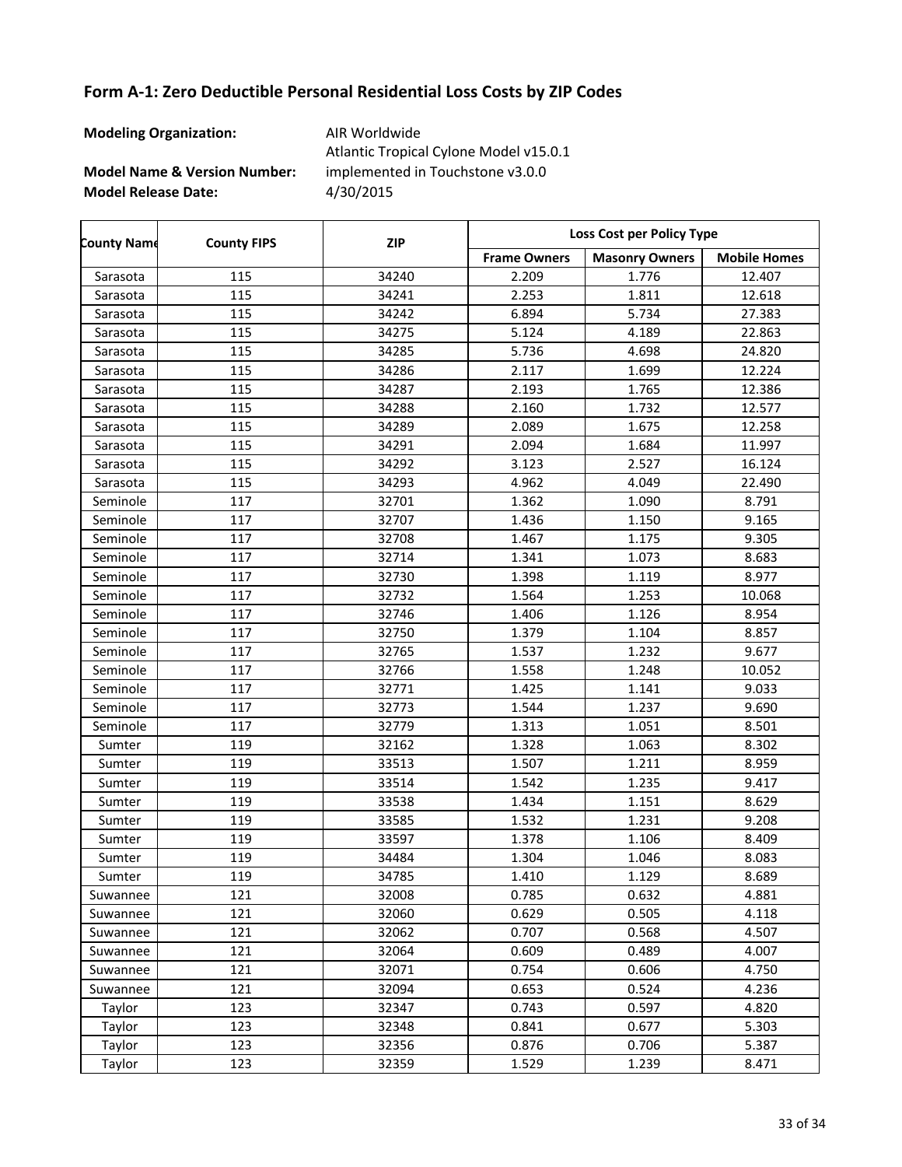| <b>Modeling Organization:</b>           | AIR Worldwide<br>Atlantic Tropical Cylone Model v15.0.1 |
|-----------------------------------------|---------------------------------------------------------|
| <b>Model Name &amp; Version Number:</b> | implemented in Touchstone v3.0.0                        |
| <b>Model Release Date:</b>              | 4/30/2015                                               |

| <b>County Name</b> | <b>County FIPS</b> | <b>ZIP</b> | Loss Cost per Policy Type |                       |                     |
|--------------------|--------------------|------------|---------------------------|-----------------------|---------------------|
|                    |                    |            | <b>Frame Owners</b>       | <b>Masonry Owners</b> | <b>Mobile Homes</b> |
| Sarasota           | 115                | 34240      | 2.209                     | 1.776                 | 12.407              |
| Sarasota           | 115                | 34241      | 2.253                     | 1.811                 | 12.618              |
| Sarasota           | 115                | 34242      | 6.894                     | 5.734                 | 27.383              |
| Sarasota           | 115                | 34275      | 5.124                     | 4.189                 | 22.863              |
| Sarasota           | 115                | 34285      | 5.736                     | 4.698                 | 24.820              |
| Sarasota           | 115                | 34286      | 2.117                     | 1.699                 | 12.224              |
| Sarasota           | 115                | 34287      | 2.193                     | 1.765                 | 12.386              |
| Sarasota           | 115                | 34288      | 2.160                     | 1.732                 | 12.577              |
| Sarasota           | 115                | 34289      | 2.089                     | 1.675                 | 12.258              |
| Sarasota           | 115                | 34291      | 2.094                     | 1.684                 | 11.997              |
| Sarasota           | 115                | 34292      | 3.123                     | 2.527                 | 16.124              |
| Sarasota           | 115                | 34293      | 4.962                     | 4.049                 | 22.490              |
| Seminole           | 117                | 32701      | 1.362                     | 1.090                 | 8.791               |
| Seminole           | 117                | 32707      | 1.436                     | 1.150                 | 9.165               |
| Seminole           | 117                | 32708      | 1.467                     | 1.175                 | 9.305               |
| Seminole           | 117                | 32714      | 1.341                     | 1.073                 | 8.683               |
| Seminole           | 117                | 32730      | 1.398                     | 1.119                 | 8.977               |
| Seminole           | 117                | 32732      | 1.564                     | 1.253                 | 10.068              |
| Seminole           | 117                | 32746      | 1.406                     | 1.126                 | 8.954               |
| Seminole           | 117                | 32750      | 1.379                     | 1.104                 | 8.857               |
| Seminole           | 117                | 32765      | 1.537                     | 1.232                 | 9.677               |
| Seminole           | 117                | 32766      | 1.558                     | 1.248                 | 10.052              |
| Seminole           | 117                | 32771      | 1.425                     | 1.141                 | 9.033               |
| Seminole           | 117                | 32773      | 1.544                     | 1.237                 | 9.690               |
| Seminole           | 117                | 32779      | 1.313                     | 1.051                 | 8.501               |
| Sumter             | 119                | 32162      | 1.328                     | 1.063                 | 8.302               |
| Sumter             | 119                | 33513      | 1.507                     | 1.211                 | 8.959               |
| Sumter             | 119                | 33514      | 1.542                     | 1.235                 | 9.417               |
| Sumter             | 119                | 33538      | 1.434                     | 1.151                 | 8.629               |
| Sumter             | 119                | 33585      | 1.532                     | 1.231                 | 9.208               |
| Sumter             | 119                | 33597      | 1.378                     | 1.106                 | 8.409               |
| Sumter             | 119                | 34484      | 1.304                     | 1.046                 | 8.083               |
| Sumter             | 119                | 34785      | 1.410                     | 1.129                 | 8.689               |
| Suwannee           | 121                | 32008      | 0.785                     | 0.632                 | 4.881               |
| Suwannee           | 121                | 32060      | 0.629                     | 0.505                 | 4.118               |
| Suwannee           | 121                | 32062      | 0.707                     | 0.568                 | 4.507               |
| Suwannee           | 121                | 32064      | 0.609                     | 0.489                 | 4.007               |
| Suwannee           | 121                | 32071      | 0.754                     | 0.606                 | 4.750               |
| Suwannee           | 121                | 32094      | 0.653                     | 0.524                 | 4.236               |
| Taylor             | 123                | 32347      | 0.743                     | 0.597                 | 4.820               |
| Taylor             | 123                | 32348      | 0.841                     | 0.677                 | 5.303               |
| Taylor             | 123                | 32356      | 0.876                     | 0.706                 | 5.387               |
| Taylor             | 123                | 32359      | 1.529                     | 1.239                 | 8.471               |